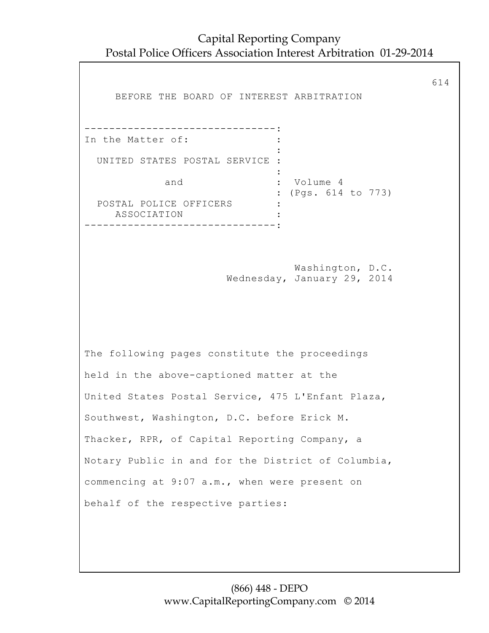Capital Reporting Company Postal Police Officers Association Interest Arbitration 01-29-2014

614 BEFORE THE BOARD OF INTEREST ARBITRATION -------------------------------: In the Matter of:  $\cdot$  : the contract of the contract of the contract of the contract of the contract of the contract of the contract of UNITED STATES POSTAL SERVICE : the contract of the contract of the contract of the contract of the contract of the contract of the contract of and : Volume 4 : (Pgs. 614 to 773) POSTAL POLICE OFFICERS : ASSOCIATION : -------------------------------: Washington, D.C. Wednesday, January 29, 2014 The following pages constitute the proceedings held in the above-captioned matter at the United States Postal Service, 475 L'Enfant Plaza, Southwest, Washington, D.C. before Erick M. Thacker, RPR, of Capital Reporting Company, a Notary Public in and for the District of Columbia, commencing at 9:07 a.m., when were present on behalf of the respective parties: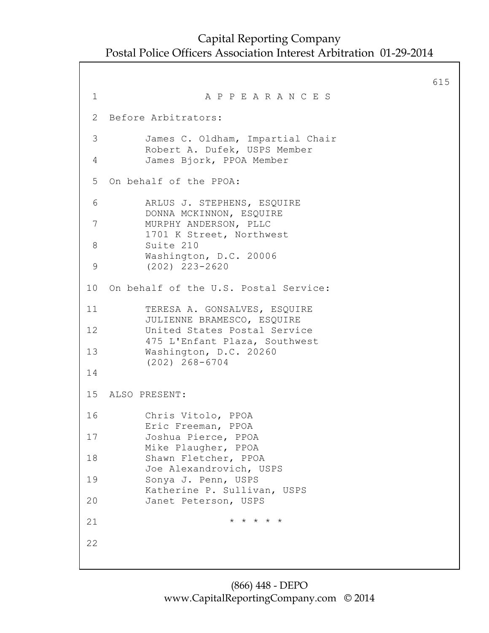```
615
1 A P P E A R A N C E S
2 Before Arbitrators:
 3 James C. Oldham, Impartial Chair
         Robert A. Dufek, USPS Member
 4 James Bjork, PPOA Member
5 On behalf of the PPOA:
 6 ARLUS J. STEPHENS, ESQUIRE
         DONNA MCKINNON, ESQUIRE
7 MURPHY ANDERSON, PLLC
         1701 K Street, Northwest
 8 Suite 210
         Washington, D.C. 20006
9 (202) 223-2620
10 On behalf of the U.S. Postal Service:
11 TERESA A. GONSALVES, ESQUIRE
         JULIENNE BRAMESCO, ESQUIRE
12 United States Postal Service
         475 L'Enfant Plaza, Southwest
13 Washington, D.C. 20260
          (202) 268-6704
14
15 ALSO PRESENT:
16 Chris Vitolo, PPOA
         Eric Freeman, PPOA
17 Joshua Pierce, PPOA
         Mike Plaugher, PPOA
18 Shawn Fletcher, PPOA
         Joe Alexandrovich, USPS
19 Sonya J. Penn, USPS
         Katherine P. Sullivan, USPS
20 Janet Peterson, USPS
21 \star \star \star \star \star \star22
```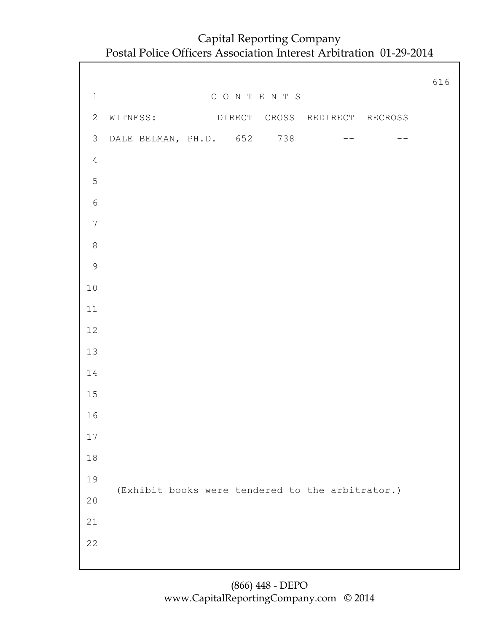|                |                                                  | 616 |
|----------------|--------------------------------------------------|-----|
| $\mathbf 1$    | CONTENTS                                         |     |
| $\overline{2}$ | WITNESS: DIRECT CROSS REDIRECT RECROSS           |     |
| $\mathcal{S}$  | DALE BELMAN, PH.D. 652 738<br>$ -$<br>$- -$      |     |
| $\overline{4}$ |                                                  |     |
| 5              |                                                  |     |
| $\sqrt{6}$     |                                                  |     |
| $\overline{7}$ |                                                  |     |
| $\,8\,$        |                                                  |     |
| $\overline{9}$ |                                                  |     |
| $10$           |                                                  |     |
| $11$           |                                                  |     |
| 12             |                                                  |     |
| 13             |                                                  |     |
| 14             |                                                  |     |
| $15$           |                                                  |     |
| 16             |                                                  |     |
| 17             |                                                  |     |
| 18             |                                                  |     |
| 19             |                                                  |     |
| $20$           | (Exhibit books were tendered to the arbitrator.) |     |
| 21             |                                                  |     |
| 22             |                                                  |     |
|                |                                                  |     |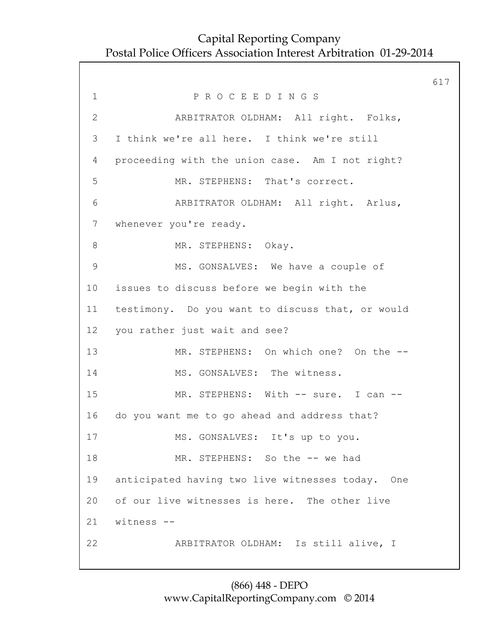617 1 P R O C E E D I N G S 2 ARBITRATOR OLDHAM: All right. Folks, 3 I think we're all here. I think we're still 4 proceeding with the union case. Am I not right? 5 MR. STEPHENS: That's correct. 6 ARBITRATOR OLDHAM: All right. Arlus, 7 whenever you're ready. 8 MR. STEPHENS: Okay. 9 MS. GONSALVES: We have a couple of 10 issues to discuss before we begin with the 11 testimony. Do you want to discuss that, or would 12 you rather just wait and see? 13 MR. STEPHENS: On which one? On the -- 14 MS. GONSALVES: The witness. 15 MR. STEPHENS: With -- sure. I can -- 16 do you want me to go ahead and address that? 17 MS. GONSALVES: It's up to you. 18 MR. STEPHENS: So the -- we had 19 anticipated having two live witnesses today. One 20 of our live witnesses is here. The other live 21 witness -- 22 ARBITRATOR OLDHAM: Is still alive, I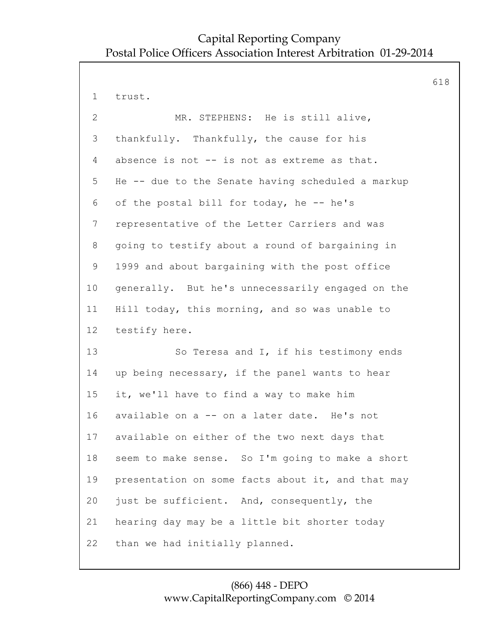618

1 trust.

| $\overline{2}$ | MR. STEPHENS: He is still alive,                  |
|----------------|---------------------------------------------------|
| 3              | thankfully. Thankfully, the cause for his         |
| 4              | absence is not -- is not as extreme as that.      |
| 5              | He -- due to the Senate having scheduled a markup |
| 6              | of the postal bill for today, he -- he's          |
| 7              | representative of the Letter Carriers and was     |
| 8              | going to testify about a round of bargaining in   |
| 9              | 1999 and about bargaining with the post office    |
| 10             | generally. But he's unnecessarily engaged on the  |
| 11             | Hill today, this morning, and so was unable to    |
| 12             | testify here.                                     |
| 13             | So Teresa and I, if his testimony ends            |
| 14             | up being necessary, if the panel wants to hear    |
| 15             | it, we'll have to find a way to make him          |
| 16             | available on a -- on a later date. He's not       |
| 17             | available on either of the two next days that     |
| 18             | seem to make sense. So I'm going to make a short  |
| 19             | presentation on some facts about it, and that may |
| 20             | just be sufficient. And, consequently, the        |
| 21             | hearing day may be a little bit shorter today     |
| 22             | than we had initially planned.                    |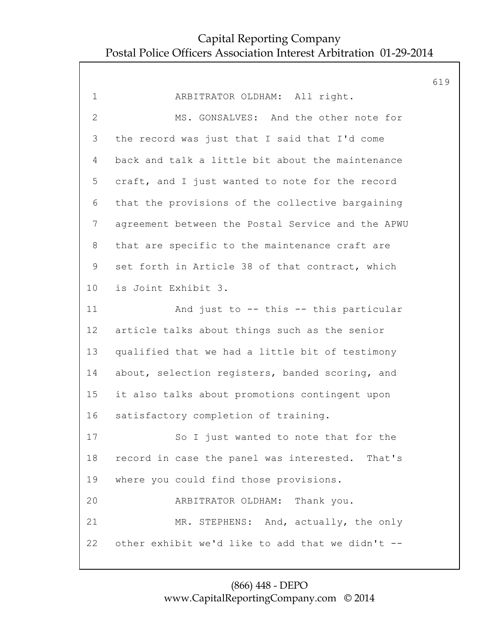|                |                                                   | 619 |
|----------------|---------------------------------------------------|-----|
| $\mathbf 1$    | ARBITRATOR OLDHAM: All right.                     |     |
| $\overline{2}$ | MS. GONSALVES: And the other note for             |     |
| 3              | the record was just that I said that I'd come     |     |
| 4              | back and talk a little bit about the maintenance  |     |
| 5              | craft, and I just wanted to note for the record   |     |
| 6              | that the provisions of the collective bargaining  |     |
| $\overline{7}$ | agreement between the Postal Service and the APWU |     |
| 8              | that are specific to the maintenance craft are    |     |
| 9              | set forth in Article 38 of that contract, which   |     |
| 10             | is Joint Exhibit 3.                               |     |
| 11             | And just to -- this -- this particular            |     |
| 12             | article talks about things such as the senior     |     |
| 13             | qualified that we had a little bit of testimony   |     |
| 14             | about, selection registers, banded scoring, and   |     |
| 15             | it also talks about promotions contingent upon    |     |
| 16             | satisfactory completion of training.              |     |
| 17             | So I just wanted to note that for the             |     |
| 18             | record in case the panel was interested. That's   |     |
| 19             | where you could find those provisions.            |     |
| 20             | ARBITRATOR OLDHAM: Thank you.                     |     |
| 21             | MR. STEPHENS: And, actually, the only             |     |
| 22             | other exhibit we'd like to add that we didn't --  |     |
|                |                                                   |     |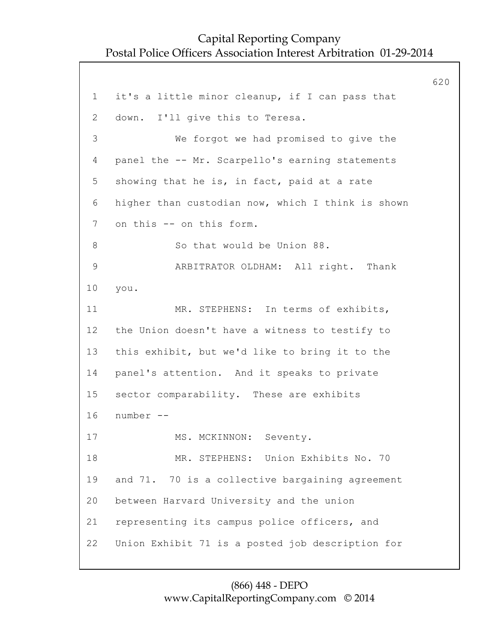620 1 it's a little minor cleanup, if I can pass that 2 down. I'll give this to Teresa. 3 We forgot we had promised to give the 4 panel the -- Mr. Scarpello's earning statements 5 showing that he is, in fact, paid at a rate 6 higher than custodian now, which I think is shown 7 on this -- on this form. 8 So that would be Union 88. 9 ARBITRATOR OLDHAM: All right. Thank 10 you. 11 MR. STEPHENS: In terms of exhibits, 12 the Union doesn't have a witness to testify to 13 this exhibit, but we'd like to bring it to the 14 panel's attention. And it speaks to private 15 sector comparability. These are exhibits 16 number -- 17 MS. MCKINNON: Seventy. 18 MR. STEPHENS: Union Exhibits No. 70 19 and 71. 70 is a collective bargaining agreement 20 between Harvard University and the union 21 representing its campus police officers, and 22 Union Exhibit 71 is a posted job description for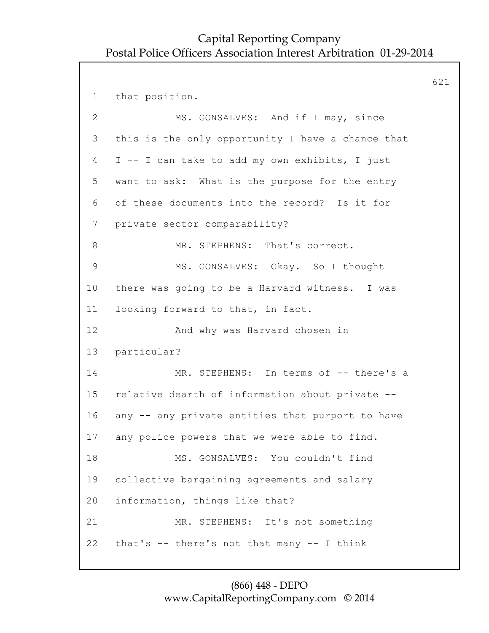621 1 that position. 2 MS. GONSALVES: And if I may, since 3 this is the only opportunity I have a chance that 4 I -- I can take to add my own exhibits, I just 5 want to ask: What is the purpose for the entry 6 of these documents into the record? Is it for 7 private sector comparability? 8 MR. STEPHENS: That's correct. 9 MS. GONSALVES: Okay. So I thought 10 there was going to be a Harvard witness. I was 11 looking forward to that, in fact. 12 And why was Harvard chosen in 13 particular? 14 MR. STEPHENS: In terms of -- there's a 15 relative dearth of information about private -- 16 any -- any private entities that purport to have 17 any police powers that we were able to find. 18 MS. GONSALVES: You couldn't find 19 collective bargaining agreements and salary 20 information, things like that? 21 MR. STEPHENS: It's not something 22 that's -- there's not that many -- I think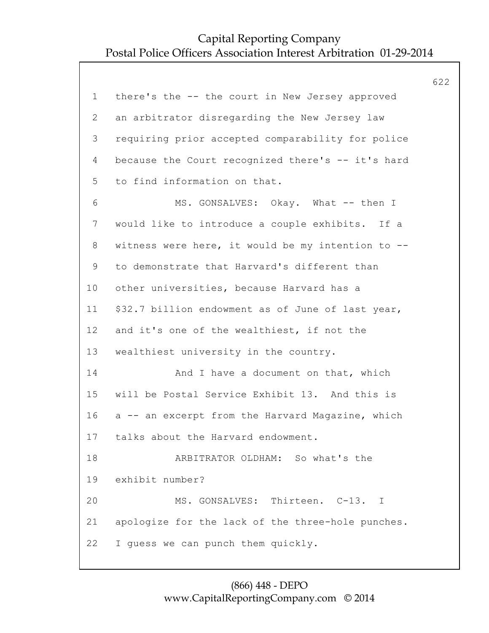|             |                                                   | 622 |
|-------------|---------------------------------------------------|-----|
| $\mathbf 1$ | there's the -- the court in New Jersey approved   |     |
| 2           | an arbitrator disregarding the New Jersey law     |     |
| 3           | requiring prior accepted comparability for police |     |
| 4           | because the Court recognized there's -- it's hard |     |
| 5           | to find information on that.                      |     |
| 6           | MS. GONSALVES: Okay. What -- then I               |     |
| 7           | would like to introduce a couple exhibits. If a   |     |
| 8           | witness were here, it would be my intention to -- |     |
| 9           | to demonstrate that Harvard's different than      |     |
| 10          | other universities, because Harvard has a         |     |
| 11          | \$32.7 billion endowment as of June of last year, |     |
| 12          | and it's one of the wealthiest, if not the        |     |
| 13          | wealthiest university in the country.             |     |
| 14          | And I have a document on that, which              |     |
| 15          | will be Postal Service Exhibit 13. And this is    |     |
| 16          | a -- an excerpt from the Harvard Magazine, which  |     |
| 17          | talks about the Harvard endowment.                |     |
| 18          | ARBITRATOR OLDHAM: So what's the                  |     |
| 19          | exhibit number?                                   |     |
| 20          | MS. GONSALVES: Thirteen. C-13. I                  |     |
| 21          | apologize for the lack of the three-hole punches. |     |
| 22          | I guess we can punch them quickly.                |     |
|             |                                                   |     |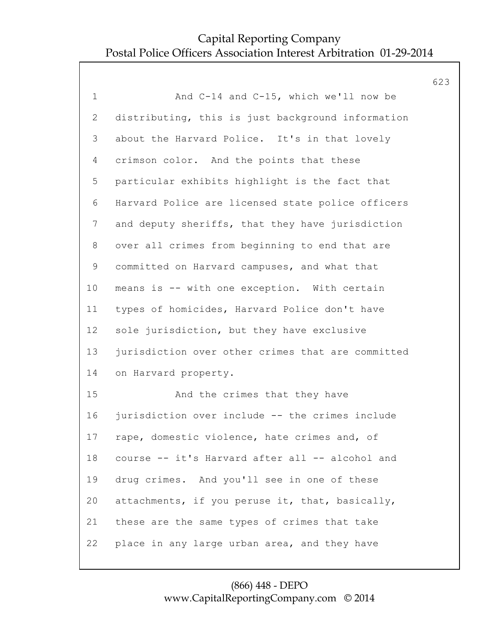623 1 And C-14 and C-15, which we'll now be 2 distributing, this is just background information 3 about the Harvard Police. It's in that lovely 4 crimson color. And the points that these 5 particular exhibits highlight is the fact that 6 Harvard Police are licensed state police officers 7 and deputy sheriffs, that they have jurisdiction 8 over all crimes from beginning to end that are 9 committed on Harvard campuses, and what that 10 means is -- with one exception. With certain 11 types of homicides, Harvard Police don't have 12 sole jurisdiction, but they have exclusive 13 jurisdiction over other crimes that are committed 14 on Harvard property. 15 And the crimes that they have 16 jurisdiction over include -- the crimes include 17 rape, domestic violence, hate crimes and, of 18 course -- it's Harvard after all -- alcohol and 19 drug crimes. And you'll see in one of these 20 attachments, if you peruse it, that, basically, 21 these are the same types of crimes that take 22 place in any large urban area, and they have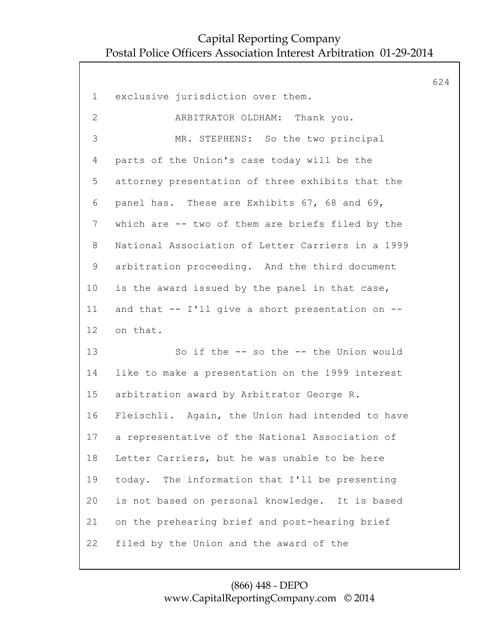624 1 exclusive jurisdiction over them. 2 ARBITRATOR OLDHAM: Thank you. 3 MR. STEPHENS: So the two principal 4 parts of the Union's case today will be the 5 attorney presentation of three exhibits that the 6 panel has. These are Exhibits 67, 68 and 69, 7 which are -- two of them are briefs filed by the 8 National Association of Letter Carriers in a 1999 9 arbitration proceeding. And the third document 10 is the award issued by the panel in that case, 11 and that -- I'll give a short presentation on -- 12 on that. 13 So if the -- so the -- the Union would 14 like to make a presentation on the 1999 interest 15 arbitration award by Arbitrator George R. 16 Fleischli. Again, the Union had intended to have 17 a representative of the National Association of 18 Letter Carriers, but he was unable to be here 19 today. The information that I'll be presenting 20 is not based on personal knowledge. It is based 21 on the prehearing brief and post-hearing brief 22 filed by the Union and the award of the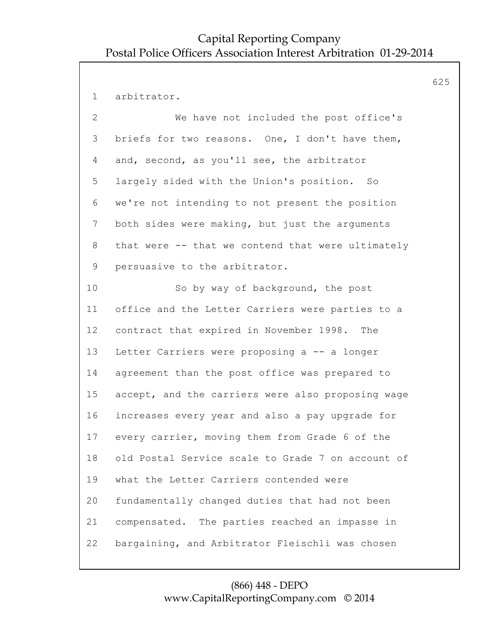625

1 arbitrator. 2 We have not included the post office's 3 briefs for two reasons. One, I don't have them, 4 and, second, as you'll see, the arbitrator 5 largely sided with the Union's position. So 6 we're not intending to not present the position 7 both sides were making, but just the arguments 8 that were -- that we contend that were ultimately 9 persuasive to the arbitrator. 10 So by way of background, the post 11 office and the Letter Carriers were parties to a 12 contract that expired in November 1998. The 13 Letter Carriers were proposing a -- a longer 14 agreement than the post office was prepared to 15 accept, and the carriers were also proposing wage 16 increases every year and also a pay upgrade for 17 every carrier, moving them from Grade 6 of the 18 old Postal Service scale to Grade 7 on account of 19 what the Letter Carriers contended were 20 fundamentally changed duties that had not been 21 compensated. The parties reached an impasse in 22 bargaining, and Arbitrator Fleischli was chosen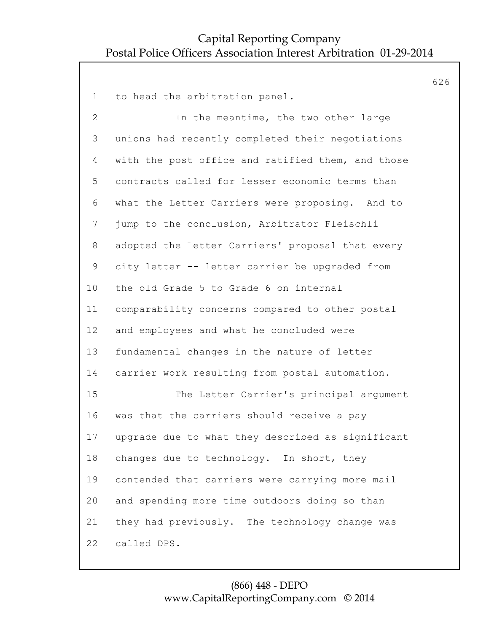626

1 to head the arbitration panel. 2 In the meantime, the two other large 3 unions had recently completed their negotiations 4 with the post office and ratified them, and those 5 contracts called for lesser economic terms than 6 what the Letter Carriers were proposing. And to 7 jump to the conclusion, Arbitrator Fleischli 8 adopted the Letter Carriers' proposal that every 9 city letter -- letter carrier be upgraded from 10 the old Grade 5 to Grade 6 on internal 11 comparability concerns compared to other postal 12 and employees and what he concluded were 13 fundamental changes in the nature of letter 14 carrier work resulting from postal automation. 15 The Letter Carrier's principal argument 16 was that the carriers should receive a pay 17 upgrade due to what they described as significant 18 changes due to technology. In short, they 19 contended that carriers were carrying more mail 20 and spending more time outdoors doing so than 21 they had previously. The technology change was 22 called DPS.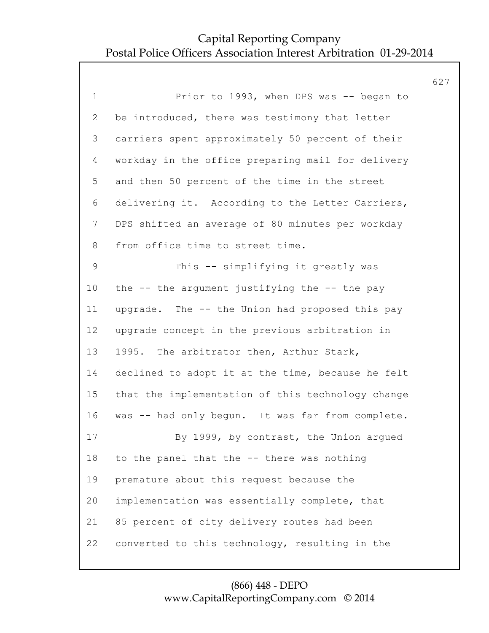627 1 Prior to 1993, when DPS was -- began to 2 be introduced, there was testimony that letter 3 carriers spent approximately 50 percent of their 4 workday in the office preparing mail for delivery 5 and then 50 percent of the time in the street 6 delivering it. According to the Letter Carriers, 7 DPS shifted an average of 80 minutes per workday 8 from office time to street time. 9 This -- simplifying it greatly was 10 the -- the argument justifying the -- the pay 11 upgrade. The -- the Union had proposed this pay 12 upgrade concept in the previous arbitration in 13 1995. The arbitrator then, Arthur Stark, 14 declined to adopt it at the time, because he felt 15 that the implementation of this technology change 16 was -- had only begun. It was far from complete. 17 By 1999, by contrast, the Union argued 18 to the panel that the -- there was nothing 19 premature about this request because the 20 implementation was essentially complete, that 21 85 percent of city delivery routes had been 22 converted to this technology, resulting in the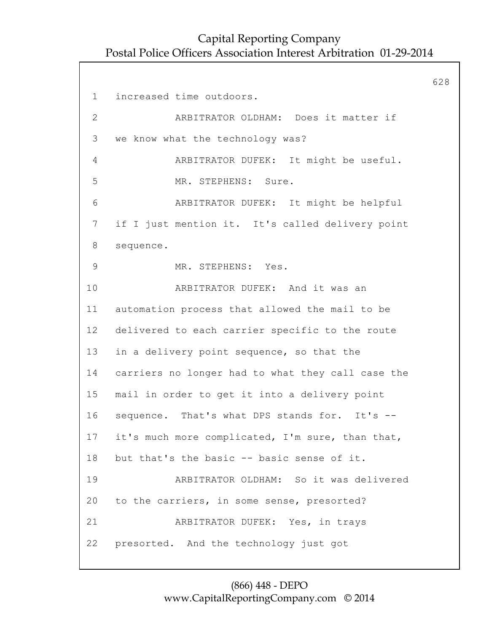628 1 increased time outdoors. 2 ARBITRATOR OLDHAM: Does it matter if 3 we know what the technology was? 4 ARBITRATOR DUFEK: It might be useful. 5 MR. STEPHENS: Sure. 6 ARBITRATOR DUFEK: It might be helpful 7 if I just mention it. It's called delivery point 8 sequence. 9 MR. STEPHENS: Yes. 10 ARBITRATOR DUFEK: And it was an 11 automation process that allowed the mail to be 12 delivered to each carrier specific to the route 13 in a delivery point sequence, so that the 14 carriers no longer had to what they call case the 15 mail in order to get it into a delivery point 16 sequence. That's what DPS stands for. It's -- 17 it's much more complicated, I'm sure, than that, 18 but that's the basic -- basic sense of it. 19 ARBITRATOR OLDHAM: So it was delivered 20 to the carriers, in some sense, presorted? 21 ARBITRATOR DUFEK: Yes, in trays 22 presorted. And the technology just got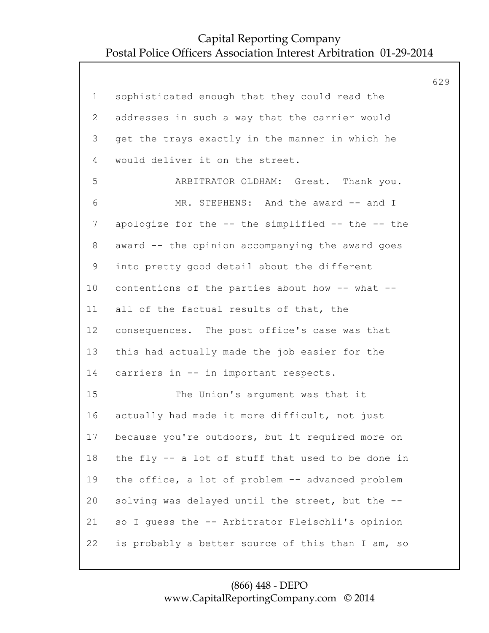|                |                                                   | 629 |
|----------------|---------------------------------------------------|-----|
| $\mathbf 1$    | sophisticated enough that they could read the     |     |
| $\overline{2}$ | addresses in such a way that the carrier would    |     |
| 3              | get the trays exactly in the manner in which he   |     |
| $\overline{4}$ | would deliver it on the street.                   |     |
| 5              | ARBITRATOR OLDHAM: Great. Thank you.              |     |
| 6              | MR. STEPHENS: And the award -- and I              |     |
| 7              | apologize for the -- the simplified -- the -- the |     |
| 8              | award -- the opinion accompanying the award goes  |     |
| 9              | into pretty good detail about the different       |     |
| 10             | contentions of the parties about how -- what --   |     |
| 11             | all of the factual results of that, the           |     |
| 12             | consequences. The post office's case was that     |     |
| 13             | this had actually made the job easier for the     |     |
| 14             | carriers in -- in important respects.             |     |
| 15             | The Union's argument was that it                  |     |
| 16             | actually had made it more difficult, not just     |     |
| 17             | because you're outdoors, but it required more on  |     |
| 18             | the fly -- a lot of stuff that used to be done in |     |
| 19             | the office, a lot of problem -- advanced problem  |     |
| 20             | solving was delayed until the street, but the --  |     |
| 21             | so I guess the -- Arbitrator Fleischli's opinion  |     |
| 22             | is probably a better source of this than I am, so |     |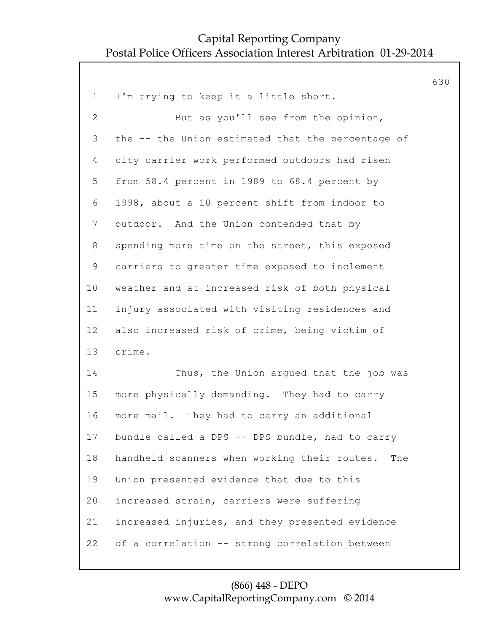|                |                                                     | 630 |
|----------------|-----------------------------------------------------|-----|
| $\mathbf 1$    | I'm trying to keep it a little short.               |     |
| $\overline{2}$ | But as you'll see from the opinion,                 |     |
| 3              | the -- the Union estimated that the percentage of   |     |
| 4              | city carrier work performed outdoors had risen      |     |
| 5              | from 58.4 percent in 1989 to 68.4 percent by        |     |
| 6              | 1998, about a 10 percent shift from indoor to       |     |
| $\overline{7}$ | outdoor. And the Union contended that by            |     |
| 8              | spending more time on the street, this exposed      |     |
| 9              | carriers to greater time exposed to inclement       |     |
| 10             | weather and at increased risk of both physical      |     |
| 11             | injury associated with visiting residences and      |     |
| 12             | also increased risk of crime, being victim of       |     |
| 13             | crime.                                              |     |
| 14             | Thus, the Union argued that the job was             |     |
| 15             | more physically demanding. They had to carry        |     |
| 16             | more mail. They had to carry an additional          |     |
| 17             | bundle called a DPS -- DPS bundle, had to carry     |     |
| 18             | handheld scanners when working their routes.<br>The |     |
| 19             | Union presented evidence that due to this           |     |
| 20             | increased strain, carriers were suffering           |     |
| 21             | increased injuries, and they presented evidence     |     |
| 22             | of a correlation -- strong correlation between      |     |
|                |                                                     |     |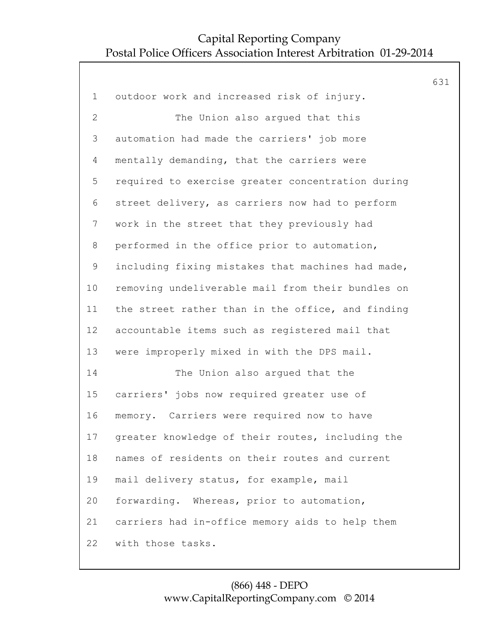631 1 outdoor work and increased risk of injury. 2 The Union also argued that this 3 automation had made the carriers' job more 4 mentally demanding, that the carriers were 5 required to exercise greater concentration during 6 street delivery, as carriers now had to perform 7 work in the street that they previously had 8 performed in the office prior to automation, 9 including fixing mistakes that machines had made, 10 removing undeliverable mail from their bundles on 11 the street rather than in the office, and finding 12 accountable items such as registered mail that 13 were improperly mixed in with the DPS mail. 14 The Union also argued that the 15 carriers' jobs now required greater use of 16 memory. Carriers were required now to have 17 greater knowledge of their routes, including the 18 names of residents on their routes and current 19 mail delivery status, for example, mail 20 forwarding. Whereas, prior to automation, 21 carriers had in-office memory aids to help them 22 with those tasks.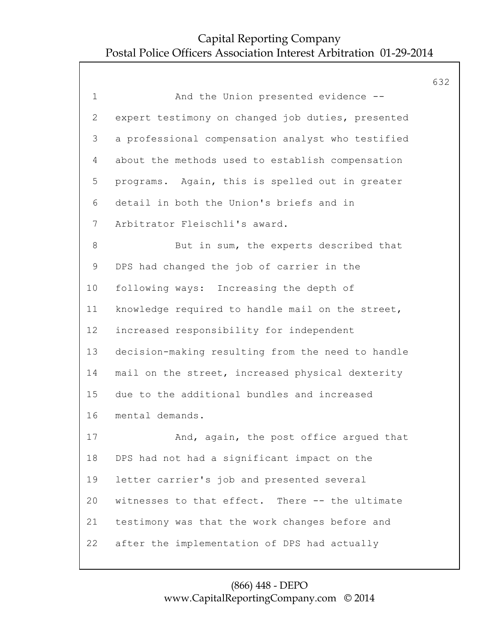|                |                                                   | 632 |
|----------------|---------------------------------------------------|-----|
| $\mathbf 1$    | And the Union presented evidence --               |     |
| $\overline{2}$ | expert testimony on changed job duties, presented |     |
| 3              | a professional compensation analyst who testified |     |
| 4              | about the methods used to establish compensation  |     |
| 5              | programs. Again, this is spelled out in greater   |     |
| 6              | detail in both the Union's briefs and in          |     |
| $7\phantom{.}$ | Arbitrator Fleischli's award.                     |     |
| $\,8\,$        | But in sum, the experts described that            |     |
| 9              | DPS had changed the job of carrier in the         |     |
| 10             | following ways: Increasing the depth of           |     |
| 11             | knowledge required to handle mail on the street,  |     |
| 12             | increased responsibility for independent          |     |
| 13             | decision-making resulting from the need to handle |     |
| 14             | mail on the street, increased physical dexterity  |     |
| 15             | due to the additional bundles and increased       |     |
| 16             | mental demands.                                   |     |
| 17             | And, again, the post office argued that           |     |
| 18             | DPS had not had a significant impact on the       |     |
| 19             | letter carrier's job and presented several        |     |
| 20             | witnesses to that effect. There -- the ultimate   |     |
| 21             | testimony was that the work changes before and    |     |
| 22             | after the implementation of DPS had actually      |     |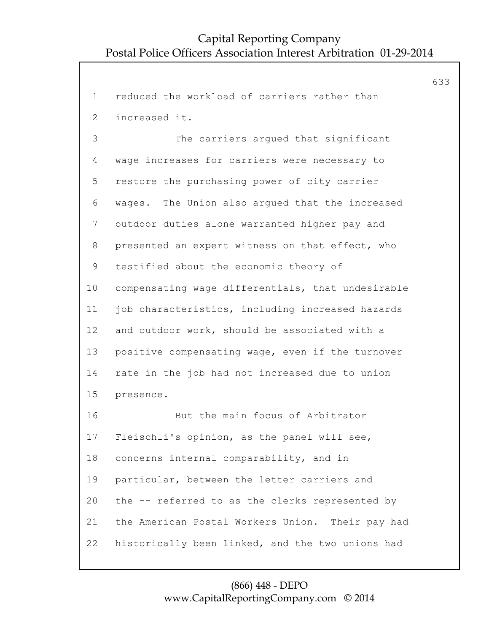633 1 reduced the workload of carriers rather than 2 increased it. 3 The carriers argued that significant 4 wage increases for carriers were necessary to 5 restore the purchasing power of city carrier 6 wages. The Union also argued that the increased 7 outdoor duties alone warranted higher pay and 8 presented an expert witness on that effect, who 9 testified about the economic theory of 10 compensating wage differentials, that undesirable 11 job characteristics, including increased hazards 12 and outdoor work, should be associated with a 13 positive compensating wage, even if the turnover 14 rate in the job had not increased due to union 15 presence. 16 But the main focus of Arbitrator 17 Fleischli's opinion, as the panel will see, 18 concerns internal comparability, and in 19 particular, between the letter carriers and 20 the -- referred to as the clerks represented by 21 the American Postal Workers Union. Their pay had 22 historically been linked, and the two unions had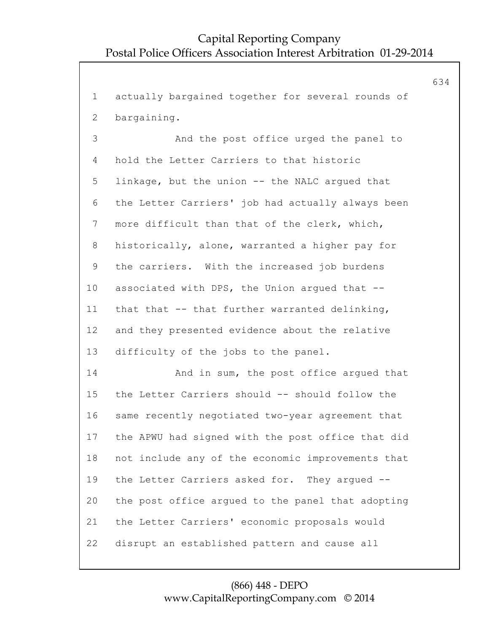634

1 actually bargained together for several rounds of 2 bargaining. 3 And the post office urged the panel to 4 hold the Letter Carriers to that historic 5 linkage, but the union -- the NALC argued that 6 the Letter Carriers' job had actually always been 7 more difficult than that of the clerk, which, 8 historically, alone, warranted a higher pay for 9 the carriers. With the increased job burdens 10 associated with DPS, the Union argued that -- 11 that that -- that further warranted delinking, 12 and they presented evidence about the relative 13 difficulty of the jobs to the panel. 14 And in sum, the post office argued that 15 the Letter Carriers should -- should follow the 16 same recently negotiated two-year agreement that 17 the APWU had signed with the post office that did 18 not include any of the economic improvements that 19 the Letter Carriers asked for. They argued -- 20 the post office argued to the panel that adopting 21 the Letter Carriers' economic proposals would 22 disrupt an established pattern and cause all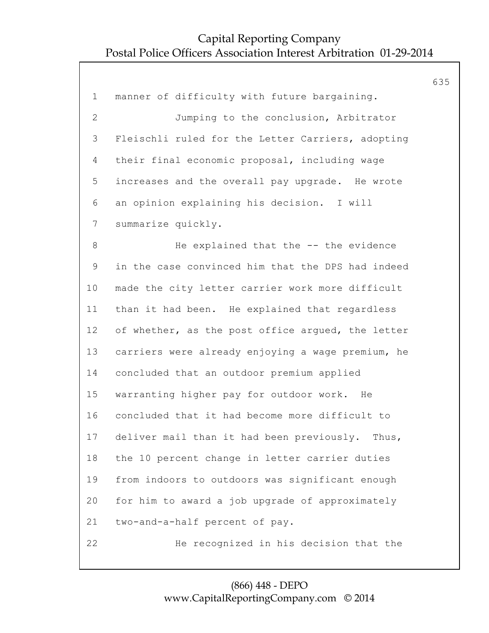635 1 manner of difficulty with future bargaining. 2 Jumping to the conclusion, Arbitrator 3 Fleischli ruled for the Letter Carriers, adopting 4 their final economic proposal, including wage 5 increases and the overall pay upgrade. He wrote 6 an opinion explaining his decision. I will 7 summarize quickly. 8 He explained that the -- the evidence 9 in the case convinced him that the DPS had indeed 10 made the city letter carrier work more difficult 11 than it had been. He explained that regardless 12 of whether, as the post office argued, the letter 13 carriers were already enjoying a wage premium, he 14 concluded that an outdoor premium applied 15 warranting higher pay for outdoor work. He 16 concluded that it had become more difficult to 17 deliver mail than it had been previously. Thus, 18 the 10 percent change in letter carrier duties 19 from indoors to outdoors was significant enough 20 for him to award a job upgrade of approximately 21 two-and-a-half percent of pay. 22 He recognized in his decision that the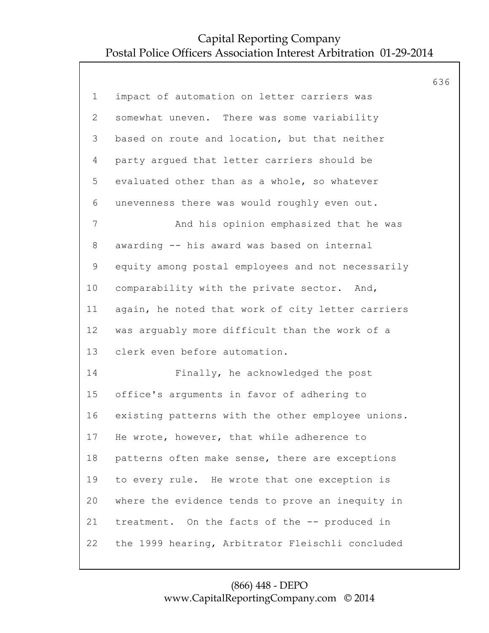|                |                                                   | 636 |
|----------------|---------------------------------------------------|-----|
| $\mathbf 1$    | impact of automation on letter carriers was       |     |
| $\overline{2}$ | somewhat uneven. There was some variability       |     |
| 3              | based on route and location, but that neither     |     |
| 4              | party argued that letter carriers should be       |     |
| 5              | evaluated other than as a whole, so whatever      |     |
| 6              | unevenness there was would roughly even out.      |     |
| $\overline{7}$ | And his opinion emphasized that he was            |     |
| $8\,$          | awarding -- his award was based on internal       |     |
| 9              | equity among postal employees and not necessarily |     |
| 10             | comparability with the private sector. And,       |     |
| 11             | again, he noted that work of city letter carriers |     |
| 12             | was arguably more difficult than the work of a    |     |
| 13             | clerk even before automation.                     |     |
| 14             | Finally, he acknowledged the post                 |     |
| 15             | office's arguments in favor of adhering to        |     |
| 16             | existing patterns with the other employee unions. |     |
| 17             | He wrote, however, that while adherence to        |     |
| 18             | patterns often make sense, there are exceptions   |     |
| 19             | to every rule. He wrote that one exception is     |     |
| 20             | where the evidence tends to prove an inequity in  |     |
| 21             | treatment. On the facts of the -- produced in     |     |
| 22             | the 1999 hearing, Arbitrator Fleischli concluded  |     |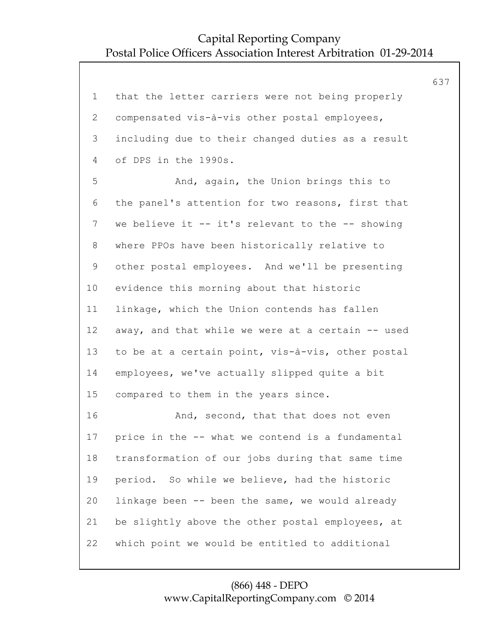|                |                                                    | 637 |
|----------------|----------------------------------------------------|-----|
| $\mathbf 1$    | that the letter carriers were not being properly   |     |
| 2              | compensated vis-à-vis other postal employees,      |     |
| 3              | including due to their changed duties as a result  |     |
| 4              | of DPS in the 1990s.                               |     |
| 5              | And, again, the Union brings this to               |     |
| 6              | the panel's attention for two reasons, first that  |     |
| $7\phantom{.}$ | we believe it $-$ it's relevant to the $-$ showing |     |
| 8              | where PPOs have been historically relative to      |     |
| 9              | other postal employees. And we'll be presenting    |     |
| 10             | evidence this morning about that historic          |     |
| 11             | linkage, which the Union contends has fallen       |     |
| 12             | away, and that while we were at a certain -- used  |     |
| 13             | to be at a certain point, vis-à-vis, other postal  |     |
| 14             | employees, we've actually slipped quite a bit      |     |
| 15             | compared to them in the years since.               |     |
| 16             | And, second, that that does not even               |     |
| 17             | price in the -- what we contend is a fundamental   |     |
| 18             | transformation of our jobs during that same time   |     |
| 19             | period. So while we believe, had the historic      |     |
| 20             | linkage been -- been the same, we would already    |     |
| 21             | be slightly above the other postal employees, at   |     |
| 22             | which point we would be entitled to additional     |     |
|                |                                                    |     |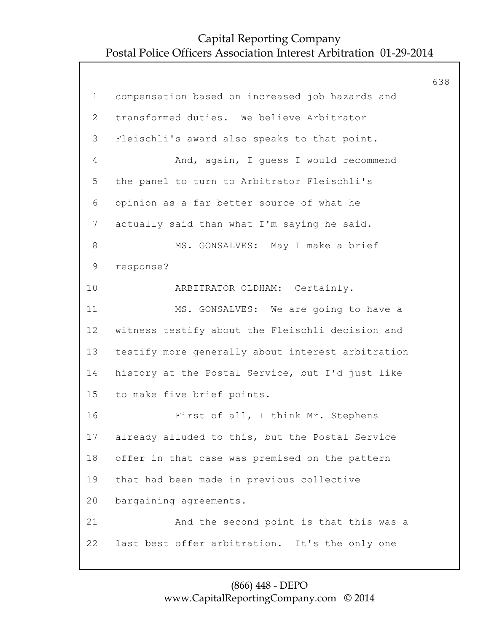638 1 compensation based on increased job hazards and 2 transformed duties. We believe Arbitrator 3 Fleischli's award also speaks to that point. 4 And, again, I guess I would recommend 5 the panel to turn to Arbitrator Fleischli's 6 opinion as a far better source of what he 7 actually said than what I'm saying he said. 8 MS. GONSALVES: May I make a brief 9 response? 10 ARBITRATOR OLDHAM: Certainly. 11 MS. GONSALVES: We are going to have a 12 witness testify about the Fleischli decision and 13 testify more generally about interest arbitration 14 history at the Postal Service, but I'd just like 15 to make five brief points. 16 First of all, I think Mr. Stephens 17 already alluded to this, but the Postal Service 18 offer in that case was premised on the pattern 19 that had been made in previous collective 20 bargaining agreements. 21 And the second point is that this was a 22 last best offer arbitration. It's the only one

#### (866) 448 - DEPO www.CapitalReportingCompany.com © 2014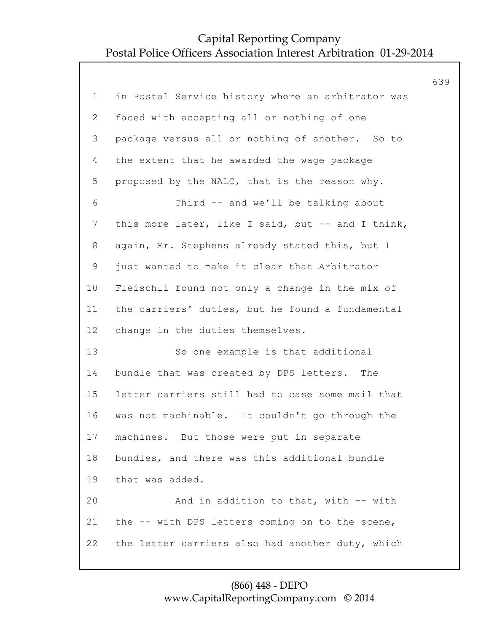|                |                                                   | 639 |
|----------------|---------------------------------------------------|-----|
| $\mathbf 1$    | in Postal Service history where an arbitrator was |     |
| $\overline{2}$ | faced with accepting all or nothing of one        |     |
| 3              | package versus all or nothing of another. So to   |     |
| 4              | the extent that he awarded the wage package       |     |
| 5              | proposed by the NALC, that is the reason why.     |     |
| 6              | Third -- and we'll be talking about               |     |
| $7\phantom{.}$ | this more later, like I said, but -- and I think, |     |
| 8              | again, Mr. Stephens already stated this, but I    |     |
| 9              | just wanted to make it clear that Arbitrator      |     |
| 10             | Fleischli found not only a change in the mix of   |     |
| 11             | the carriers' duties, but he found a fundamental  |     |
| 12             | change in the duties themselves.                  |     |
| 13             | So one example is that additional                 |     |
| 14             | bundle that was created by DPS letters. The       |     |
| 15             | letter carriers still had to case some mail that  |     |
| 16             | was not machinable. It couldn't go through the    |     |
| 17             | machines. But those were put in separate          |     |
| 18             | bundles, and there was this additional bundle     |     |
| 19             | that was added.                                   |     |
| 20             | And in addition to that, with -- with             |     |
| 21             | the -- with DPS letters coming on to the scene,   |     |
| 22             | the letter carriers also had another duty, which  |     |
|                |                                                   |     |

#### (866) 448 - DEPO www.CapitalReportingCompany.com © 2014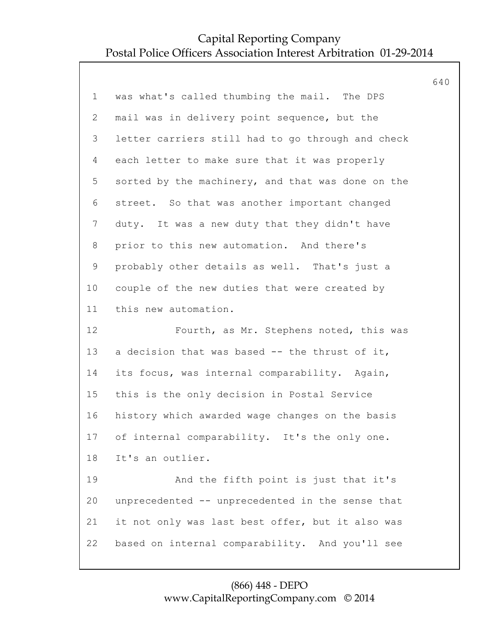|                |                                                   | 640 |
|----------------|---------------------------------------------------|-----|
| $\mathbf 1$    | was what's called thumbing the mail. The DPS      |     |
| $\overline{2}$ | mail was in delivery point sequence, but the      |     |
| 3              | letter carriers still had to go through and check |     |
| 4              | each letter to make sure that it was properly     |     |
| 5              | sorted by the machinery, and that was done on the |     |
| 6              | street. So that was another important changed     |     |
| $7\phantom{.}$ | duty. It was a new duty that they didn't have     |     |
| 8              | prior to this new automation. And there's         |     |
| $\mathsf 9$    | probably other details as well. That's just a     |     |
| 10             | couple of the new duties that were created by     |     |
| 11             | this new automation.                              |     |
| 12             | Fourth, as Mr. Stephens noted, this was           |     |
| 13             | a decision that was based -- the thrust of it,    |     |
| 14             | its focus, was internal comparability. Again,     |     |
| 15             | this is the only decision in Postal Service       |     |
| 16             | history which awarded wage changes on the basis   |     |
| 17             | of internal comparability. It's the only one.     |     |
| 18             | It's an outlier.                                  |     |
| 19             | And the fifth point is just that it's             |     |
| 20             | unprecedented -- unprecedented in the sense that  |     |
| 21             | it not only was last best offer, but it also was  |     |
| 22             | based on internal comparability. And you'll see   |     |
|                |                                                   |     |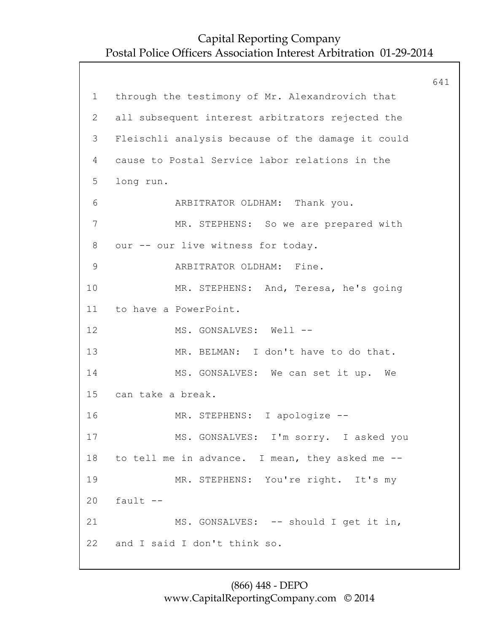641 1 through the testimony of Mr. Alexandrovich that 2 all subsequent interest arbitrators rejected the 3 Fleischli analysis because of the damage it could 4 cause to Postal Service labor relations in the 5 long run. 6 ARBITRATOR OLDHAM: Thank you. 7 MR. STEPHENS: So we are prepared with 8 our -- our live witness for today. 9 ARBITRATOR OLDHAM: Fine. 10 MR. STEPHENS: And, Teresa, he's going 11 to have a PowerPoint. 12 MS. GONSALVES: Well --13 MR. BELMAN: I don't have to do that. 14 MS. GONSALVES: We can set it up. We 15 can take a break. 16 MR. STEPHENS: I apologize -- 17 MS. GONSALVES: I'm sorry. I asked you 18 to tell me in advance. I mean, they asked me -- 19 MR. STEPHENS: You're right. It's my  $20$  fault  $-$ 21 MS. GONSALVES: -- should I get it in, 22 and I said I don't think so.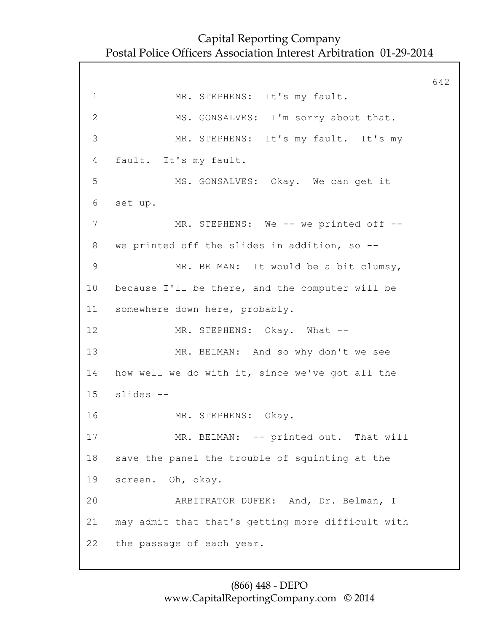642 1 MR. STEPHENS: It's my fault. 2 MS. GONSALVES: I'm sorry about that. 3 MR. STEPHENS: It's my fault. It's my 4 fault. It's my fault. 5 MS. GONSALVES: Okay. We can get it 6 set up. 7 MR. STEPHENS: We -- we printed off --8 we printed off the slides in addition, so -- 9 MR. BELMAN: It would be a bit clumsy, 10 because I'll be there, and the computer will be 11 somewhere down here, probably. 12 MR. STEPHENS: Okay. What --13 MR. BELMAN: And so why don't we see 14 how well we do with it, since we've got all the 15 slides -- 16 MR. STEPHENS: Okay. 17 MR. BELMAN: -- printed out. That will 18 save the panel the trouble of squinting at the 19 screen. Oh, okay. 20 ARBITRATOR DUFEK: And, Dr. Belman, I 21 may admit that that's getting more difficult with 22 the passage of each year.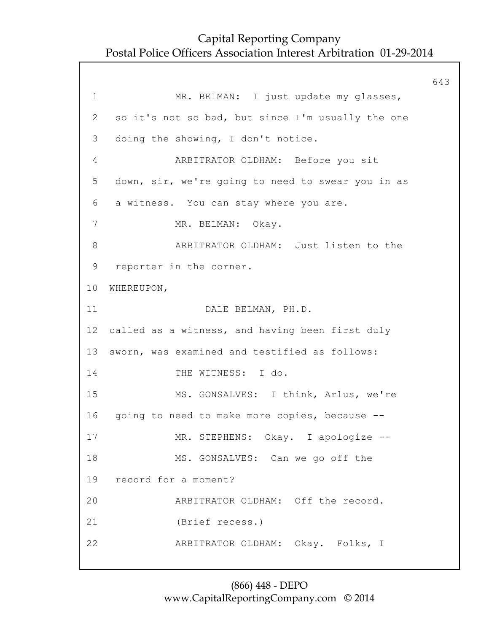643 1 MR. BELMAN: I just update my glasses, 2 so it's not so bad, but since I'm usually the one 3 doing the showing, I don't notice. 4 ARBITRATOR OLDHAM: Before you sit 5 down, sir, we're going to need to swear you in as 6 a witness. You can stay where you are. 7 MR. BELMAN: Okay. 8 ARBITRATOR OLDHAM: Just listen to the 9 reporter in the corner. 10 WHEREUPON, 11 DALE BELMAN, PH.D. 12 called as a witness, and having been first duly 13 sworn, was examined and testified as follows: 14 THE WITNESS: I do. 15 MS. GONSALVES: I think, Arlus, we're 16 going to need to make more copies, because -- 17 MR. STEPHENS: Okay. I apologize -- 18 MS. GONSALVES: Can we go off the 19 record for a moment? 20 ARBITRATOR OLDHAM: Off the record. 21 (Brief recess.) 22 ARBITRATOR OLDHAM: Okay. Folks, I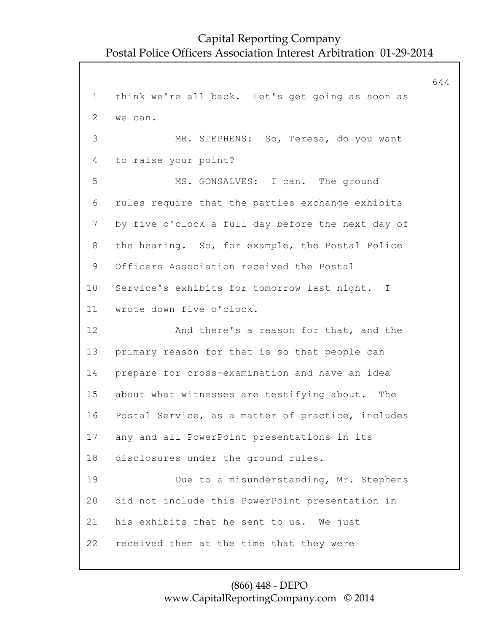644 1 think we're all back. Let's get going as soon as 2 we can. 3 MR. STEPHENS: So, Teresa, do you want 4 to raise your point? 5 MS. GONSALVES: I can. The ground 6 rules require that the parties exchange exhibits 7 by five o'clock a full day before the next day of 8 the hearing. So, for example, the Postal Police 9 Officers Association received the Postal 10 Service's exhibits for tomorrow last night. I 11 wrote down five o'clock. 12 And there's a reason for that, and the 13 primary reason for that is so that people can 14 prepare for cross-examination and have an idea 15 about what witnesses are testifying about. The 16 Postal Service, as a matter of practice, includes 17 any and all PowerPoint presentations in its 18 disclosures under the ground rules. 19 Due to a misunderstanding, Mr. Stephens 20 did not include this PowerPoint presentation in 21 his exhibits that he sent to us. We just 22 received them at the time that they were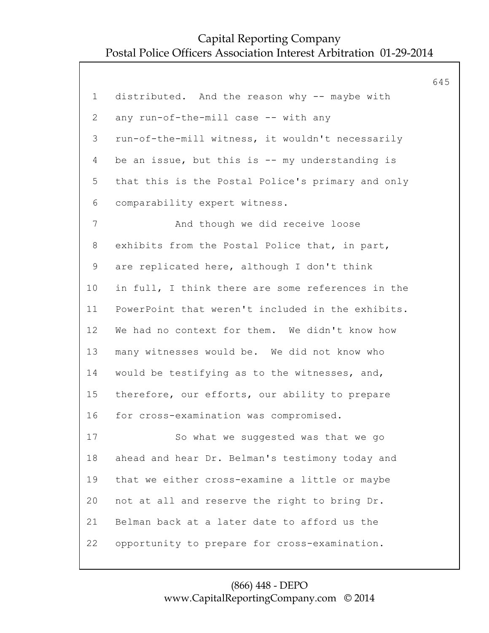|                |                                                   | 645 |
|----------------|---------------------------------------------------|-----|
| 1              | distributed. And the reason why -- maybe with     |     |
| $\overline{2}$ | any run-of-the-mill case -- with any              |     |
| 3              | run-of-the-mill witness, it wouldn't necessarily  |     |
| 4              | be an issue, but this is -- my understanding is   |     |
| 5              | that this is the Postal Police's primary and only |     |
| 6              | comparability expert witness.                     |     |
| 7              | And though we did receive loose                   |     |
| 8              | exhibits from the Postal Police that, in part,    |     |
| 9              | are replicated here, although I don't think       |     |
| 10             | in full, I think there are some references in the |     |
| 11             | PowerPoint that weren't included in the exhibits. |     |
| 12             | We had no context for them. We didn't know how    |     |
| 13             | many witnesses would be. We did not know who      |     |
| 14             | would be testifying as to the witnesses, and,     |     |
| 15             | therefore, our efforts, our ability to prepare    |     |
| 16             | for cross-examination was compromised.            |     |
| 17             | So what we suggested was that we go               |     |
| 18             | ahead and hear Dr. Belman's testimony today and   |     |
| 19             | that we either cross-examine a little or maybe    |     |
| 20             | not at all and reserve the right to bring Dr.     |     |
| 21             | Belman back at a later date to afford us the      |     |
| 22             | opportunity to prepare for cross-examination.     |     |
|                |                                                   |     |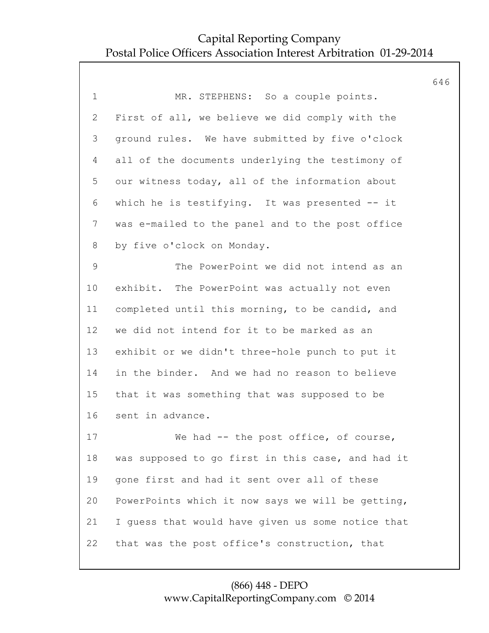|                |                                                   | 646 |
|----------------|---------------------------------------------------|-----|
| $\mathbf 1$    | MR. STEPHENS: So a couple points.                 |     |
| $\overline{2}$ | First of all, we believe we did comply with the   |     |
| 3              | ground rules. We have submitted by five o'clock   |     |
| 4              | all of the documents underlying the testimony of  |     |
| 5              | our witness today, all of the information about   |     |
| 6              | which he is testifying. It was presented -- it    |     |
| $\overline{7}$ | was e-mailed to the panel and to the post office  |     |
| 8              | by five o'clock on Monday.                        |     |
| $\mathsf 9$    | The PowerPoint we did not intend as an            |     |
| 10             | exhibit. The PowerPoint was actually not even     |     |
| 11             | completed until this morning, to be candid, and   |     |
| 12             | we did not intend for it to be marked as an       |     |
| 13             | exhibit or we didn't three-hole punch to put it   |     |
| 14             | in the binder. And we had no reason to believe    |     |
| 15             | that it was something that was supposed to be     |     |
| 16             | sent in advance.                                  |     |
| 17             | We had -- the post office, of course,             |     |
| 18             | was supposed to go first in this case, and had it |     |
| 19             | gone first and had it sent over all of these      |     |
| 20             | PowerPoints which it now says we will be getting, |     |
| 21             | I quess that would have given us some notice that |     |
| 22             | that was the post office's construction, that     |     |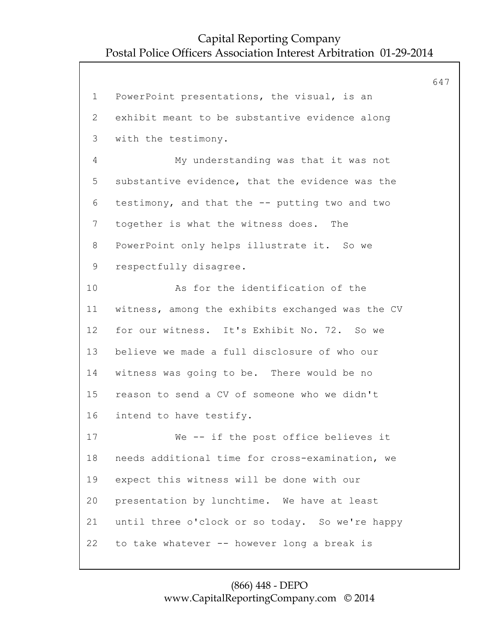647 1 PowerPoint presentations, the visual, is an 2 exhibit meant to be substantive evidence along 3 with the testimony. 4 My understanding was that it was not 5 substantive evidence, that the evidence was the 6 testimony, and that the -- putting two and two 7 together is what the witness does. The 8 PowerPoint only helps illustrate it. So we 9 respectfully disagree. 10 As for the identification of the 11 witness, among the exhibits exchanged was the CV 12 for our witness. It's Exhibit No. 72. So we 13 believe we made a full disclosure of who our 14 witness was going to be. There would be no 15 reason to send a CV of someone who we didn't 16 intend to have testify. 17 We -- if the post office believes it 18 needs additional time for cross-examination, we 19 expect this witness will be done with our 20 presentation by lunchtime. We have at least 21 until three o'clock or so today. So we're happy 22 to take whatever -- however long a break is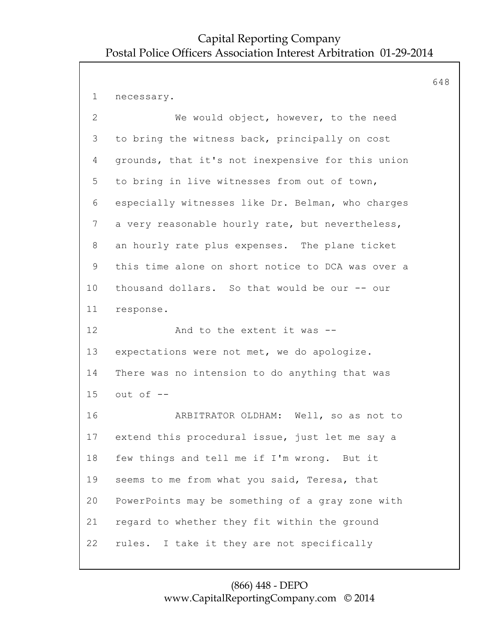648 1 necessary. 2 We would object, however, to the need 3 to bring the witness back, principally on cost 4 grounds, that it's not inexpensive for this union 5 to bring in live witnesses from out of town, 6 especially witnesses like Dr. Belman, who charges 7 a very reasonable hourly rate, but nevertheless, 8 an hourly rate plus expenses. The plane ticket 9 this time alone on short notice to DCA was over a 10 thousand dollars. So that would be our -- our 11 response. 12 And to the extent it was --13 expectations were not met, we do apologize. 14 There was no intension to do anything that was 15 out of -- 16 ARBITRATOR OLDHAM: Well, so as not to 17 extend this procedural issue, just let me say a 18 few things and tell me if I'm wrong. But it 19 seems to me from what you said, Teresa, that 20 PowerPoints may be something of a gray zone with 21 regard to whether they fit within the ground 22 rules. I take it they are not specifically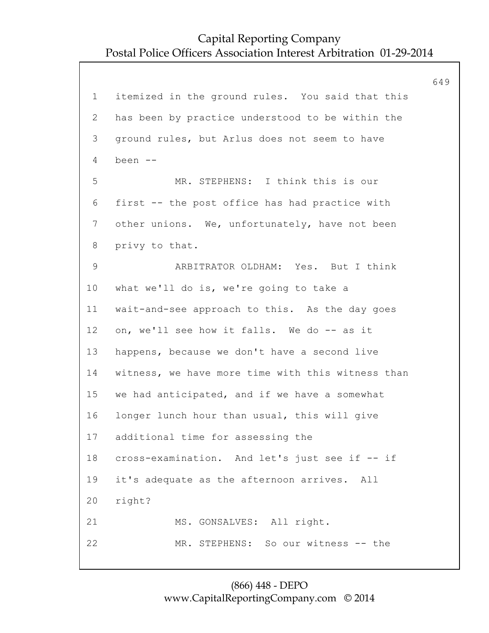649 1 itemized in the ground rules. You said that this 2 has been by practice understood to be within the 3 ground rules, but Arlus does not seem to have 4 been -- 5 MR. STEPHENS: I think this is our 6 first -- the post office has had practice with 7 other unions. We, unfortunately, have not been 8 privy to that. 9 ARBITRATOR OLDHAM: Yes. But I think 10 what we'll do is, we're going to take a 11 wait-and-see approach to this. As the day goes 12 on, we'll see how it falls. We do -- as it 13 happens, because we don't have a second live 14 witness, we have more time with this witness than 15 we had anticipated, and if we have a somewhat 16 longer lunch hour than usual, this will give 17 additional time for assessing the 18 cross-examination. And let's just see if -- if 19 it's adequate as the afternoon arrives. All 20 right? 21 MS. GONSALVES: All right. 22 MR. STEPHENS: So our witness -- the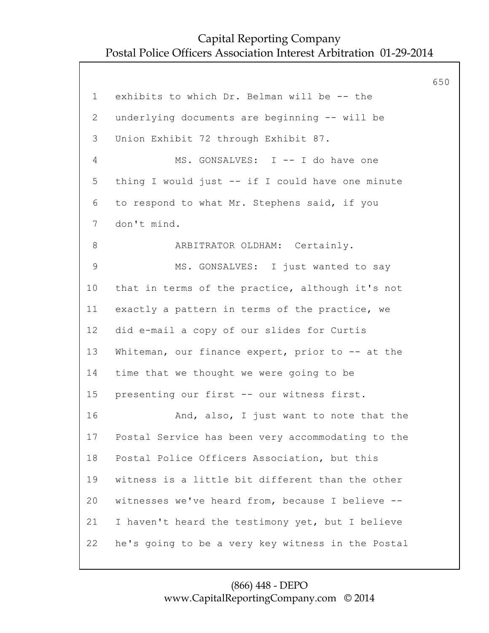650 1 exhibits to which Dr. Belman will be -- the 2 underlying documents are beginning -- will be 3 Union Exhibit 72 through Exhibit 87. 4 MS. GONSALVES: I -- I do have one 5 thing I would just -- if I could have one minute 6 to respond to what Mr. Stephens said, if you 7 don't mind. 8 ARBITRATOR OLDHAM: Certainly. 9 MS. GONSALVES: I just wanted to say 10 that in terms of the practice, although it's not 11 exactly a pattern in terms of the practice, we 12 did e-mail a copy of our slides for Curtis 13 Whiteman, our finance expert, prior to -- at the 14 time that we thought we were going to be 15 presenting our first -- our witness first. 16 And, also, I just want to note that the 17 Postal Service has been very accommodating to the 18 Postal Police Officers Association, but this 19 witness is a little bit different than the other 20 witnesses we've heard from, because I believe -- 21 I haven't heard the testimony yet, but I believe 22 he's going to be a very key witness in the Postal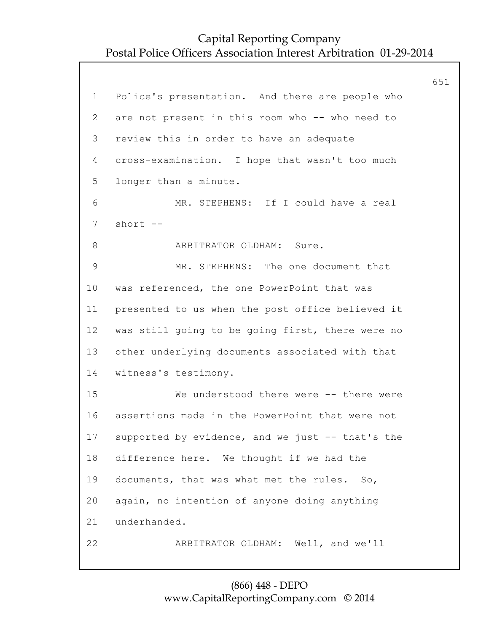651 1 Police's presentation. And there are people who 2 are not present in this room who -- who need to 3 review this in order to have an adequate 4 cross-examination. I hope that wasn't too much 5 longer than a minute. 6 MR. STEPHENS: If I could have a real 7 short -- 8 **ARBITRATOR OLDHAM:** Sure. 9 MR. STEPHENS: The one document that 10 was referenced, the one PowerPoint that was 11 presented to us when the post office believed it 12 was still going to be going first, there were no 13 other underlying documents associated with that 14 witness's testimony. 15 We understood there were -- there were 16 assertions made in the PowerPoint that were not 17 supported by evidence, and we just -- that's the 18 difference here. We thought if we had the 19 documents, that was what met the rules. So, 20 again, no intention of anyone doing anything 21 underhanded. 22 ARBITRATOR OLDHAM: Well, and we'll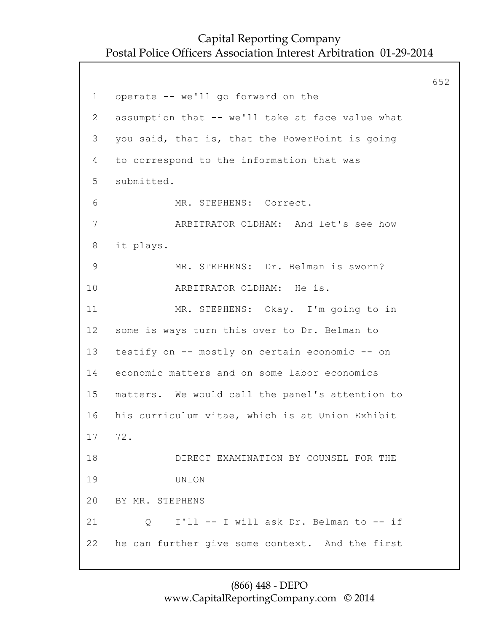652 1 operate -- we'll go forward on the 2 assumption that -- we'll take at face value what 3 you said, that is, that the PowerPoint is going 4 to correspond to the information that was 5 submitted. 6 MR. STEPHENS: Correct. 7 ARBITRATOR OLDHAM: And let's see how 8 it plays. 9 MR. STEPHENS: Dr. Belman is sworn? 10 ARBITRATOR OLDHAM: He is. 11 MR. STEPHENS: Okay. I'm going to in 12 some is ways turn this over to Dr. Belman to 13 testify on -- mostly on certain economic -- on 14 economic matters and on some labor economics 15 matters. We would call the panel's attention to 16 his curriculum vitae, which is at Union Exhibit 17 72. 18 DIRECT EXAMINATION BY COUNSEL FOR THE 19 UNION 20 BY MR. STEPHENS 21 Q I'll -- I will ask Dr. Belman to -- if 22 he can further give some context. And the first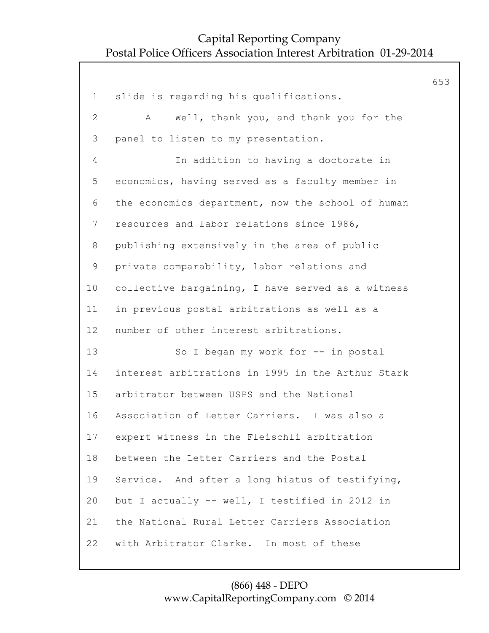653 1 slide is regarding his qualifications. 2 A Well, thank you, and thank you for the 3 panel to listen to my presentation. 4 In addition to having a doctorate in 5 economics, having served as a faculty member in 6 the economics department, now the school of human 7 resources and labor relations since 1986, 8 publishing extensively in the area of public 9 private comparability, labor relations and 10 collective bargaining, I have served as a witness 11 in previous postal arbitrations as well as a 12 number of other interest arbitrations. 13 So I began my work for -- in postal 14 interest arbitrations in 1995 in the Arthur Stark 15 arbitrator between USPS and the National 16 Association of Letter Carriers. I was also a 17 expert witness in the Fleischli arbitration 18 between the Letter Carriers and the Postal 19 Service. And after a long hiatus of testifying, 20 but I actually -- well, I testified in 2012 in 21 the National Rural Letter Carriers Association 22 with Arbitrator Clarke. In most of these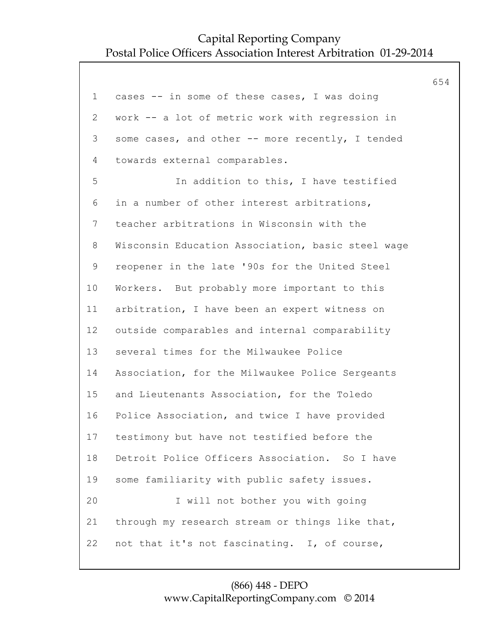|              |                                                   | 654 |
|--------------|---------------------------------------------------|-----|
| $\mathbf 1$  | cases -- in some of these cases, I was doing      |     |
| $\mathbf{2}$ | work -- a lot of metric work with regression in   |     |
| 3            | some cases, and other -- more recently, I tended  |     |
| 4            | towards external comparables.                     |     |
| 5            | In addition to this, I have testified             |     |
| 6            | in a number of other interest arbitrations,       |     |
| 7            | teacher arbitrations in Wisconsin with the        |     |
| 8            | Wisconsin Education Association, basic steel wage |     |
| 9            | reopener in the late '90s for the United Steel    |     |
| 10           | Workers. But probably more important to this      |     |
| 11           | arbitration, I have been an expert witness on     |     |
| 12           | outside comparables and internal comparability    |     |
| 13           | several times for the Milwaukee Police            |     |
| 14           | Association, for the Milwaukee Police Sergeants   |     |
| 15           | and Lieutenants Association, for the Toledo       |     |
| 16           | Police Association, and twice I have provided     |     |
| 17           | testimony but have not testified before the       |     |
| 18           | Detroit Police Officers Association. So I have    |     |
| 19           | some familiarity with public safety issues.       |     |
| 20           | I will not bother you with going                  |     |
| 21           | through my research stream or things like that,   |     |
| 22           | not that it's not fascinating. I, of course,      |     |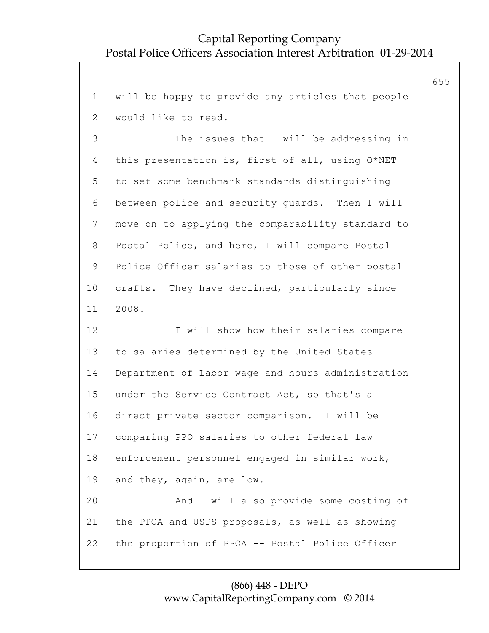655

1 will be happy to provide any articles that people 2 would like to read. 3 The issues that I will be addressing in 4 this presentation is, first of all, using O\*NET 5 to set some benchmark standards distinguishing 6 between police and security guards. Then I will 7 move on to applying the comparability standard to 8 Postal Police, and here, I will compare Postal 9 Police Officer salaries to those of other postal 10 crafts. They have declined, particularly since 11 2008. 12 I will show how their salaries compare 13 to salaries determined by the United States 14 Department of Labor wage and hours administration 15 under the Service Contract Act, so that's a 16 direct private sector comparison. I will be 17 comparing PPO salaries to other federal law 18 enforcement personnel engaged in similar work, 19 and they, again, are low. 20 And I will also provide some costing of 21 the PPOA and USPS proposals, as well as showing 22 the proportion of PPOA -- Postal Police Officer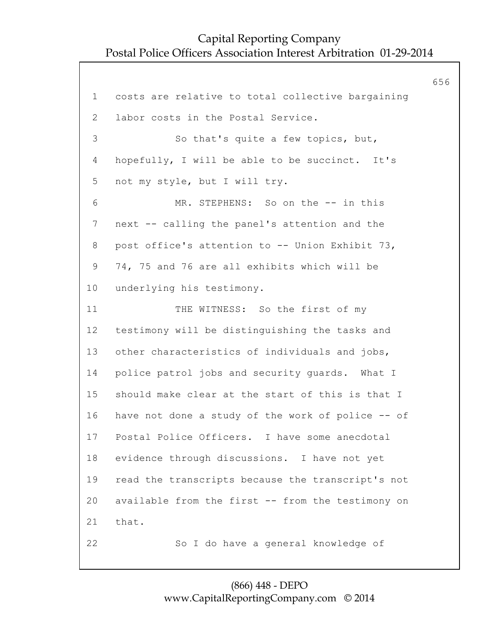656 1 costs are relative to total collective bargaining 2 labor costs in the Postal Service. 3 So that's quite a few topics, but, 4 hopefully, I will be able to be succinct. It's 5 not my style, but I will try. 6 MR. STEPHENS: So on the -- in this 7 next -- calling the panel's attention and the 8 post office's attention to -- Union Exhibit 73, 9 74, 75 and 76 are all exhibits which will be 10 underlying his testimony. 11 THE WITNESS: So the first of my 12 testimony will be distinguishing the tasks and 13 other characteristics of individuals and jobs, 14 police patrol jobs and security guards. What I 15 should make clear at the start of this is that I 16 have not done a study of the work of police -- of 17 Postal Police Officers. I have some anecdotal 18 evidence through discussions. I have not yet 19 read the transcripts because the transcript's not 20 available from the first -- from the testimony on 21 that. 22 So I do have a general knowledge of

#### (866) 448 - DEPO www.CapitalReportingCompany.com © 2014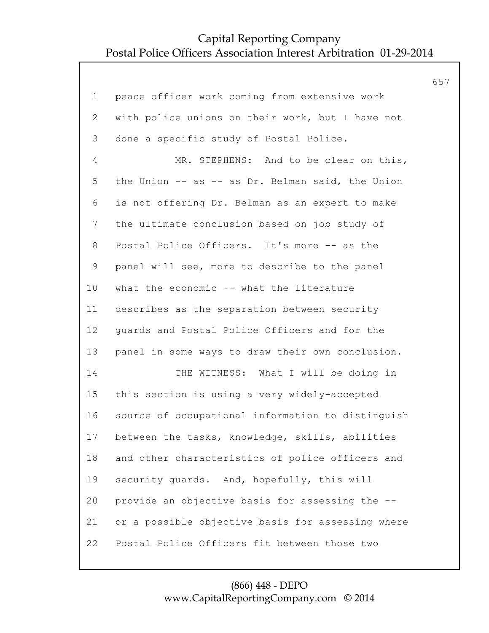|                |                                                   | 657 |
|----------------|---------------------------------------------------|-----|
| $\mathbf 1$    | peace officer work coming from extensive work     |     |
| $\mathbf{2}$   | with police unions on their work, but I have not  |     |
| 3              | done a specific study of Postal Police.           |     |
| 4              | MR. STEPHENS: And to be clear on this,            |     |
| 5              | the Union -- as -- as Dr. Belman said, the Union  |     |
| 6              | is not offering Dr. Belman as an expert to make   |     |
| $7\phantom{.}$ | the ultimate conclusion based on job study of     |     |
| 8              | Postal Police Officers. It's more -- as the       |     |
| 9              | panel will see, more to describe to the panel     |     |
| 10             | what the economic -- what the literature          |     |
| 11             | describes as the separation between security      |     |
| 12             | guards and Postal Police Officers and for the     |     |
| 13             | panel in some ways to draw their own conclusion.  |     |
| 14             | THE WITNESS: What I will be doing in              |     |
| 15             | this section is using a very widely-accepted      |     |
| 16             | source of occupational information to distinguish |     |
| 17             | between the tasks, knowledge, skills, abilities   |     |
| 18             | and other characteristics of police officers and  |     |
| 19             | security quards. And, hopefully, this will        |     |
| 20             | provide an objective basis for assessing the --   |     |
| 21             | or a possible objective basis for assessing where |     |
| 22             | Postal Police Officers fit between those two      |     |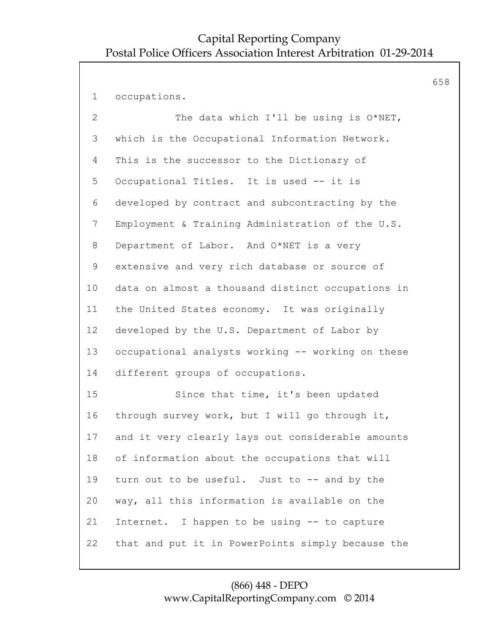1 occupations.

2 The data which I'll be using is O\*NET, 3 which is the Occupational Information Network. 4 This is the successor to the Dictionary of 5 Occupational Titles. It is used -- it is 6 developed by contract and subcontracting by the 7 Employment & Training Administration of the U.S. 8 Department of Labor. And O\*NET is a very 9 extensive and very rich database or source of 10 data on almost a thousand distinct occupations in 11 the United States economy. It was originally 12 developed by the U.S. Department of Labor by 13 occupational analysts working -- working on these 14 different groups of occupations. 15 Since that time, it's been updated 16 through survey work, but I will go through it, 17 and it very clearly lays out considerable amounts 18 of information about the occupations that will 19 turn out to be useful. Just to -- and by the 20 way, all this information is available on the 21 Internet. I happen to be using -- to capture 22 that and put it in PowerPoints simply because the 658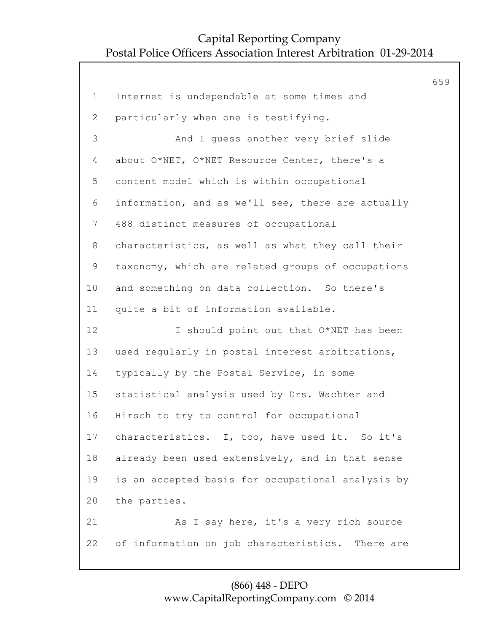|                |                                                   | 659 |
|----------------|---------------------------------------------------|-----|
| $\mathbf 1$    | Internet is undependable at some times and        |     |
| $\overline{2}$ | particularly when one is testifying.              |     |
| 3              | And I guess another very brief slide              |     |
| $\overline{4}$ | about O*NET, O*NET Resource Center, there's a     |     |
| 5              | content model which is within occupational        |     |
| 6              | information, and as we'll see, there are actually |     |
| $\overline{7}$ | 488 distinct measures of occupational             |     |
| $8\,$          | characteristics, as well as what they call their  |     |
| $\mathsf 9$    | taxonomy, which are related groups of occupations |     |
| 10             | and something on data collection. So there's      |     |
| 11             | quite a bit of information available.             |     |
| 12             | I should point out that O*NET has been            |     |
| 13             | used regularly in postal interest arbitrations,   |     |
| 14             | typically by the Postal Service, in some          |     |
| 15             | statistical analysis used by Drs. Wachter and     |     |
| 16             | Hirsch to try to control for occupational         |     |
| 17             | characteristics. I, too, have used it. So it's    |     |
| 18             | already been used extensively, and in that sense  |     |
| 19             | is an accepted basis for occupational analysis by |     |
| 20             | the parties.                                      |     |
| 21             | As I say here, it's a very rich source            |     |
| 22             | of information on job characteristics. There are  |     |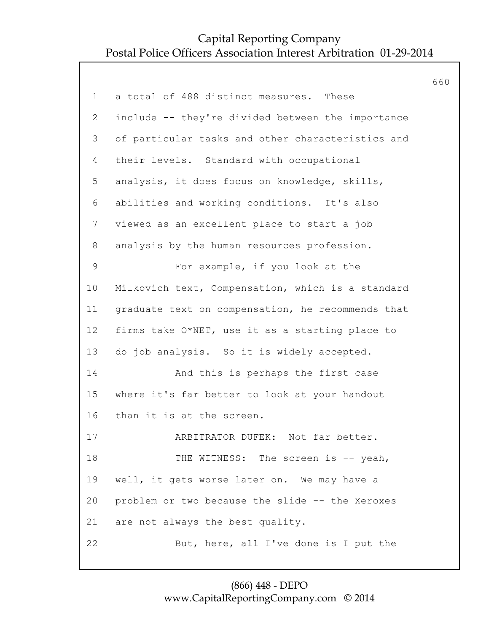|                 |                                                   | 660 |
|-----------------|---------------------------------------------------|-----|
| $\mathbf 1$     | a total of 488 distinct measures. These           |     |
| $\mathbf{2}$    | include -- they're divided between the importance |     |
| 3               | of particular tasks and other characteristics and |     |
| 4               | their levels. Standard with occupational          |     |
| 5               | analysis, it does focus on knowledge, skills,     |     |
| 6               | abilities and working conditions. It's also       |     |
| $7\phantom{.0}$ | viewed as an excellent place to start a job       |     |
| 8               | analysis by the human resources profession.       |     |
| 9               | For example, if you look at the                   |     |
| 10              | Milkovich text, Compensation, which is a standard |     |
| 11              | graduate text on compensation, he recommends that |     |
| 12              | firms take O*NET, use it as a starting place to   |     |
| 13              | do job analysis. So it is widely accepted.        |     |
| 14              | And this is perhaps the first case                |     |
| 15              | where it's far better to look at your handout     |     |
| 16              | than it is at the screen.                         |     |
| 17              | ARBITRATOR DUFEK: Not far better.                 |     |
| 18              | THE WITNESS: The screen is -- yeah,               |     |
| 19              | well, it gets worse later on. We may have a       |     |
| 20              | problem or two because the slide -- the Xeroxes   |     |
| 21              | are not always the best quality.                  |     |
| 22              | But, here, all I've done is I put the             |     |
|                 |                                                   |     |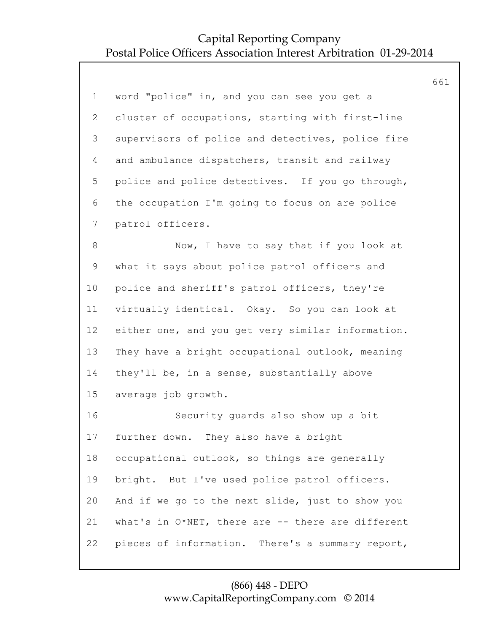|                |                                                   | 661 |
|----------------|---------------------------------------------------|-----|
| $\mathbf 1$    | word "police" in, and you can see you get a       |     |
| $\overline{2}$ | cluster of occupations, starting with first-line  |     |
| 3              | supervisors of police and detectives, police fire |     |
| 4              | and ambulance dispatchers, transit and railway    |     |
| 5              | police and police detectives. If you go through,  |     |
| 6              | the occupation I'm going to focus on are police   |     |
| $\overline{7}$ | patrol officers.                                  |     |
| $8\,$          | Now, I have to say that if you look at            |     |
| 9              | what it says about police patrol officers and     |     |
| 10             | police and sheriff's patrol officers, they're     |     |
| 11             | virtually identical. Okay. So you can look at     |     |
| 12             | either one, and you get very similar information. |     |
| 13             | They have a bright occupational outlook, meaning  |     |
| 14             | they'll be, in a sense, substantially above       |     |
| 15             | average job growth.                               |     |
| 16             | Security guards also show up a bit                |     |
| 17             | further down. They also have a bright             |     |
| 18             | occupational outlook, so things are generally     |     |
| 19             | bright. But I've used police patrol officers.     |     |
| 20             | And if we go to the next slide, just to show you  |     |
| 21             | what's in O*NET, there are -- there are different |     |
| 22             | pieces of information. There's a summary report,  |     |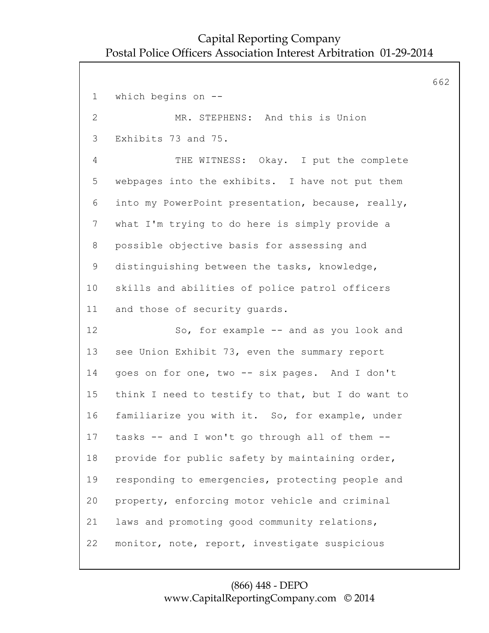662 1 which begins on -- 2 MR. STEPHENS: And this is Union 3 Exhibits 73 and 75. 4 THE WITNESS: Okay. I put the complete 5 webpages into the exhibits. I have not put them 6 into my PowerPoint presentation, because, really, 7 what I'm trying to do here is simply provide a 8 possible objective basis for assessing and 9 distinguishing between the tasks, knowledge, 10 skills and abilities of police patrol officers 11 and those of security guards. 12 So, for example -- and as you look and 13 see Union Exhibit 73, even the summary report 14 goes on for one, two -- six pages. And I don't 15 think I need to testify to that, but I do want to 16 familiarize you with it. So, for example, under 17 tasks -- and I won't go through all of them -- 18 provide for public safety by maintaining order, 19 responding to emergencies, protecting people and 20 property, enforcing motor vehicle and criminal 21 laws and promoting good community relations, 22 monitor, note, report, investigate suspicious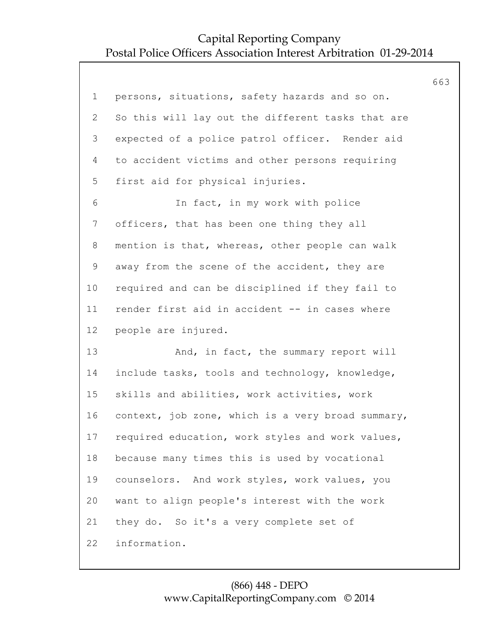|                |                                                   | 663 |
|----------------|---------------------------------------------------|-----|
| $\mathbf 1$    | persons, situations, safety hazards and so on.    |     |
| 2              | So this will lay out the different tasks that are |     |
| 3              | expected of a police patrol officer. Render aid   |     |
| 4              | to accident victims and other persons requiring   |     |
| 5              | first aid for physical injuries.                  |     |
| 6              | In fact, in my work with police                   |     |
| $7\phantom{.}$ | officers, that has been one thing they all        |     |
| 8              | mention is that, whereas, other people can walk   |     |
| 9              | away from the scene of the accident, they are     |     |
| 10             | required and can be disciplined if they fail to   |     |
| 11             | render first aid in accident -- in cases where    |     |
| 12             | people are injured.                               |     |
| 13             | And, in fact, the summary report will             |     |
| 14             | include tasks, tools and technology, knowledge,   |     |
| 15             | skills and abilities, work activities, work       |     |
| 16             | context, job zone, which is a very broad summary, |     |
| 17             | required education, work styles and work values,  |     |
| 18             | because many times this is used by vocational     |     |
| 19             | counselors. And work styles, work values, you     |     |
| 20             | want to align people's interest with the work     |     |
| 21             | they do. So it's a very complete set of           |     |
| 22             | information.                                      |     |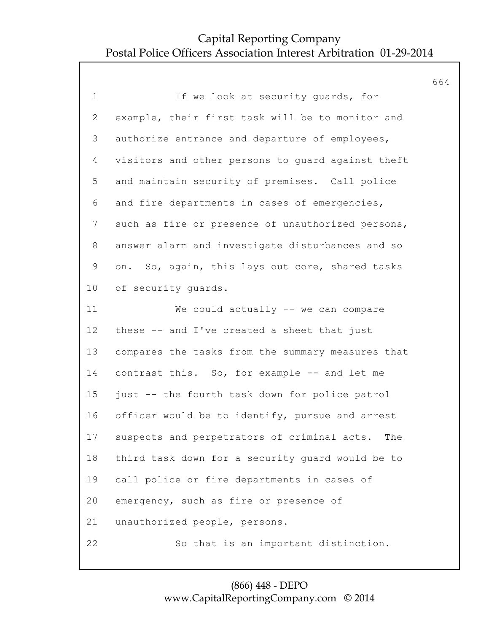|                 |                                                    | 664 |
|-----------------|----------------------------------------------------|-----|
| $\mathbf 1$     | If we look at security quards, for                 |     |
| $\overline{2}$  | example, their first task will be to monitor and   |     |
| 3               | authorize entrance and departure of employees,     |     |
| $\overline{4}$  | visitors and other persons to quard against theft  |     |
| 5               | and maintain security of premises. Call police     |     |
| 6               | and fire departments in cases of emergencies,      |     |
| 7               | such as fire or presence of unauthorized persons,  |     |
| 8               | answer alarm and investigate disturbances and so   |     |
| 9               | on. So, again, this lays out core, shared tasks    |     |
| 10              | of security quards.                                |     |
| 11              | We could actually -- we can compare                |     |
| 12 <sup>°</sup> | these -- and I've created a sheet that just        |     |
| 13              | compares the tasks from the summary measures that  |     |
| 14              | contrast this. So, for example -- and let me       |     |
| 15              | just -- the fourth task down for police patrol     |     |
| 16              | officer would be to identify, pursue and arrest    |     |
| 17              | suspects and perpetrators of criminal acts.<br>The |     |
| 18              | third task down for a security guard would be to   |     |
| 19              | call police or fire departments in cases of        |     |
| 20              | emergency, such as fire or presence of             |     |
| 21              | unauthorized people, persons.                      |     |
| 22              | So that is an important distinction.               |     |
|                 |                                                    |     |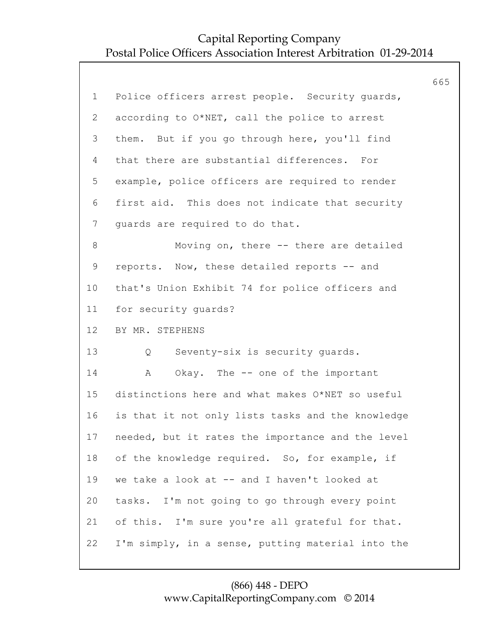|                |                                                   | 665 |
|----------------|---------------------------------------------------|-----|
| $\mathbf 1$    | Police officers arrest people. Security guards,   |     |
| $\mathbf{2}$   | according to O*NET, call the police to arrest     |     |
| 3              | them. But if you go through here, you'll find     |     |
| 4              | that there are substantial differences. For       |     |
| 5              | example, police officers are required to render   |     |
| 6              | first aid. This does not indicate that security   |     |
| $7\phantom{.}$ | quards are required to do that.                   |     |
| 8              | Moving on, there -- there are detailed            |     |
| $\mathsf 9$    | reports. Now, these detailed reports -- and       |     |
| 10             | that's Union Exhibit 74 for police officers and   |     |
| 11             | for security quards?                              |     |
| 12             | BY MR. STEPHENS                                   |     |
| 13             | Seventy-six is security guards.<br>Q              |     |
| 14             | Okay. The -- one of the important<br>Α            |     |
| 15             | distinctions here and what makes O*NET so useful  |     |
| 16             | is that it not only lists tasks and the knowledge |     |
| 17             | needed, but it rates the importance and the level |     |
| 18             | of the knowledge required. So, for example, if    |     |
| 19             | we take a look at -- and I haven't looked at      |     |
| 20             | tasks. I'm not going to go through every point    |     |
| 21             | of this. I'm sure you're all grateful for that.   |     |
| 22             | I'm simply, in a sense, putting material into the |     |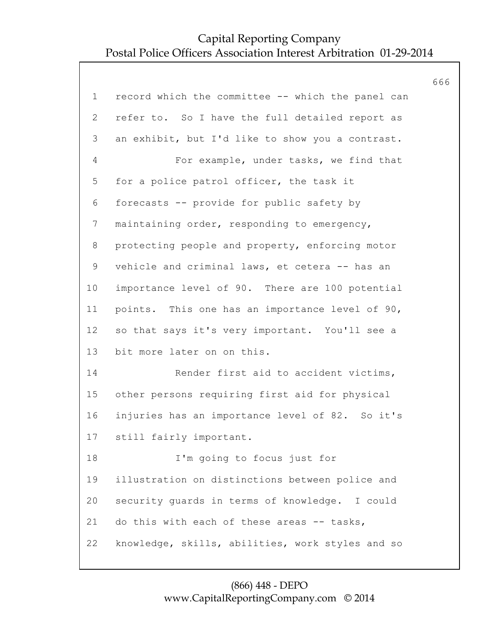|                |                                                   | 666 |
|----------------|---------------------------------------------------|-----|
| $\mathbf 1$    | record which the committee -- which the panel can |     |
| $\overline{2}$ | refer to. So I have the full detailed report as   |     |
| 3              | an exhibit, but I'd like to show you a contrast.  |     |
| 4              | For example, under tasks, we find that            |     |
| 5              | for a police patrol officer, the task it          |     |
| 6              | forecasts -- provide for public safety by         |     |
| $\overline{7}$ | maintaining order, responding to emergency,       |     |
| 8              | protecting people and property, enforcing motor   |     |
| 9              | vehicle and criminal laws, et cetera -- has an    |     |
| 10             | importance level of 90. There are 100 potential   |     |
| 11             | points. This one has an importance level of 90,   |     |
| 12             | so that says it's very important. You'll see a    |     |
| 13             | bit more later on on this.                        |     |
| 14             | Render first aid to accident victims,             |     |
| 15             | other persons requiring first aid for physical    |     |
| 16             | injuries has an importance level of 82. So it's   |     |
| 17             | still fairly important.                           |     |
| 18             | I'm going to focus just for                       |     |
| 19             | illustration on distinctions between police and   |     |
| 20             | security guards in terms of knowledge. I could    |     |
| 21             | do this with each of these areas -- tasks,        |     |
| 22             | knowledge, skills, abilities, work styles and so  |     |
|                |                                                   |     |

#### (866) 448 - DEPO www.CapitalReportingCompany.com © 2014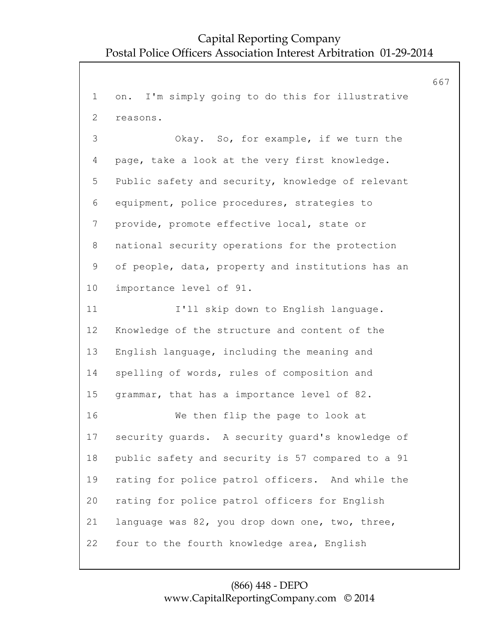667

1 on. I'm simply going to do this for illustrative 2 reasons. 3 Okay. So, for example, if we turn the 4 page, take a look at the very first knowledge. 5 Public safety and security, knowledge of relevant 6 equipment, police procedures, strategies to 7 provide, promote effective local, state or 8 national security operations for the protection 9 of people, data, property and institutions has an 10 importance level of 91. 11 I'll skip down to English language. 12 Knowledge of the structure and content of the 13 English language, including the meaning and 14 spelling of words, rules of composition and 15 grammar, that has a importance level of 82. 16 We then flip the page to look at 17 security guards. A security guard's knowledge of 18 public safety and security is 57 compared to a 91 19 rating for police patrol officers. And while the 20 rating for police patrol officers for English 21 language was 82, you drop down one, two, three, 22 four to the fourth knowledge area, English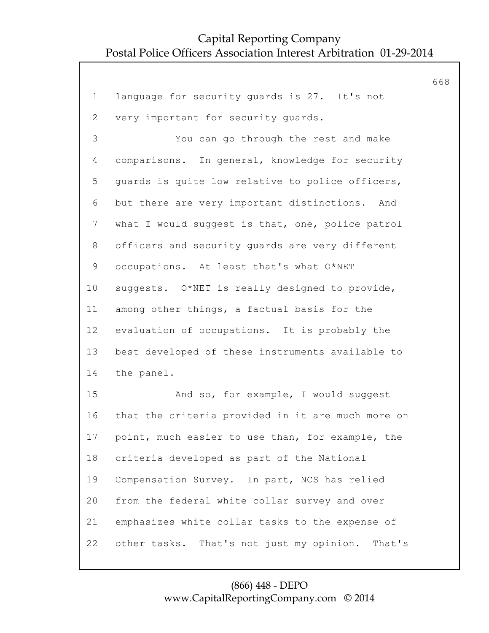|                |                                                    | 668 |
|----------------|----------------------------------------------------|-----|
| $\mathbf 1$    | language for security quards is 27. It's not       |     |
| $\overline{2}$ | very important for security guards.                |     |
| 3              | You can go through the rest and make               |     |
| 4              | comparisons. In general, knowledge for security    |     |
| 5              | guards is quite low relative to police officers,   |     |
| 6              | but there are very important distinctions. And     |     |
| 7              | what I would suggest is that, one, police patrol   |     |
| 8              | officers and security guards are very different    |     |
| 9              | occupations. At least that's what O*NET            |     |
| 10             | suggests. O*NET is really designed to provide,     |     |
| 11             | among other things, a factual basis for the        |     |
| 12             | evaluation of occupations. It is probably the      |     |
| 13             | best developed of these instruments available to   |     |
| 14             | the panel.                                         |     |
| 15             | And so, for example, I would suggest               |     |
| 16             | that the criteria provided in it are much more on  |     |
| 17             | point, much easier to use than, for example, the   |     |
| 18             | criteria developed as part of the National         |     |
| 19             | Compensation Survey. In part, NCS has relied       |     |
| 20             | from the federal white collar survey and over      |     |
| 21             | emphasizes white collar tasks to the expense of    |     |
| 22             | other tasks. That's not just my opinion.<br>That's |     |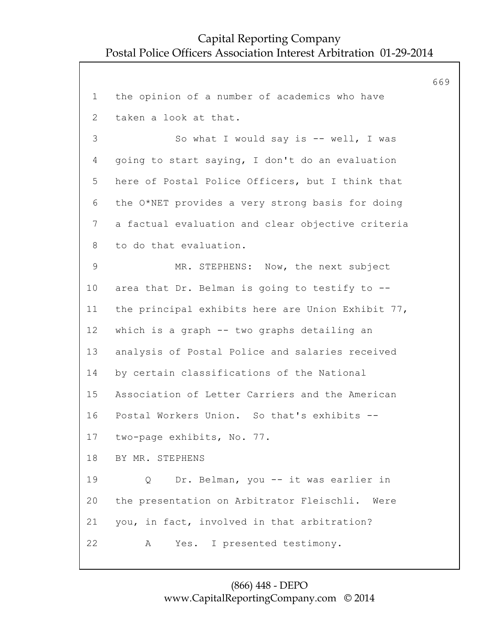669 1 the opinion of a number of academics who have 2 taken a look at that. 3 So what I would say is -- well, I was 4 going to start saying, I don't do an evaluation 5 here of Postal Police Officers, but I think that 6 the O\*NET provides a very strong basis for doing 7 a factual evaluation and clear objective criteria 8 to do that evaluation. 9 MR. STEPHENS: Now, the next subject 10 area that Dr. Belman is going to testify to -- 11 the principal exhibits here are Union Exhibit 77, 12 which is a graph -- two graphs detailing an 13 analysis of Postal Police and salaries received 14 by certain classifications of the National 15 Association of Letter Carriers and the American 16 Postal Workers Union. So that's exhibits -- 17 two-page exhibits, No. 77. 18 BY MR. STEPHENS 19 Q Dr. Belman, you -- it was earlier in 20 the presentation on Arbitrator Fleischli. Were 21 you, in fact, involved in that arbitration? 22 A Yes. I presented testimony.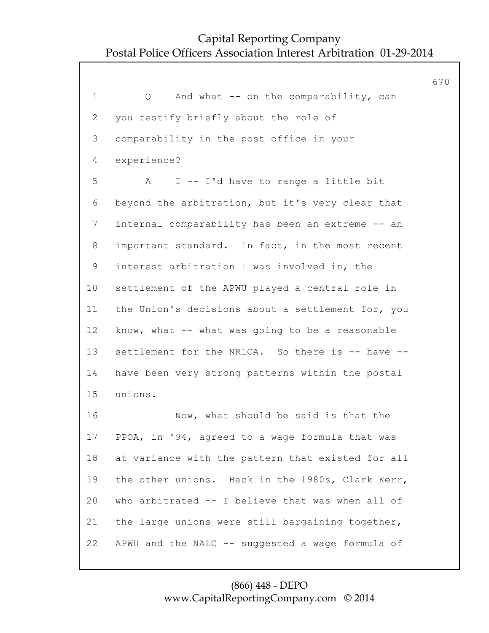670 1 Q And what -- on the comparability, can 2 you testify briefly about the role of 3 comparability in the post office in your 4 experience? 5 A I -- I'd have to range a little bit 6 beyond the arbitration, but it's very clear that 7 internal comparability has been an extreme -- an 8 important standard. In fact, in the most recent 9 interest arbitration I was involved in, the 10 settlement of the APWU played a central role in 11 the Union's decisions about a settlement for, you 12 know, what -- what was going to be a reasonable 13 settlement for the NRLCA. So there is -- have --14 have been very strong patterns within the postal 15 unions. 16 Now, what should be said is that the 17 PPOA, in '94, agreed to a wage formula that was 18 at variance with the pattern that existed for all 19 the other unions. Back in the 1980s, Clark Kerr, 20 who arbitrated -- I believe that was when all of 21 the large unions were still bargaining together, 22 APWU and the NALC -- suggested a wage formula of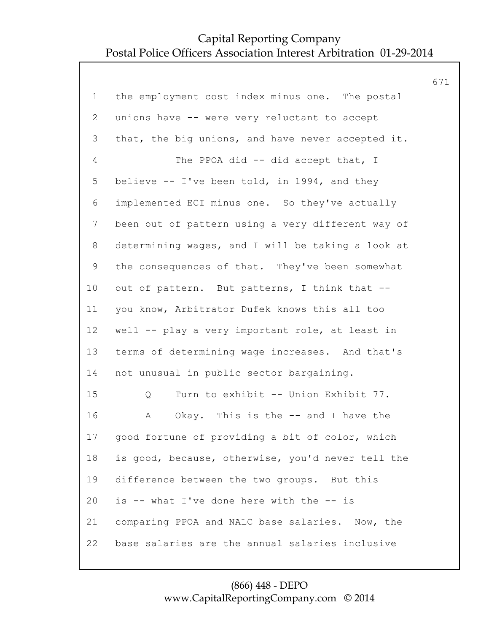|                |                                                   | 671 |
|----------------|---------------------------------------------------|-----|
| $\mathbf 1$    | the employment cost index minus one. The postal   |     |
| $\overline{2}$ | unions have -- were very reluctant to accept      |     |
| 3              | that, the big unions, and have never accepted it. |     |
| 4              | The PPOA did -- did accept that, I                |     |
| 5              | believe -- I've been told, in 1994, and they      |     |
| 6              | implemented ECI minus one. So they've actually    |     |
| $\overline{7}$ | been out of pattern using a very different way of |     |
| 8              | determining wages, and I will be taking a look at |     |
| 9              | the consequences of that. They've been somewhat   |     |
| 10             | out of pattern. But patterns, I think that --     |     |
| 11             | you know, Arbitrator Dufek knows this all too     |     |
| 12             | well -- play a very important role, at least in   |     |
| 13             | terms of determining wage increases. And that's   |     |
| 14             | not unusual in public sector bargaining.          |     |
| 15             | Turn to exhibit -- Union Exhibit 77.<br>Q         |     |
| 16             | Okay. This is the -- and I have the<br>A          |     |
| 17             | good fortune of providing a bit of color, which   |     |
| 18             | is good, because, otherwise, you'd never tell the |     |
| 19             | difference between the two groups. But this       |     |
| 20             | is -- what I've done here with the -- is          |     |
| 21             | comparing PPOA and NALC base salaries. Now, the   |     |
| 22             | base salaries are the annual salaries inclusive   |     |
|                |                                                   |     |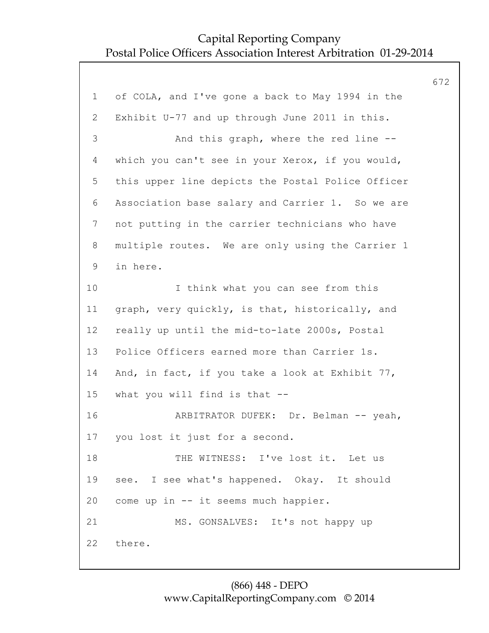|                |                                                   | 672 |
|----------------|---------------------------------------------------|-----|
| $\mathbf 1$    | of COLA, and I've gone a back to May 1994 in the  |     |
| $\overline{2}$ | Exhibit U-77 and up through June 2011 in this.    |     |
| 3              | And this graph, where the red line --             |     |
| $\overline{4}$ | which you can't see in your Xerox, if you would,  |     |
| 5              | this upper line depicts the Postal Police Officer |     |
| 6              | Association base salary and Carrier 1. So we are  |     |
| $\overline{7}$ | not putting in the carrier technicians who have   |     |
| 8              | multiple routes. We are only using the Carrier 1  |     |
| 9              | in here.                                          |     |
| 10             | I think what you can see from this                |     |
| 11             | graph, very quickly, is that, historically, and   |     |
| 12             | really up until the mid-to-late 2000s, Postal     |     |
| 13             | Police Officers earned more than Carrier 1s.      |     |
| 14             | And, in fact, if you take a look at Exhibit 77,   |     |
| 15             | what you will find is that --                     |     |
| 16             | ARBITRATOR DUFEK: Dr. Belman -- yeah,             |     |
| 17             | you lost it just for a second.                    |     |
| 18             | THE WITNESS: I've lost it. Let us                 |     |
| 19             | see. I see what's happened. Okay. It should       |     |
| 20             | come up in -- it seems much happier.              |     |
| 21             | MS. GONSALVES: It's not happy up                  |     |
| 22             | there.                                            |     |
|                |                                                   |     |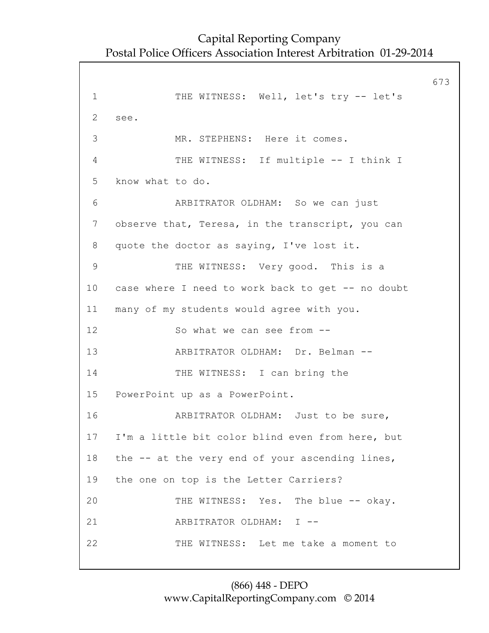673 1 THE WITNESS: Well, let's try -- let's 2 see. 3 MR. STEPHENS: Here it comes. 4 THE WITNESS: If multiple -- I think I 5 know what to do. 6 ARBITRATOR OLDHAM: So we can just 7 observe that, Teresa, in the transcript, you can 8 quote the doctor as saying, I've lost it. 9 THE WITNESS: Very good. This is a 10 case where I need to work back to get -- no doubt 11 many of my students would agree with you. 12 So what we can see from -- 13 ARBITRATOR OLDHAM: Dr. Belman -- 14 THE WITNESS: I can bring the 15 PowerPoint up as a PowerPoint. 16 ARBITRATOR OLDHAM: Just to be sure, 17 I'm a little bit color blind even from here, but 18 the -- at the very end of your ascending lines, 19 the one on top is the Letter Carriers? 20 THE WITNESS: Yes. The blue -- okay. 21 ARBITRATOR OLDHAM: I -- 22 THE WITNESS: Let me take a moment to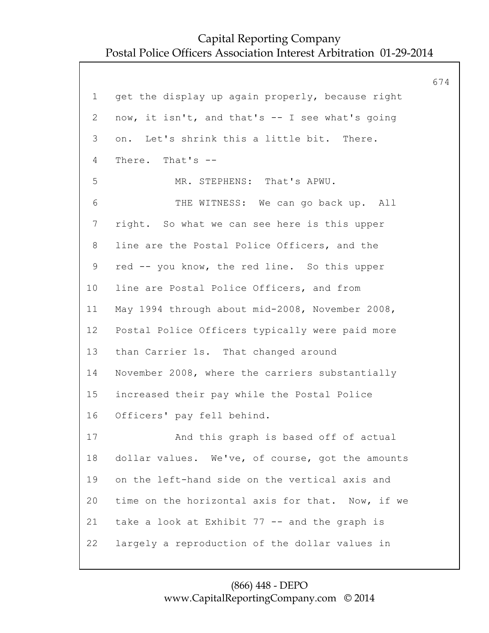674 1 get the display up again properly, because right 2 now, it isn't, and that's -- I see what's going 3 on. Let's shrink this a little bit. There. 4 There. That's -- 5 MR. STEPHENS: That's APWU. 6 THE WITNESS: We can go back up. All 7 right. So what we can see here is this upper 8 line are the Postal Police Officers, and the 9 red -- you know, the red line. So this upper 10 line are Postal Police Officers, and from 11 May 1994 through about mid-2008, November 2008, 12 Postal Police Officers typically were paid more 13 than Carrier 1s. That changed around 14 November 2008, where the carriers substantially 15 increased their pay while the Postal Police 16 Officers' pay fell behind. 17 And this graph is based off of actual 18 dollar values. We've, of course, got the amounts 19 on the left-hand side on the vertical axis and 20 time on the horizontal axis for that. Now, if we 21 take a look at Exhibit 77 -- and the graph is 22 largely a reproduction of the dollar values in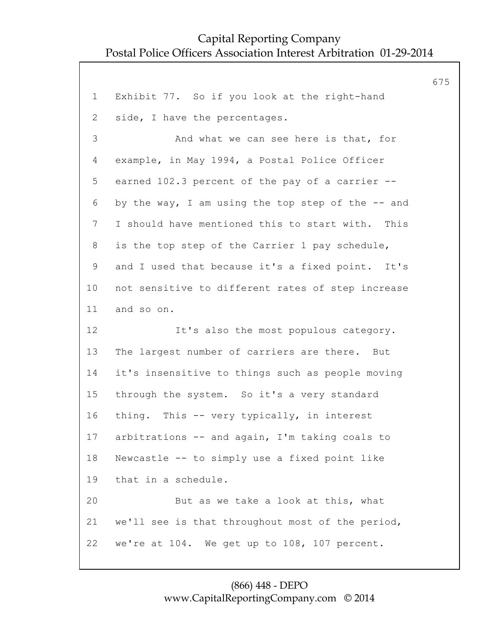|                 |                                                   | 675 |
|-----------------|---------------------------------------------------|-----|
| $\mathbf{1}$    | Exhibit 77. So if you look at the right-hand      |     |
| 2               | side, I have the percentages.                     |     |
| 3               | And what we can see here is that, for             |     |
| 4               | example, in May 1994, a Postal Police Officer     |     |
| 5               | earned 102.3 percent of the pay of a carrier --   |     |
| 6               | by the way, I am using the top step of the -- and |     |
| $\overline{7}$  | I should have mentioned this to start with. This  |     |
| 8               | is the top step of the Carrier 1 pay schedule,    |     |
| $\mathsf 9$     | and I used that because it's a fixed point. It's  |     |
| 10 <sub>o</sub> | not sensitive to different rates of step increase |     |
| 11              | and so on.                                        |     |
| 12              | It's also the most populous category.             |     |
| 13              | The largest number of carriers are there. But     |     |
| 14              | it's insensitive to things such as people moving  |     |
| 15              | through the system. So it's a very standard       |     |
| 16              | thing. This -- very typically, in interest        |     |
| 17              | arbitrations -- and again, I'm taking coals to    |     |
| 18              | Newcastle -- to simply use a fixed point like     |     |
| 19              | that in a schedule.                               |     |
| 20              | But as we take a look at this, what               |     |
| 21              | we'll see is that throughout most of the period,  |     |
| 22              | we're at 104. We get up to 108, 107 percent.      |     |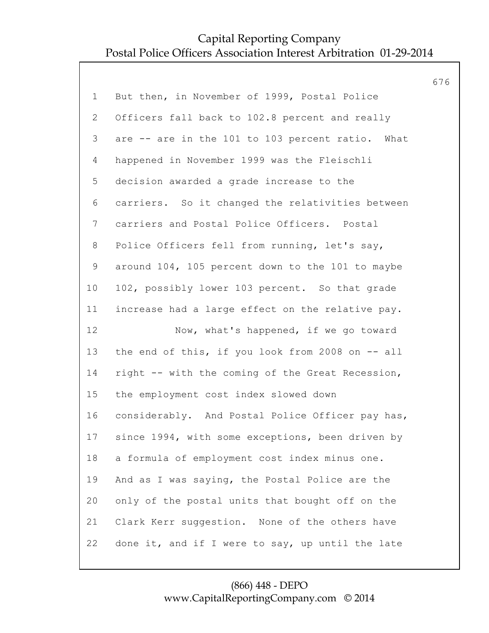|                |                                                  | 676 |
|----------------|--------------------------------------------------|-----|
| $\mathbf 1$    | But then, in November of 1999, Postal Police     |     |
| $\overline{2}$ | Officers fall back to 102.8 percent and really   |     |
| 3              | are -- are in the 101 to 103 percent ratio. What |     |
| $\overline{4}$ | happened in November 1999 was the Fleischli      |     |
| 5              | decision awarded a grade increase to the         |     |
| 6              | carriers. So it changed the relativities between |     |
| $\overline{7}$ | carriers and Postal Police Officers. Postal      |     |
| 8              | Police Officers fell from running, let's say,    |     |
| $\mathsf 9$    | around 104, 105 percent down to the 101 to maybe |     |
| 10             | 102, possibly lower 103 percent. So that grade   |     |
| 11             | increase had a large effect on the relative pay. |     |
| 12             | Now, what's happened, if we go toward            |     |
| 13             | the end of this, if you look from 2008 on -- all |     |
| 14             | right -- with the coming of the Great Recession, |     |
| 15             | the employment cost index slowed down            |     |
| 16             | considerably. And Postal Police Officer pay has, |     |
| 17             | since 1994, with some exceptions, been driven by |     |
| 18             | a formula of employment cost index minus one.    |     |
| 19             | And as I was saying, the Postal Police are the   |     |
| 20             | only of the postal units that bought off on the  |     |
| 21             | Clark Kerr suggestion. None of the others have   |     |
| 22             | done it, and if I were to say, up until the late |     |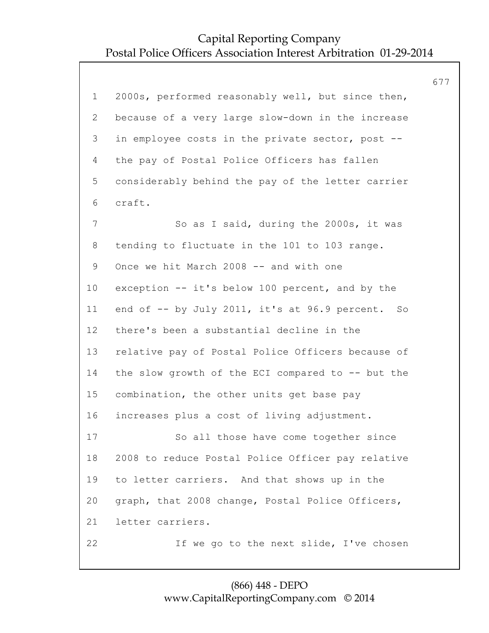|                |                                                   | 677 |
|----------------|---------------------------------------------------|-----|
| $\mathbf 1$    | 2000s, performed reasonably well, but since then, |     |
| $\overline{2}$ | because of a very large slow-down in the increase |     |
| 3              | in employee costs in the private sector, post --  |     |
| 4              | the pay of Postal Police Officers has fallen      |     |
| 5              | considerably behind the pay of the letter carrier |     |
| 6              | craft.                                            |     |
| 7              | So as I said, during the 2000s, it was            |     |
| 8              | tending to fluctuate in the 101 to 103 range.     |     |
| 9              | Once we hit March 2008 -- and with one            |     |
| 10             | exception -- it's below 100 percent, and by the   |     |
| 11             | end of -- by July 2011, it's at 96.9 percent. So  |     |
| 12             | there's been a substantial decline in the         |     |
| 13             | relative pay of Postal Police Officers because of |     |
| 14             | the slow growth of the ECI compared to -- but the |     |
| 15             | combination, the other units get base pay         |     |
| 16             | increases plus a cost of living adjustment.       |     |
| 17             | So all those have come together since             |     |
| 18             | 2008 to reduce Postal Police Officer pay relative |     |
| 19             | to letter carriers. And that shows up in the      |     |
| 20             | graph, that 2008 change, Postal Police Officers,  |     |
| 21             | letter carriers.                                  |     |
| 22             | If we go to the next slide, I've chosen           |     |
|                |                                                   |     |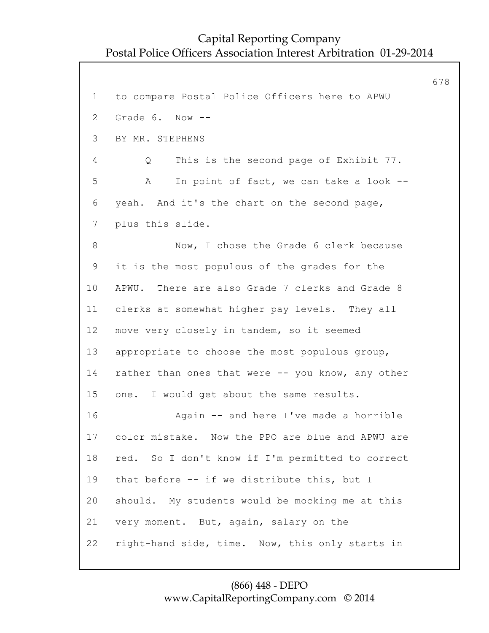678 1 to compare Postal Police Officers here to APWU 2 Grade 6. Now -- 3 BY MR. STEPHENS 4 Q This is the second page of Exhibit 77. 5 A In point of fact, we can take a look -- 6 yeah. And it's the chart on the second page, 7 plus this slide. 8 Now, I chose the Grade 6 clerk because 9 it is the most populous of the grades for the 10 APWU. There are also Grade 7 clerks and Grade 8 11 clerks at somewhat higher pay levels. They all 12 move very closely in tandem, so it seemed 13 appropriate to choose the most populous group, 14 rather than ones that were -- you know, any other 15 one. I would get about the same results. 16 Again -- and here I've made a horrible 17 color mistake. Now the PPO are blue and APWU are 18 red. So I don't know if I'm permitted to correct 19 that before -- if we distribute this, but I 20 should. My students would be mocking me at this 21 very moment. But, again, salary on the 22 right-hand side, time. Now, this only starts in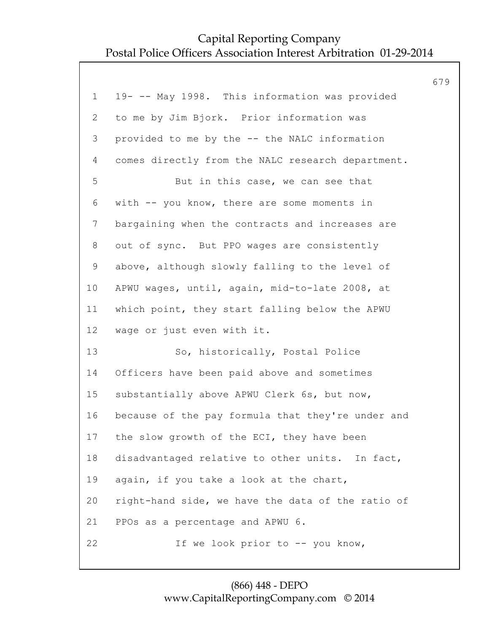|                |                                                   | 679 |
|----------------|---------------------------------------------------|-----|
| $\mathbf 1$    | 19- -- May 1998. This information was provided    |     |
| $\overline{2}$ | to me by Jim Bjork. Prior information was         |     |
| 3              | provided to me by the -- the NALC information     |     |
| 4              | comes directly from the NALC research department. |     |
| 5              | But in this case, we can see that                 |     |
| 6              | with -- you know, there are some moments in       |     |
| $\overline{7}$ | bargaining when the contracts and increases are   |     |
| 8              | out of sync. But PPO wages are consistently       |     |
| 9              | above, although slowly falling to the level of    |     |
| 10             | APWU wages, until, again, mid-to-late 2008, at    |     |
| 11             | which point, they start falling below the APWU    |     |
| 12             | wage or just even with it.                        |     |
| 13             | So, historically, Postal Police                   |     |
| 14             | Officers have been paid above and sometimes       |     |
| 15             | substantially above APWU Clerk 6s, but now,       |     |
| 16             | because of the pay formula that they're under and |     |
| 17             | the slow growth of the ECI, they have been        |     |
| 18             | disadvantaged relative to other units. In fact,   |     |
| 19             | again, if you take a look at the chart,           |     |
| 20             | right-hand side, we have the data of the ratio of |     |
| 21             | PPOs as a percentage and APWU 6.                  |     |
| 22             | If we look prior to -- you know,                  |     |
|                |                                                   |     |

#### (866) 448 - DEPO www.CapitalReportingCompany.com © 2014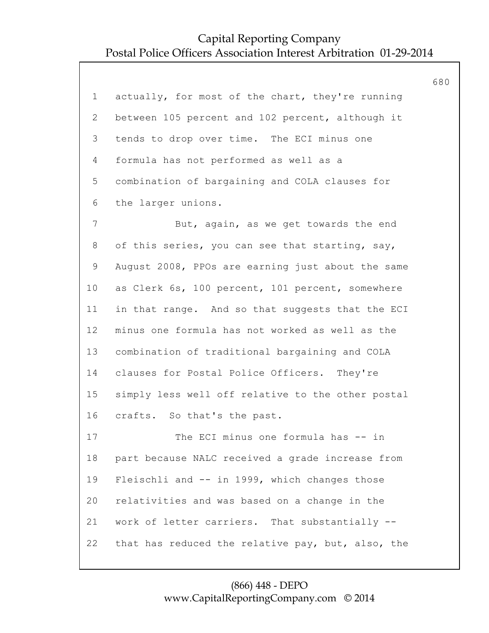|                 |                                                   | 680 |
|-----------------|---------------------------------------------------|-----|
| $\mathbf 1$     | actually, for most of the chart, they're running  |     |
| $\overline{2}$  | between 105 percent and 102 percent, although it  |     |
| 3               | tends to drop over time. The ECI minus one        |     |
| 4               | formula has not performed as well as a            |     |
| 5               | combination of bargaining and COLA clauses for    |     |
| 6               | the larger unions.                                |     |
| $\overline{7}$  | But, again, as we get towards the end             |     |
| 8               | of this series, you can see that starting, say,   |     |
| $\mathsf 9$     | August 2008, PPOs are earning just about the same |     |
| 10 <sub>o</sub> | as Clerk 6s, 100 percent, 101 percent, somewhere  |     |
| 11              | in that range. And so that suggests that the ECI  |     |
| 12              | minus one formula has not worked as well as the   |     |
| 13              | combination of traditional bargaining and COLA    |     |
| 14              | clauses for Postal Police Officers. They're       |     |
| 15              | simply less well off relative to the other postal |     |
| 16              | crafts. So that's the past.                       |     |
| 17              | The ECI minus one formula has -- in               |     |
| 18              | part because NALC received a grade increase from  |     |
| 19              | Fleischli and -- in 1999, which changes those     |     |
| 20              | relativities and was based on a change in the     |     |
| 21              | work of letter carriers. That substantially --    |     |
| 22              | that has reduced the relative pay, but, also, the |     |
|                 |                                                   |     |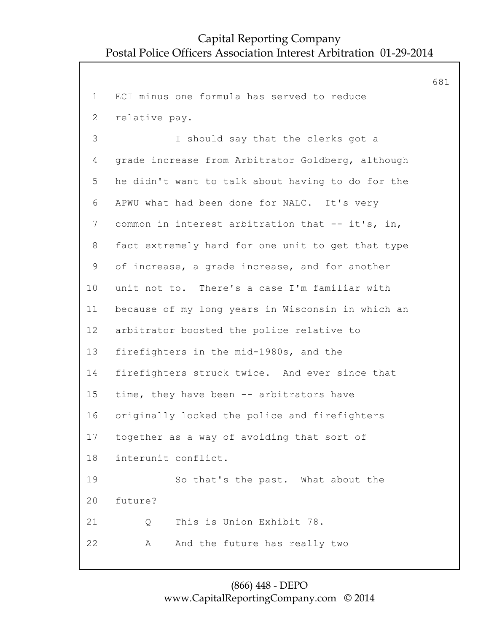681

```
1 ECI minus one formula has served to reduce
 2 relative pay.
 3 I should say that the clerks got a
 4 grade increase from Arbitrator Goldberg, although
 5 he didn't want to talk about having to do for the
 6 APWU what had been done for NALC. It's very
 7 common in interest arbitration that -- it's, in,
 8 fact extremely hard for one unit to get that type
 9 of increase, a grade increase, and for another
10 unit not to. There's a case I'm familiar with
11 because of my long years in Wisconsin in which an
12 arbitrator boosted the police relative to
13 firefighters in the mid-1980s, and the
14 firefighters struck twice. And ever since that
15 time, they have been -- arbitrators have
16 originally locked the police and firefighters
17 together as a way of avoiding that sort of
18 interunit conflict.
19 So that's the past. What about the
20 future?
21 Q This is Union Exhibit 78.
22 A And the future has really two
```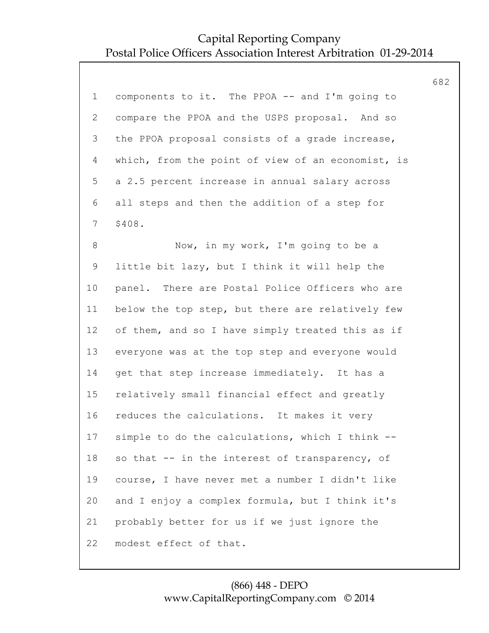|                |                                                   | 682 |
|----------------|---------------------------------------------------|-----|
| $\mathbf 1$    | components to it. The PPOA -- and I'm going to    |     |
| $\overline{2}$ | compare the PPOA and the USPS proposal. And so    |     |
| 3              | the PPOA proposal consists of a grade increase,   |     |
| $\overline{4}$ | which, from the point of view of an economist, is |     |
| 5              | a 2.5 percent increase in annual salary across    |     |
| 6              | all steps and then the addition of a step for     |     |
| $7\phantom{.}$ | \$408.                                            |     |
| $8\,$          | Now, in my work, I'm going to be a                |     |
| $\mathsf 9$    | little bit lazy, but I think it will help the     |     |
| 10             | panel. There are Postal Police Officers who are   |     |
| 11             | below the top step, but there are relatively few  |     |
| 12             | of them, and so I have simply treated this as if  |     |
| 13             | everyone was at the top step and everyone would   |     |
| 14             | get that step increase immediately. It has a      |     |
| 15             | relatively small financial effect and greatly     |     |
| 16             | reduces the calculations. It makes it very        |     |
| 17             | simple to do the calculations, which I think --   |     |
| 18             | so that -- in the interest of transparency, of    |     |
| 19             | course, I have never met a number I didn't like   |     |
| 20             | and I enjoy a complex formula, but I think it's   |     |
| 21             | probably better for us if we just ignore the      |     |
| 22             | modest effect of that.                            |     |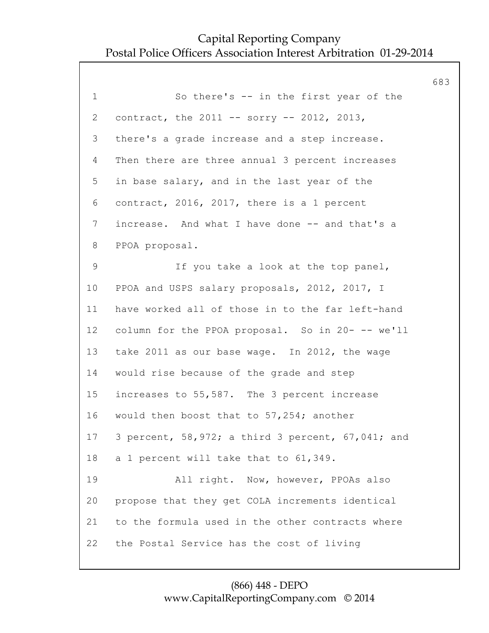683 1 So there's -- in the first year of the 2 contract, the 2011 -- sorry -- 2012, 2013, 3 there's a grade increase and a step increase. 4 Then there are three annual 3 percent increases 5 in base salary, and in the last year of the 6 contract, 2016, 2017, there is a 1 percent 7 increase. And what I have done -- and that's a 8 PPOA proposal. 9 If you take a look at the top panel, 10 PPOA and USPS salary proposals, 2012, 2017, I 11 have worked all of those in to the far left-hand 12 column for the PPOA proposal. So in 20- -- we'll 13 take 2011 as our base wage. In 2012, the wage 14 would rise because of the grade and step 15 increases to 55,587. The 3 percent increase 16 would then boost that to 57,254; another 17 3 percent, 58,972; a third 3 percent, 67,041; and 18 a 1 percent will take that to 61,349. 19 All right. Now, however, PPOAs also 20 propose that they get COLA increments identical 21 to the formula used in the other contracts where 22 the Postal Service has the cost of living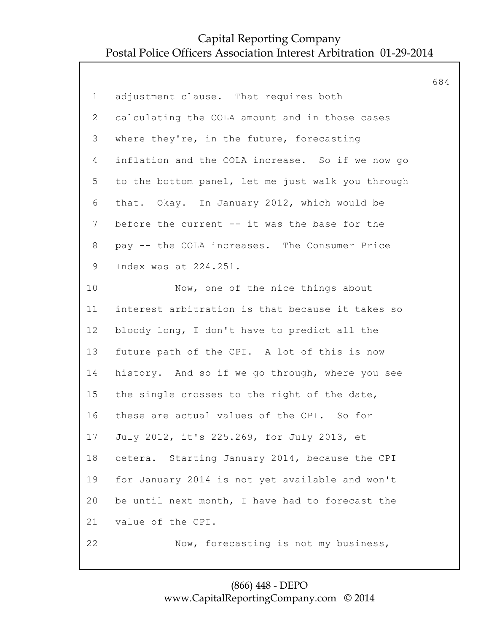|                |                                                   | 684 |
|----------------|---------------------------------------------------|-----|
| $\mathbf 1$    | adjustment clause. That requires both             |     |
| $\overline{2}$ | calculating the COLA amount and in those cases    |     |
| 3              | where they're, in the future, forecasting         |     |
| 4              | inflation and the COLA increase. So if we now go  |     |
| 5              | to the bottom panel, let me just walk you through |     |
| 6              | that. Okay. In January 2012, which would be       |     |
| $7\phantom{.}$ | before the current -- it was the base for the     |     |
| 8              | pay -- the COLA increases. The Consumer Price     |     |
| $\mathsf 9$    | Index was at 224.251.                             |     |
| 10             | Now, one of the nice things about                 |     |
| 11             | interest arbitration is that because it takes so  |     |
| 12             | bloody long, I don't have to predict all the      |     |
| 13             | future path of the CPI. A lot of this is now      |     |
| 14             | history. And so if we go through, where you see   |     |
| 15             | the single crosses to the right of the date,      |     |
| 16             | these are actual values of the CPI. So for        |     |
| 17             | July 2012, it's 225.269, for July 2013, et        |     |
| 18             | Starting January 2014, because the CPI<br>cetera. |     |
| 19             | for January 2014 is not yet available and won't   |     |
| 20             | be until next month, I have had to forecast the   |     |
| 21             | value of the CPI.                                 |     |
| 22             | Now, forecasting is not my business,              |     |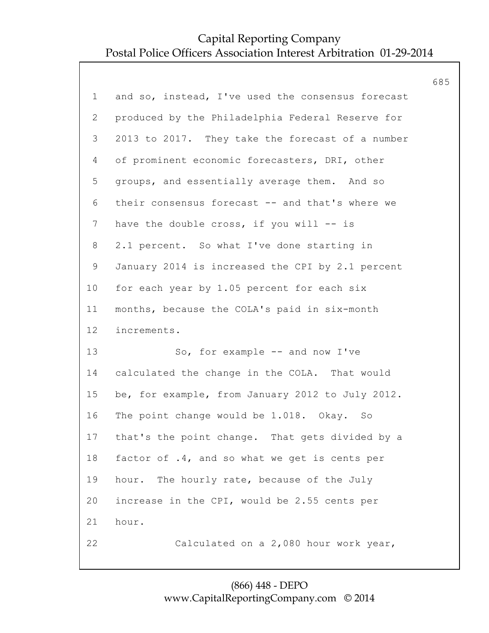|                |                                                    | 685 |
|----------------|----------------------------------------------------|-----|
| $\mathbf 1$    | and so, instead, I've used the consensus forecast  |     |
| 2              | produced by the Philadelphia Federal Reserve for   |     |
| 3              | 2013 to 2017. They take the forecast of a number   |     |
| 4              | of prominent economic forecasters, DRI, other      |     |
| 5              | groups, and essentially average them. And so       |     |
| 6              | their consensus forecast -- and that's where we    |     |
| $\overline{7}$ | have the double cross, if you will -- is           |     |
| 8              | 2.1 percent. So what I've done starting in         |     |
| 9              | January 2014 is increased the CPI by 2.1 percent   |     |
| 10             | for each year by 1.05 percent for each six         |     |
| 11             | months, because the COLA's paid in six-month       |     |
| 12             | increments.                                        |     |
| 13             | So, for example -- and now I've                    |     |
| 14             | calculated the change in the COLA. That would      |     |
| 15             | be, for example, from January 2012 to July 2012.   |     |
| 16             | The point change would be 1.018. Okay. So          |     |
|                | 17 that's the point change. That gets divided by a |     |
| 18             | factor of .4, and so what we get is cents per      |     |
| 19             | hour. The hourly rate, because of the July         |     |
| 20             | increase in the CPI, would be 2.55 cents per       |     |
| 21             | hour.                                              |     |
| 22             | Calculated on a 2,080 hour work year,              |     |
|                |                                                    |     |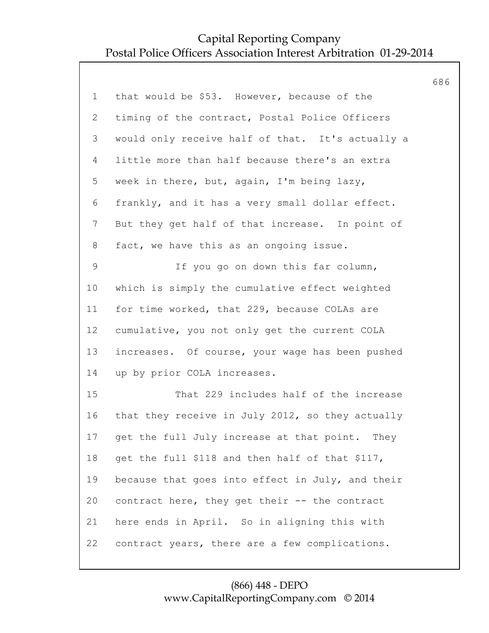|                 |                                                  | 686 |
|-----------------|--------------------------------------------------|-----|
| $\mathbf 1$     | that would be \$53. However, because of the      |     |
| 2               | timing of the contract, Postal Police Officers   |     |
| 3               | would only receive half of that. It's actually a |     |
| 4               | little more than half because there's an extra   |     |
| 5               | week in there, but, again, I'm being lazy,       |     |
| 6               | frankly, and it has a very small dollar effect.  |     |
| $7\phantom{.0}$ | But they get half of that increase. In point of  |     |
| 8               | fact, we have this as an ongoing issue.          |     |
| $\mathsf 9$     | If you go on down this far column,               |     |
| 10              | which is simply the cumulative effect weighted   |     |
| 11              | for time worked, that 229, because COLAs are     |     |
| 12              | cumulative, you not only get the current COLA    |     |
| 13              | increases. Of course, your wage has been pushed  |     |
| 14              | up by prior COLA increases.                      |     |
| 15              | That 229 includes half of the increase           |     |
| 16              | that they receive in July 2012, so they actually |     |
| 17              | get the full July increase at that point. They   |     |
| 18              | get the full \$118 and then half of that \$117,  |     |
| 19              | because that goes into effect in July, and their |     |
| 20              | contract here, they get their -- the contract    |     |
| 21              | here ends in April. So in aligning this with     |     |
| 22              | contract years, there are a few complications.   |     |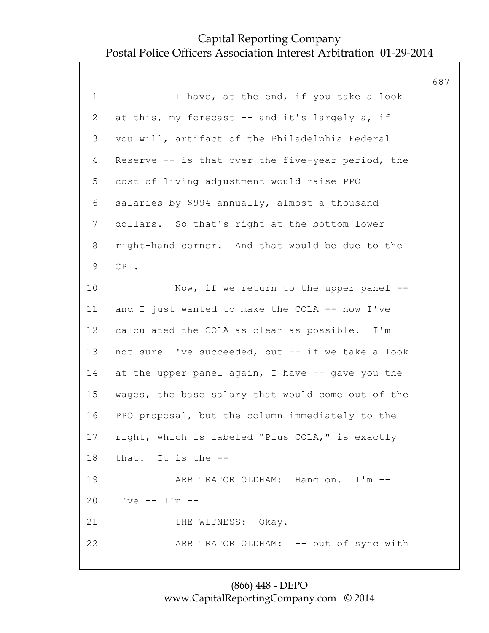687 1 1 I have, at the end, if you take a look 2 at this, my forecast -- and it's largely a, if 3 you will, artifact of the Philadelphia Federal 4 Reserve -- is that over the five-year period, the 5 cost of living adjustment would raise PPO 6 salaries by \$994 annually, almost a thousand 7 dollars. So that's right at the bottom lower 8 right-hand corner. And that would be due to the 9 CPI. 10 Now, if we return to the upper panel --11 and I just wanted to make the COLA -- how I've 12 calculated the COLA as clear as possible. I'm 13 not sure I've succeeded, but -- if we take a look 14 at the upper panel again, I have -- gave you the 15 wages, the base salary that would come out of the 16 PPO proposal, but the column immediately to the 17 right, which is labeled "Plus COLA," is exactly 18 that. It is the -- 19 ARBITRATOR OLDHAM: Hang on. I'm -- 20 I've -- I'm -- 21 THE WITNESS: Okay. 22 ARBITRATOR OLDHAM: -- out of sync with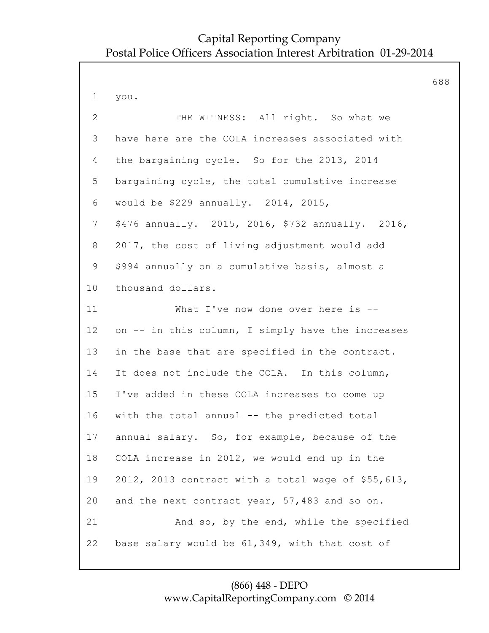688 1 you. 2 THE WITNESS: All right. So what we 3 have here are the COLA increases associated with 4 the bargaining cycle. So for the 2013, 2014 5 bargaining cycle, the total cumulative increase 6 would be \$229 annually. 2014, 2015, 7 \$476 annually. 2015, 2016, \$732 annually. 2016, 8 2017, the cost of living adjustment would add 9 \$994 annually on a cumulative basis, almost a 10 thousand dollars. 11 What I've now done over here is -- 12 on -- in this column, I simply have the increases 13 in the base that are specified in the contract. 14 It does not include the COLA. In this column, 15 I've added in these COLA increases to come up 16 with the total annual -- the predicted total 17 annual salary. So, for example, because of the 18 COLA increase in 2012, we would end up in the 19 2012, 2013 contract with a total wage of \$55,613, 20 and the next contract year, 57,483 and so on. 21 And so, by the end, while the specified 22 base salary would be 61,349, with that cost of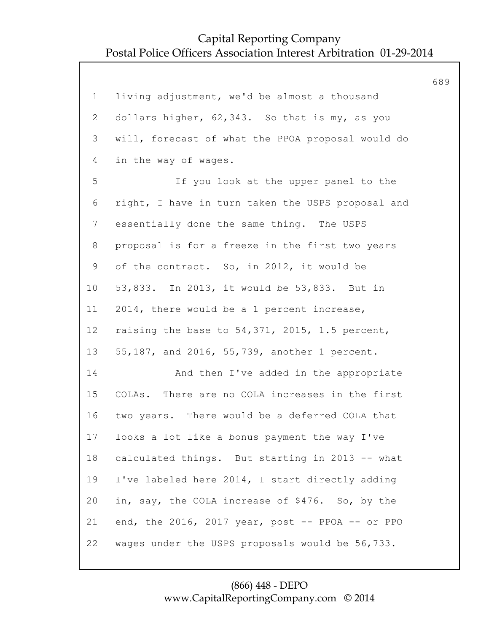|                |                                                   | 689 |
|----------------|---------------------------------------------------|-----|
| $\mathbf 1$    | living adjustment, we'd be almost a thousand      |     |
| $\overline{2}$ | dollars higher, 62,343. So that is my, as you     |     |
| 3              | will, forecast of what the PPOA proposal would do |     |
| 4              | in the way of wages.                              |     |
| 5              | If you look at the upper panel to the             |     |
| 6              | right, I have in turn taken the USPS proposal and |     |
| $7\phantom{.}$ | essentially done the same thing. The USPS         |     |
| 8              | proposal is for a freeze in the first two years   |     |
| $\mathsf 9$    | of the contract. So, in 2012, it would be         |     |
| 10             | 53,833. In 2013, it would be 53,833. But in       |     |
| 11             | 2014, there would be a 1 percent increase,        |     |
| 12             | raising the base to 54,371, 2015, 1.5 percent,    |     |
| 13             | 55,187, and 2016, 55,739, another 1 percent.      |     |
| 14             | And then I've added in the appropriate            |     |
| 15             | COLAs. There are no COLA increases in the first   |     |
| 16             | two years. There would be a deferred COLA that    |     |
| 17             | looks a lot like a bonus payment the way I've     |     |
| 18             | calculated things. But starting in 2013 -- what   |     |
| 19             | I've labeled here 2014, I start directly adding   |     |
| 20             | in, say, the COLA increase of \$476. So, by the   |     |
| 21             | end, the 2016, 2017 year, post -- PPOA -- or PPO  |     |
| 22             | wages under the USPS proposals would be 56,733.   |     |
|                |                                                   |     |

### (866) 448 - DEPO www.CapitalReportingCompany.com © 2014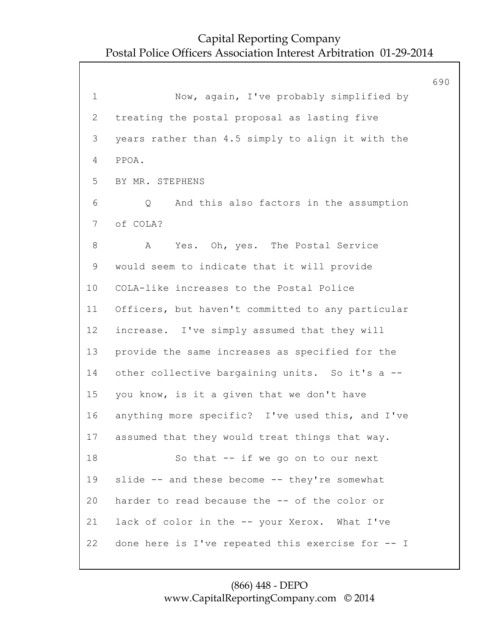690 1 Now, again, I've probably simplified by 2 treating the postal proposal as lasting five 3 years rather than 4.5 simply to align it with the 4 PPOA. 5 BY MR. STEPHENS 6 Q And this also factors in the assumption 7 of COLA? 8 A Yes. Oh, yes. The Postal Service 9 would seem to indicate that it will provide 10 COLA-like increases to the Postal Police 11 Officers, but haven't committed to any particular 12 increase. I've simply assumed that they will 13 provide the same increases as specified for the 14 other collective bargaining units. So it's a --15 you know, is it a given that we don't have 16 anything more specific? I've used this, and I've 17 assumed that they would treat things that way. 18 So that -- if we go on to our next 19 slide -- and these become -- they're somewhat 20 harder to read because the -- of the color or 21 lack of color in the -- your Xerox. What I've 22 done here is I've repeated this exercise for -- I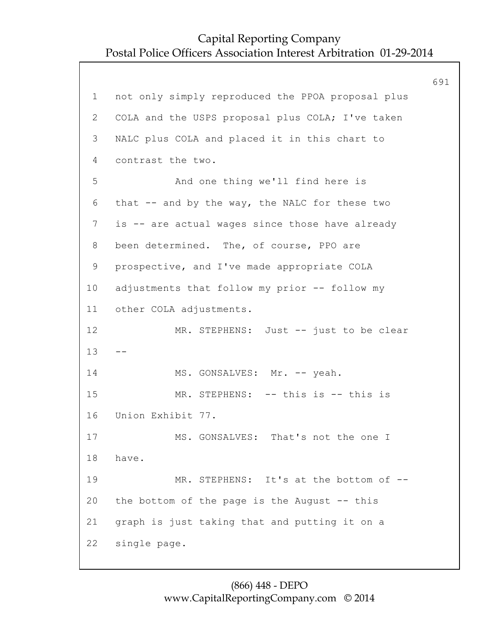|              |                                                   | 691 |
|--------------|---------------------------------------------------|-----|
| $\mathbf 1$  | not only simply reproduced the PPOA proposal plus |     |
| $\mathbf{2}$ | COLA and the USPS proposal plus COLA; I've taken  |     |
| 3            | NALC plus COLA and placed it in this chart to     |     |
| 4            | contrast the two.                                 |     |
| 5            | And one thing we'll find here is                  |     |
| 6            | that -- and by the way, the NALC for these two    |     |
| 7            | is -- are actual wages since those have already   |     |
| 8            | been determined. The, of course, PPO are          |     |
| $\mathsf 9$  | prospective, and I've made appropriate COLA       |     |
| 10           | adjustments that follow my prior -- follow my     |     |
| 11           | other COLA adjustments.                           |     |
| 12           | MR. STEPHENS: Just -- just to be clear            |     |
| 13           |                                                   |     |
| 14           | MS. GONSALVES: Mr. -- yeah.                       |     |
| 15           | MR. STEPHENS: -- this is -- this is               |     |
| 16           | Union Exhibit 77.                                 |     |
| 17           | MS. GONSALVES: That's not the one I               |     |
| 18           | have.                                             |     |
| 19           | MR. STEPHENS: It's at the bottom of --            |     |
| 20           | the bottom of the page is the August -- this      |     |
| 21           | graph is just taking that and putting it on a     |     |
| 22           | single page.                                      |     |
|              |                                                   |     |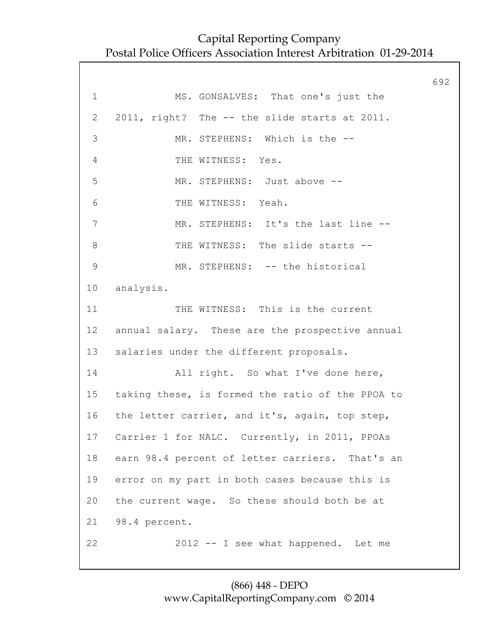692 1 MS. GONSALVES: That one's just the 2 2011, right? The -- the slide starts at 2011. 3 MR. STEPHENS: Which is the -- 4 THE WITNESS: Yes. 5 MR. STEPHENS: Just above -- 6 THE WITNESS: Yeah. 7 MR. STEPHENS: It's the last line --8 THE WITNESS: The slide starts --9 MR. STEPHENS: -- the historical 10 analysis. 11 THE WITNESS: This is the current 12 annual salary. These are the prospective annual 13 salaries under the different proposals. 14 All right. So what I've done here, 15 taking these, is formed the ratio of the PPOA to 16 the letter carrier, and it's, again, top step, 17 Carrier 1 for NALC. Currently, in 2011, PPOAs 18 earn 98.4 percent of letter carriers. That's an 19 error on my part in both cases because this is 20 the current wage. So these should both be at 21 98.4 percent. 22 2012 -- I see what happened. Let me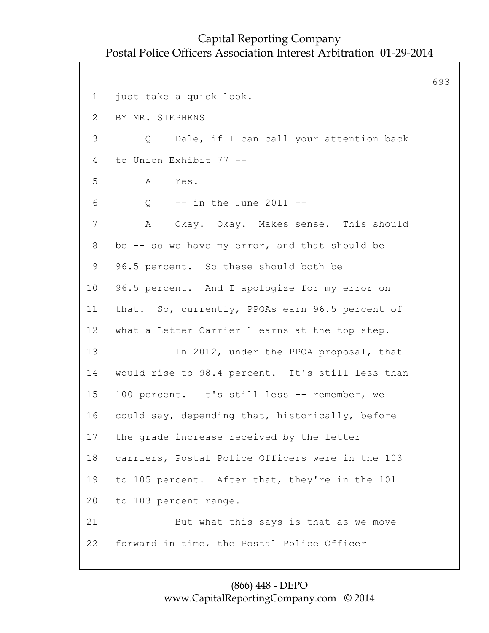693 1 just take a quick look. 2 BY MR. STEPHENS 3 Q Dale, if I can call your attention back 4 to Union Exhibit 77 -- 5 A Yes. 6 Q -- in the June 2011 -- 7 A Okay. Okay. Makes sense. This should 8 be -- so we have my error, and that should be 9 96.5 percent. So these should both be 10 96.5 percent. And I apologize for my error on 11 that. So, currently, PPOAs earn 96.5 percent of 12 what a Letter Carrier 1 earns at the top step. 13 In 2012, under the PPOA proposal, that 14 would rise to 98.4 percent. It's still less than 15 100 percent. It's still less -- remember, we 16 could say, depending that, historically, before 17 the grade increase received by the letter 18 carriers, Postal Police Officers were in the 103 19 to 105 percent. After that, they're in the 101 20 to 103 percent range. 21 But what this says is that as we move 22 forward in time, the Postal Police Officer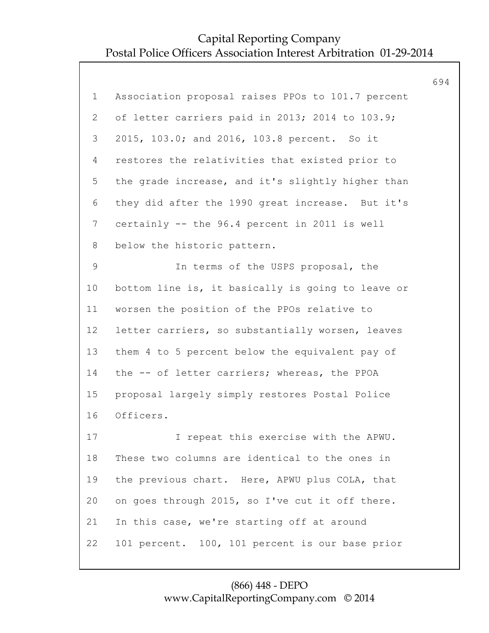|                 |                                                   | 694 |
|-----------------|---------------------------------------------------|-----|
| $\mathbf 1$     | Association proposal raises PPOs to 101.7 percent |     |
| 2               | of letter carriers paid in 2013; 2014 to 103.9;   |     |
| 3               | 2015, 103.0; and 2016, 103.8 percent. So it       |     |
| $\overline{4}$  | restores the relativities that existed prior to   |     |
| 5               | the grade increase, and it's slightly higher than |     |
| 6               | they did after the 1990 great increase. But it's  |     |
| $7\phantom{.0}$ | certainly -- the 96.4 percent in 2011 is well     |     |
| 8               | below the historic pattern.                       |     |
| $\mathsf 9$     | In terms of the USPS proposal, the                |     |
| 10              | bottom line is, it basically is going to leave or |     |
| 11              | worsen the position of the PPOs relative to       |     |
| 12              | letter carriers, so substantially worsen, leaves  |     |
| 13              | them 4 to 5 percent below the equivalent pay of   |     |
| 14              | the -- of letter carriers; whereas, the PPOA      |     |
| 15              | proposal largely simply restores Postal Police    |     |
| 16              | Officers.                                         |     |
| 17              | I repeat this exercise with the APWU.             |     |
| 18              | These two columns are identical to the ones in    |     |
| 19              | the previous chart. Here, APWU plus COLA, that    |     |
| 20              | on goes through 2015, so I've cut it off there.   |     |
| 21              | In this case, we're starting off at around        |     |
| 22              | 101 percent. 100, 101 percent is our base prior   |     |
|                 |                                                   |     |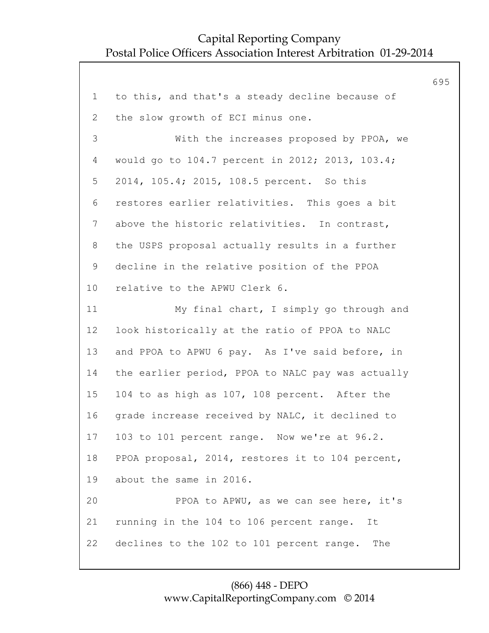|                |                                                   | 695 |
|----------------|---------------------------------------------------|-----|
| $\mathbf{1}$   | to this, and that's a steady decline because of   |     |
| 2              | the slow growth of ECI minus one.                 |     |
| 3              | With the increases proposed by PPOA, we           |     |
| 4              | would go to 104.7 percent in 2012; 2013, 103.4;   |     |
| 5              | 2014, 105.4; 2015, 108.5 percent. So this         |     |
| 6              | restores earlier relativities. This goes a bit    |     |
| $\overline{7}$ | above the historic relativities. In contrast,     |     |
| 8              | the USPS proposal actually results in a further   |     |
| $\mathsf 9$    | decline in the relative position of the PPOA      |     |
| 10             | relative to the APWU Clerk 6.                     |     |
| 11             | My final chart, I simply go through and           |     |
| 12             | look historically at the ratio of PPOA to NALC    |     |
| 13             | and PPOA to APWU 6 pay. As I've said before, in   |     |
| 14             | the earlier period, PPOA to NALC pay was actually |     |
| 15             | 104 to as high as 107, 108 percent. After the     |     |
| 16             | grade increase received by NALC, it declined to   |     |
| 17             | 103 to 101 percent range. Now we're at 96.2.      |     |
| 18             | PPOA proposal, 2014, restores it to 104 percent,  |     |
| 19             | about the same in 2016.                           |     |
| 20             | PPOA to APWU, as we can see here, it's            |     |
| 21             | running in the 104 to 106 percent range.<br>It    |     |
| 22             | declines to the 102 to 101 percent range. The     |     |
|                |                                                   |     |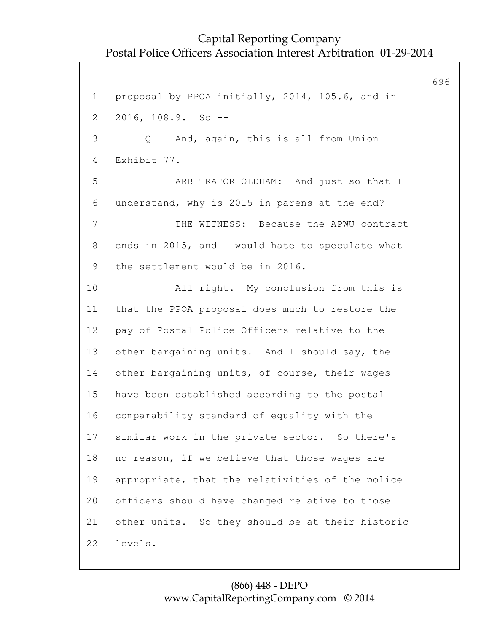696 1 proposal by PPOA initially, 2014, 105.6, and in 2 2016, 108.9. So -- 3 Q And, again, this is all from Union 4 Exhibit 77. 5 ARBITRATOR OLDHAM: And just so that I 6 understand, why is 2015 in parens at the end? 7 THE WITNESS: Because the APWU contract 8 ends in 2015, and I would hate to speculate what 9 the settlement would be in 2016. 10 All right. My conclusion from this is 11 that the PPOA proposal does much to restore the 12 pay of Postal Police Officers relative to the 13 other bargaining units. And I should say, the 14 other bargaining units, of course, their wages 15 have been established according to the postal 16 comparability standard of equality with the 17 similar work in the private sector. So there's 18 no reason, if we believe that those wages are 19 appropriate, that the relativities of the police 20 officers should have changed relative to those 21 other units. So they should be at their historic 22 levels.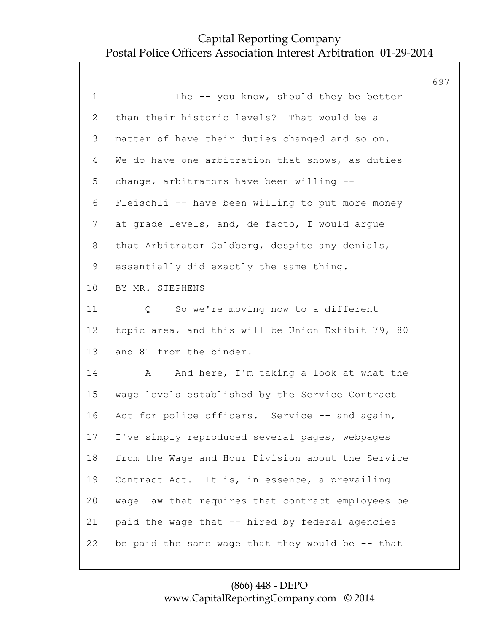| The -- you know, should they be better                  |  |
|---------------------------------------------------------|--|
|                                                         |  |
| than their historic levels? That would be a             |  |
| matter of have their duties changed and so on.          |  |
| We do have one arbitration that shows, as duties        |  |
| change, arbitrators have been willing --                |  |
| Fleischli -- have been willing to put more money        |  |
| at grade levels, and, de facto, I would argue           |  |
| that Arbitrator Goldberg, despite any denials,          |  |
| essentially did exactly the same thing.                 |  |
| BY MR. STEPHENS                                         |  |
| So we're moving now to a different<br>$Q \qquad \qquad$ |  |
| topic area, and this will be Union Exhibit 79, 80       |  |
| and 81 from the binder.                                 |  |
| And here, I'm taking a look at what the<br>А            |  |
| wage levels established by the Service Contract         |  |
| Act for police officers. Service -- and again,          |  |
| I've simply reproduced several pages, webpages          |  |
| from the Wage and Hour Division about the Service       |  |
| Contract Act. It is, in essence, a prevailing           |  |
| wage law that requires that contract employees be       |  |
| paid the wage that -- hired by federal agencies         |  |
| be paid the same wage that they would be $-$ that       |  |
|                                                         |  |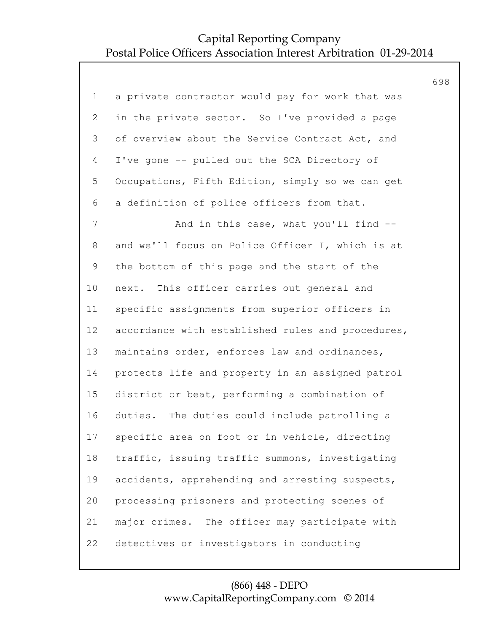|                |                                                   | 698 |
|----------------|---------------------------------------------------|-----|
| $\mathbf 1$    | a private contractor would pay for work that was  |     |
| $\mathbf{2}$   | in the private sector. So I've provided a page    |     |
| 3              | of overview about the Service Contract Act, and   |     |
| 4              | I've gone -- pulled out the SCA Directory of      |     |
| 5              | Occupations, Fifth Edition, simply so we can get  |     |
| 6              | a definition of police officers from that.        |     |
| $\overline{7}$ | And in this case, what you'll find --             |     |
| 8              | and we'll focus on Police Officer I, which is at  |     |
| 9              | the bottom of this page and the start of the      |     |
| 10             | next. This officer carries out general and        |     |
| 11             | specific assignments from superior officers in    |     |
| 12             | accordance with established rules and procedures, |     |
| 13             | maintains order, enforces law and ordinances,     |     |
| 14             | protects life and property in an assigned patrol  |     |
| 15             | district or beat, performing a combination of     |     |
| 16             | duties. The duties could include patrolling a     |     |
| 17             | specific area on foot or in vehicle, directing    |     |
| 18             | traffic, issuing traffic summons, investigating   |     |
| 19             | accidents, apprehending and arresting suspects,   |     |
| 20             | processing prisoners and protecting scenes of     |     |
| 21             | major crimes. The officer may participate with    |     |
| 22             | detectives or investigators in conducting         |     |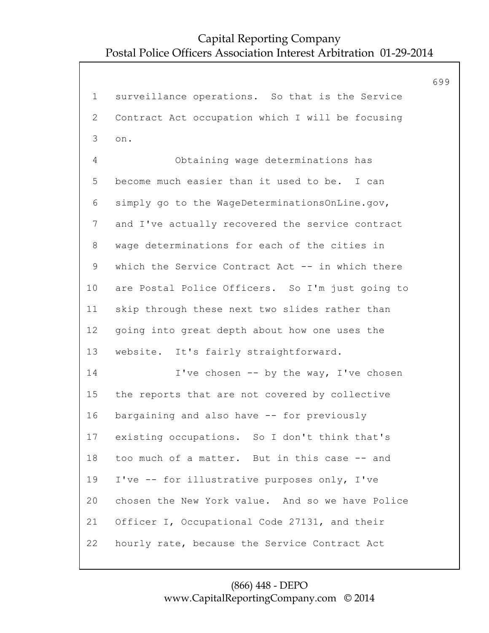699 1 surveillance operations. So that is the Service 2 Contract Act occupation which I will be focusing 3 on. 4 Obtaining wage determinations has 5 become much easier than it used to be. I can 6 simply go to the WageDeterminationsOnLine.gov, 7 and I've actually recovered the service contract 8 wage determinations for each of the cities in 9 which the Service Contract Act -- in which there 10 are Postal Police Officers. So I'm just going to 11 skip through these next two slides rather than 12 going into great depth about how one uses the 13 website. It's fairly straightforward. 14 I've chosen -- by the way, I've chosen 15 the reports that are not covered by collective 16 bargaining and also have -- for previously 17 existing occupations. So I don't think that's 18 too much of a matter. But in this case -- and 19 I've -- for illustrative purposes only, I've 20 chosen the New York value. And so we have Police 21 Officer I, Occupational Code 27131, and their 22 hourly rate, because the Service Contract Act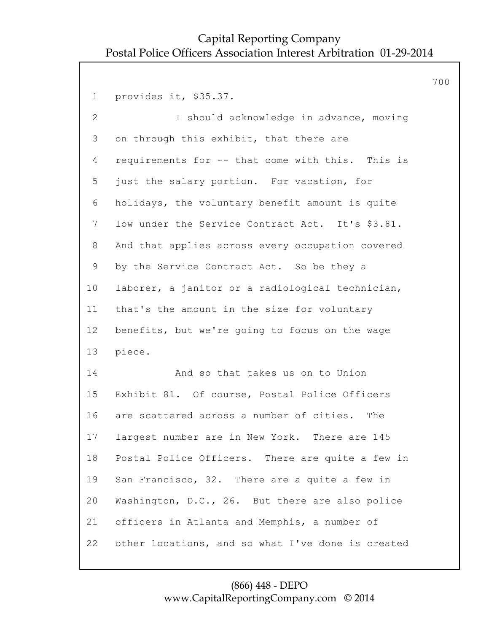700 1 provides it, \$35.37. 2 I should acknowledge in advance, moving 3 on through this exhibit, that there are 4 requirements for -- that come with this. This is 5 just the salary portion. For vacation, for 6 holidays, the voluntary benefit amount is quite 7 low under the Service Contract Act. It's \$3.81. 8 And that applies across every occupation covered 9 by the Service Contract Act. So be they a 10 laborer, a janitor or a radiological technician, 11 that's the amount in the size for voluntary 12 benefits, but we're going to focus on the wage 13 piece. 14 And so that takes us on to Union 15 Exhibit 81. Of course, Postal Police Officers 16 are scattered across a number of cities. The 17 largest number are in New York. There are 145 18 Postal Police Officers. There are quite a few in 19 San Francisco, 32. There are a quite a few in 20 Washington, D.C., 26. But there are also police 21 officers in Atlanta and Memphis, a number of 22 other locations, and so what I've done is created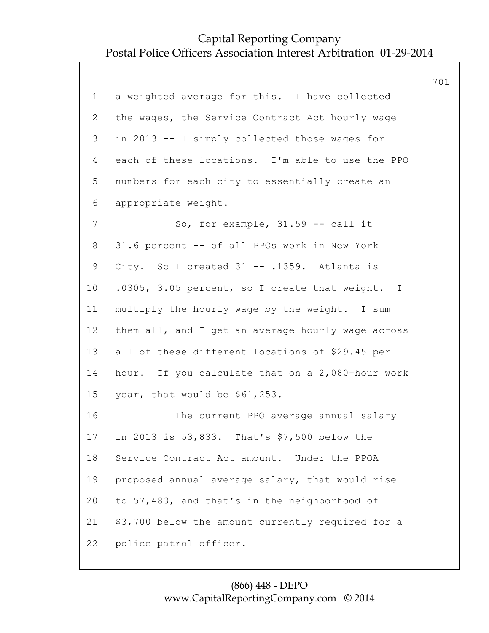|                |                                                   | 701 |
|----------------|---------------------------------------------------|-----|
| $\mathbf 1$    | a weighted average for this. I have collected     |     |
| $\overline{2}$ | the wages, the Service Contract Act hourly wage   |     |
| 3              | in 2013 -- I simply collected those wages for     |     |
| 4              | each of these locations. I'm able to use the PPO  |     |
| 5              | numbers for each city to essentially create an    |     |
| 6              | appropriate weight.                               |     |
| 7              | So, for example, $31.59 - -$ call it              |     |
| 8              | 31.6 percent -- of all PPOs work in New York      |     |
| $\mathsf 9$    | City. So I created 31 -- .1359. Atlanta is        |     |
| 10             | .0305, 3.05 percent, so I create that weight. I   |     |
| 11             | multiply the hourly wage by the weight. I sum     |     |
| 12             | them all, and I get an average hourly wage across |     |
| 13             | all of these different locations of \$29.45 per   |     |
| 14             | hour. If you calculate that on a 2,080-hour work  |     |
| 15             | year, that would be \$61,253.                     |     |
| 16             | The current PPO average annual salary             |     |
| 17             | in 2013 is 53,833. That's \$7,500 below the       |     |
| 18             | Service Contract Act amount. Under the PPOA       |     |
| 19             | proposed annual average salary, that would rise   |     |
| 20             | to 57,483, and that's in the neighborhood of      |     |
| 21             | \$3,700 below the amount currently required for a |     |
| 22             | police patrol officer.                            |     |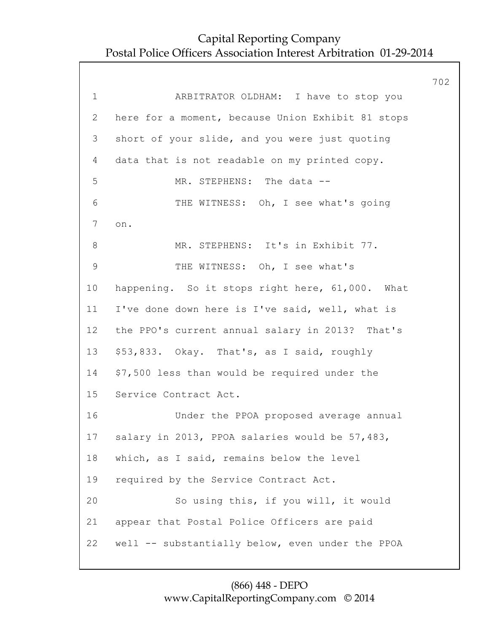702 1 ARBITRATOR OLDHAM: I have to stop you 2 here for a moment, because Union Exhibit 81 stops 3 short of your slide, and you were just quoting 4 data that is not readable on my printed copy. 5 MR. STEPHENS: The data -- 6 THE WITNESS: Oh, I see what's going 7 on. 8 MR. STEPHENS: It's in Exhibit 77. 9 THE WITNESS: Oh, I see what's 10 happening. So it stops right here, 61,000. What 11 I've done down here is I've said, well, what is 12 the PPO's current annual salary in 2013? That's 13 \$53,833. Okay. That's, as I said, roughly 14 \$7,500 less than would be required under the 15 Service Contract Act. 16 Under the PPOA proposed average annual 17 salary in 2013, PPOA salaries would be 57,483, 18 which, as I said, remains below the level 19 required by the Service Contract Act. 20 So using this, if you will, it would 21 appear that Postal Police Officers are paid 22 well -- substantially below, even under the PPOA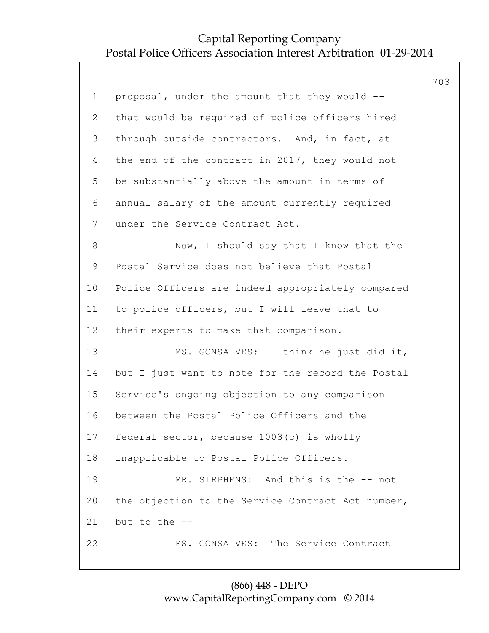|                 |                                                   | 703 |
|-----------------|---------------------------------------------------|-----|
| $\mathbf 1$     | proposal, under the amount that they would --     |     |
| $\overline{2}$  | that would be required of police officers hired   |     |
| 3               | through outside contractors. And, in fact, at     |     |
| 4               | the end of the contract in 2017, they would not   |     |
| 5               | be substantially above the amount in terms of     |     |
| 6               | annual salary of the amount currently required    |     |
| $7\phantom{.0}$ | under the Service Contract Act.                   |     |
| 8               | Now, I should say that I know that the            |     |
| 9               | Postal Service does not believe that Postal       |     |
| 10              | Police Officers are indeed appropriately compared |     |
| 11              | to police officers, but I will leave that to      |     |
| 12              | their experts to make that comparison.            |     |
| 13              | MS. GONSALVES: I think he just did it,            |     |
| 14              | but I just want to note for the record the Postal |     |
| 15              | Service's ongoing objection to any comparison     |     |
| 16              | between the Postal Police Officers and the        |     |
| 17              | federal sector, because 1003(c) is wholly         |     |
| 18              | inapplicable to Postal Police Officers.           |     |
| 19              | MR. STEPHENS: And this is the -- not              |     |
| 20              | the objection to the Service Contract Act number, |     |
| 21              | but to the --                                     |     |
| 22              | MS. GONSALVES: The Service Contract               |     |
|                 |                                                   |     |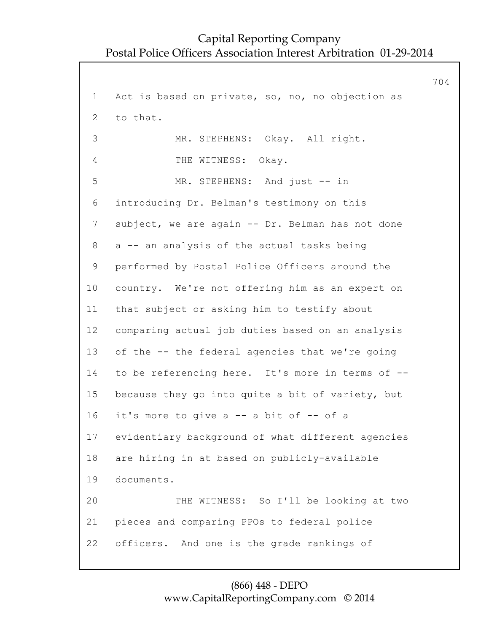704 1 Act is based on private, so, no, no objection as 2 to that. 3 MR. STEPHENS: Okay. All right. 4 THE WITNESS: Okay. 5 MR. STEPHENS: And just -- in 6 introducing Dr. Belman's testimony on this 7 subject, we are again -- Dr. Belman has not done 8 a -- an analysis of the actual tasks being 9 performed by Postal Police Officers around the 10 country. We're not offering him as an expert on 11 that subject or asking him to testify about 12 comparing actual job duties based on an analysis 13 of the -- the federal agencies that we're going 14 to be referencing here. It's more in terms of -- 15 because they go into quite a bit of variety, but 16 it's more to give a -- a bit of -- of a 17 evidentiary background of what different agencies 18 are hiring in at based on publicly-available 19 documents. 20 THE WITNESS: So I'll be looking at two 21 pieces and comparing PPOs to federal police 22 officers. And one is the grade rankings of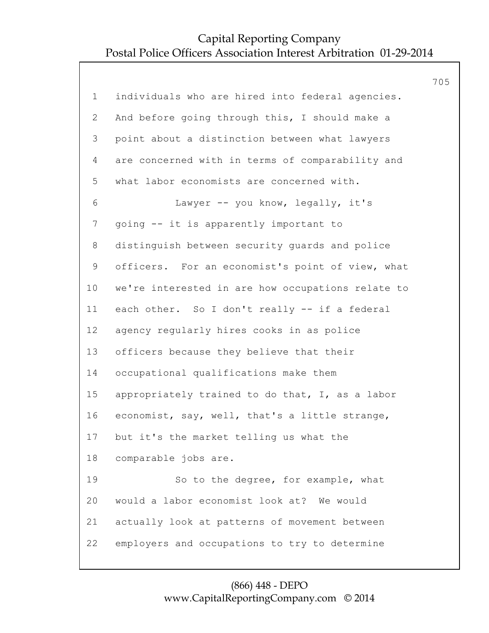|                |                                                   | 705 |
|----------------|---------------------------------------------------|-----|
| $\mathbf 1$    | individuals who are hired into federal agencies.  |     |
| $\overline{2}$ | And before going through this, I should make a    |     |
| 3              | point about a distinction between what lawyers    |     |
| 4              | are concerned with in terms of comparability and  |     |
| 5              | what labor economists are concerned with.         |     |
| 6              | Lawyer -- you know, legally, it's                 |     |
| $\overline{7}$ | going -- it is apparently important to            |     |
| 8              | distinguish between security guards and police    |     |
| $\mathsf 9$    | officers. For an economist's point of view, what  |     |
| 10             | we're interested in are how occupations relate to |     |
| 11             | each other. So I don't really -- if a federal     |     |
| 12             | agency regularly hires cooks in as police         |     |
| 13             | officers because they believe that their          |     |
| 14             | occupational qualifications make them             |     |
| 15             | appropriately trained to do that, I, as a labor   |     |
| 16             | economist, say, well, that's a little strange,    |     |
| 17             | but it's the market telling us what the           |     |
| 18             | comparable jobs are.                              |     |
| 19             | So to the degree, for example, what               |     |
| 20             | would a labor economist look at? We would         |     |
| 21             | actually look at patterns of movement between     |     |
| 22             | employers and occupations to try to determine     |     |
|                |                                                   |     |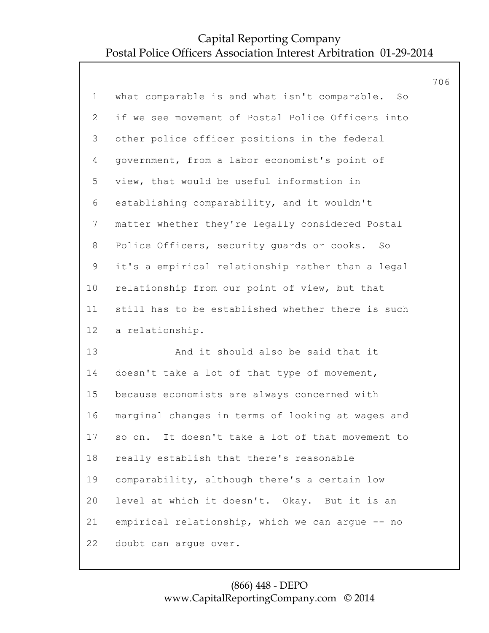|                 |                                                     | 706 |
|-----------------|-----------------------------------------------------|-----|
| $\mathbf 1$     | what comparable is and what isn't comparable.<br>So |     |
| 2               | if we see movement of Postal Police Officers into   |     |
| 3               | other police officer positions in the federal       |     |
| 4               | government, from a labor economist's point of       |     |
| 5               | view, that would be useful information in           |     |
| 6               | establishing comparability, and it wouldn't         |     |
| $7\phantom{.0}$ | matter whether they're legally considered Postal    |     |
| 8               | Police Officers, security guards or cooks. So       |     |
| $\mathsf 9$     | it's a empirical relationship rather than a legal   |     |
| 10 <sub>o</sub> | relationship from our point of view, but that       |     |
| 11              | still has to be established whether there is such   |     |
| 12              | a relationship.                                     |     |
| 13              | And it should also be said that it                  |     |
| 14              | doesn't take a lot of that type of movement,        |     |
| 15              | because economists are always concerned with        |     |
| 16              | marginal changes in terms of looking at wages and   |     |
| 17              | so on. It doesn't take a lot of that movement to    |     |
| 18              | really establish that there's reasonable            |     |
| 19              | comparability, although there's a certain low       |     |
| 20              | level at which it doesn't. Okay. But it is an       |     |
| 21              | empirical relationship, which we can argue -- no    |     |
| 22              | doubt can arque over.                               |     |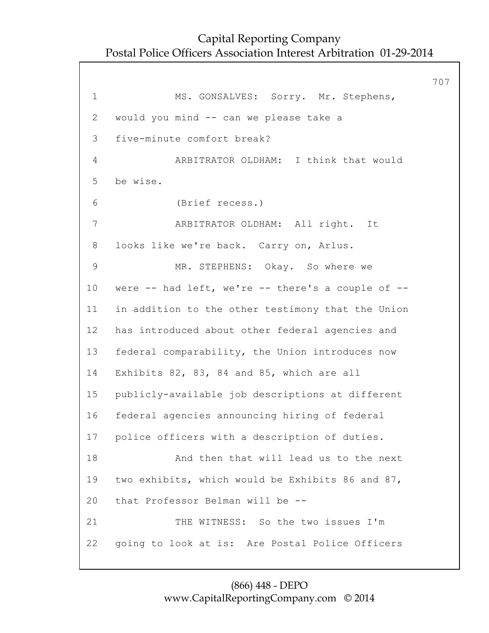707 1 MS. GONSALVES: Sorry. Mr. Stephens, 2 would you mind -- can we please take a 3 five-minute comfort break? 4 ARBITRATOR OLDHAM: I think that would 5 be wise. 6 (Brief recess.) 7 ARBITRATOR OLDHAM: All right. It 8 looks like we're back. Carry on, Arlus. 9 MR. STEPHENS: Okay. So where we 10 were -- had left, we're -- there's a couple of -- 11 in addition to the other testimony that the Union 12 has introduced about other federal agencies and 13 federal comparability, the Union introduces now 14 Exhibits 82, 83, 84 and 85, which are all 15 publicly-available job descriptions at different 16 federal agencies announcing hiring of federal 17 police officers with a description of duties. 18 And then that will lead us to the next 19 two exhibits, which would be Exhibits 86 and 87, 20 that Professor Belman will be -- 21 THE WITNESS: So the two issues I'm 22 going to look at is: Are Postal Police Officers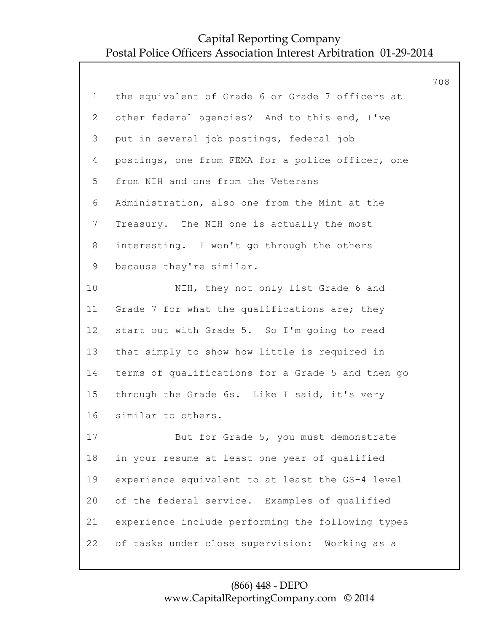|                |                                                   | 708 |
|----------------|---------------------------------------------------|-----|
| $\mathbf 1$    | the equivalent of Grade 6 or Grade 7 officers at  |     |
| $\mathbf{2}$   | other federal agencies? And to this end, I've     |     |
| 3              | put in several job postings, federal job          |     |
| $\overline{4}$ | postings, one from FEMA for a police officer, one |     |
| 5              | from NIH and one from the Veterans                |     |
| 6              | Administration, also one from the Mint at the     |     |
| $\overline{7}$ | Treasury. The NIH one is actually the most        |     |
| 8              | interesting. I won't go through the others        |     |
| $\mathsf 9$    | because they're similar.                          |     |
| 10             | NIH, they not only list Grade 6 and               |     |
| 11             | Grade 7 for what the qualifications are; they     |     |
| 12             | start out with Grade 5. So I'm going to read      |     |
| 13             | that simply to show how little is required in     |     |
| 14             | terms of qualifications for a Grade 5 and then go |     |
| 15             | through the Grade 6s. Like I said, it's very      |     |
| 16             | similar to others.                                |     |
| 17             | But for Grade 5, you must demonstrate             |     |
| 18             | in your resume at least one year of qualified     |     |
| 19             | experience equivalent to at least the GS-4 level  |     |
| 20             | of the federal service. Examples of qualified     |     |
| 21             | experience include performing the following types |     |
| 22             | of tasks under close supervision: Working as a    |     |
|                |                                                   |     |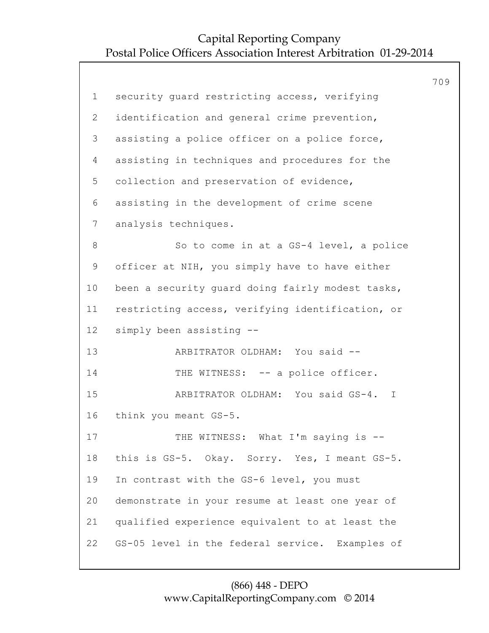709 1 security guard restricting access, verifying 2 identification and general crime prevention, 3 assisting a police officer on a police force, 4 assisting in techniques and procedures for the 5 collection and preservation of evidence, 6 assisting in the development of crime scene 7 analysis techniques. 8 So to come in at a GS-4 level, a police 9 officer at NIH, you simply have to have either 10 been a security guard doing fairly modest tasks, 11 restricting access, verifying identification, or 12 simply been assisting -- 13 ARBITRATOR OLDHAM: You said -- 14 THE WITNESS: -- a police officer. 15 ARBITRATOR OLDHAM: You said GS-4. I 16 think you meant GS-5. 17 THE WITNESS: What I'm saying is --18 this is GS-5. Okay. Sorry. Yes, I meant GS-5. 19 In contrast with the GS-6 level, you must 20 demonstrate in your resume at least one year of 21 qualified experience equivalent to at least the 22 GS-05 level in the federal service. Examples of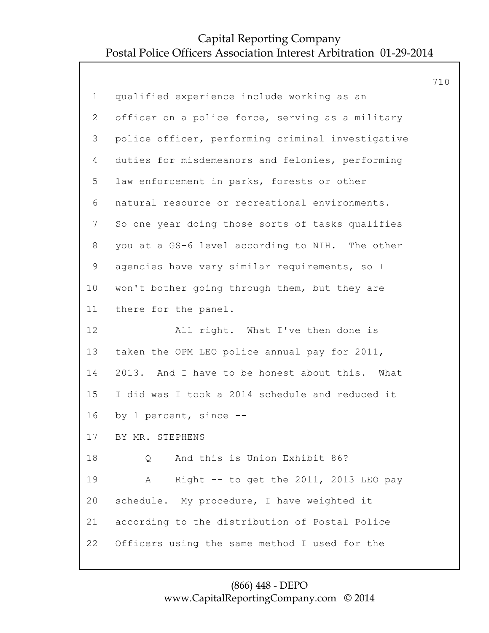|              |                                                   | 710 |
|--------------|---------------------------------------------------|-----|
| $\mathbf{1}$ | qualified experience include working as an        |     |
| $\mathbf{2}$ | officer on a police force, serving as a military  |     |
| 3            | police officer, performing criminal investigative |     |
| 4            | duties for misdemeanors and felonies, performing  |     |
| 5            | law enforcement in parks, forests or other        |     |
| 6            | natural resource or recreational environments.    |     |
| 7            | So one year doing those sorts of tasks qualifies  |     |
| 8            | you at a GS-6 level according to NIH. The other   |     |
| 9            | agencies have very similar requirements, so I     |     |
| 10           | won't bother going through them, but they are     |     |
| 11           | there for the panel.                              |     |
| 12           | All right. What I've then done is                 |     |
| 13           | taken the OPM LEO police annual pay for 2011,     |     |
| 14           | 2013. And I have to be honest about this. What    |     |
| 15           | I did was I took a 2014 schedule and reduced it   |     |
| 16           | by 1 percent, since --                            |     |
| 17           | BY MR. STEPHENS                                   |     |
| 18           | And this is Union Exhibit 86?<br>Q                |     |
| 19           | Right -- to get the 2011, 2013 LEO pay<br>A       |     |
| 20           | schedule. My procedure, I have weighted it        |     |
| 21           | according to the distribution of Postal Police    |     |
| 22           | Officers using the same method I used for the     |     |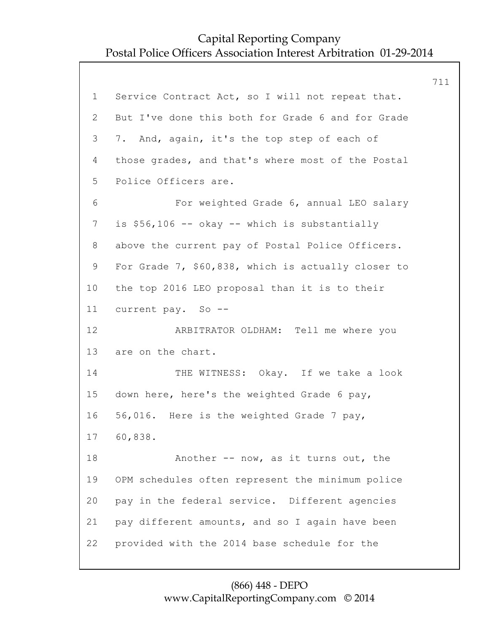711 1 Service Contract Act, so I will not repeat that. 2 But I've done this both for Grade 6 and for Grade 3 7. And, again, it's the top step of each of 4 those grades, and that's where most of the Postal 5 Police Officers are. 6 For weighted Grade 6, annual LEO salary 7 is \$56,106 -- okay -- which is substantially 8 above the current pay of Postal Police Officers. 9 For Grade 7, \$60,838, which is actually closer to 10 the top 2016 LEO proposal than it is to their 11 current pay. So -- 12 ARBITRATOR OLDHAM: Tell me where you 13 are on the chart. 14 THE WITNESS: Okay. If we take a look 15 down here, here's the weighted Grade 6 pay, 16 56,016. Here is the weighted Grade 7 pay, 17 60,838. 18 Another -- now, as it turns out, the 19 OPM schedules often represent the minimum police 20 pay in the federal service. Different agencies 21 pay different amounts, and so I again have been 22 provided with the 2014 base schedule for the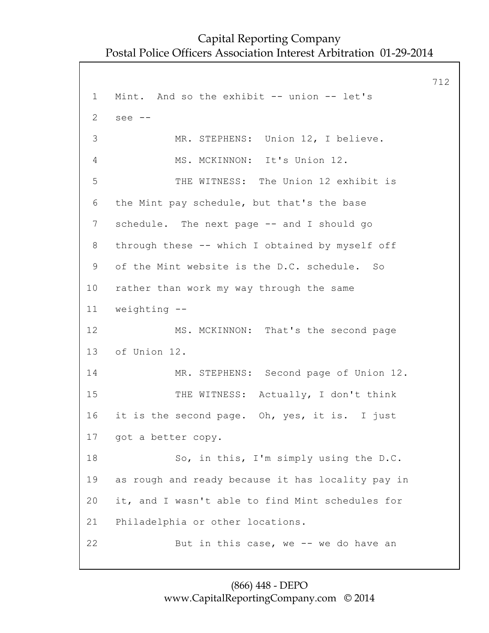712 1 Mint. And so the exhibit -- union -- let's 2 see -- 3 MR. STEPHENS: Union 12, I believe. 4 MS. MCKINNON: It's Union 12. 5 THE WITNESS: The Union 12 exhibit is 6 the Mint pay schedule, but that's the base 7 schedule. The next page -- and I should go 8 through these -- which I obtained by myself off 9 of the Mint website is the D.C. schedule. So 10 rather than work my way through the same 11 weighting -- 12 MS. MCKINNON: That's the second page 13 of Union 12. 14 MR. STEPHENS: Second page of Union 12. 15 THE WITNESS: Actually, I don't think 16 it is the second page. Oh, yes, it is. I just 17 got a better copy. 18 So, in this, I'm simply using the D.C. 19 as rough and ready because it has locality pay in 20 it, and I wasn't able to find Mint schedules for 21 Philadelphia or other locations. 22 But in this case, we -- we do have an

#### (866) 448 - DEPO www.CapitalReportingCompany.com © 2014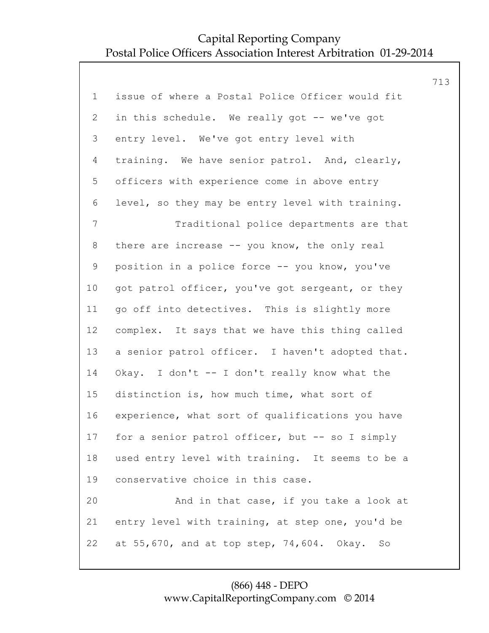|                |                                                  | 713 |
|----------------|--------------------------------------------------|-----|
| $\mathbf 1$    | issue of where a Postal Police Officer would fit |     |
| $\overline{2}$ | in this schedule. We really got -- we've got     |     |
| 3              | entry level. We've got entry level with          |     |
| 4              | training. We have senior patrol. And, clearly,   |     |
| 5              | officers with experience come in above entry     |     |
| 6              | level, so they may be entry level with training. |     |
| $\overline{7}$ | Traditional police departments are that          |     |
| 8              | there are increase -- you know, the only real    |     |
| 9              | position in a police force -- you know, you've   |     |
| 10             | got patrol officer, you've got sergeant, or they |     |
| 11             | go off into detectives. This is slightly more    |     |
| 12             | complex. It says that we have this thing called  |     |
| 13             | a senior patrol officer. I haven't adopted that. |     |
| 14             | Okay. I don't -- I don't really know what the    |     |
| 15             | distinction is, how much time, what sort of      |     |
| 16             | experience, what sort of qualifications you have |     |
| 17             | for a senior patrol officer, but -- so I simply  |     |
| 18             | used entry level with training. It seems to be a |     |
| 19             | conservative choice in this case.                |     |
| 20             | And in that case, if you take a look at          |     |
| 21             | entry level with training, at step one, you'd be |     |
| 22             | at 55,670, and at top step, 74,604. Okay.<br>So  |     |
|                |                                                  |     |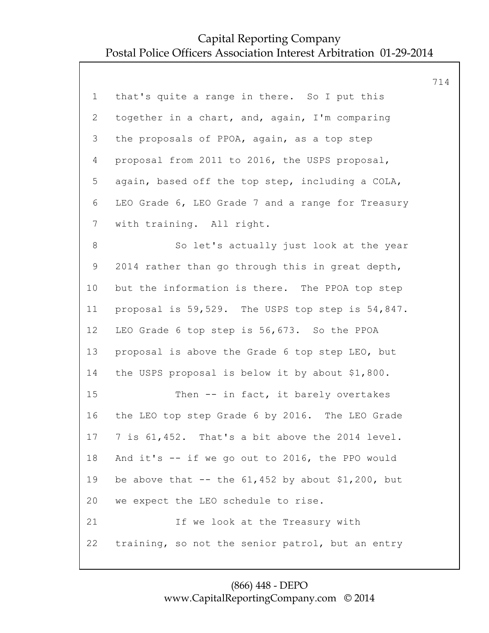|                 |                                                     | 714 |
|-----------------|-----------------------------------------------------|-----|
| $\mathbf 1$     | that's quite a range in there. So I put this        |     |
| $\overline{2}$  | together in a chart, and, again, I'm comparing      |     |
| 3               | the proposals of PPOA, again, as a top step         |     |
| $\overline{4}$  | proposal from 2011 to 2016, the USPS proposal,      |     |
| 5               | again, based off the top step, including a COLA,    |     |
| 6               | LEO Grade 6, LEO Grade 7 and a range for Treasury   |     |
| $7\phantom{.}$  | with training. All right.                           |     |
| $8\,$           | So let's actually just look at the year             |     |
| $\mathsf 9$     | 2014 rather than go through this in great depth,    |     |
| 10 <sub>o</sub> | but the information is there. The PPOA top step     |     |
| 11              | proposal is 59,529. The USPS top step is 54,847.    |     |
| 12              | LEO Grade 6 top step is 56,673. So the PPOA         |     |
| 13              | proposal is above the Grade 6 top step LEO, but     |     |
| 14              | the USPS proposal is below it by about \$1,800.     |     |
| 15              | Then -- in fact, it barely overtakes                |     |
| 16              | the LEO top step Grade 6 by 2016. The LEO Grade     |     |
| 17              | 7 is 61,452. That's a bit above the 2014 level.     |     |
| 18              | And it's -- if we go out to 2016, the PPO would     |     |
| 19              | be above that -- the $61,452$ by about \$1,200, but |     |
| 20              | we expect the LEO schedule to rise.                 |     |
| 21              | If we look at the Treasury with                     |     |
| 22              | training, so not the senior patrol, but an entry    |     |
|                 |                                                     |     |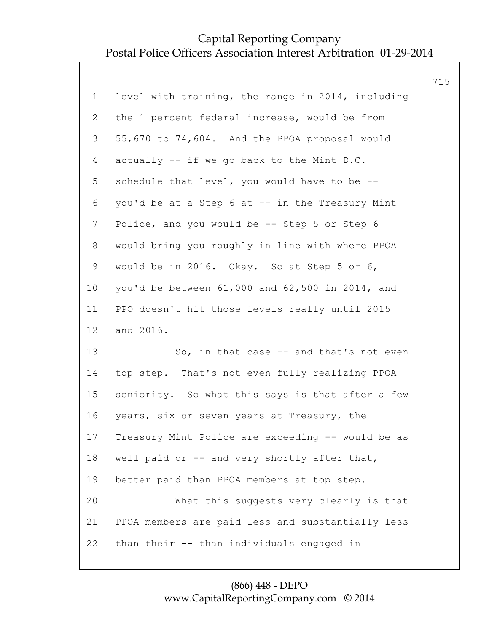|                |                                                   | 715 |
|----------------|---------------------------------------------------|-----|
| $\mathbf 1$    | level with training, the range in 2014, including |     |
| $\mathbf{2}$   | the 1 percent federal increase, would be from     |     |
| 3              | 55,670 to 74,604. And the PPOA proposal would     |     |
| $\overline{4}$ | actually -- if we go back to the Mint D.C.        |     |
| 5              | schedule that level, you would have to be --      |     |
| 6              | you'd be at a Step 6 at -- in the Treasury Mint   |     |
| $7\phantom{.}$ | Police, and you would be -- Step 5 or Step 6      |     |
| 8              | would bring you roughly in line with where PPOA   |     |
| 9              | would be in 2016. Okay. So at Step 5 or 6,        |     |
| 10             | you'd be between 61,000 and 62,500 in 2014, and   |     |
| 11             | PPO doesn't hit those levels really until 2015    |     |
| 12             | and 2016.                                         |     |
| 13             | So, in that case $-$ and that's not even          |     |
| 14             | top step. That's not even fully realizing PPOA    |     |
| 15             | seniority. So what this says is that after a few  |     |
| 16             | years, six or seven years at Treasury, the        |     |
| 17             | Treasury Mint Police are exceeding -- would be as |     |
| 18             | well paid or -- and very shortly after that,      |     |
| 19             | better paid than PPOA members at top step.        |     |
| 20             | What this suggests very clearly is that           |     |
| 21             | PPOA members are paid less and substantially less |     |
| 22             | than their -- than individuals engaged in         |     |
|                |                                                   |     |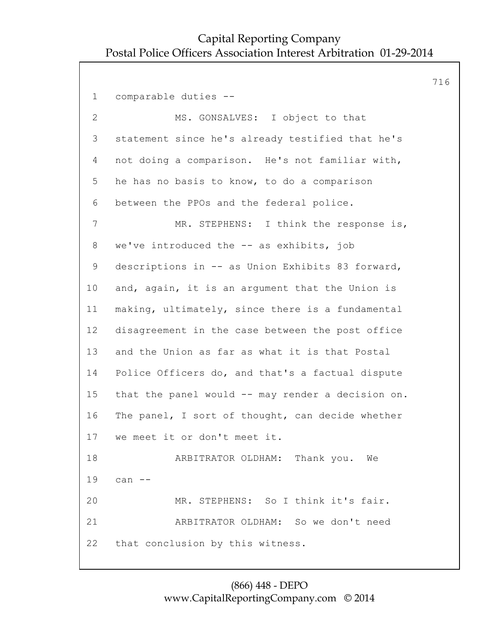716 1 comparable duties -- 2 MS. GONSALVES: I object to that 3 statement since he's already testified that he's 4 not doing a comparison. He's not familiar with, 5 he has no basis to know, to do a comparison 6 between the PPOs and the federal police. 7 MR. STEPHENS: I think the response is, 8 we've introduced the -- as exhibits, job 9 descriptions in -- as Union Exhibits 83 forward, 10 and, again, it is an argument that the Union is 11 making, ultimately, since there is a fundamental 12 disagreement in the case between the post office 13 and the Union as far as what it is that Postal 14 Police Officers do, and that's a factual dispute 15 that the panel would -- may render a decision on. 16 The panel, I sort of thought, can decide whether 17 we meet it or don't meet it. 18 ARBITRATOR OLDHAM: Thank you. We 19 can -- 20 MR. STEPHENS: So I think it's fair. 21 ARBITRATOR OLDHAM: So we don't need 22 that conclusion by this witness.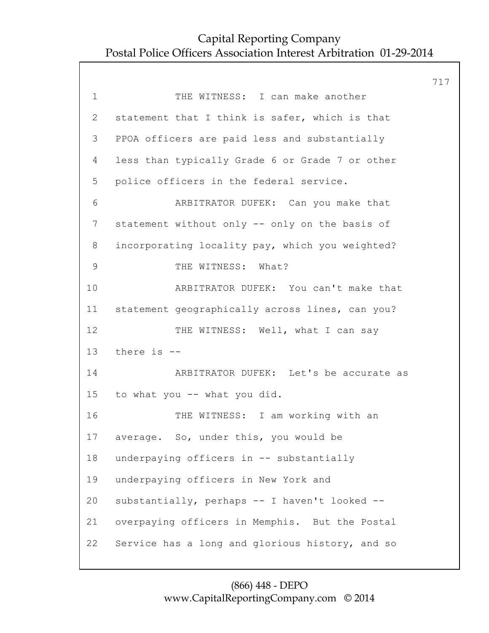|              |                                                 | 717 |
|--------------|-------------------------------------------------|-----|
| $\mathbf 1$  | THE WITNESS: I can make another                 |     |
| $\mathbf{2}$ | statement that I think is safer, which is that  |     |
| 3            | PPOA officers are paid less and substantially   |     |
| 4            | less than typically Grade 6 or Grade 7 or other |     |
| 5            | police officers in the federal service.         |     |
| 6            | ARBITRATOR DUFEK: Can you make that             |     |
| 7            | statement without only -- only on the basis of  |     |
| 8            | incorporating locality pay, which you weighted? |     |
| $\mathsf 9$  | THE WITNESS: What?                              |     |
| 10           | ARBITRATOR DUFEK: You can't make that           |     |
| 11           | statement geographically across lines, can you? |     |
| 12           | THE WITNESS: Well, what I can say               |     |
| 13           | there is --                                     |     |
| 14           | ARBITRATOR DUFEK: Let's be accurate as          |     |
| 15           | to what you -- what you did.                    |     |
| 16           | THE WITNESS: I am working with an               |     |
| 17           | average. So, under this, you would be           |     |
| 18           | underpaying officers in -- substantially        |     |
| 19           | underpaying officers in New York and            |     |
| 20           | substantially, perhaps -- I haven't looked --   |     |
| 21           | overpaying officers in Memphis. But the Postal  |     |
| 22           | Service has a long and glorious history, and so |     |
|              |                                                 |     |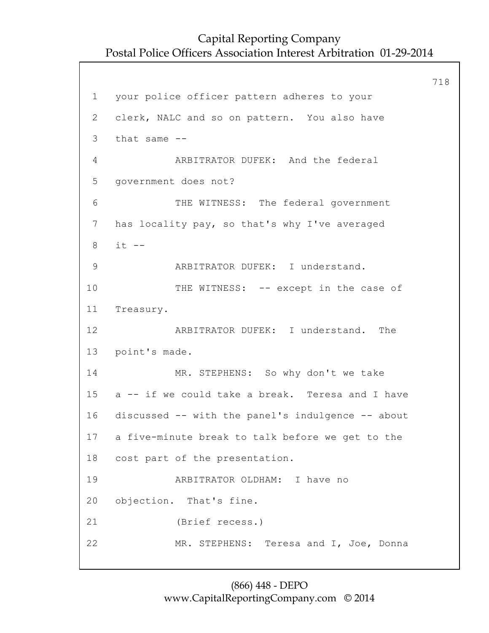718 1 your police officer pattern adheres to your 2 clerk, NALC and so on pattern. You also have 3 that same -- 4 ARBITRATOR DUFEK: And the federal 5 government does not? 6 THE WITNESS: The federal government 7 has locality pay, so that's why I've averaged 8 it -- 9 ARBITRATOR DUFEK: I understand. 10 THE WITNESS: -- except in the case of 11 Treasury. 12 ARBITRATOR DUFEK: I understand. The 13 point's made. 14 MR. STEPHENS: So why don't we take 15 a -- if we could take a break. Teresa and I have 16 discussed -- with the panel's indulgence -- about 17 a five-minute break to talk before we get to the 18 cost part of the presentation. 19 ARBITRATOR OLDHAM: I have no 20 objection. That's fine. 21 (Brief recess.) 22 MR. STEPHENS: Teresa and I, Joe, Donna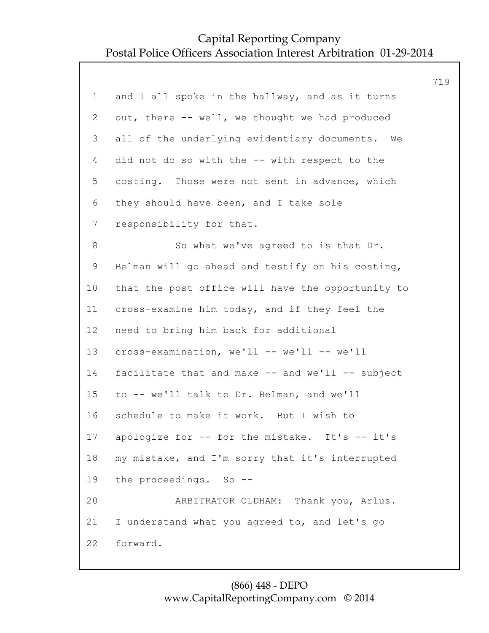|                                                   | 719 |
|---------------------------------------------------|-----|
| and I all spoke in the hallway, and as it turns   |     |
| out, there -- well, we thought we had produced    |     |
| all of the underlying evidentiary documents. We   |     |
| did not do so with the -- with respect to the     |     |
| costing. Those were not sent in advance, which    |     |
| they should have been, and I take sole            |     |
| responsibility for that.                          |     |
| So what we've agreed to is that Dr.               |     |
| Belman will go ahead and testify on his costing,  |     |
| that the post office will have the opportunity to |     |
| cross-examine him today, and if they feel the     |     |
| need to bring him back for additional             |     |
| cross-examination, we'll -- we'll -- we'll        |     |
| facilitate that and make -- and we'll -- subject  |     |
| to -- we'll talk to Dr. Belman, and we'll         |     |
| schedule to make it work. But I wish to           |     |
| apologize for -- for the mistake. It's -- it's    |     |
| my mistake, and I'm sorry that it's interrupted   |     |
| the proceedings. So --                            |     |
| ARBITRATOR OLDHAM: Thank you, Arlus.              |     |
| I understand what you agreed to, and let's go     |     |
| forward.                                          |     |
|                                                   |     |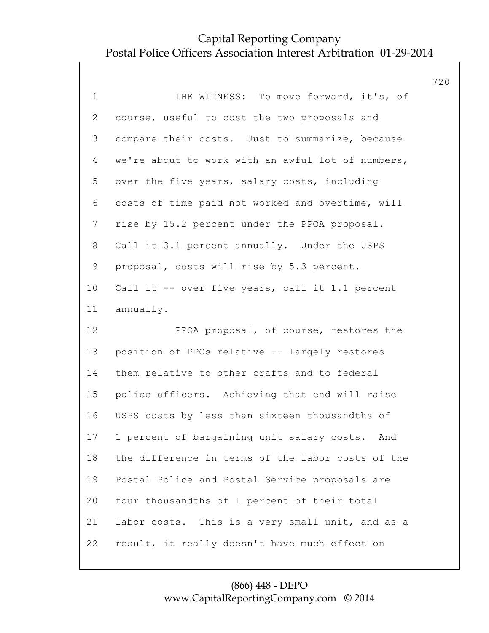|                |                                                   | 720 |
|----------------|---------------------------------------------------|-----|
| $\mathbf 1$    | THE WITNESS: To move forward, it's, of            |     |
| $\overline{2}$ | course, useful to cost the two proposals and      |     |
| 3              | compare their costs. Just to summarize, because   |     |
| 4              | we're about to work with an awful lot of numbers, |     |
| 5              | over the five years, salary costs, including      |     |
| 6              | costs of time paid not worked and overtime, will  |     |
| $7\phantom{.}$ | rise by 15.2 percent under the PPOA proposal.     |     |
| 8              | Call it 3.1 percent annually. Under the USPS      |     |
| 9              | proposal, costs will rise by 5.3 percent.         |     |
| 10             | Call it -- over five years, call it 1.1 percent   |     |
| 11             | annually.                                         |     |
| 12             | PPOA proposal, of course, restores the            |     |
| 13             | position of PPOs relative -- largely restores     |     |
| 14             | them relative to other crafts and to federal      |     |
| 15             | police officers. Achieving that end will raise    |     |
| 16             | USPS costs by less than sixteen thousandths of    |     |
| 17             |                                                   |     |
|                | 1 percent of bargaining unit salary costs. And    |     |
| 18             | the difference in terms of the labor costs of the |     |
| 19             | Postal Police and Postal Service proposals are    |     |
| 20             | four thousandths of 1 percent of their total      |     |
| 21             | labor costs. This is a very small unit, and as a  |     |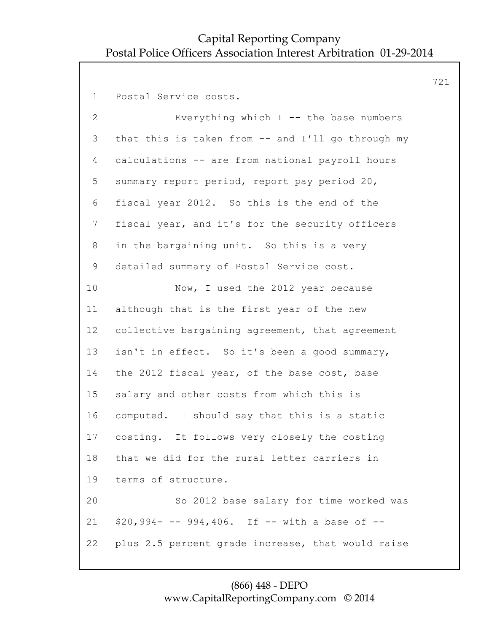721 1 Postal Service costs. 2 Everything which I -- the base numbers 3 that this is taken from -- and I'll go through my 4 calculations -- are from national payroll hours 5 summary report period, report pay period 20, 6 fiscal year 2012. So this is the end of the 7 fiscal year, and it's for the security officers 8 in the bargaining unit. So this is a very 9 detailed summary of Postal Service cost. 10 Now, I used the 2012 year because 11 although that is the first year of the new 12 collective bargaining agreement, that agreement 13 isn't in effect. So it's been a good summary, 14 the 2012 fiscal year, of the base cost, base 15 salary and other costs from which this is 16 computed. I should say that this is a static 17 costing. It follows very closely the costing 18 that we did for the rural letter carriers in 19 terms of structure. 20 So 2012 base salary for time worked was 21 \$20,994- -- 994,406. If -- with a base of -- 22 plus 2.5 percent grade increase, that would raise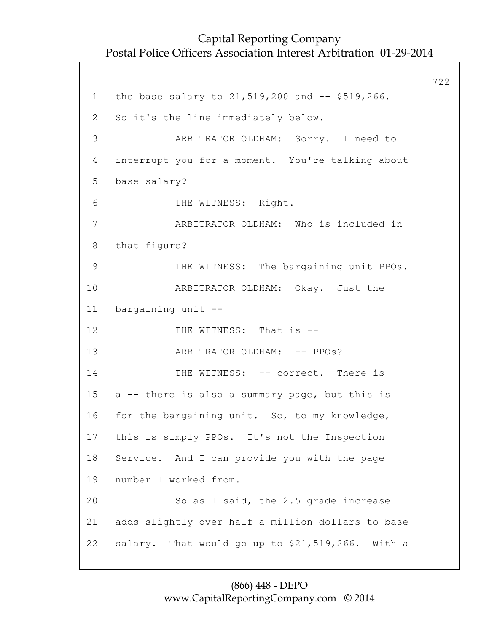722 1 the base salary to 21,519,200 and -- \$519,266. 2 So it's the line immediately below. 3 ARBITRATOR OLDHAM: Sorry. I need to 4 interrupt you for a moment. You're talking about 5 base salary? 6 THE WITNESS: Right. 7 ARBITRATOR OLDHAM: Who is included in 8 that figure? 9 THE WITNESS: The bargaining unit PPOs. 10 ARBITRATOR OLDHAM: Okay. Just the 11 bargaining unit -- 12 THE WITNESS: That is --13 ARBITRATOR OLDHAM: -- PPOs? 14 THE WITNESS: -- correct. There is 15 a -- there is also a summary page, but this is 16 for the bargaining unit. So, to my knowledge, 17 this is simply PPOs. It's not the Inspection 18 Service. And I can provide you with the page 19 number I worked from. 20 So as I said, the 2.5 grade increase 21 adds slightly over half a million dollars to base 22 salary. That would go up to \$21,519,266. With a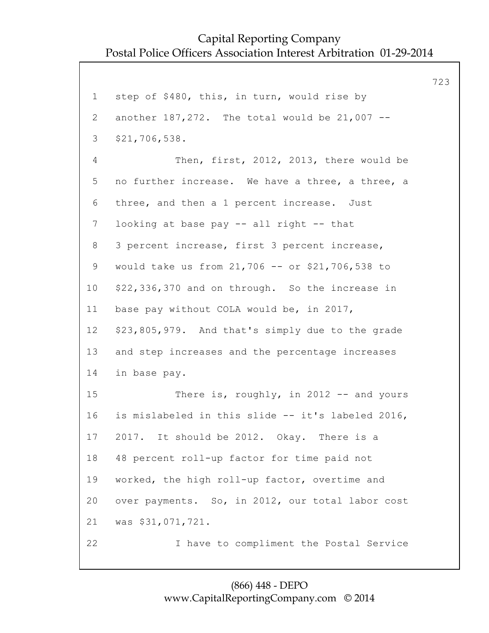723 1 step of \$480, this, in turn, would rise by 2 another 187,272. The total would be 21,007 -- 3 \$21,706,538. 4 Then, first, 2012, 2013, there would be 5 no further increase. We have a three, a three, a 6 three, and then a 1 percent increase. Just 7 looking at base pay -- all right -- that 8 3 percent increase, first 3 percent increase, 9 would take us from 21,706 -- or \$21,706,538 to 10 \$22,336,370 and on through. So the increase in 11 base pay without COLA would be, in 2017, 12 \$23,805,979. And that's simply due to the grade 13 and step increases and the percentage increases 14 in base pay. 15 There is, roughly, in 2012 -- and yours 16 is mislabeled in this slide -- it's labeled 2016, 17 2017. It should be 2012. Okay. There is a 18 48 percent roll-up factor for time paid not 19 worked, the high roll-up factor, overtime and 20 over payments. So, in 2012, our total labor cost 21 was \$31,071,721. 22 I have to compliment the Postal Service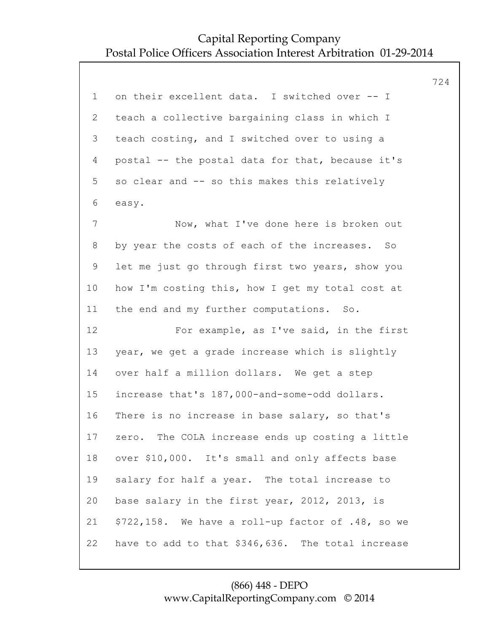|                 |                                                     | 724 |
|-----------------|-----------------------------------------------------|-----|
| $\mathbf 1$     | on their excellent data. I switched over -- I       |     |
| 2               | teach a collective bargaining class in which I      |     |
| 3               | teach costing, and I switched over to using a       |     |
| 4               | postal -- the postal data for that, because it's    |     |
| 5               | so clear and -- so this makes this relatively       |     |
| 6               | easy.                                               |     |
| 7               | Now, what I've done here is broken out              |     |
| 8               | by year the costs of each of the increases. So      |     |
| 9               | let me just go through first two years, show you    |     |
| 10 <sub>o</sub> | how I'm costing this, how I get my total cost at    |     |
| 11              | the end and my further computations. So.            |     |
| 12              | For example, as I've said, in the first             |     |
| 13              | year, we get a grade increase which is slightly     |     |
| 14              | over half a million dollars. We get a step          |     |
| 15              | increase that's 187,000-and-some-odd dollars.       |     |
| 16              | There is no increase in base salary, so that's      |     |
| 17              | zero. The COLA increase ends up costing a little    |     |
| 18              | over \$10,000. It's small and only affects base     |     |
| 19              | salary for half a year. The total increase to       |     |
| 20              | base salary in the first year, 2012, 2013, is       |     |
| 21              | $$722,158$ . We have a roll-up factor of .48, so we |     |
| 22              | have to add to that \$346,636. The total increase   |     |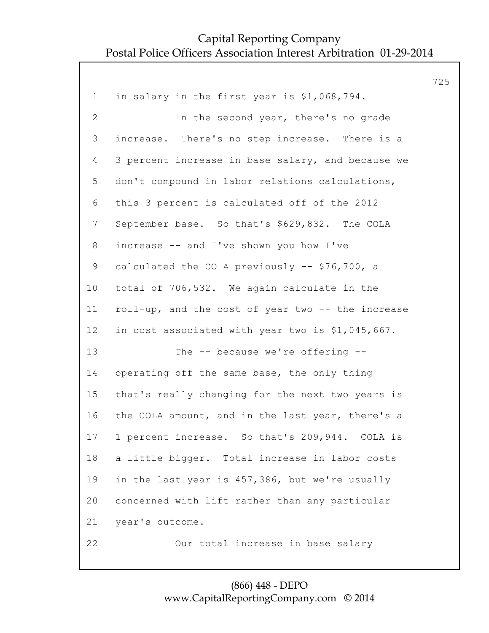|                |                                                   | 725 |
|----------------|---------------------------------------------------|-----|
| $\mathbf 1$    | in salary in the first year is \$1,068,794.       |     |
| $\overline{2}$ | In the second year, there's no grade              |     |
| 3              | increase. There's no step increase. There is a    |     |
| 4              | 3 percent increase in base salary, and because we |     |
| 5              | don't compound in labor relations calculations,   |     |
| 6              | this 3 percent is calculated off of the 2012      |     |
| $\overline{7}$ | September base. So that's \$629,832. The COLA     |     |
| 8              | increase -- and I've shown you how I've           |     |
| 9              | calculated the COLA previously -- \$76,700, a     |     |
| 10             | total of 706,532. We again calculate in the       |     |
| 11             | roll-up, and the cost of year two -- the increase |     |
| 12             | in cost associated with year two is \$1,045,667.  |     |
| 13             | The -- because we're offering --                  |     |
| 14             | operating off the same base, the only thing       |     |
| 15             | that's really changing for the next two years is  |     |
| 16             | the COLA amount, and in the last year, there's a  |     |
| 17             | 1 percent increase. So that's 209,944. COLA is    |     |
| 18             | a little bigger. Total increase in labor costs    |     |
| 19             | in the last year is 457,386, but we're usually    |     |
| 20             | concerned with lift rather than any particular    |     |
| 21             | year's outcome.                                   |     |
| 22             | Our total increase in base salary                 |     |
|                |                                                   |     |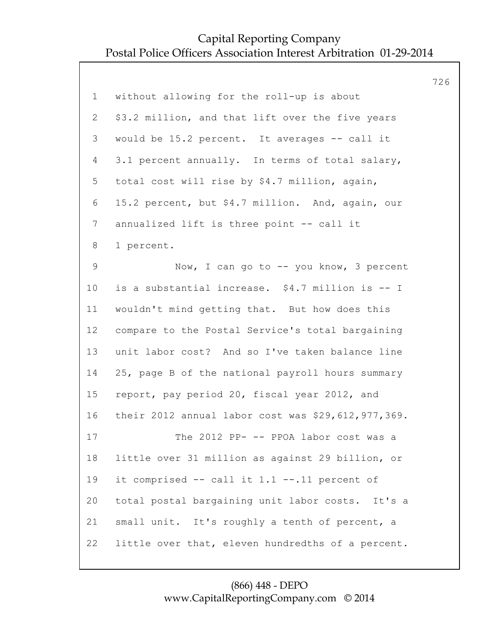|                |                                                    | 726 |
|----------------|----------------------------------------------------|-----|
| $\mathbf 1$    | without allowing for the roll-up is about          |     |
| $\overline{2}$ | \$3.2 million, and that lift over the five years   |     |
| 3              | would be 15.2 percent. It averages -- call it      |     |
| $\overline{4}$ | 3.1 percent annually. In terms of total salary,    |     |
| 5              | total cost will rise by \$4.7 million, again,      |     |
| 6              | 15.2 percent, but \$4.7 million. And, again, our   |     |
| 7              | annualized lift is three point -- call it          |     |
| 8              | 1 percent.                                         |     |
| 9              | Now, I can go to -- you know, 3 percent            |     |
| 10             | is a substantial increase. \$4.7 million is -- I   |     |
| 11             | wouldn't mind getting that. But how does this      |     |
| 12             | compare to the Postal Service's total bargaining   |     |
| 13             | unit labor cost? And so I've taken balance line    |     |
| 14             | 25, page B of the national payroll hours summary   |     |
| 15             | report, pay period 20, fiscal year 2012, and       |     |
| 16             | their 2012 annual labor cost was \$29,612,977,369. |     |
| 17             | The 2012 PP- -- PPOA labor cost was a              |     |
| 18             | little over 31 million as against 29 billion, or   |     |
| 19             | it comprised -- call it 1.1 --.11 percent of       |     |
| 20             | total postal bargaining unit labor costs. It's a   |     |
| 21             | small unit. It's roughly a tenth of percent, a     |     |
| 22             | little over that, eleven hundredths of a percent.  |     |
|                |                                                    |     |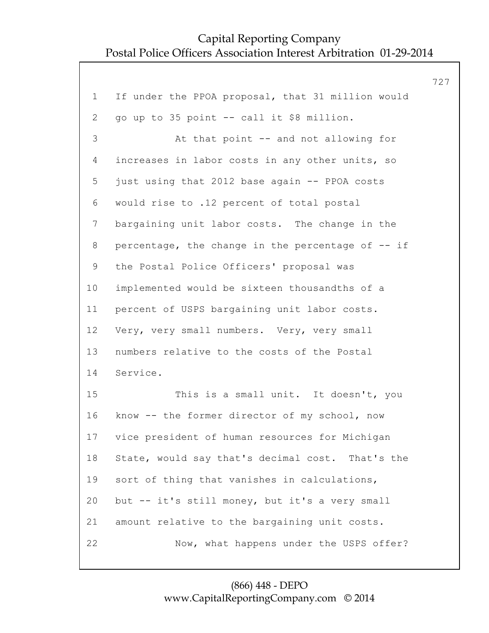|                |                                                   | 727 |
|----------------|---------------------------------------------------|-----|
| $\mathbf 1$    | If under the PPOA proposal, that 31 million would |     |
| 2              | go up to 35 point -- call it \$8 million.         |     |
| 3              | At that point -- and not allowing for             |     |
| 4              | increases in labor costs in any other units, so   |     |
| 5              | just using that 2012 base again -- PPOA costs     |     |
| 6              | would rise to .12 percent of total postal         |     |
| $7\phantom{.}$ | bargaining unit labor costs. The change in the    |     |
| 8              | percentage, the change in the percentage of -- if |     |
| $\mathsf 9$    | the Postal Police Officers' proposal was          |     |
| 10             | implemented would be sixteen thousandths of a     |     |
| 11             | percent of USPS bargaining unit labor costs.      |     |
| 12             | Very, very small numbers. Very, very small        |     |
| 13             | numbers relative to the costs of the Postal       |     |
| 14             | Service.                                          |     |
| 15             | This is a small unit. It doesn't, you             |     |
| 16             | know -- the former director of my school, now     |     |
| 17             | vice president of human resources for Michigan    |     |
| 18             | State, would say that's decimal cost. That's the  |     |
| 19             | sort of thing that vanishes in calculations,      |     |
| 20             | but -- it's still money, but it's a very small    |     |
| 21             | amount relative to the bargaining unit costs.     |     |
| 22             | Now, what happens under the USPS offer?           |     |
|                |                                                   |     |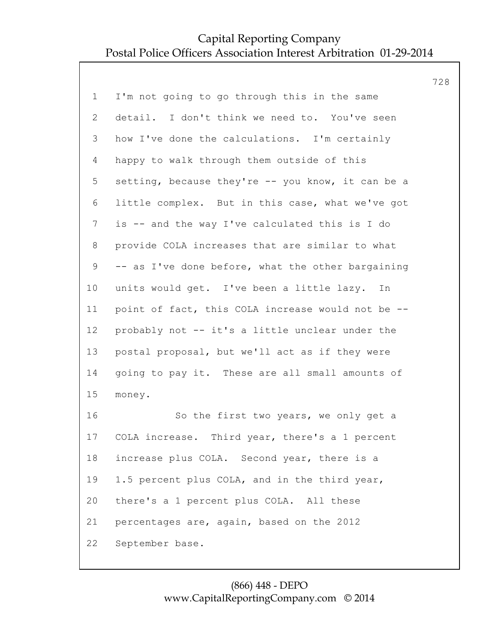|                 |                                                   | 728 |
|-----------------|---------------------------------------------------|-----|
| $\mathbf 1$     | I'm not going to go through this in the same      |     |
| $\overline{2}$  | detail. I don't think we need to. You've seen     |     |
| 3               | how I've done the calculations. I'm certainly     |     |
| 4               | happy to walk through them outside of this        |     |
| 5               | setting, because they're -- you know, it can be a |     |
| 6               | little complex. But in this case, what we've got  |     |
| $\overline{7}$  | is -- and the way I've calculated this is I do    |     |
| 8               | provide COLA increases that are similar to what   |     |
| 9               | -- as I've done before, what the other bargaining |     |
| 10 <sub>o</sub> | units would get. I've been a little lazy. In      |     |
| 11              | point of fact, this COLA increase would not be -- |     |
| 12              | probably not -- it's a little unclear under the   |     |
| 13              | postal proposal, but we'll act as if they were    |     |
| 14              | going to pay it. These are all small amounts of   |     |
| 15              | money.                                            |     |
| 16              | So the first two years, we only get a             |     |
| 17              | COLA increase. Third year, there's a 1 percent    |     |
| 18              | increase plus COLA. Second year, there is a       |     |
| 19              | 1.5 percent plus COLA, and in the third year,     |     |
| 20              | there's a 1 percent plus COLA. All these          |     |
| 21              | percentages are, again, based on the 2012         |     |
| 22              | September base.                                   |     |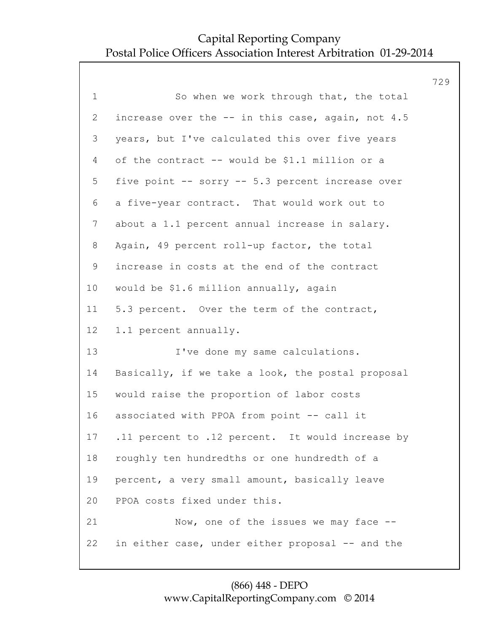|                 |                                                   | 729 |
|-----------------|---------------------------------------------------|-----|
| $\mathbf 1$     | So when we work through that, the total           |     |
| $\overline{2}$  | increase over the -- in this case, again, not 4.5 |     |
| 3               | years, but I've calculated this over five years   |     |
| 4               | of the contract -- would be \$1.1 million or a    |     |
| 5               | five point -- sorry -- 5.3 percent increase over  |     |
| 6               | a five-year contract. That would work out to      |     |
| $7\phantom{.0}$ | about a 1.1 percent annual increase in salary.    |     |
| 8               | Again, 49 percent roll-up factor, the total       |     |
| 9               | increase in costs at the end of the contract      |     |
| 10 <sub>o</sub> | would be \$1.6 million annually, again            |     |
| 11              | 5.3 percent. Over the term of the contract,       |     |
| 12 <sup>°</sup> | 1.1 percent annually.                             |     |
| 13              | I've done my same calculations.                   |     |
| 14              | Basically, if we take a look, the postal proposal |     |
| 15              | would raise the proportion of labor costs         |     |
| 16              | associated with PPOA from point -- call it        |     |
| 17              | .11 percent to .12 percent. It would increase by  |     |
| 18              | roughly ten hundredths or one hundredth of a      |     |
| 19              | percent, a very small amount, basically leave     |     |
| 20              | PPOA costs fixed under this.                      |     |
| 21              | Now, one of the issues we may face --             |     |
| 22              | in either case, under either proposal -- and the  |     |
|                 |                                                   |     |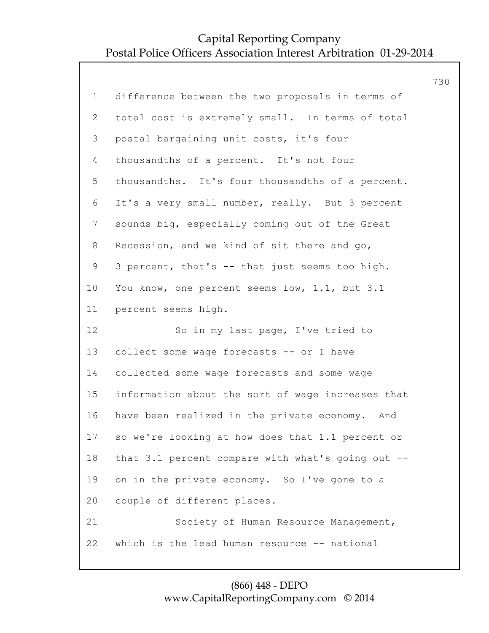|                |                                                   | 730 |
|----------------|---------------------------------------------------|-----|
| $\mathbf 1$    | difference between the two proposals in terms of  |     |
| 2              | total cost is extremely small. In terms of total  |     |
| 3              | postal bargaining unit costs, it's four           |     |
| 4              | thousandths of a percent. It's not four           |     |
| 5              | thousandths. It's four thousandths of a percent.  |     |
| 6              | It's a very small number, really. But 3 percent   |     |
| $\overline{7}$ | sounds big, especially coming out of the Great    |     |
| 8              | Recession, and we kind of sit there and go,       |     |
| $\mathsf 9$    | 3 percent, that's -- that just seems too high.    |     |
| 10             | You know, one percent seems low, 1.1, but 3.1     |     |
| 11             | percent seems high.                               |     |
| 12             | So in my last page, I've tried to                 |     |
| 13             | collect some wage forecasts -- or I have          |     |
| 14             | collected some wage forecasts and some wage       |     |
| 15             | information about the sort of wage increases that |     |
| 16             | have been realized in the private economy. And    |     |
| 17             | so we're looking at how does that 1.1 percent or  |     |
| 18             | that 3.1 percent compare with what's going out -- |     |
| 19             | on in the private economy. So I've gone to a      |     |
| 20             | couple of different places.                       |     |
| 21             | Society of Human Resource Management,             |     |
| 22             | which is the lead human resource -- national      |     |
|                |                                                   |     |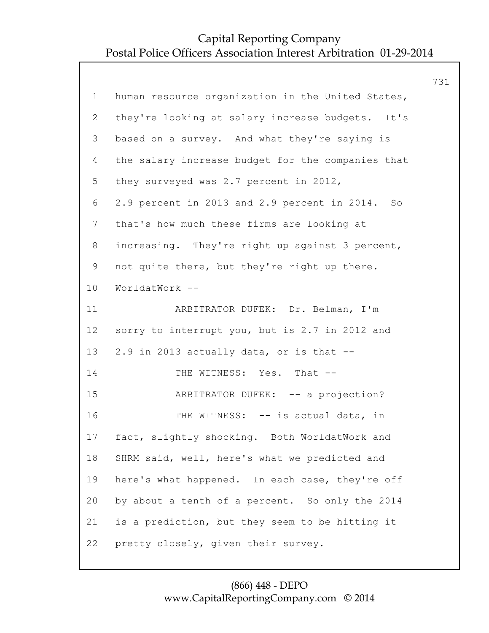|                |                                                   | 731 |
|----------------|---------------------------------------------------|-----|
| $\mathbf 1$    | human resource organization in the United States, |     |
| $\overline{2}$ | they're looking at salary increase budgets. It's  |     |
| 3              | based on a survey. And what they're saying is     |     |
| 4              | the salary increase budget for the companies that |     |
| 5              | they surveyed was 2.7 percent in 2012,            |     |
| 6              | 2.9 percent in 2013 and 2.9 percent in 2014. So   |     |
| $\overline{7}$ | that's how much these firms are looking at        |     |
| 8              | increasing. They're right up against 3 percent,   |     |
| 9              | not quite there, but they're right up there.      |     |
| 10             | WorldatWork --                                    |     |
| 11             | ARBITRATOR DUFEK: Dr. Belman, I'm                 |     |
| 12             | sorry to interrupt you, but is 2.7 in 2012 and    |     |
| 13             | 2.9 in 2013 actually data, or is that --          |     |
| 14             | THE WITNESS: Yes. That --                         |     |
| 15             | ARBITRATOR DUFEK: -- a projection?                |     |
| 16             | THE WITNESS: -- is actual data, in                |     |
| 17             | fact, slightly shocking. Both WorldatWork and     |     |
| 18             | SHRM said, well, here's what we predicted and     |     |
| 19             | here's what happened. In each case, they're off   |     |
| 20             | by about a tenth of a percent. So only the 2014   |     |
| 21             | is a prediction, but they seem to be hitting it   |     |
| 22             | pretty closely, given their survey.               |     |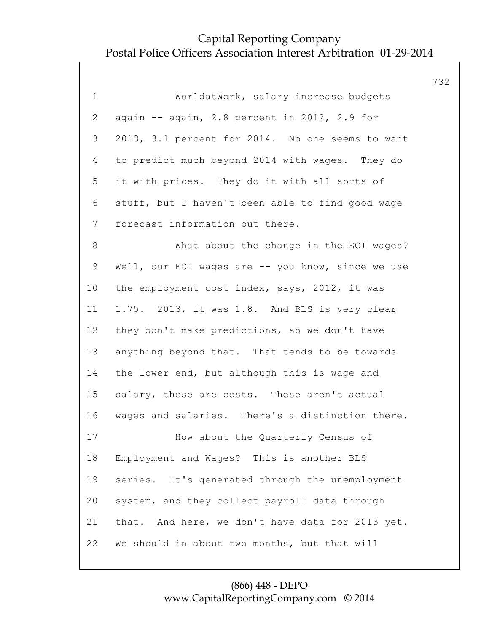|                |                                                   | 732 |
|----------------|---------------------------------------------------|-----|
| $\mathbf 1$    | WorldatWork, salary increase budgets              |     |
| $\overline{2}$ | again -- again, 2.8 percent in 2012, 2.9 for      |     |
| 3              | 2013, 3.1 percent for 2014. No one seems to want  |     |
| 4              | to predict much beyond 2014 with wages. They do   |     |
| 5              | it with prices. They do it with all sorts of      |     |
| 6              | stuff, but I haven't been able to find good wage  |     |
| 7              | forecast information out there.                   |     |
| 8              | What about the change in the ECI wages?           |     |
| 9              | Well, our ECI wages are -- you know, since we use |     |
| 10             | the employment cost index, says, 2012, it was     |     |
| 11             | 1.75. 2013, it was 1.8. And BLS is very clear     |     |
| 12             | they don't make predictions, so we don't have     |     |
| 13             | anything beyond that. That tends to be towards    |     |
| 14             | the lower end, but although this is wage and      |     |
| 15             | salary, these are costs. These aren't actual      |     |
| 16             | wages and salaries. There's a distinction there.  |     |
| 17             | How about the Quarterly Census of                 |     |
| 18             | Employment and Wages? This is another BLS         |     |
| 19             | series. It's generated through the unemployment   |     |
| 20             | system, and they collect payroll data through     |     |
| 21             | that. And here, we don't have data for 2013 yet.  |     |
| 22             | We should in about two months, but that will      |     |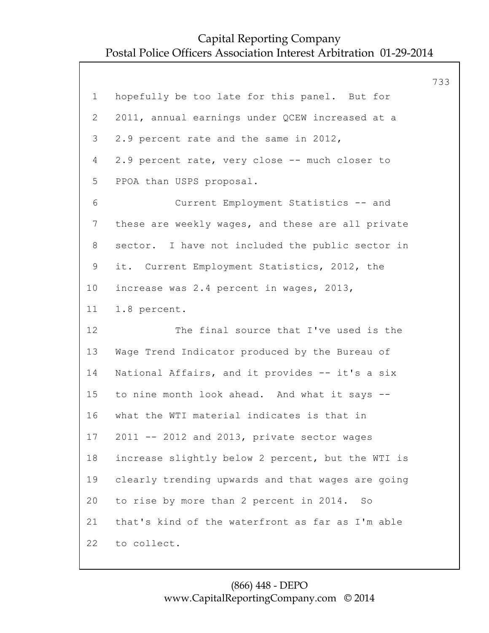733 1 hopefully be too late for this panel. But for 2 2011, annual earnings under QCEW increased at a 3 2.9 percent rate and the same in 2012, 4 2.9 percent rate, very close -- much closer to 5 PPOA than USPS proposal. 6 Current Employment Statistics -- and 7 these are weekly wages, and these are all private 8 sector. I have not included the public sector in 9 it. Current Employment Statistics, 2012, the 10 increase was 2.4 percent in wages, 2013, 11 1.8 percent. 12 The final source that I've used is the 13 Wage Trend Indicator produced by the Bureau of 14 National Affairs, and it provides -- it's a six 15 to nine month look ahead. And what it says -- 16 what the WTI material indicates is that in 17 2011 -- 2012 and 2013, private sector wages 18 increase slightly below 2 percent, but the WTI is 19 clearly trending upwards and that wages are going 20 to rise by more than 2 percent in 2014. So 21 that's kind of the waterfront as far as I'm able 22 to collect.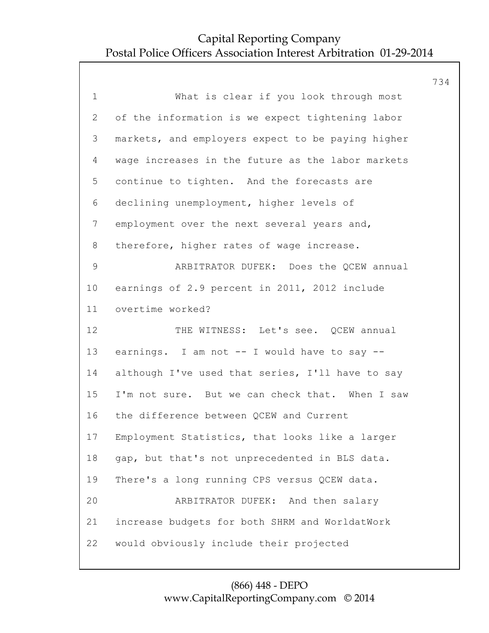734 1 What is clear if you look through most 2 of the information is we expect tightening labor 3 markets, and employers expect to be paying higher 4 wage increases in the future as the labor markets 5 continue to tighten. And the forecasts are 6 declining unemployment, higher levels of 7 employment over the next several years and, 8 therefore, higher rates of wage increase. 9 ARBITRATOR DUFEK: Does the QCEW annual 10 earnings of 2.9 percent in 2011, 2012 include 11 overtime worked? 12 THE WITNESS: Let's see. QCEW annual 13 earnings. I am not -- I would have to say -- 14 although I've used that series, I'll have to say 15 I'm not sure. But we can check that. When I saw 16 the difference between QCEW and Current 17 Employment Statistics, that looks like a larger 18 gap, but that's not unprecedented in BLS data. 19 There's a long running CPS versus QCEW data. 20 ARBITRATOR DUFEK: And then salary 21 increase budgets for both SHRM and WorldatWork 22 would obviously include their projected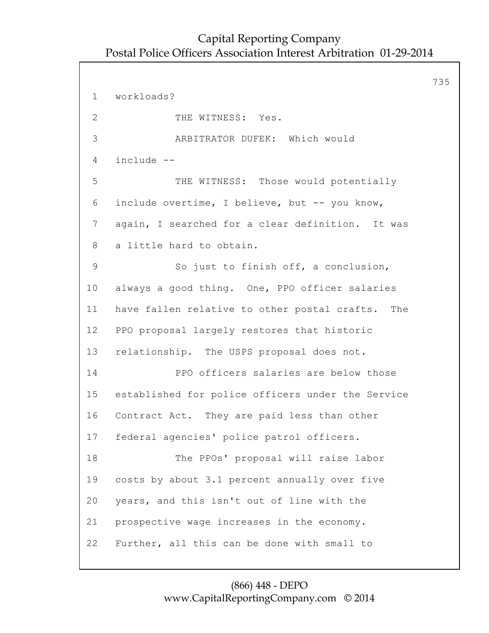735 1 workloads? 2 THE WITNESS: Yes. 3 ARBITRATOR DUFEK: Which would 4 include -- 5 THE WITNESS: Those would potentially 6 include overtime, I believe, but -- you know, 7 again, I searched for a clear definition. It was 8 a little hard to obtain. 9 So just to finish off, a conclusion, 10 always a good thing. One, PPO officer salaries 11 have fallen relative to other postal crafts. The 12 PPO proposal largely restores that historic 13 relationship. The USPS proposal does not. 14 PPO officers salaries are below those 15 established for police officers under the Service 16 Contract Act. They are paid less than other 17 federal agencies' police patrol officers. 18 The PPOs' proposal will raise labor 19 costs by about 3.1 percent annually over five 20 years, and this isn't out of line with the 21 prospective wage increases in the economy. 22 Further, all this can be done with small to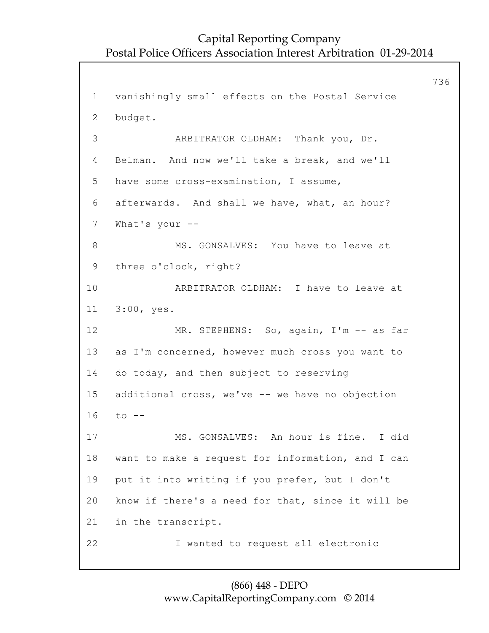736 1 vanishingly small effects on the Postal Service 2 budget. 3 ARBITRATOR OLDHAM: Thank you, Dr. 4 Belman. And now we'll take a break, and we'll 5 have some cross-examination, I assume, 6 afterwards. And shall we have, what, an hour? 7 What's your -- 8 MS. GONSALVES: You have to leave at 9 three o'clock, right? 10 ARBITRATOR OLDHAM: I have to leave at 11 3:00, yes. 12 MR. STEPHENS: So, again, I'm -- as far 13 as I'm concerned, however much cross you want to 14 do today, and then subject to reserving 15 additional cross, we've -- we have no objection 16 to -- 17 MS. GONSALVES: An hour is fine. I did 18 want to make a request for information, and I can 19 put it into writing if you prefer, but I don't 20 know if there's a need for that, since it will be 21 in the transcript. 22 I wanted to request all electronic

#### (866) 448 - DEPO www.CapitalReportingCompany.com © 2014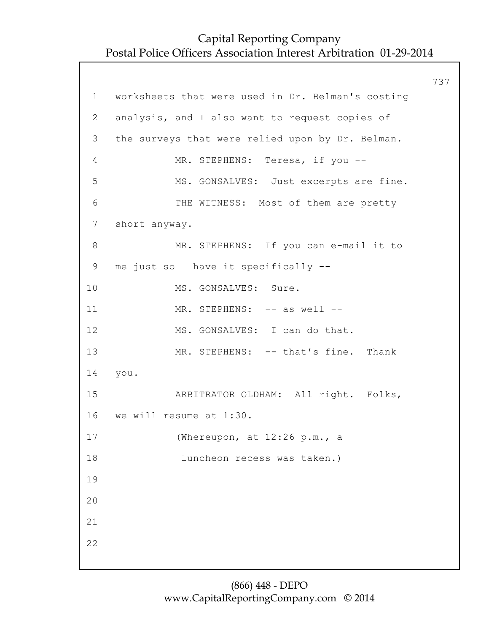|                 |                                                   | 737 |
|-----------------|---------------------------------------------------|-----|
| 1               | worksheets that were used in Dr. Belman's costing |     |
| $\overline{2}$  | analysis, and I also want to request copies of    |     |
| 3               | the surveys that were relied upon by Dr. Belman.  |     |
| 4               | MR. STEPHENS: Teresa, if you --                   |     |
| 5               | MS. GONSALVES: Just excerpts are fine.            |     |
| 6               | THE WITNESS: Most of them are pretty              |     |
| $7\phantom{.0}$ | short anyway.                                     |     |
| 8               | MR. STEPHENS: If you can e-mail it to             |     |
| 9               | me just so I have it specifically --              |     |
| 10              | MS. GONSALVES: Sure.                              |     |
| 11              | MR. STEPHENS: -- as well --                       |     |
| 12              | MS. GONSALVES: I can do that.                     |     |
| 13              | MR. STEPHENS: -- that's fine. Thank               |     |
| 14              | you.                                              |     |
| 15              | ARBITRATOR OLDHAM: All right. Folks,              |     |
| 16              | we will resume at 1:30.                           |     |
| 17              | (Whereupon, at 12:26 p.m., a                      |     |
| 18              | luncheon recess was taken.)                       |     |
| 19              |                                                   |     |
| 20              |                                                   |     |
| 21              |                                                   |     |
| 22              |                                                   |     |
|                 |                                                   |     |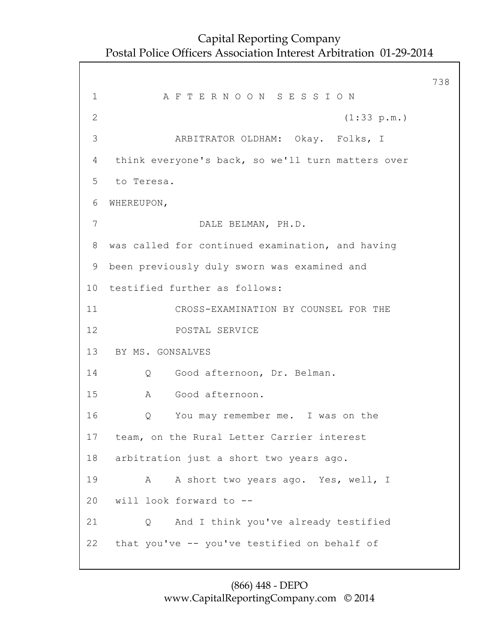738 1 A F T E R N O O N S E S S I O N 2 (1:33 p.m.) 3 ARBITRATOR OLDHAM: Okay. Folks, I 4 think everyone's back, so we'll turn matters over 5 to Teresa. 6 WHEREUPON, 7 DALE BELMAN, PH.D. 8 was called for continued examination, and having 9 been previously duly sworn was examined and 10 testified further as follows: 11 CROSS-EXAMINATION BY COUNSEL FOR THE 12 POSTAL SERVICE 13 BY MS. GONSALVES 14 Q Good afternoon, Dr. Belman. 15 A Good afternoon. 16 Q You may remember me. I was on the 17 team, on the Rural Letter Carrier interest 18 arbitration just a short two years ago. 19 A A short two years ago. Yes, well, I 20 will look forward to -- 21 Q And I think you've already testified 22 that you've -- you've testified on behalf of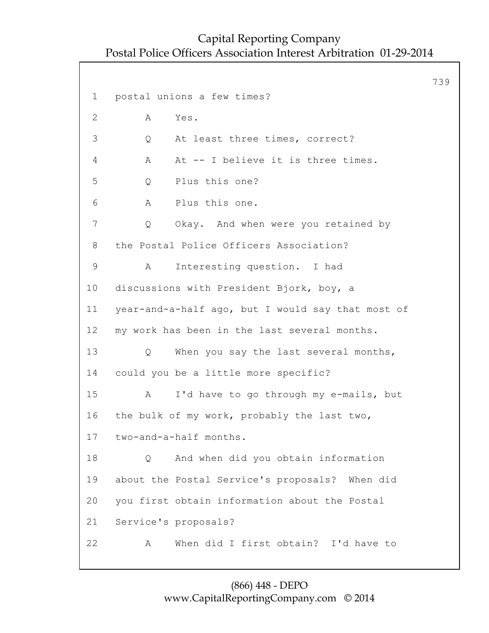739 1 postal unions a few times? 2 A Yes. 3 Q At least three times, correct? 4 A At -- I believe it is three times. 5 Q Plus this one? 6 A Plus this one. 7 Q Okay. And when were you retained by 8 the Postal Police Officers Association? 9 A Interesting question. I had 10 discussions with President Bjork, boy, a 11 year-and-a-half ago, but I would say that most of 12 my work has been in the last several months. 13 Q When you say the last several months, 14 could you be a little more specific? 15 A I'd have to go through my e-mails, but 16 the bulk of my work, probably the last two, 17 two-and-a-half months. 18 Q And when did you obtain information 19 about the Postal Service's proposals? When did 20 you first obtain information about the Postal 21 Service's proposals? 22 A When did I first obtain? I'd have to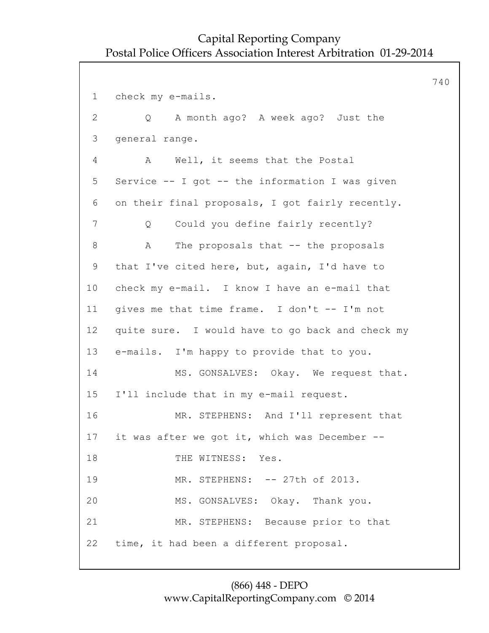740 1 check my e-mails. 2 Q A month ago? A week ago? Just the 3 general range. 4 A Well, it seems that the Postal 5 Service -- I got -- the information I was given 6 on their final proposals, I got fairly recently. 7 Q Could you define fairly recently? 8 A The proposals that -- the proposals 9 that I've cited here, but, again, I'd have to 10 check my e-mail. I know I have an e-mail that 11 gives me that time frame. I don't -- I'm not 12 quite sure. I would have to go back and check my 13 e-mails. I'm happy to provide that to you. 14 MS. GONSALVES: Okay. We request that. 15 I'll include that in my e-mail request. 16 MR. STEPHENS: And I'll represent that 17 it was after we got it, which was December -- 18 THE WITNESS: Yes. 19 MR. STEPHENS: -- 27th of 2013. 20 MS. GONSALVES: Okay. Thank you. 21 MR. STEPHENS: Because prior to that 22 time, it had been a different proposal.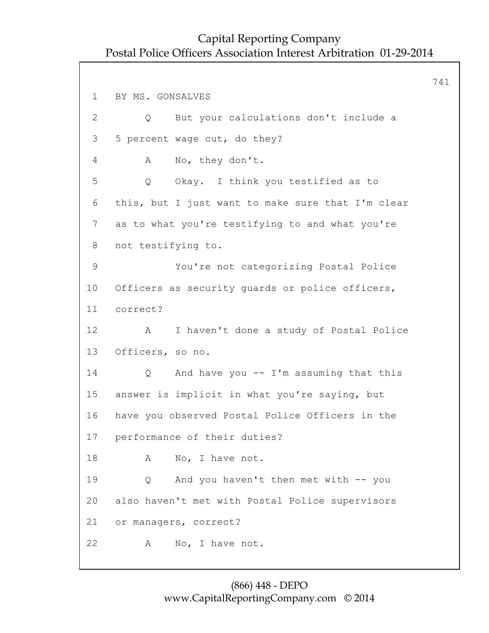741 1 BY MS. GONSALVES 2 Q But your calculations don't include a 3 5 percent wage cut, do they? 4 A No, they don't. 5 Q Okay. I think you testified as to 6 this, but I just want to make sure that I'm clear 7 as to what you're testifying to and what you're 8 not testifying to. 9 You're not categorizing Postal Police 10 Officers as security guards or police officers, 11 correct? 12 A I haven't done a study of Postal Police 13 Officers, so no. 14 Q And have you -- I'm assuming that this 15 answer is implicit in what you're saying, but 16 have you observed Postal Police Officers in the 17 performance of their duties? 18 A No, I have not. 19 Q And you haven't then met with -- you 20 also haven't met with Postal Police supervisors 21 or managers, correct? 22 A No, I have not.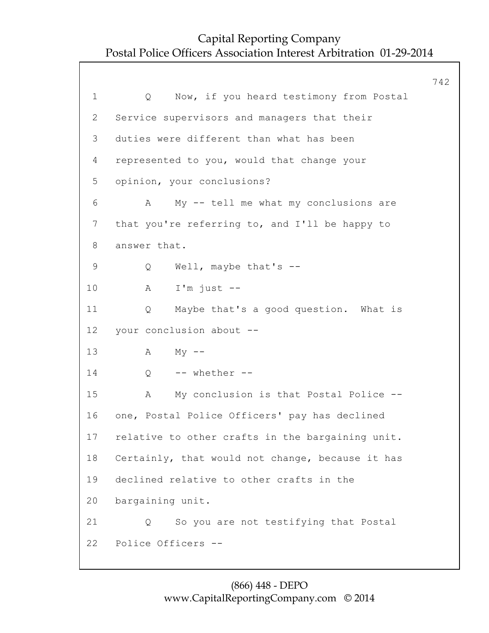|                |                                                  | 742 |
|----------------|--------------------------------------------------|-----|
| $\mathbf 1$    | Now, if you heard testimony from Postal<br>Q     |     |
| $\overline{2}$ | Service supervisors and managers that their      |     |
| 3              | duties were different than what has been         |     |
| 4              | represented to you, would that change your       |     |
| 5              | opinion, your conclusions?                       |     |
| 6              | My -- tell me what my conclusions are<br>A       |     |
| 7              | that you're referring to, and I'll be happy to   |     |
| 8              | answer that.                                     |     |
| $\mathsf 9$    | Well, maybe that's $-$<br>Q                      |     |
| 10             | $I'm$ just $-$<br>Α                              |     |
| 11             | Maybe that's a good question. What is<br>Q       |     |
| 12             | your conclusion about --                         |     |
| 13             | Α<br>$My$ --                                     |     |
| 14             | -- whether --<br>Q                               |     |
| 15             | My conclusion is that Postal Police --<br>А      |     |
| 16             | one, Postal Police Officers' pay has declined    |     |
| 17             | relative to other crafts in the bargaining unit. |     |
| 18             | Certainly, that would not change, because it has |     |
| 19             | declined relative to other crafts in the         |     |
| 20             | bargaining unit.                                 |     |
| 21             | So you are not testifying that Postal<br>Q       |     |
| 22             | Police Officers --                               |     |
|                |                                                  |     |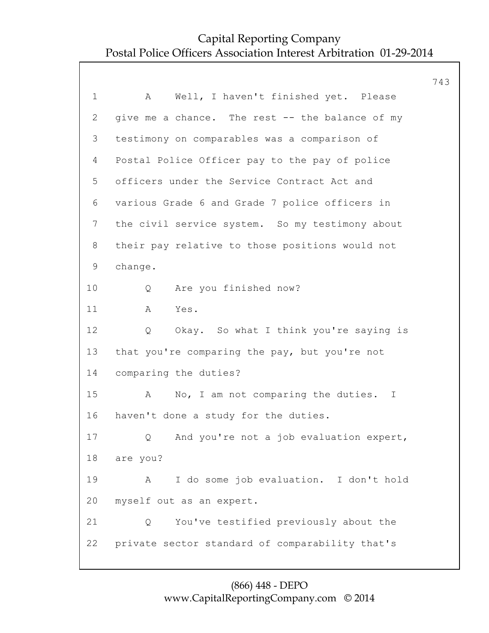|              |                                                 | 743 |
|--------------|-------------------------------------------------|-----|
| $\mathbf 1$  | Well, I haven't finished yet. Please<br>Α       |     |
| $\mathbf{2}$ | give me a chance. The rest -- the balance of my |     |
| 3            | testimony on comparables was a comparison of    |     |
| 4            | Postal Police Officer pay to the pay of police  |     |
| 5            | officers under the Service Contract Act and     |     |
| 6            | various Grade 6 and Grade 7 police officers in  |     |
| 7            | the civil service system. So my testimony about |     |
| 8            | their pay relative to those positions would not |     |
| 9            | change.                                         |     |
| 10           | Are you finished now?<br>Q                      |     |
| 11           | Α<br>Yes.                                       |     |
| 12           | Q<br>Okay. So what I think you're saying is     |     |
| 13           | that you're comparing the pay, but you're not   |     |
| 14           | comparing the duties?                           |     |
| 15           | No, I am not comparing the duties. I<br>A       |     |
| 16           | haven't done a study for the duties.            |     |
| 17           | Q And you're not a job evaluation expert,       |     |
| 18           | are you?                                        |     |
| 19           | I do some job evaluation. I don't hold<br>Α     |     |
| 20           | myself out as an expert.                        |     |
| 21           | You've testified previously about the<br>Q      |     |
| 22           | private sector standard of comparability that's |     |
|              |                                                 |     |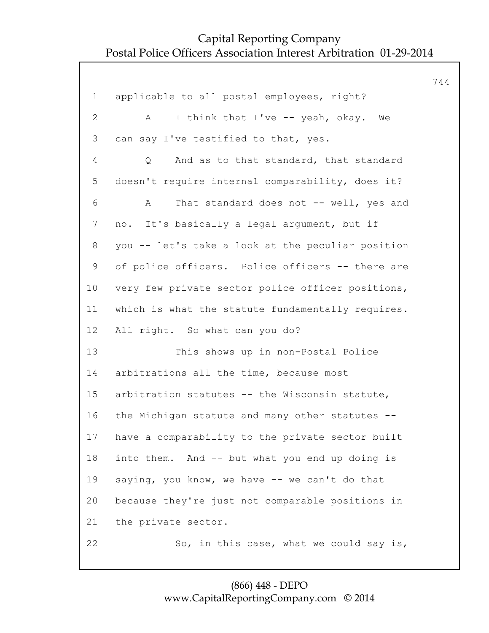|                 |                                                   | 744 |
|-----------------|---------------------------------------------------|-----|
| $\mathbf 1$     | applicable to all postal employees, right?        |     |
| $\mathbf{2}$    | I think that I've -- yeah, okay.<br>A<br>We       |     |
| 3               | can say I've testified to that, yes.              |     |
| 4               | And as to that standard, that standard<br>Q       |     |
| 5               | doesn't require internal comparability, does it?  |     |
| 6               | That standard does not -- well, yes and<br>A      |     |
| $7\phantom{.}$  | no. It's basically a legal argument, but if       |     |
| 8               | you -- let's take a look at the peculiar position |     |
| 9               | of police officers. Police officers -- there are  |     |
| 10 <sub>o</sub> | very few private sector police officer positions, |     |
| 11              | which is what the statute fundamentally requires. |     |
| 12              | All right. So what can you do?                    |     |
| 13              | This shows up in non-Postal Police                |     |
| 14              | arbitrations all the time, because most           |     |
| 15              | arbitration statutes -- the Wisconsin statute,    |     |
| 16              | the Michigan statute and many other statutes --   |     |
| 17              | have a comparability to the private sector built  |     |
| 18              | into them. And -- but what you end up doing is    |     |
| 19              | saying, you know, we have -- we can't do that     |     |
| 20              | because they're just not comparable positions in  |     |
| 21              | the private sector.                               |     |
| 22              | So, in this case, what we could say is,           |     |

#### (866) 448 - DEPO www.CapitalReportingCompany.com © 2014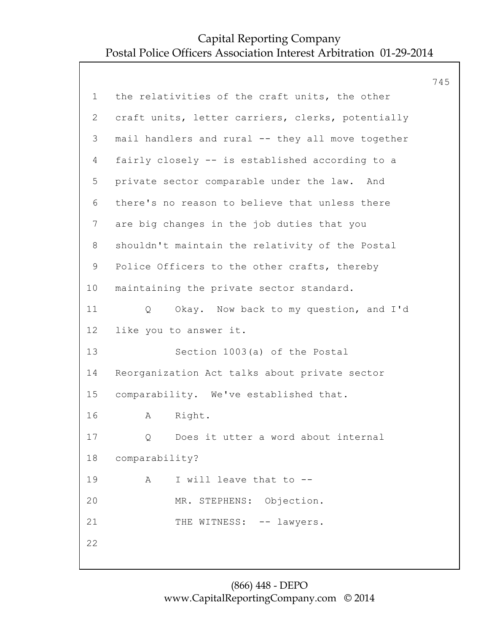|             |                                                   | 745 |
|-------------|---------------------------------------------------|-----|
| $\mathbf 1$ | the relativities of the craft units, the other    |     |
| 2           | craft units, letter carriers, clerks, potentially |     |
| 3           | mail handlers and rural -- they all move together |     |
| 4           | fairly closely -- is established according to a   |     |
| 5           | private sector comparable under the law. And      |     |
| 6           | there's no reason to believe that unless there    |     |
| 7           | are big changes in the job duties that you        |     |
| 8           | shouldn't maintain the relativity of the Postal   |     |
| 9           | Police Officers to the other crafts, thereby      |     |
| 10          | maintaining the private sector standard.          |     |
| 11          | Okay. Now back to my question, and I'd<br>Q       |     |
| 12          | like you to answer it.                            |     |
| 13          | Section 1003(a) of the Postal                     |     |
| 14          | Reorganization Act talks about private sector     |     |
| 15          | comparability. We've established that.            |     |
| 16          | Α<br>Right.                                       |     |
| 17          | Does it utter a word about internal<br>Q          |     |
| 18          | comparability?                                    |     |
| 19          | A<br>I will leave that to --                      |     |
| 20          | MR. STEPHENS: Objection.                          |     |
| 21          | THE WITNESS: -- lawyers.                          |     |
| 22          |                                                   |     |
|             |                                                   |     |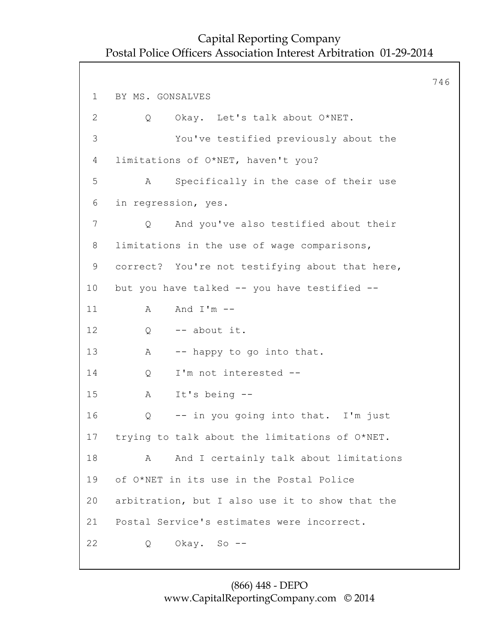746 1 BY MS. GONSALVES 2 Q Okay. Let's talk about O\*NET. 3 You've testified previously about the 4 limitations of O\*NET, haven't you? 5 A Specifically in the case of their use 6 in regression, yes. 7 Q And you've also testified about their 8 limitations in the use of wage comparisons, 9 correct? You're not testifying about that here, 10 but you have talked -- you have testified -- 11 A And I'm  $-$ 12 Q -- about it. 13 A -- happy to go into that. 14 Q I'm not interested -- 15 A It's being -- 16 Q -- in you going into that. I'm just 17 trying to talk about the limitations of O\*NET. 18 A And I certainly talk about limitations 19 of O\*NET in its use in the Postal Police 20 arbitration, but I also use it to show that the 21 Postal Service's estimates were incorrect. 22 Q Okay. So --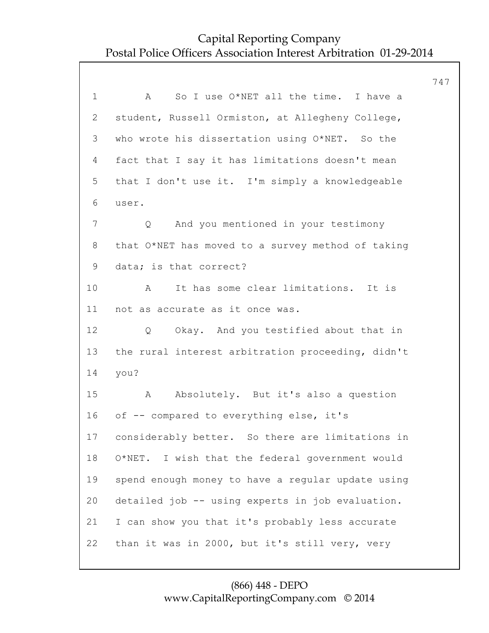747 1 A So I use O\*NET all the time. I have a 2 student, Russell Ormiston, at Allegheny College, 3 who wrote his dissertation using O\*NET. So the 4 fact that I say it has limitations doesn't mean 5 that I don't use it. I'm simply a knowledgeable 6 user. 7 Q And you mentioned in your testimony 8 that O\*NET has moved to a survey method of taking 9 data; is that correct? 10 A It has some clear limitations. It is 11 not as accurate as it once was. 12 O Okay. And you testified about that in 13 the rural interest arbitration proceeding, didn't 14 you? 15 A Absolutely. But it's also a question 16 of -- compared to everything else, it's 17 considerably better. So there are limitations in 18 O\*NET. I wish that the federal government would 19 spend enough money to have a regular update using 20 detailed job -- using experts in job evaluation. 21 I can show you that it's probably less accurate 22 than it was in 2000, but it's still very, very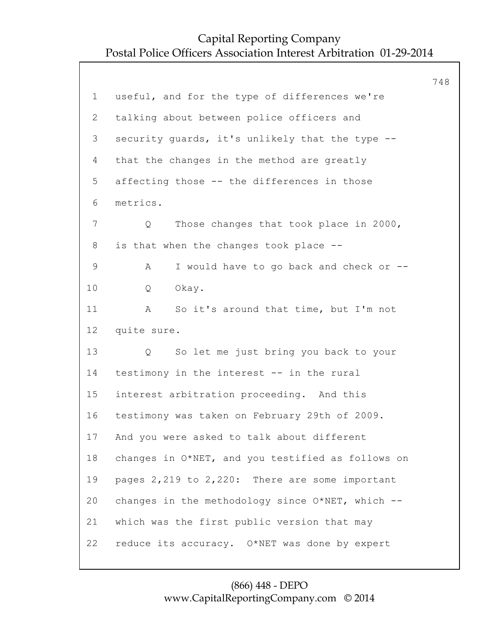748 1 useful, and for the type of differences we're 2 talking about between police officers and 3 security guards, it's unlikely that the type -- 4 that the changes in the method are greatly 5 affecting those -- the differences in those 6 metrics. 7 Q Those changes that took place in 2000, 8 is that when the changes took place -- 9 A I would have to go back and check or -- 10 Q Okay. 11 A So it's around that time, but I'm not 12 quite sure. 13 Q So let me just bring you back to your 14 testimony in the interest -- in the rural 15 interest arbitration proceeding. And this 16 testimony was taken on February 29th of 2009. 17 And you were asked to talk about different 18 changes in O\*NET, and you testified as follows on 19 pages 2,219 to 2,220: There are some important 20 changes in the methodology since O\*NET, which -- 21 which was the first public version that may 22 reduce its accuracy. O\*NET was done by expert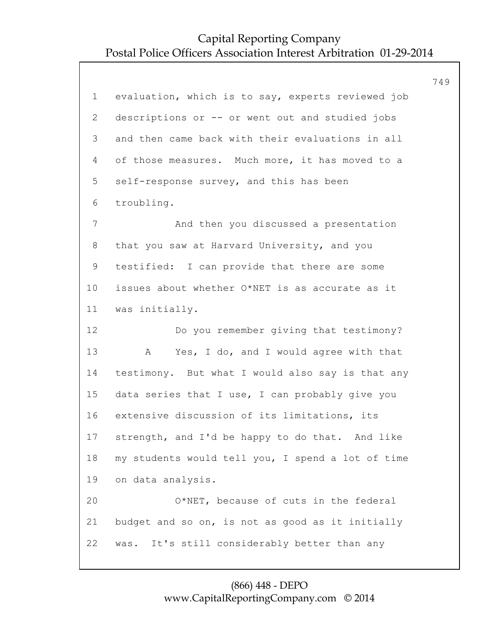$\overline{a}$ 

|                |                                                   | 749 |
|----------------|---------------------------------------------------|-----|
| $\mathbf 1$    | evaluation, which is to say, experts reviewed job |     |
| $\overline{2}$ | descriptions or -- or went out and studied jobs   |     |
| 3              | and then came back with their evaluations in all  |     |
| 4              | of those measures. Much more, it has moved to a   |     |
| 5              | self-response survey, and this has been           |     |
| 6              | troubling.                                        |     |
| $\overline{7}$ | And then you discussed a presentation             |     |
| 8              | that you saw at Harvard University, and you       |     |
| $\mathsf 9$    | testified: I can provide that there are some      |     |
| 10             | issues about whether O*NET is as accurate as it   |     |
| 11             | was initially.                                    |     |
| 12             | Do you remember giving that testimony?            |     |
| 13             | Yes, I do, and I would agree with that<br>Α       |     |
| 14             | testimony. But what I would also say is that any  |     |
| 15             | data series that I use, I can probably give you   |     |
| 16             | extensive discussion of its limitations, its      |     |
| 17             | strength, and I'd be happy to do that. And like   |     |
| 18             | my students would tell you, I spend a lot of time |     |
| 19             | on data analysis.                                 |     |
| 20             | O*NET, because of cuts in the federal             |     |
| 21             | budget and so on, is not as good as it initially  |     |
| 22             | It's still considerably better than any<br>was.   |     |
|                |                                                   |     |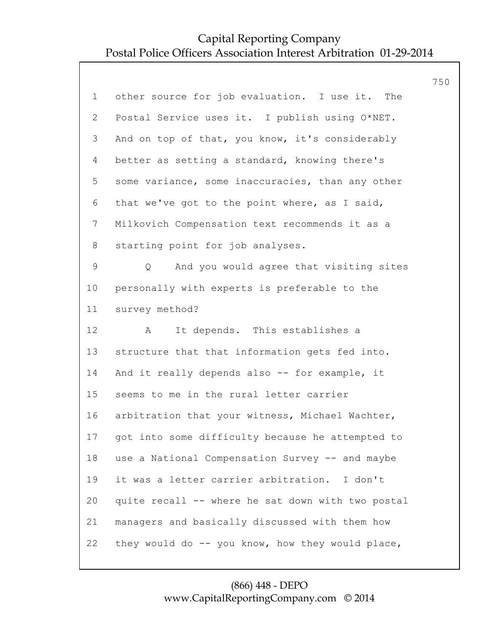|                 |                                                   | 750 |
|-----------------|---------------------------------------------------|-----|
| $\mathbf{1}$    | other source for job evaluation. I use it. The    |     |
| 2               | Postal Service uses it. I publish using O*NET.    |     |
| 3               | And on top of that, you know, it's considerably   |     |
| 4               | better as setting a standard, knowing there's     |     |
| 5               | some variance, some inaccuracies, than any other  |     |
| 6               | that we've got to the point where, as I said,     |     |
| $7\phantom{.0}$ | Milkovich Compensation text recommends it as a    |     |
| 8               | starting point for job analyses.                  |     |
| $\mathsf 9$     | And you would agree that visiting sites<br>Q      |     |
| 10              | personally with experts is preferable to the      |     |
| 11              | survey method?                                    |     |
| 12              | It depends. This establishes a<br>A               |     |
| 13              | structure that that information gets fed into.    |     |
| 14              | And it really depends also -- for example, it     |     |
| 15              | seems to me in the rural letter carrier           |     |
| 16              | arbitration that your witness, Michael Wachter,   |     |
| 17              | got into some difficulty because he attempted to  |     |
| 18              | use a National Compensation Survey -- and maybe   |     |
| 19              | it was a letter carrier arbitration. I don't      |     |
| 20              | quite recall -- where he sat down with two postal |     |
| 21              | managers and basically discussed with them how    |     |
| 22              | they would do -- you know, how they would place,  |     |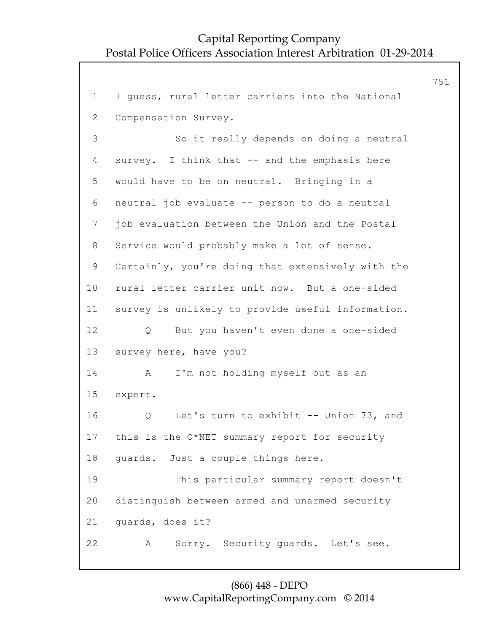```
751
 1 I guess, rural letter carriers into the National
 2 Compensation Survey.
 3 So it really depends on doing a neutral
 4 survey. I think that -- and the emphasis here
 5 would have to be on neutral. Bringing in a
 6 neutral job evaluate -- person to do a neutral
7 job evaluation between the Union and the Postal
 8 Service would probably make a lot of sense.
 9 Certainly, you're doing that extensively with the
10 rural letter carrier unit now. But a one-sided
11 survey is unlikely to provide useful information.
12 Q But you haven't even done a one-sided
13 survey here, have you?
14 A I'm not holding myself out as an
15 expert.
16 Q Let's turn to exhibit -- Union 73, and
17 this is the O*NET summary report for security
18 guards. Just a couple things here.
19 This particular summary report doesn't
20 distinguish between armed and unarmed security
21 guards, does it?
22 A Sorry. Security guards. Let's see.
```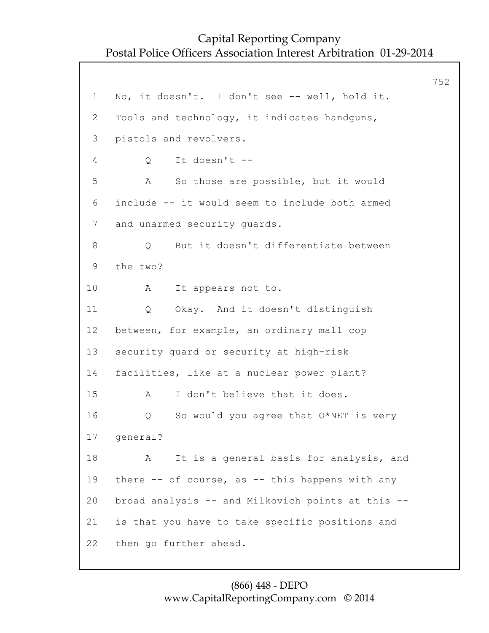752 1 No, it doesn't. I don't see -- well, hold it. 2 Tools and technology, it indicates handguns, 3 pistols and revolvers. 4 Q It doesn't -- 5 A So those are possible, but it would 6 include -- it would seem to include both armed 7 and unarmed security guards. 8 Q But it doesn't differentiate between 9 the two? 10 A It appears not to. 11 Q Okay. And it doesn't distinguish 12 between, for example, an ordinary mall cop 13 security guard or security at high-risk 14 facilities, like at a nuclear power plant? 15 A I don't believe that it does. 16 Q So would you agree that O\*NET is very 17 general? 18 A It is a general basis for analysis, and 19 there -- of course, as -- this happens with any 20 broad analysis -- and Milkovich points at this -- 21 is that you have to take specific positions and 22 then go further ahead.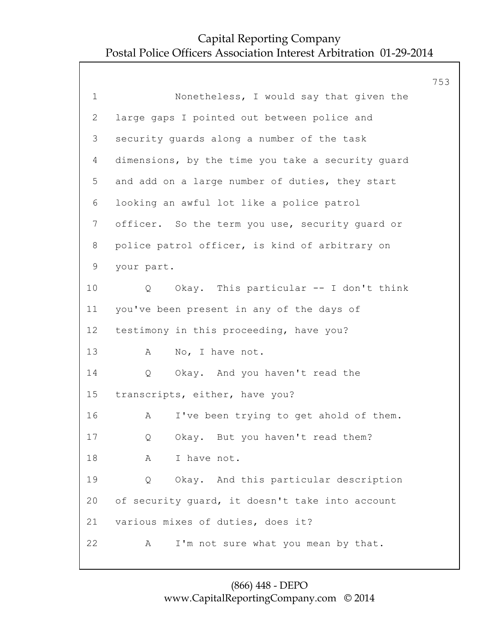753 1 Nonetheless, I would say that given the 2 large gaps I pointed out between police and 3 security guards along a number of the task 4 dimensions, by the time you take a security guard 5 and add on a large number of duties, they start 6 looking an awful lot like a police patrol 7 officer. So the term you use, security guard or 8 police patrol officer, is kind of arbitrary on 9 your part. 10 Q Okay. This particular -- I don't think 11 you've been present in any of the days of 12 testimony in this proceeding, have you? 13 A No, I have not. 14 Q Okay. And you haven't read the 15 transcripts, either, have you? 16 A I've been trying to get ahold of them. 17 Q Okay. But you haven't read them? 18 A I have not. 19 Q Okay. And this particular description 20 of security guard, it doesn't take into account 21 various mixes of duties, does it? 22 A I'm not sure what you mean by that.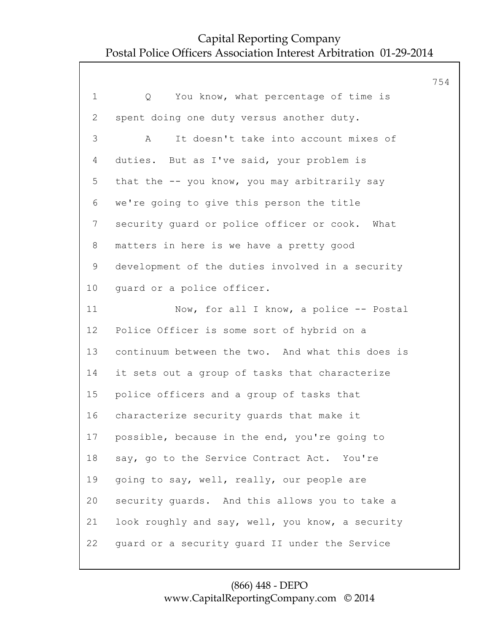|                |                                                  | 754 |
|----------------|--------------------------------------------------|-----|
| $\mathbf 1$    | You know, what percentage of time is<br>Q        |     |
| 2              | spent doing one duty versus another duty.        |     |
| 3              | It doesn't take into account mixes of<br>A       |     |
| 4              | duties. But as I've said, your problem is        |     |
| 5              | that the -- you know, you may arbitrarily say    |     |
| 6              | we're going to give this person the title        |     |
| $\overline{7}$ | security guard or police officer or cook. What   |     |
| 8              | matters in here is we have a pretty good         |     |
| 9              | development of the duties involved in a security |     |
| 10             | guard or a police officer.                       |     |
| 11             | Now, for all I know, a police -- Postal          |     |
| 12             | Police Officer is some sort of hybrid on a       |     |
| 13             | continuum between the two. And what this does is |     |
| 14             | it sets out a group of tasks that characterize   |     |
| 15             | police officers and a group of tasks that        |     |
| 16             | characterize security guards that make it        |     |
| 17             | possible, because in the end, you're going to    |     |
| 18             | say, go to the Service Contract Act. You're      |     |
| 19             | going to say, well, really, our people are       |     |
| 20             | security quards. And this allows you to take a   |     |
| 21             | look roughly and say, well, you know, a security |     |
| 22             | quard or a security quard II under the Service   |     |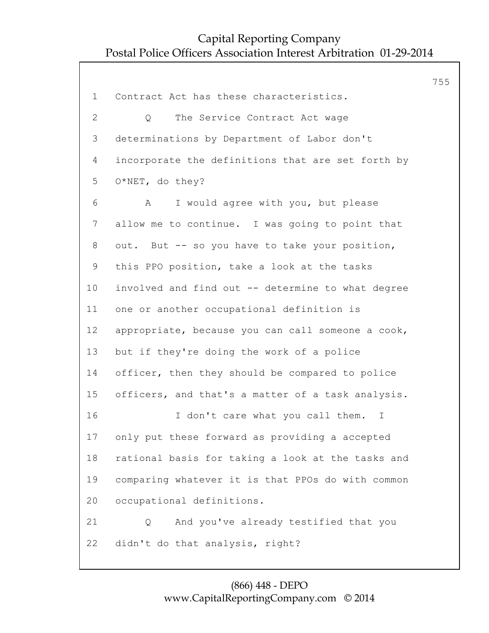1 Contract Act has these characteristics. 2 Q The Service Contract Act wage 3 determinations by Department of Labor don't 4 incorporate the definitions that are set forth by 5 O\*NET, do they? 6 A I would agree with you, but please 7 allow me to continue. I was going to point that 8 out. But -- so you have to take your position, 9 this PPO position, take a look at the tasks 10 involved and find out -- determine to what degree 11 one or another occupational definition is 12 appropriate, because you can call someone a cook, 13 but if they're doing the work of a police 14 officer, then they should be compared to police 15 officers, and that's a matter of a task analysis. 16 I don't care what you call them. I 17 only put these forward as providing a accepted 18 rational basis for taking a look at the tasks and 19 comparing whatever it is that PPOs do with common 20 occupational definitions. 21 Q And you've already testified that you 22 didn't do that analysis, right?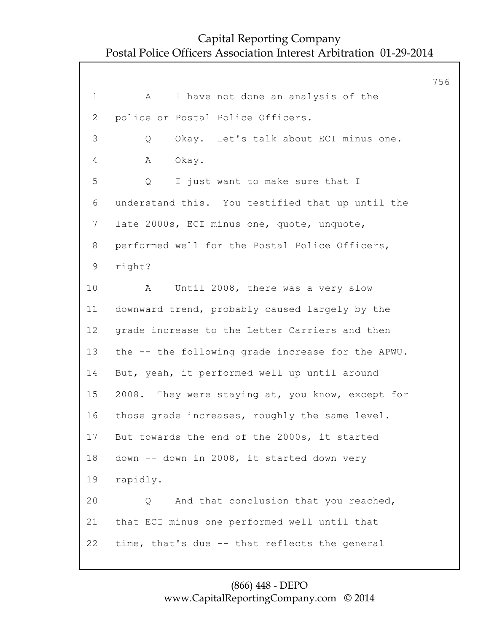756 1 A I have not done an analysis of the 2 police or Postal Police Officers. 3 Q Okay. Let's talk about ECI minus one. 4 A Okay. 5 Q I just want to make sure that I 6 understand this. You testified that up until the 7 late 2000s, ECI minus one, quote, unquote, 8 performed well for the Postal Police Officers, 9 right? 10 A Until 2008, there was a very slow 11 downward trend, probably caused largely by the 12 grade increase to the Letter Carriers and then 13 the -- the following grade increase for the APWU. 14 But, yeah, it performed well up until around 15 2008. They were staying at, you know, except for 16 those grade increases, roughly the same level. 17 But towards the end of the 2000s, it started 18 down -- down in 2008, it started down very 19 rapidly. 20 Q And that conclusion that you reached, 21 that ECI minus one performed well until that 22 time, that's due -- that reflects the general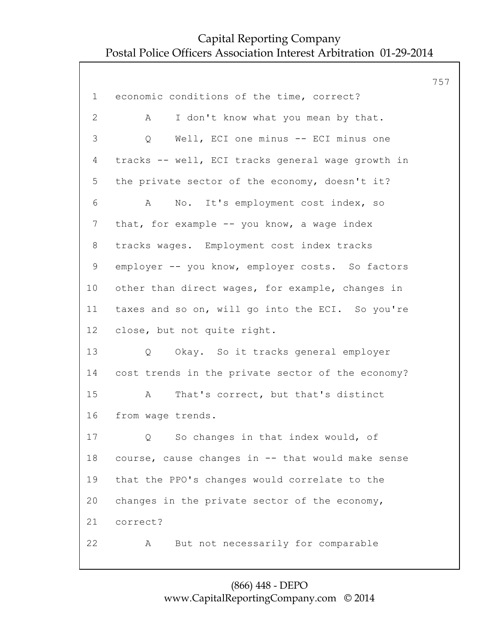|                 |                                                   | 757 |
|-----------------|---------------------------------------------------|-----|
| $\mathbf 1$     | economic conditions of the time, correct?         |     |
| $\mathbf{2}$    | I don't know what you mean by that.<br>A          |     |
| 3               | Well, ECI one minus -- ECI minus one<br>Q         |     |
| 4               | tracks -- well, ECI tracks general wage growth in |     |
| 5               | the private sector of the economy, doesn't it?    |     |
| 6               | No. It's employment cost index, so<br>A           |     |
| $7\phantom{.}$  | that, for example -- you know, a wage index       |     |
| 8               | tracks wages. Employment cost index tracks        |     |
| $\mathsf 9$     | employer -- you know, employer costs. So factors  |     |
| 10 <sub>o</sub> | other than direct wages, for example, changes in  |     |
| 11              | taxes and so on, will go into the ECI. So you're  |     |
| 12              | close, but not quite right.                       |     |
| 13              | Okay. So it tracks general employer<br>Q          |     |
| 14              | cost trends in the private sector of the economy? |     |
| 15              | That's correct, but that's distinct<br>A          |     |
| 16              | from wage trends.                                 |     |
| 17              | So changes in that index would, of<br>Q           |     |
| 18              | course, cause changes in -- that would make sense |     |
| 19              | that the PPO's changes would correlate to the     |     |
| 20              | changes in the private sector of the economy,     |     |
| 21              | correct?                                          |     |
| 22              | But not necessarily for comparable<br>Α           |     |
|                 |                                                   |     |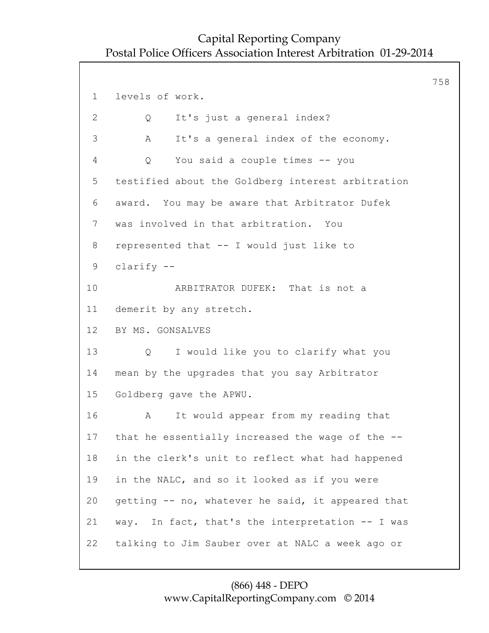758 1 levels of work. 2 Q It's just a general index? 3 A It's a general index of the economy. 4 Q You said a couple times -- you 5 testified about the Goldberg interest arbitration 6 award. You may be aware that Arbitrator Dufek 7 was involved in that arbitration. You 8 represented that -- I would just like to 9 clarify -- 10 ARBITRATOR DUFEK: That is not a 11 demerit by any stretch. 12 BY MS. GONSALVES 13 Q I would like you to clarify what you 14 mean by the upgrades that you say Arbitrator 15 Goldberg gave the APWU. 16 A It would appear from my reading that 17 that he essentially increased the wage of the -- 18 in the clerk's unit to reflect what had happened 19 in the NALC, and so it looked as if you were 20 getting -- no, whatever he said, it appeared that 21 way. In fact, that's the interpretation -- I was 22 talking to Jim Sauber over at NALC a week ago or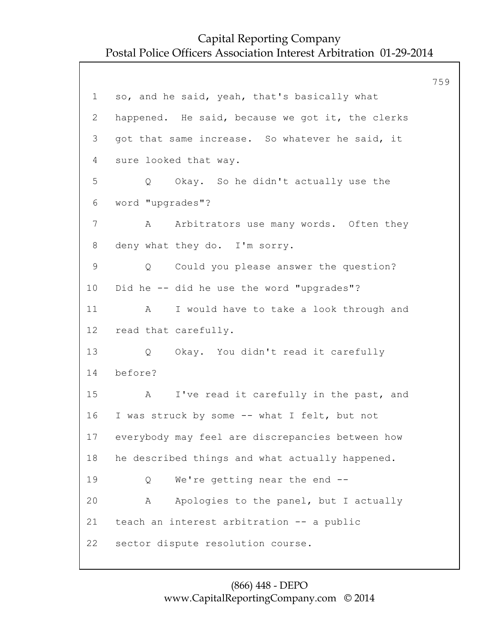759 1 so, and he said, yeah, that's basically what 2 happened. He said, because we got it, the clerks 3 got that same increase. So whatever he said, it 4 sure looked that way. 5 Q Okay. So he didn't actually use the 6 word "upgrades"? 7 A Arbitrators use many words. Often they 8 deny what they do. I'm sorry. 9 Q Could you please answer the question? 10 Did he -- did he use the word "upgrades"? 11 A I would have to take a look through and 12 read that carefully. 13 Q Okay. You didn't read it carefully 14 before? 15 A I've read it carefully in the past, and 16 I was struck by some -- what I felt, but not 17 everybody may feel are discrepancies between how 18 he described things and what actually happened. 19 Q We're getting near the end -- 20 A Apologies to the panel, but I actually 21 teach an interest arbitration -- a public 22 sector dispute resolution course.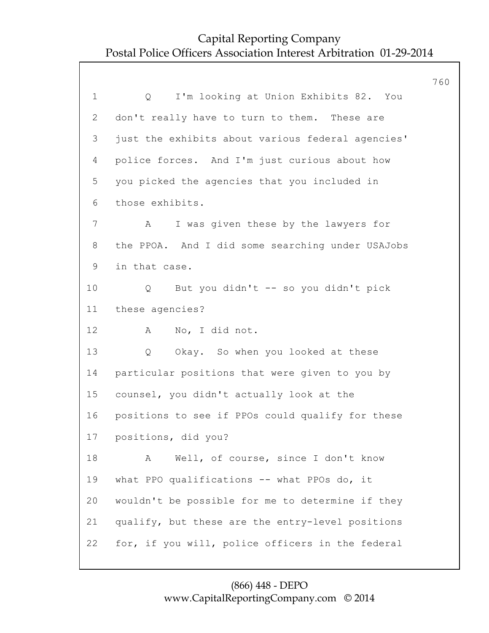760 1 Q I'm looking at Union Exhibits 82. You 2 don't really have to turn to them. These are 3 just the exhibits about various federal agencies' 4 police forces. And I'm just curious about how 5 you picked the agencies that you included in 6 those exhibits. 7 A I was given these by the lawyers for 8 the PPOA. And I did some searching under USAJobs 9 in that case. 10 Q But you didn't -- so you didn't pick 11 these agencies? 12 A No, I did not. 13 Q Okay. So when you looked at these 14 particular positions that were given to you by 15 counsel, you didn't actually look at the 16 positions to see if PPOs could qualify for these 17 positions, did you? 18 A Well, of course, since I don't know 19 what PPO qualifications -- what PPOs do, it 20 wouldn't be possible for me to determine if they 21 qualify, but these are the entry-level positions 22 for, if you will, police officers in the federal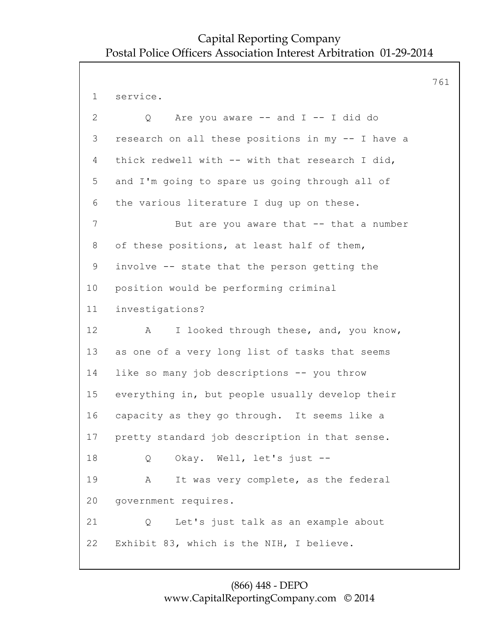761 1 service. 2 Q Are you aware -- and I -- I did do 3 research on all these positions in my -- I have a 4 thick redwell with -- with that research I did, 5 and I'm going to spare us going through all of 6 the various literature I dug up on these. 7 But are you aware that -- that a number 8 of these positions, at least half of them, 9 involve -- state that the person getting the 10 position would be performing criminal 11 investigations? 12 A I looked through these, and, you know, 13 as one of a very long list of tasks that seems 14 like so many job descriptions -- you throw 15 everything in, but people usually develop their 16 capacity as they go through. It seems like a 17 pretty standard job description in that sense. 18 Q Okay. Well, let's just -- 19 A It was very complete, as the federal 20 government requires. 21 Q Let's just talk as an example about 22 Exhibit 83, which is the NIH, I believe.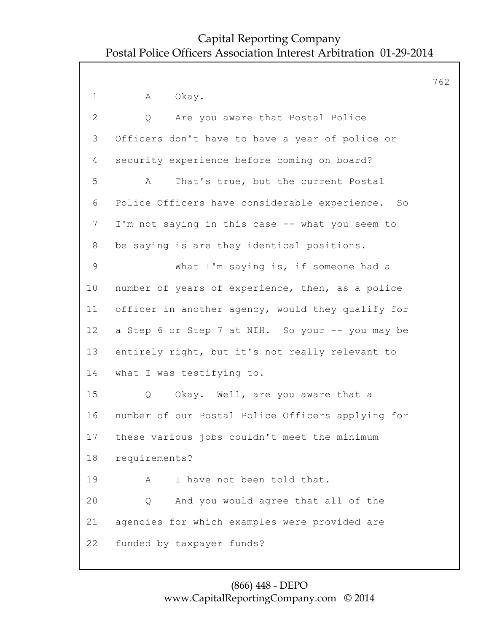|                 |                                                   | 762 |
|-----------------|---------------------------------------------------|-----|
| $\mathbf 1$     | Α<br>Okay.                                        |     |
| $\mathbf{2}$    | Are you aware that Postal Police<br>Q             |     |
| 3               | Officers don't have to have a year of police or   |     |
| 4               | security experience before coming on board?       |     |
| 5               | That's true, but the current Postal<br>Α          |     |
| 6               | Police Officers have considerable experience. So  |     |
| $\overline{7}$  | I'm not saying in this case -- what you seem to   |     |
| 8               | be saying is are they identical positions.        |     |
| $\mathsf 9$     | What I'm saying is, if someone had a              |     |
| 10              | number of years of experience, then, as a police  |     |
| 11              | officer in another agency, would they qualify for |     |
| 12 <sup>°</sup> | a Step 6 or Step 7 at NIH. So your -- you may be  |     |
| 13              | entirely right, but it's not really relevant to   |     |
| 14              | what I was testifying to.                         |     |
| 15              | Okay. Well, are you aware that a<br>Q             |     |
| 16              | number of our Postal Police Officers applying for |     |
| 17              | these various jobs couldn't meet the minimum      |     |
| 18              | requirements?                                     |     |
| 19              | I have not been told that.<br>A                   |     |
| 20              | And you would agree that all of the<br>Q          |     |
| 21              | agencies for which examples were provided are     |     |
| 22              | funded by taxpayer funds?                         |     |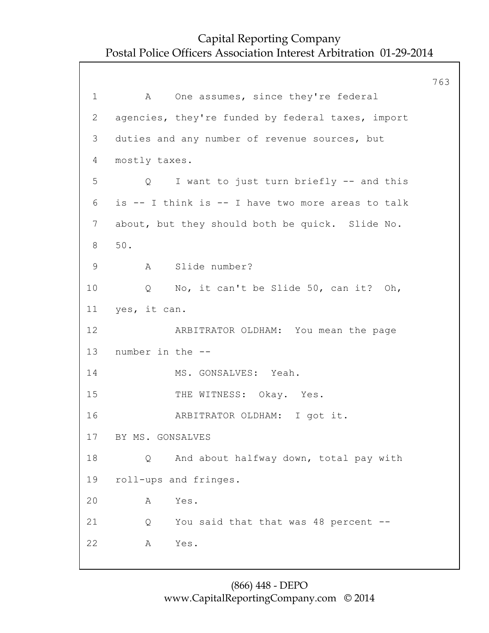763 1 A One assumes, since they're federal 2 agencies, they're funded by federal taxes, import 3 duties and any number of revenue sources, but 4 mostly taxes. 5 Q I want to just turn briefly -- and this 6 is -- I think is -- I have two more areas to talk 7 about, but they should both be quick. Slide No. 8 50. 9 A Slide number? 10 Q No, it can't be Slide 50, can it? Oh, 11 yes, it can. 12 ARBITRATOR OLDHAM: You mean the page 13 number in the -- 14 MS. GONSALVES: Yeah. 15 THE WITNESS: Okay. Yes. 16 ARBITRATOR OLDHAM: I got it. 17 BY MS. GONSALVES 18 Q And about halfway down, total pay with 19 roll-ups and fringes. 20 A Yes. 21 Q You said that that was 48 percent -- 22 A Yes.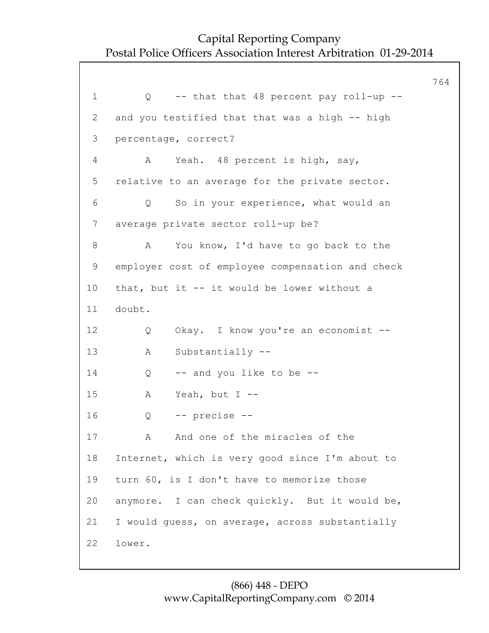|                 |                                                  | 764 |
|-----------------|--------------------------------------------------|-----|
| $\mathbf 1$     | -- that that 48 percent pay roll-up --<br>Q      |     |
| 2               | and you testified that that was a high -- high   |     |
| 3               | percentage, correct?                             |     |
| 4               | Yeah. 48 percent is high, say,<br>A              |     |
| 5               | relative to an average for the private sector.   |     |
| 6               | So in your experience, what would an<br>Q        |     |
| $7\phantom{.0}$ | average private sector roll-up be?               |     |
| 8               | You know, I'd have to go back to the<br>A        |     |
| 9               | employer cost of employee compensation and check |     |
| 10              | that, but it -- it would be lower without a      |     |
| 11              | doubt.                                           |     |
| 12              | Okay. I know you're an economist --<br>Q         |     |
| 13              | Substantially --<br>Α                            |     |
| 14              | -- and you like to be --<br>Q                    |     |
| 15              | Yeah, but $I$ --<br>Α                            |     |
| 16              | -- precise --<br>Q                               |     |
| 17              | And one of the miracles of the<br>A              |     |
| 18              | Internet, which is very good since I'm about to  |     |
| 19              | turn 60, is I don't have to memorize those       |     |
| 20              | anymore. I can check quickly. But it would be,   |     |
| 21              | I would quess, on average, across substantially  |     |
| 22              | lower.                                           |     |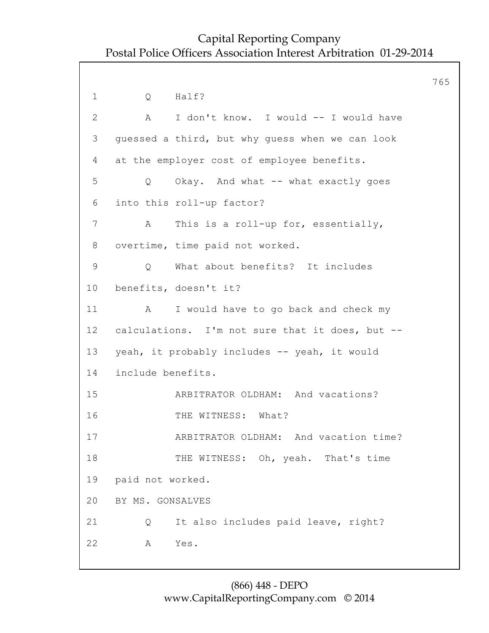765 1 O Half? 2 A I don't know. I would -- I would have 3 guessed a third, but why guess when we can look 4 at the employer cost of employee benefits. 5 Q Okay. And what -- what exactly goes 6 into this roll-up factor? 7 A This is a roll-up for, essentially, 8 overtime, time paid not worked. 9 Q What about benefits? It includes 10 benefits, doesn't it? 11 A I would have to go back and check my 12 calculations. I'm not sure that it does, but -- 13 yeah, it probably includes -- yeah, it would 14 include benefits. 15 ARBITRATOR OLDHAM: And vacations? 16 THE WITNESS: What? 17 ARBITRATOR OLDHAM: And vacation time? 18 THE WITNESS: Oh, yeah. That's time 19 paid not worked. 20 BY MS. GONSALVES 21 Q It also includes paid leave, right? 22 A Yes.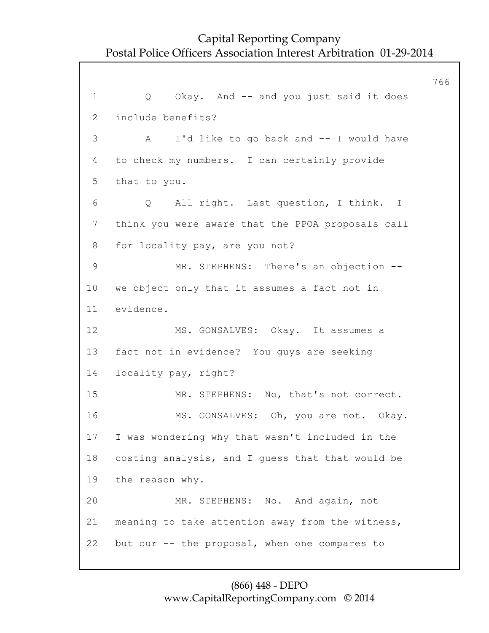766 1 Q Okay. And -- and you just said it does 2 include benefits? 3 A I'd like to go back and -- I would have 4 to check my numbers. I can certainly provide 5 that to you. 6 Q All right. Last question, I think. I 7 think you were aware that the PPOA proposals call 8 for locality pay, are you not? 9 MR. STEPHENS: There's an objection -- 10 we object only that it assumes a fact not in 11 evidence. 12 MS. GONSALVES: Okay. It assumes a 13 fact not in evidence? You guys are seeking 14 locality pay, right? 15 MR. STEPHENS: No, that's not correct. 16 MS. GONSALVES: Oh, you are not. Okay. 17 I was wondering why that wasn't included in the 18 costing analysis, and I guess that that would be 19 the reason why. 20 MR. STEPHENS: No. And again, not 21 meaning to take attention away from the witness, 22 but our -- the proposal, when one compares to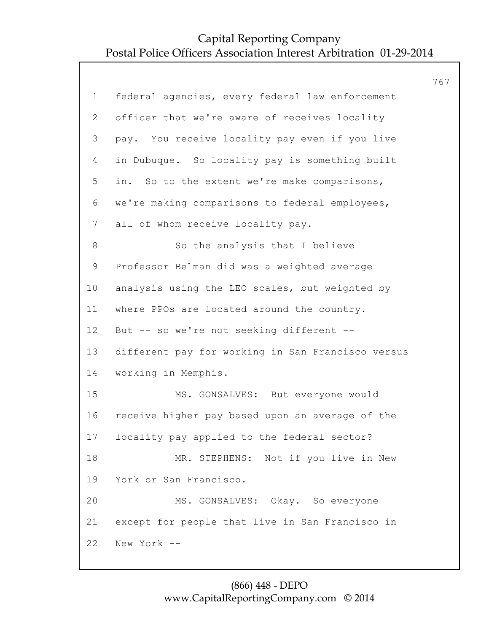|                 |                                                   | 767 |
|-----------------|---------------------------------------------------|-----|
| $\mathbf 1$     | federal agencies, every federal law enforcement   |     |
| 2               | officer that we're aware of receives locality     |     |
| 3               | pay. You receive locality pay even if you live    |     |
| 4               | in Dubuque. So locality pay is something built    |     |
| 5               | in. So to the extent we're make comparisons,      |     |
| 6               | we're making comparisons to federal employees,    |     |
| $7\phantom{.0}$ | all of whom receive locality pay.                 |     |
| 8               | So the analysis that I believe                    |     |
| 9               | Professor Belman did was a weighted average       |     |
| 10              | analysis using the LEO scales, but weighted by    |     |
| 11              | where PPOs are located around the country.        |     |
| 12 <sup>°</sup> | But -- so we're not seeking different --          |     |
| 13              | different pay for working in San Francisco versus |     |
| 14              | working in Memphis.                               |     |
| 15              | MS. GONSALVES: But everyone would                 |     |
| 16              | receive higher pay based upon an average of the   |     |
| 17              | locality pay applied to the federal sector?       |     |
| 18              | MR. STEPHENS: Not if you live in New              |     |
| 19              | York or San Francisco.                            |     |
| 20              | MS. GONSALVES: Okay. So everyone                  |     |
| 21              | except for people that live in San Francisco in   |     |
| 22              | New York --                                       |     |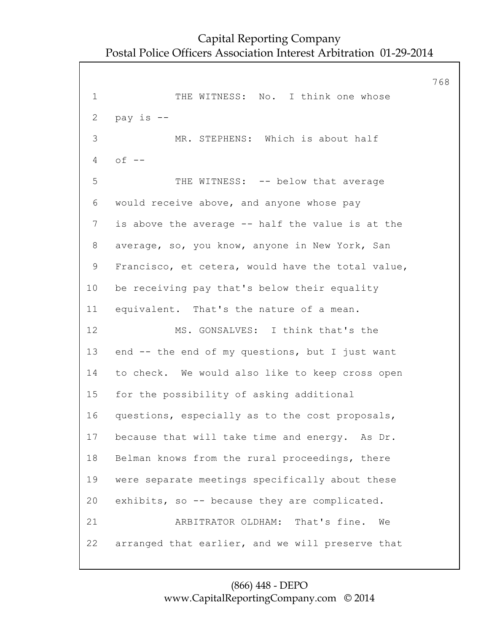768 1 THE WITNESS: No. I think one whose 2 pay is -- 3 MR. STEPHENS: Which is about half 4 of -- 5 THE WITNESS: -- below that average 6 would receive above, and anyone whose pay 7 is above the average -- half the value is at the 8 average, so, you know, anyone in New York, San 9 Francisco, et cetera, would have the total value, 10 be receiving pay that's below their equality 11 equivalent. That's the nature of a mean. 12 MS. GONSALVES: I think that's the 13 end -- the end of my questions, but I just want 14 to check. We would also like to keep cross open 15 for the possibility of asking additional 16 questions, especially as to the cost proposals, 17 because that will take time and energy. As Dr. 18 Belman knows from the rural proceedings, there 19 were separate meetings specifically about these 20 exhibits, so -- because they are complicated. 21 ARBITRATOR OLDHAM: That's fine. We 22 arranged that earlier, and we will preserve that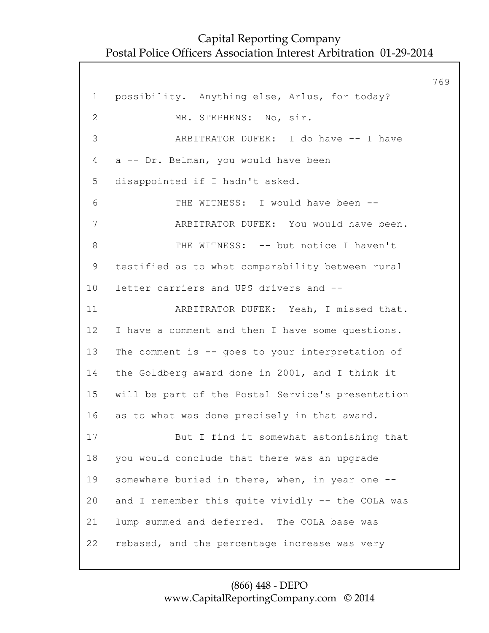769 1 possibility. Anything else, Arlus, for today? 2 MR. STEPHENS: No, sir. 3 ARBITRATOR DUFEK: I do have -- I have 4 a -- Dr. Belman, you would have been 5 disappointed if I hadn't asked. 6 THE WITNESS: I would have been -- 7 ARBITRATOR DUFEK: You would have been. 8 THE WITNESS: -- but notice I haven't 9 testified as to what comparability between rural 10 letter carriers and UPS drivers and -- 11 ARBITRATOR DUFEK: Yeah, I missed that. 12 I have a comment and then I have some questions. 13 The comment is -- goes to your interpretation of 14 the Goldberg award done in 2001, and I think it 15 will be part of the Postal Service's presentation 16 as to what was done precisely in that award. 17 But I find it somewhat astonishing that 18 you would conclude that there was an upgrade 19 somewhere buried in there, when, in year one -- 20 and I remember this quite vividly -- the COLA was 21 lump summed and deferred. The COLA base was 22 rebased, and the percentage increase was very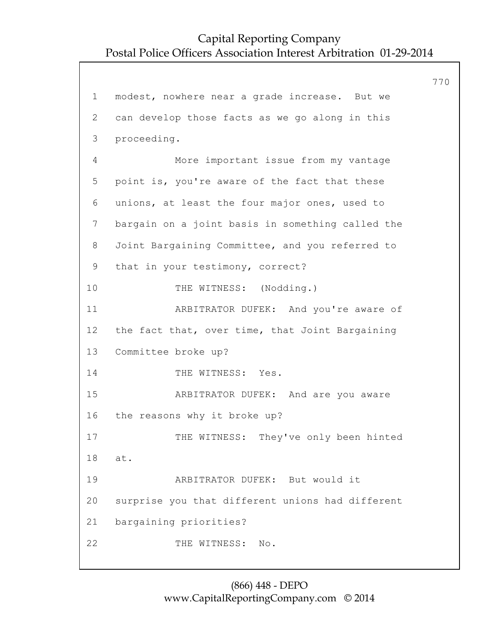770

```
1 modest, nowhere near a grade increase. But we
2 can develop those facts as we go along in this
3 proceeding.
4 More important issue from my vantage
5 point is, you're aware of the fact that these
6 unions, at least the four major ones, used to
7 bargain on a joint basis in something called the
8 Joint Bargaining Committee, and you referred to
9 that in your testimony, correct?
10 THE WITNESS: (Nodding.)
11 ARBITRATOR DUFEK: And you're aware of
12 the fact that, over time, that Joint Bargaining
13 Committee broke up?
14 THE WITNESS: Yes.
15 ARBITRATOR DUFEK: And are you aware
16 the reasons why it broke up?
17 THE WITNESS: They've only been hinted
18 at.
19 ARBITRATOR DUFEK: But would it
20 surprise you that different unions had different
21 bargaining priorities?
22 THE WITNESS: No.
```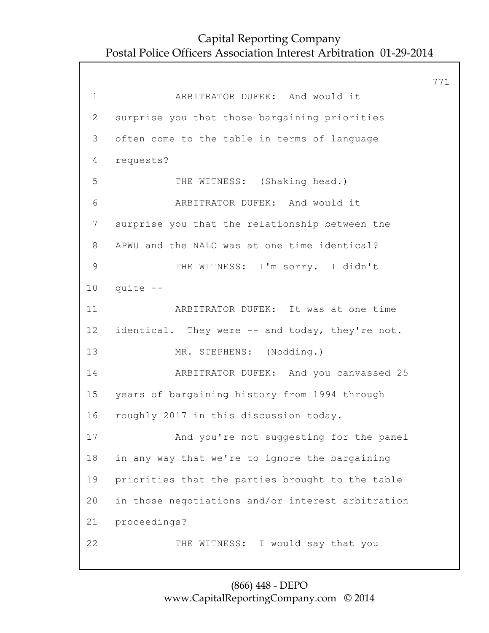771 1 ARBITRATOR DUFEK: And would it 2 surprise you that those bargaining priorities 3 often come to the table in terms of language 4 requests? 5 THE WITNESS: (Shaking head.) 6 ARBITRATOR DUFEK: And would it 7 surprise you that the relationship between the 8 APWU and the NALC was at one time identical? 9 THE WITNESS: I'm sorry. I didn't 10 quite -- 11 ARBITRATOR DUFEK: It was at one time 12 identical. They were -- and today, they're not. 13 MR. STEPHENS: (Nodding.) 14 ARBITRATOR DUFEK: And you canvassed 25 15 years of bargaining history from 1994 through 16 roughly 2017 in this discussion today. 17 And you're not suggesting for the panel 18 in any way that we're to ignore the bargaining 19 priorities that the parties brought to the table 20 in those negotiations and/or interest arbitration 21 proceedings? 22 THE WITNESS: I would say that you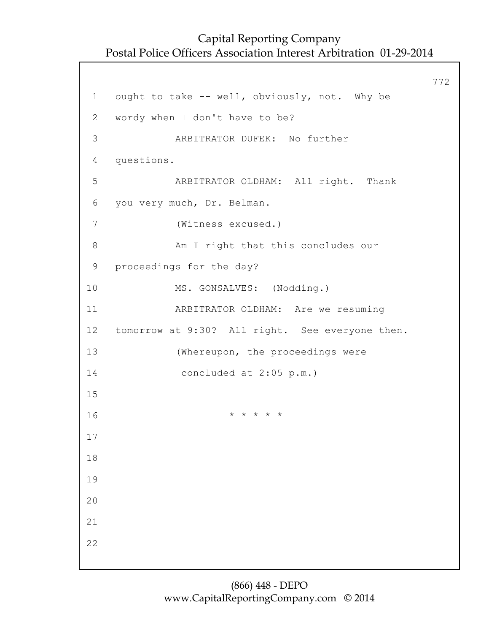772 1 ought to take -- well, obviously, not. Why be 2 wordy when I don't have to be? 3 ARBITRATOR DUFEK: No further 4 questions. 5 ARBITRATOR OLDHAM: All right. Thank 6 you very much, Dr. Belman. 7 (Witness excused.) 8 Am I right that this concludes our 9 proceedings for the day? 10 MS. GONSALVES: (Nodding.) 11 ARBITRATOR OLDHAM: Are we resuming 12 tomorrow at 9:30? All right. See everyone then. 13 (Whereupon, the proceedings were 14 concluded at 2:05 p.m.) 15  $16$  \* \* \* \* \* 17 18 19 20 21 22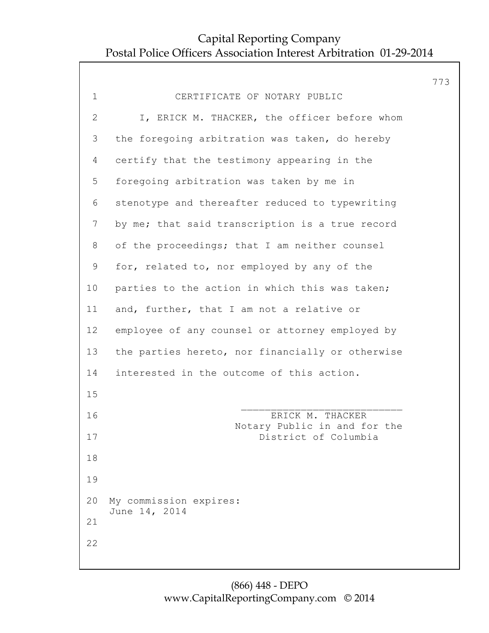|              |                                                      | 773 |
|--------------|------------------------------------------------------|-----|
| $\mathbf 1$  | CERTIFICATE OF NOTARY PUBLIC                         |     |
| $\mathbf{2}$ | I, ERICK M. THACKER, the officer before whom         |     |
| 3            | the foregoing arbitration was taken, do hereby       |     |
| 4            | certify that the testimony appearing in the          |     |
| 5            | foregoing arbitration was taken by me in             |     |
| 6            | stenotype and thereafter reduced to typewriting      |     |
| 7            | by me; that said transcription is a true record      |     |
| 8            | of the proceedings; that I am neither counsel        |     |
| $\mathsf 9$  | for, related to, nor employed by any of the          |     |
| 10           | parties to the action in which this was taken;       |     |
| 11           | and, further, that I am not a relative or            |     |
| 12           | employee of any counsel or attorney employed by      |     |
| 13           | the parties hereto, nor financially or otherwise     |     |
| 14           | interested in the outcome of this action.            |     |
| 15           |                                                      |     |
| 16           | ERICK M. THACKER                                     |     |
| 17           | Notary Public in and for the<br>District of Columbia |     |
| 18           |                                                      |     |
| 19           |                                                      |     |
| 20           | My commission expires:                               |     |
| 21           | June 14, 2014                                        |     |
| 22           |                                                      |     |
|              |                                                      |     |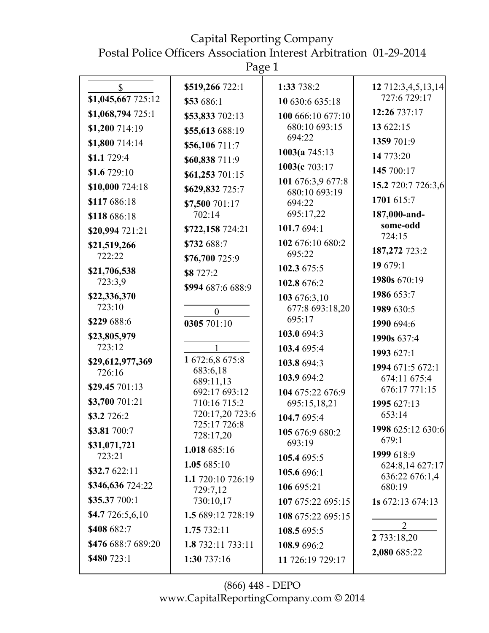Capital Reporting Company

Postal Police Officers Association Interest Arbitration 01-29-2014

Page 1

| $\mathbb{S}$           | \$519,266 722:1               | 1:33 738:2                         | 12 712:3,4,5,13,14                |
|------------------------|-------------------------------|------------------------------------|-----------------------------------|
| \$1,045,667 725:12     | \$53 686:1                    | 10 630:6 635:18                    | 727:6 729:17                      |
| \$1,068,794 725:1      | \$53,833 702:13               | 100 666:10 677:10                  | 12:26 737:17                      |
| \$1,200 714:19         | \$55,613 688:19               | 680:10 693:15                      | 13 622:15                         |
| \$1,800 714:14         | \$56,106 711:7                | 694:22                             | 1359 701:9                        |
| \$1.1 729:4            | \$60,838 711:9                | 1003(a $745:13$                    | 14 773:20                         |
| \$1.6 729:10           | \$61,253 701:15               | 1003(c 703:17                      | 145 700:17                        |
| \$10,000 724:18        | \$629,832 725:7               | 101 676:3,9 677:8<br>680:10 693:19 | 15.2 720:7 726:3,6                |
| \$117 686:18           | \$7,500 701:17                | 694:22                             | 1701 615:7                        |
| \$118 686:18           | 702:14                        | 695:17,22                          | 187,000-and-                      |
| \$20,994 721:21        | \$722,158 724:21              | 101.7 694:1                        | some-odd<br>724:15                |
| \$21,519,266           | \$732 688:7                   | 102 676:10 680:2                   | 187,272 723:2                     |
| 722:22                 | \$76,700 725:9                | 695:22                             | 19 679:1                          |
| \$21,706,538           | \$8 727:2                     | 102.3 675:5                        |                                   |
| 723:3,9                | \$994 687:6 688:9             | 102.8 676:2                        | 1980s 670:19                      |
| \$22,336,370<br>723:10 |                               | 103 676:3,10                       | 1986 653:7                        |
|                        | $\overline{0}$                | 677:8 693:18,20<br>695:17          | 1989 630:5                        |
| \$229 688:6            | 0305 701:10                   | 103.0 694:3                        | 1990 694:6                        |
| \$23,805,979<br>723:12 |                               | 103.4 695:4                        | 1990s 637:4                       |
| \$29,612,977,369       | 1 672:6,8 675:8               |                                    | 1993 627:1                        |
| 726:16                 | 683:6,18                      | 103.8 694:3                        | 1994 671:5 672:1                  |
| \$29.45 701:13         | 689:11,13                     | 103.9 694:2                        | 674:11 675:4<br>676:17 771:15     |
| \$3,700 701:21         | 692:17 693:12<br>710:16 715:2 | 104 675:22 676:9<br>695:15,18,21   | 1995 627:13                       |
| \$3.2 726:2            | 720:17,20 723:6               | 104.7 695:4                        | 653:14                            |
| \$3.81 700:7           | 725:17 726:8                  | 105 676:9 680:2                    | 1998 625:12 630:6                 |
| \$31,071,721           | 728:17,20                     | 693:19                             | 679:1                             |
| 723:21                 | 1.018 685:16                  | 105.4 695:5                        | 1999 618:9                        |
| \$32.7 622:11          | 1.05 685:10                   | 105.6 696:1                        | 624:8,14 627:17<br>636:22 676:1,4 |
| \$346,636 724:22       | 1.1 720:10 726:19<br>729:7,12 | 106 695:21                         | 680:19                            |
| \$35.37 700:1          | 730:10,17                     | 107 675:22 695:15                  | 1s 672:13 674:13                  |
| \$4.7 726:5,6,10       | 1.5 689:12 728:19             | 108 675:22 695:15                  |                                   |
| \$408 682:7            | 1.75 732:11                   | 108.5 695:5                        | 2                                 |
| \$476 688:7 689:20     | 1.8 732:11 733:11             | 108.9 696:2                        | 2 733:18,20                       |
| \$480 723:1            | 1:30 737:16                   | 11 726:19 729:17                   | 2,080 685:22                      |
|                        |                               |                                    |                                   |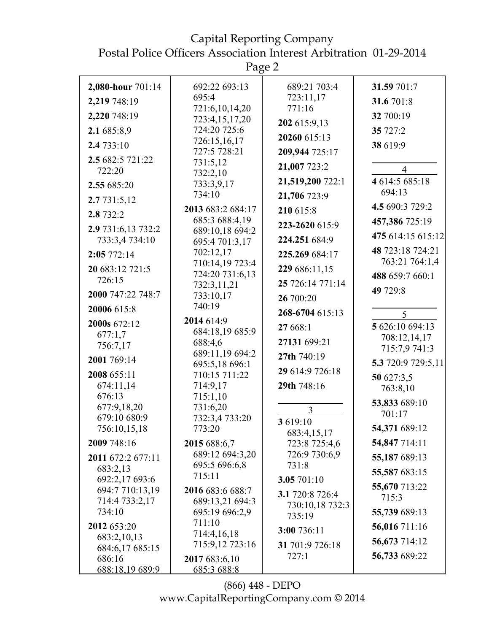Capital Reporting Company Postal Police Officers Association Interest Arbitration 01-29-2014

|                                                                                                                                                                                                                                                                                                                                                     | Page 2                                                                                                                                                                                                                                                                                                                                                                                                                            |                                                                                                                                                                                                                                                                                                                                                |                                                                                                                                                                                                                                                                                                      |
|-----------------------------------------------------------------------------------------------------------------------------------------------------------------------------------------------------------------------------------------------------------------------------------------------------------------------------------------------------|-----------------------------------------------------------------------------------------------------------------------------------------------------------------------------------------------------------------------------------------------------------------------------------------------------------------------------------------------------------------------------------------------------------------------------------|------------------------------------------------------------------------------------------------------------------------------------------------------------------------------------------------------------------------------------------------------------------------------------------------------------------------------------------------|------------------------------------------------------------------------------------------------------------------------------------------------------------------------------------------------------------------------------------------------------------------------------------------------------|
| 2,080-hour 701:14<br>2,219 748:19<br>2,220 748:19<br>2.1 685:8,9<br>2.4 733:10<br>2.5 682:5 721:22<br>722:20<br>2.55 685:20<br>2.7 731:5,12<br>2.8 732:2<br>2.9 731:6,13 732:2<br>733:3,4734:10<br>2:05772:14<br>20 683:12 721:5<br>726:15<br>2000 747:22 748:7<br>20006 615:8<br>2000s 672:12<br>677:1,7<br>756:7,17<br>2001 769:14<br>2008 655:11 | 692:22 693:13<br>695:4<br>721:6,10,14,20<br>723:4,15,17,20<br>724:20 725:6<br>726:15,16,17<br>727:5 728:21<br>731:5,12<br>732:2,10<br>733:3,9,17<br>734:10<br>2013 683:2 684:17<br>685:3 688:4,19<br>689:10,18 694:2<br>695:4 701:3,17<br>702:12,17<br>710:14,19 723:4<br>724:20 731:6,13<br>732:3,11,21<br>733:10,17<br>740:19<br>2014 614:9<br>684:18,19 685:9<br>688:4,6<br>689:11,19 694:2<br>695:5,18 696:1<br>710:15 711:22 | 689:21 703:4<br>723:11,17<br>771:16<br>202 615:9,13<br>20260 615:13<br>209,944 725:17<br>21,007 723:2<br>21,519,200 722:1<br>21,706 723:9<br>210 615:8<br>223-2620 615:9<br>224.251 684:9<br>225.269 684:17<br>229 686:11,15<br>25 726:14 771:14<br>26 700:20<br>268-6704 615:13<br>27 668:1<br>27131 699:21<br>27th 740:19<br>29 614:9 726:18 | 31.59 701:7<br>31.6 701:8<br>32 700:19<br>35 727:2<br>38 619:9<br>$\overline{4}$<br>4 614:5 685:18<br>694:13<br>4.5 690:3 729:2<br>457,386 725:19<br>475 614:15 615:12<br>48 723:18 724:21<br>763:21 764:1,4<br>488 659:7 660:1<br>49 729:8<br>5<br>5 626:10 694:13<br>708:12,14,17<br>715:7,9 741:3 |
| 674:11,14<br>676:13<br>677:9,18,20<br>679:10 680:9<br>756:10,15,18<br>2009 748:16<br>2011 672:2 677:11<br>683:2,13<br>692:2,17 693:6<br>694:7 710:13,19<br>714:4 733:2,17<br>734:10<br>2012 653:20<br>683:2,10,13<br>684:6,17 685:15<br>686:16<br><u>688:18,19 689:9</u>                                                                            | 714:9,17<br>715:1,10<br>731:6,20<br>732:3,4 733:20<br>773:20<br>2015 688:6,7<br>689:12 694:3,20<br>695:5 696:6,8<br>715:11<br>2016 683:6 688:7<br>689:13,21 694:3<br>695:19 696:2,9<br>711:10<br>714:4,16,18<br>715:9,12 723:16<br>2017 683:6,10<br><u>685:3 688:8</u>                                                                                                                                                            | 29th 748:16<br>$\mathfrak{Z}$<br>3619:10<br>683:4,15,17<br>723:8 725:4,6<br>726:9 730:6,9<br>731:8<br>3.05 701:10<br>3.1 720:8 726:4<br>730:10,18 732:3<br>735:19<br>3:00 736:11<br>31 701:9 726:18<br>727:1                                                                                                                                   | 5.3 720:9 729:5,11<br>50 627:3,5<br>763:8,10<br>53,833 689:10<br>701:17<br>54,371 689:12<br>54,847 714:11<br>55,187 689:13<br>55,587 683:15<br>55,670 713:22<br>715:3<br>55,739 689:13<br>56,016 711:16<br>56,673 714:12<br>56,733 689:22                                                            |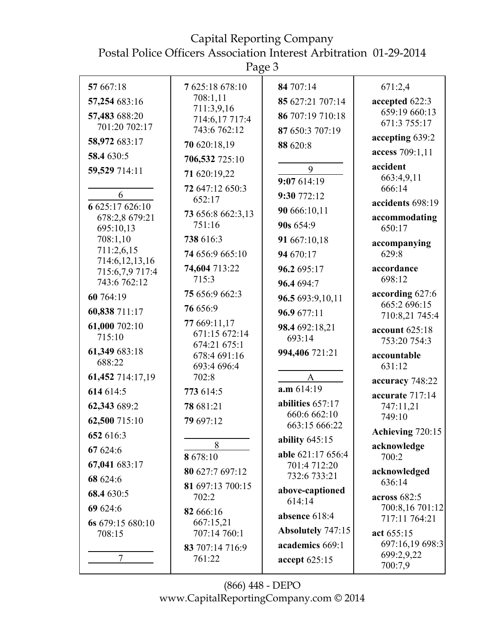| استع<br>L<br>ιT |  |
|-----------------|--|
|-----------------|--|

|                            | 1 age J                       |                              |                                  |
|----------------------------|-------------------------------|------------------------------|----------------------------------|
| 57 667:18                  | 7 625:18 678:10               | 84 707:14                    | 671:2,4                          |
| 57,254 683:16              | 708:1,11<br>711:3,9,16        | 85 627:21 707:14             | accepted 622:3                   |
| 57,483 688:20              | 714:6,17 717:4                | 86 707:19 710:18             | 659:19 660:13<br>671:3 755:17    |
| 701:20 702:17              | 743:6 762:12                  | 87 650:3 707:19              | accepting 639:2                  |
| 58,972 683:17              | 70 620:18,19                  | 88 620:8                     | access 709:1,11                  |
| 58.4 630:5                 | 706,532 725:10                |                              | accident                         |
| 59,529 714:11              | 71 620:19,22                  | 9                            | 663:4,9,11                       |
|                            | 72 647:12 650:3               | 9:07 614:19                  | 666:14                           |
| 6<br>6 625:17 626:10       | 652:17                        | 9:30 772:12                  | accidents 698:19                 |
| 678:2,8 679:21             | 73 656:8 662:3,13             | 90 666:10,11                 | accommodating                    |
| 695:10,13                  | 751:16                        | 90s 654:9                    | 650:17                           |
| 708:1,10<br>711:2,6,15     | 738 616:3                     | 91 667:10,18                 | accompanying                     |
| 714:6, 12, 13, 16          | 74 656:9 665:10               | 94 670:17                    | 629:8                            |
| 715:6,7,9 717:4            | 74,604 713:22<br>715:3        | 96.2 695:17                  | accordance<br>698:12             |
| 743:6 762:12               |                               | 96.4 694:7                   |                                  |
| 60 764:19                  | 75 656:9 662:3                | 96.5 693:9,10,11             | according 627:6<br>665:2 696:15  |
| 60,838 711:17              | 76 656:9                      | 96.9 677:11                  | 710:8,21 745:4                   |
| 61,000 702:10              | 77 669:11,17<br>671:15 672:14 | 98.4 692:18,21               | account 625:18                   |
| 715:10                     | 674:21 675:1                  | 693:14                       | 753:20 754:3                     |
| 61,349 683:18<br>688:22    | 678:4 691:16                  | 994,406 721:21               | accountable                      |
| 61,452 714:17,19           | 693:4 696:4<br>702:8          | $\mathbf{A}$                 | 631:12                           |
| 614 614:5                  | 773 614:5                     | a.m.614:19                   | accuracy 748:22                  |
| 62,343 689:2               | 78 681:21                     | abilities 657:17             | accurate 717:14<br>747:11,21     |
| 62,500 715:10              | 79 697:12                     | 660:6 662:10                 | 749:10                           |
| 652 616:3                  |                               | 663:15 666:22                | Achieving 720:15                 |
| 67 624:6                   | 8                             | ability $645:15$             | acknowledge                      |
|                            | 8 678:10                      | able 621:17 656:4            | 700:2                            |
| 67,041 683:17              | 80 627:7 697:12               | 701:4 712:20<br>732:6 733:21 | acknowledged                     |
| 68 624:6                   | 81 697:13 700:15              | above-captioned              | 636:14                           |
| 68.4 630:5                 | 702:2                         | 614:14                       | across $682:5$                   |
| 69 624:6                   | 82 666:16                     | absence 618:4                | 700:8,16 701:12<br>717:11 764:21 |
| 6s 679:15 680:10<br>708:15 | 667:15,21<br>707:14 760:1     | Absolutely 747:15            | act 655:15                       |
|                            | 83 707:14 716:9               | academics 669:1              | 697:16,19 698:3                  |
| 7                          | 761:22                        | accept 625:15                | 699:2,9,22                       |
|                            |                               |                              | 700:7,9                          |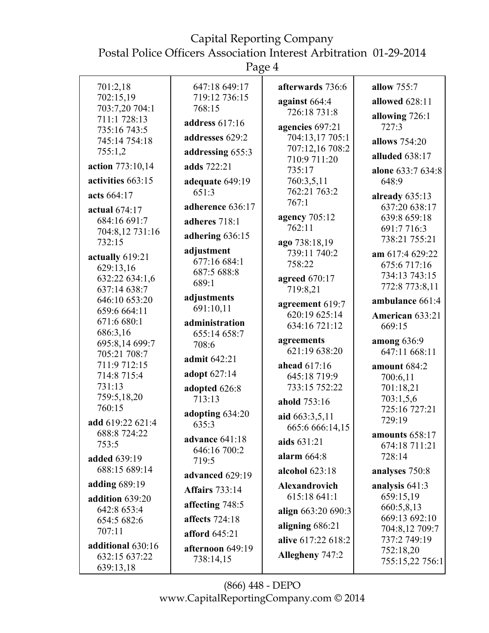Postal Police Officers Association Interest Arbitration 01-29-2014

Page 4

| 701:2,18                       | 647:18 649:17                  | afterwards 736:6                  | allow 755:7                    |
|--------------------------------|--------------------------------|-----------------------------------|--------------------------------|
| 702:15,19                      | 719:12 736:15                  | against 664:4                     | allowed 628:11                 |
| 703:7,20 704:1<br>711:1 728:13 | 768:15                         | 726:18 731:8                      | allowing 726:1                 |
| 735:16 743:5                   | address 617:16                 | agencies 697:21                   | 727:3                          |
| 745:14 754:18                  | addresses 629:2                | 704:13,17 705:1                   | allows 754:20                  |
| 755:1,2                        | addressing 655:3               | 707:12,16 708:2<br>710:9 711:20   | alluded 638:17                 |
| action 773:10,14               | adds 722:21                    | 735:17                            | alone 633:7 634:8              |
| activities 663:15              | adequate 649:19                | 760:3,5,11                        | 648:9                          |
| acts 664:17                    | 651:3                          | 762:21 763:2                      | already $635:13$               |
| actual 674:17                  | adherence 636:17               | 767:1                             | 637:20 638:17                  |
| 684:16 691:7                   | adheres 718:1                  | agency 705:12                     | 639:8 659:18                   |
| 704:8,12 731:16                | adhering 636:15                | 762:11                            | 691:7 716:3<br>738:21 755:21   |
| 732:15                         | adjustment                     | ago 738:18,19<br>739:11 740:2     |                                |
| actually 619:21                | 677:16 684:1                   | 758:22                            | am 617:4 629:22<br>675:6717:16 |
| 629:13,16<br>632:22 634:1,6    | 687:5 688:8                    | agreed 670:17                     | 734:13 743:15                  |
| 637:14 638:7                   | 689:1                          | 719:8,21                          | 772:8 773:8,11                 |
| 646:10 653:20                  | adjustments                    | agreement 619:7                   | ambulance 661:4                |
| 659:6 664:11                   | 691:10,11                      | 620:19 625:14                     | American 633:21                |
| 671:6 680:1<br>686:3,16        | administration<br>655:14 658:7 | 634:16 721:12                     | 669:15                         |
| 695:8,14 699:7                 | 708:6                          | agreements                        | among 636:9                    |
| 705:21 708:7                   | admit 642:21                   | 621:19 638:20                     | 647:11 668:11                  |
| 711:9 712:15                   | adopt 627:14                   | ahead 617:16                      | amount 684:2                   |
| 714:8 715:4<br>731:13          |                                | 645:18 719:9<br>733:15 752:22     | 700:6,11                       |
| 759:5,18,20                    | adopted 626:8<br>713:13        |                                   | 701:18,21<br>703:1,5,6         |
| 760:15                         | adopting 634:20                | ahold 753:16                      | 725:16 727:21                  |
| add 619:22 621:4               | 635:3                          | aid 663:3,5,11<br>665:6 666:14.15 | 729:19                         |
| 688:8 724:22                   | advance $641:18$               |                                   | amounts 658:17                 |
| 753:5                          | 646:16 700:2                   | aids 631:21                       | 674:18 711:21                  |
| <b>added</b> 639:19            | 719:5                          | alarm $664:8$                     | 728:14                         |
| 688:15 689:14                  | advanced 629:19                | alcohol $623:18$                  | analyses 750:8                 |
| adding 689:19                  | <b>Affairs</b> 733:14          | <b>Alexandrovich</b>              | analysis $641:3$               |
| addition 639:20                | affecting 748:5                | 615:18 641:1                      | 659:15,19<br>660:5,8,13        |
| 642:8 653:4<br>654:5 682:6     | <b>affects</b> 724:18          | align 663:20 690:3                | 669:13 692:10                  |
| 707:11                         | <b>afford</b> 645:21           | aligning 686:21                   | 704:8,12 709:7                 |
| additional 630:16              | afternoon 649:19               | alive 617:22 618:2                | 737:2 749:19                   |
| 632:15 637:22                  | 738:14,15                      | Allegheny 747:2                   | 752:18,20<br>755:15,22 756:1   |
| 639:13,18                      |                                |                                   |                                |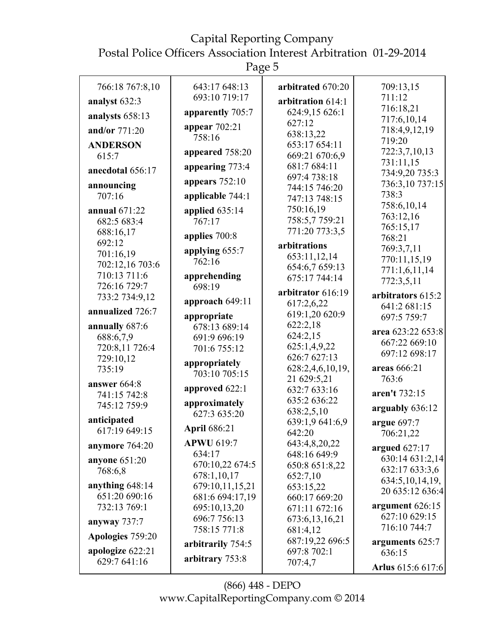Postal Police Officers Association Interest Arbitration 01-29-2014

Page 5

| 766:18 767:8,10                 | 643:17 648:13          | arbitrated 670:20            | 709:13,15                         |
|---------------------------------|------------------------|------------------------------|-----------------------------------|
|                                 | 693:10 719:17          |                              | 711:12                            |
| analyst 632:3                   |                        | arbitration 614:1            | 716:18,21                         |
| analysts 658:13                 | apparently 705:7       | 624:9,15 626:1               | 717:6,10,14                       |
| and/or 771:20                   | appear $702:21$        | 627:12<br>638:13,22          | 718:4,9,12,19                     |
| <b>ANDERSON</b>                 | 758:16                 | 653:17 654:11                | 719:20                            |
| 615:7                           | appeared 758:20        | 669:21 670:6,9               | 722:3,7,10,13                     |
| anecdotal 656:17                | appearing 773:4        | 681:7 684:11                 | 731:11,15                         |
|                                 | appears $752:10$       | 697:4 738:18                 | 734:9,20 735:3<br>736:3,10 737:15 |
| announcing                      |                        | 744:15 746:20                | 738:3                             |
| 707:16                          | applicable 744:1       | 747:13 748:15                | 758:6,10,14                       |
| annual 671:22                   | applied $635:14$       | 750:16,19                    | 763:12,16                         |
| 682:5 683:4                     | 767:17                 | 758:5,7759:21                | 765:15,17                         |
| 688:16,17                       | applies 700:8          | 771:20 773:3,5               | 768:21                            |
| 692:12                          | applying 655:7         | arbitrations                 | 769:3,7,11                        |
| 701:16,19                       | 762:16                 | 653:11,12,14                 | 770:11,15,19                      |
| 702:12,16 703:6<br>710:13 711:6 |                        | 654:6,7 659:13               | 771:1,6,11,14                     |
| 726:16 729:7                    | apprehending<br>698:19 | 675:17 744:14                | 772:3,5,11                        |
| 733:2 734:9,12                  |                        | arbitrator 616:19            | arbitrators 615:2                 |
|                                 | approach $649:11$      | 617:2,6,22                   | 641:2 681:15                      |
| annualized 726:7                | appropriate            | 619:1,20 620:9               | 697:5 759:7                       |
| annually 687:6                  | 678:13 689:14          | 622:2,18                     | area 623:22 653:8                 |
| 688:6,7,9                       | 691:9 696:19           | 624:2,15                     | 667:22 669:10                     |
| 720:8,11 726:4                  | 701:6 755:12           | 625:1,4,9,22                 | 697:12 698:17                     |
| 729:10,12                       | appropriately          | 626:7 627:13                 |                                   |
| 735:19                          | 703:10 705:15          | 628:2,4,6,10,19,             | areas 666:21                      |
| answer 664:8                    | approved 622:1         | 21 629:5,21                  | 763:6                             |
| 741:15 742:8                    |                        | 632:7 633:16<br>635:2 636:22 | aren't 732:15                     |
| 745:12 759:9                    | approximately          | 638:2,5,10                   | arguably 636:12                   |
| anticipated                     | 627:3 635:20           | 639:1,9 641:6,9              | argue $697:7$                     |
| 617:19 649:15                   | <b>April 686:21</b>    | 642:20                       | 706:21,22                         |
| anymore 764:20                  | <b>APWU 619:7</b>      | 643:4,8,20,22                |                                   |
|                                 | 634:17                 | 648:16 649:9                 | argued $627:17$                   |
| <b>anyone</b> 651:20            | 670:10,22 674:5        | 650:8 651:8,22               | 630:14 631:2,14<br>632:17 633:3,6 |
| 768:6,8                         | 678:1,10,17            | 652:7,10                     | 634:5,10,14,19,                   |
| anything 648:14                 | 679:10,11,15,21        | 653:15,22                    | 20 635:12 636:4                   |
| 651:20 690:16                   | 681:6 694:17,19        | 660:17 669:20                |                                   |
| 732:13 769:1                    | 695:10,13,20           | 671:11 672:16                | argument 626:15                   |
| anyway 737:7                    | 696:7 756:13           | 673:6,13,16,21               | 627:10 629:15<br>716:10 744:7     |
| Apologies 759:20                | 758:15 771:8           | 681:4,12<br>687:19,22 696:5  |                                   |
| apologize 622:21                | arbitrarily 754:5      | 697:8 702:1                  | arguments 625:7<br>636:15         |
| 629:7 641:16                    | arbitrary 753:8        | 707:4,7                      |                                   |
|                                 |                        |                              | Arlus 615:6 617:6                 |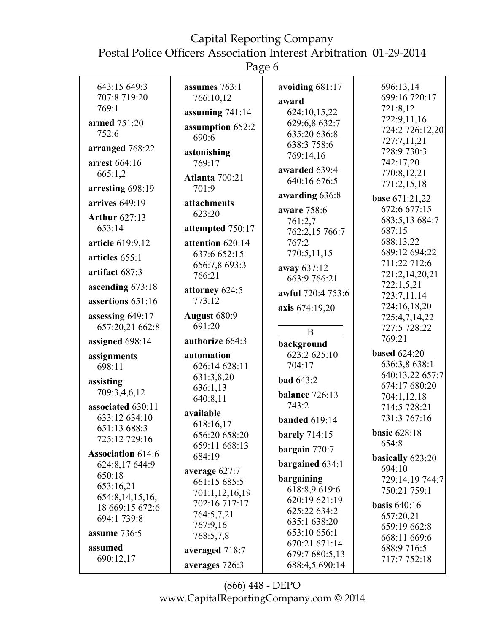Postal Police Officers Association Interest Arbitration 01-29-2014

Page 6

| 643:15 649:3                   | assumes 763:1       | avoiding 681:17              | 696:13,14                    |
|--------------------------------|---------------------|------------------------------|------------------------------|
| 707:8 719:20                   | 766:10,12           | award                        | 699:16 720:17                |
| 769:1                          | assuming $741:14$   | 624:10,15,22                 | 721:8,12                     |
| armed 751:20                   |                     | 629:6,8 632:7                | 722:9,11,16                  |
| 752:6                          | assumption 652:2    | 635:20 636:8                 | 724:2 726:12,20              |
|                                | 690:6               | 638:3 758:6                  | 727:7,11,21                  |
| arranged 768:22                | astonishing         | 769:14,16                    | 728:9 730:3                  |
| arrest 664:16                  | 769:17              |                              | 742:17,20                    |
| 665:1,2                        | Atlanta 700:21      | awarded 639:4                | 770:8,12,21                  |
| arresting 698:19               | 701:9               | 640:16 676:5                 | 771:2,15,18                  |
| arrives 649:19                 | attachments         | awarding 636:8               | base 671:21,22               |
|                                | 623:20              | aware 758:6                  | 672:6 677:15                 |
| <b>Arthur 627:13</b><br>653:14 |                     | 761:2,7                      | 683:5,13 684:7               |
|                                | attempted 750:17    | 762:2,15 766:7               | 687:15                       |
| article 619:9,12               | attention 620:14    | 767:2                        | 688:13,22                    |
| articles 655:1                 | 637:6 652:15        | 770:5,11,15                  | 689:12 694:22                |
| artifact 687:3                 | 656:7,8 693:3       | away 637:12                  | 711:22 712:6                 |
|                                | 766:21              | 663:9 766:21                 | 721:2,14,20,21               |
| ascending 673:18               | attorney 624:5      | awful 720:4 753:6            | 722:1,5,21<br>723:7,11,14    |
| assertions 651:16              | 773:12              | axis 674:19,20               | 724:16,18,20                 |
| assessing 649:17               | <b>August 680:9</b> |                              | 725:4,7,14,22                |
| 657:20,21 662:8                | 691:20              |                              | 727:5 728:22                 |
| assigned 698:14                | authorize 664:3     | $\mathbf{B}$                 | 769:21                       |
|                                |                     | background                   | <b>based 624:20</b>          |
| assignments                    | automation          | 623:2 625:10                 | 636:3,8 638:1                |
| 698:11                         | 626:14 628:11       | 704:17                       | 640:13,22 657:7              |
| assisting                      | 631:3,8,20          | <b>bad</b> 643:2             | 674:17 680:20                |
| 709:3,4,6,12                   | 636:1,13            | balance 726:13               | 704:1,12,18                  |
| associated 630:11              | 640:8,11            | 743:2                        | 714:5 728:21                 |
| 633:12 634:10                  | available           | <b>banded</b> 619:14         | 731:3 767:16                 |
| 651:13 688:3                   | 618:16,17           |                              |                              |
| 725:12 729:16                  | 656:20 658:20       | <b>barely</b> 714:15         | <b>basic 628:18</b><br>654:8 |
| <b>Association 614:6</b>       | 659:11 668:13       | bargain 770:7                |                              |
| 624:8,17 644:9                 | 684:19              | bargained 634:1              | basically 623:20             |
| 650:18                         | average 627:7       |                              | 694:10                       |
| 653:16,21                      | 661:15 685:5        | bargaining<br>618:8,9 619:6  | 729:14,19 744:7              |
| 654:8,14,15,16,                | 701:1,12,16,19      |                              | 750:21 759:1                 |
| 18 669:15 672:6                | 702:16 717:17       | 620:19 621:19                | <b>basis</b> 640:16          |
| 694:1 739:8                    | 764:5,7,21          | 625:22 634:2<br>635:1 638:20 | 657:20,21                    |
|                                | 767:9,16            | 653:10 656:1                 | 659:19 662:8                 |
| assume 736:5                   | 768:5,7,8           | 670:21 671:14                | 668:11 669:6                 |
| assumed                        | averaged 718:7      | 679:7 680:5,13               | 688:9 716:5                  |
| 690:12,17                      | averages 726:3      | 688:4,5 690:14               | 717:7 752:18                 |
|                                |                     |                              |                              |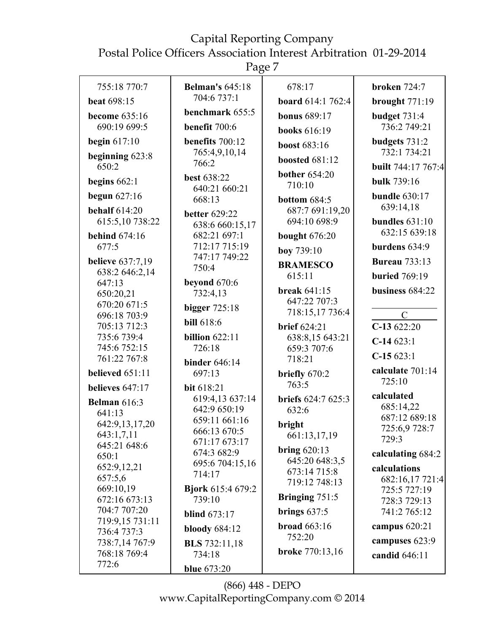Page 7

| 755:18 770:7                                                                     | <b>Belman's 645:18</b>                                                                          | 678:17                                                            | <b>broken</b> 724:7                                                  |
|----------------------------------------------------------------------------------|-------------------------------------------------------------------------------------------------|-------------------------------------------------------------------|----------------------------------------------------------------------|
| <b>beat 698:15</b>                                                               | 704:6 737:1                                                                                     | <b>board</b> 614:1 762:4                                          | brought 771:19                                                       |
| become 635:16                                                                    | benchmark 655:5                                                                                 | <b>bonus</b> 689:17                                               | budget $731:4$                                                       |
| 690:19 699:5                                                                     | benefit 700:6                                                                                   | <b>books</b> 616:19                                               | 736:2 749:21                                                         |
| begin $617:10$                                                                   | benefits 700:12                                                                                 | <b>boost</b> 683:16                                               | budgets 731:2                                                        |
| beginning 623:8<br>650:2                                                         | 765:4,9,10,14<br>766:2                                                                          | <b>boosted 681:12</b>                                             | 732:1 734:21<br><b>built</b> 744:17 767:4                            |
| begins $662:1$                                                                   | <b>best 638:22</b>                                                                              | <b>bother</b> 654:20<br>710:10                                    | bulk 739:16                                                          |
| begun $627:16$                                                                   | 640:21 660:21<br>668:13                                                                         | bottom $684:5$                                                    | <b>bundle</b> 630:17                                                 |
| <b>behalf</b> 614:20<br>615:5,10 738:22                                          | <b>better</b> 629:22<br>638:6 660:15,17                                                         | 687:7 691:19,20<br>694:10 698:9                                   | 639:14,18<br>bundles $631:10$                                        |
| <b>behind</b> 674:16                                                             | 682:21 697:1                                                                                    | <b>bought</b> 676:20                                              | 632:15 639:18                                                        |
| 677:5                                                                            | 712:17 715:19<br>747:17 749:22                                                                  | boy 739:10                                                        | burdens 634:9                                                        |
| <b>believe</b> 637:7,19<br>638:2 646:2,14                                        | 750:4                                                                                           | <b>BRAMESCO</b>                                                   | <b>Bureau</b> 733:13                                                 |
| 647:13                                                                           | beyond 670:6                                                                                    | 615:11                                                            | <b>buried</b> 769:19                                                 |
| 650:20,21                                                                        | 732:4,13                                                                                        | <b>break 641:15</b><br>647:22 707:3                               | business 684:22                                                      |
| 670:20 671:5<br>696:18 703:9                                                     | bigger $725:18$                                                                                 | 718:15,17 736:4                                                   | $\mathcal{C}$                                                        |
| 705:13 712:3                                                                     | <b>bill</b> 618:6                                                                               | <b>brief</b> 624:21                                               | $C-13622:20$                                                         |
| 735:6 739:4                                                                      | billion $622:11$                                                                                | 638:8,15 643:21                                                   | $C-14623:1$                                                          |
| 745:6 752:15<br>761:22 767:8                                                     | 726:18                                                                                          | 659:3 707:6                                                       | $C-15623:1$                                                          |
|                                                                                  | <b>binder</b> 646:14                                                                            | 718:21                                                            | calculate 701:14                                                     |
| believed $651:11$                                                                | 697:13                                                                                          | briefly 670:2<br>763:5                                            | 725:10                                                               |
| believes 647:17<br><b>Belman</b> 616:3<br>641:13<br>642:9,13,17,20<br>643:1,7,11 | bit 618:21<br>619:4,13 637:14<br>642:9 650:19<br>659:11 661:16<br>666:13 670:5<br>671:17 673:17 | briefs 624:7 625:3<br>632:6<br>bright<br>661:13,17,19             | calculated<br>685:14,22<br>687:12 689:18<br>725:6,9 728:7<br>729:3   |
| 645:21 648:6<br>650:1<br>652:9,12,21<br>657:5,6<br>669:10,19                     | 674:3 682:9<br>695:6 704:15,16<br>714:17<br><b>Bjork</b> 615:4 679:2                            | bring $620:13$<br>645:20 648:3,5<br>673:14 715:8<br>719:12 748:13 | calculating 684:2<br>calculations<br>682:16,17 721:4<br>725:5 727:19 |
| 672:16 673:13<br>704:7 707:20<br>719:9,15 731:11                                 | 739:10<br><b>blind</b> 673:17                                                                   | Bringing $751:5$<br>brings $637:5$                                | 728:3 729:13<br>741:2 765:12                                         |
| 736:4 737:3                                                                      | bloody $684:12$                                                                                 | broad $663:16$                                                    | campus 620:21                                                        |
| 738:7,14 767:9                                                                   | <b>BLS</b> 732:11,18                                                                            | 752:20                                                            | campuses 623:9                                                       |
| 768:18 769:4<br>772:6                                                            | 734:18                                                                                          | <b>broke</b> 770:13,16                                            | candid 646:11                                                        |
|                                                                                  | <b>blue</b> 673:20                                                                              |                                                                   |                                                                      |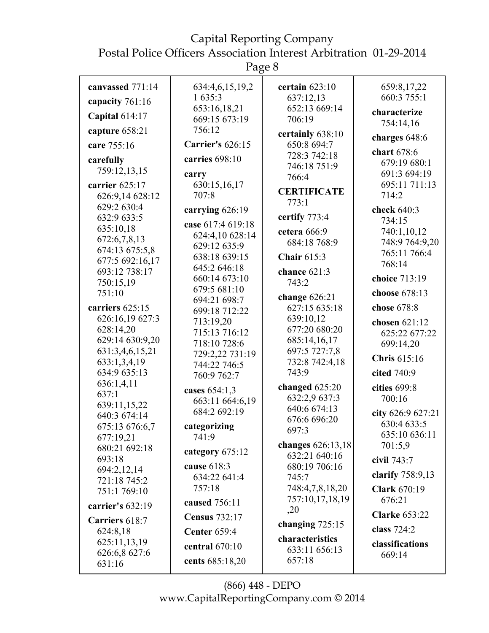Page 8

| canvassed 771:14           | 634:4,6,15,19,2              | certain $623:10$    | 659:8,17,22           |
|----------------------------|------------------------------|---------------------|-----------------------|
| capacity 761:16            | 1 635:3                      | 637:12,13           | 660:3 755:1           |
| Capital 614:17             | 653:16,18,21                 | 652:13 669:14       | characterize          |
|                            | 669:15 673:19                | 706:19              | 754:14,16             |
| capture 658:21             | 756:12                       | certainly 638:10    | charges 648:6         |
| care 755:16                | <b>Carrier's 626:15</b>      | 650:8 694:7         | chart 678:6           |
| carefully                  | carries 698:10               | 728:3 742:18        | 679:19 680:1          |
| 759:12,13,15               | carry                        | 746:18 751:9        | 691:3 694:19          |
| carrier 625:17             | 630:15,16,17                 | 766:4               | 695:11 711:13         |
| 626:9,14 628:12            | 707:8                        | <b>CERTIFICATE</b>  | 714:2                 |
| 629:2 630:4                |                              | 773:1               |                       |
| 632:9 633:5                | carrying 626:19              | certify 773:4       | check 640:3           |
| 635:10,18                  | case 617:4 619:18            | cetera 666:9        | 734:15<br>740:1,10,12 |
| 672:6,7,8,13               | 624:4,10 628:14              | 684:18 768:9        | 748:9 764:9,20        |
| 674:13 675:5,8             | 629:12 635:9                 |                     | 765:11 766:4          |
| 677:5 692:16,17            | 638:18 639:15                | <b>Chair 615:3</b>  | 768:14                |
| 693:12 738:17              | 645:2 646:18                 | chance 621:3        |                       |
| 750:15,19                  | 660:14 673:10                | 743:2               | choice 713:19         |
| 751:10                     | 679:5 681:10<br>694:21 698:7 | change $626:21$     | choose 678:13         |
| carriers 625:15            | 699:18 712:22                | 627:15 635:18       | chose 678:8           |
| 626:16,19 627:3            | 713:19,20                    | 639:10,12           | chosen 621:12         |
| 628:14,20                  | 715:13 716:12                | 677:20 680:20       | 625:22 677:22         |
| 629:14 630:9,20            | 718:10 728:6                 | 685:14,16,17        | 699:14,20             |
| 631:3,4,6,15,21            | 729:2,22 731:19              | 697:5 727:7,8       |                       |
| 633:1,3,4,19               | 744:22 746:5                 | 732:8 742:4,18      | Chris 615:16          |
| 634:9 635:13               | 760:9 762:7                  | 743:9               | cited 740:9           |
| 636:1,4,11                 | cases 654:1,3                | changed 625:20      | cities 699:8          |
| 637:1                      | 663:11 664:6,19              | 632:2,9 637:3       | 700:16                |
| 639:11,15,22               | 684:2 692:19                 | 640:6 674:13        | city 626:9 627:21     |
| 640:3 674:14               |                              | 676:6 696:20        | 630:4 633:5           |
| 675:13 676:6,7             | categorizing<br>741:9        | 697:3               | 635:10 636:11         |
| 677:19,21<br>680:21 692:18 |                              | changes $626:13,18$ | 701:5,9               |
| 693:18                     | category $675:12$            | 632:21 640:16       | civil 743:7           |
| 694:2,12,14                | cause 618:3                  | 680:19 706:16       |                       |
| 721:18 745:2               | 634:22 641:4                 | 745:7               | clarify 758:9,13      |
| 751:1 769:10               | 757:18                       | 748:4,7,8,18,20     | <b>Clark 670:19</b>   |
| carrier's $632:19$         | caused 756:11                | 757:10,17,18,19     | 676:21                |
| Carriers 618:7             | <b>Census</b> 732:17         | ,20                 | <b>Clarke 653:22</b>  |
| 624:8,18                   | <b>Center 659:4</b>          | changing $725:15$   | class 724:2           |
| 625:11,13,19               |                              | characteristics     | classifications       |
| 626:6,8 627:6              | central $670:10$             | 633:11 656:13       | 669:14                |
| 631:16                     | cents 685:18,20              | 657:18              |                       |
|                            |                              |                     |                       |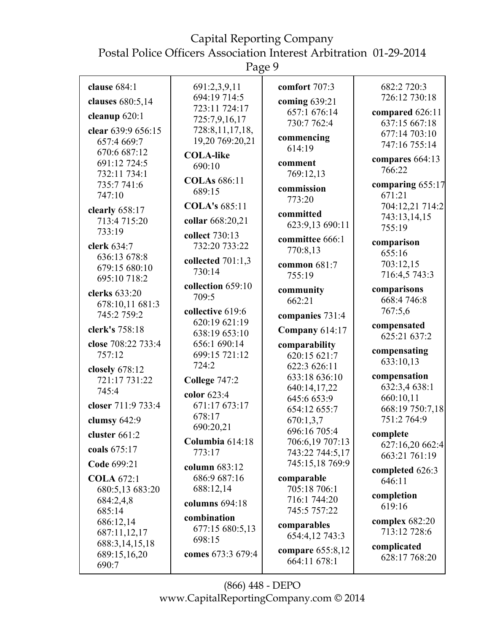Page 9

| clause $684:1$                  | 691:2,3,9,11                   | comfort 707:3                 | 682:2 720:3                    |
|---------------------------------|--------------------------------|-------------------------------|--------------------------------|
| clauses 680:5,14                | 694:19 714:5                   | coming 639:21                 | 726:12 730:18                  |
| cleanup $620:1$                 | 723:11 724:17<br>725:7,9,16,17 | 657:1 676:14                  | compared 626:11                |
| clear 639:9 656:15              | 728:8,11,17,18,                | 730:7 762:4                   | 637:15 667:18                  |
| 657:4 669:7                     | 19,20 769:20,21                | commencing                    | 677:14 703:10<br>747:16 755:14 |
| 670:6 687:12                    | <b>COLA-like</b>               | 614:19                        |                                |
| 691:12 724:5                    | 690:10                         | comment                       | compares 664:13<br>766:22      |
| 732:11 734:1<br>735:7741:6      | <b>COLAs</b> 686:11            | 769:12,13                     | comparing $655:17$             |
| 747:10                          | 689:15                         | commission                    | 671:21                         |
| clearly 658:17                  | <b>COLA's 685:11</b>           | 773:20                        | 704:12,21 714:2                |
| 713:4 715:20                    | collar 668:20,21               | committed                     | 743:13,14,15                   |
| 733:19                          | collect 730:13                 | 623:9,13 690:11               | 755:19                         |
| clerk 634:7                     | 732:20 733:22                  | committee 666:1<br>770:8,13   | comparison                     |
| 636:13 678:8                    | collected $701:1,3$            |                               | 655:16<br>703:12,15            |
| 679:15 680:10                   | 730:14                         | common 681:7<br>755:19        | 716:4,5 743:3                  |
| 695:10 718:2                    | collection 659:10              | community                     | comparisons                    |
| clerks 633:20                   | 709:5                          | 662:21                        | 668:4 746:8                    |
| 678:10,11 681:3<br>745:2 759:2  | collective 619:6               | companies 731:4               | 767:5,6                        |
| clerk's 758:18                  | 620:19 621:19                  |                               | compensated                    |
|                                 | 638:19 653:10                  | <b>Company 614:17</b>         | 625:21 637:2                   |
| close 708:22 733:4<br>757:12    | 656:1 690:14<br>699:15 721:12  | comparability<br>620:15 621:7 | compensating                   |
|                                 | 724:2                          | 622:3 626:11                  | 633:10,13                      |
| closely 678:12<br>721:17 731:22 | College 747:2                  | 633:18 636:10                 | compensation                   |
| 745:4                           | color $623:4$                  | 640:14,17,22                  | 632:3,4 638:1                  |
| closer 711:9 733:4              | 671:17 673:17                  | 645:6 653:9                   | 660:10,11<br>668:19 750:7,18   |
| clumsy $642:9$                  | 678:17                         | 654:12 655:7<br>670:1,3,7     | 751:2 764:9                    |
| cluster 661:2                   | 690:20,21                      | 696:16 705:4                  | complete                       |
|                                 | Columbia 614:18                | 706:6,19 707:13               | 627:16,20 662:4                |
| coals 675:17                    | 773:17                         | 743:22 744:5,17               | 663:21 761:19                  |
| Code 699:21                     | column 683:12                  | 745:15,18 769:9               | completed 626:3                |
| <b>COLA 672:1</b>               | 686:9 687:16<br>688:12,14      | comparable<br>705:18 706:1    | 646:11                         |
| 680:5,13 683:20<br>684:2,4,8    | columns $694:18$               | 716:1 744:20                  | completion                     |
| 685:14                          |                                | 745:5 757:22                  | 619:16                         |
| 686:12,14                       | combination<br>677:15 680:5,13 | comparables                   | complex 682:20                 |
| 687:11,12,17                    | 698:15                         | 654:4,12 743:3                | 713:12 728:6                   |
| 688:3,14,15,18<br>689:15,16,20  | comes 673:3 679:4              | compare 655:8,12              | complicated                    |
| 690:7                           |                                | 664:11 678:1                  | 628:17 768:20                  |
|                                 |                                |                               |                                |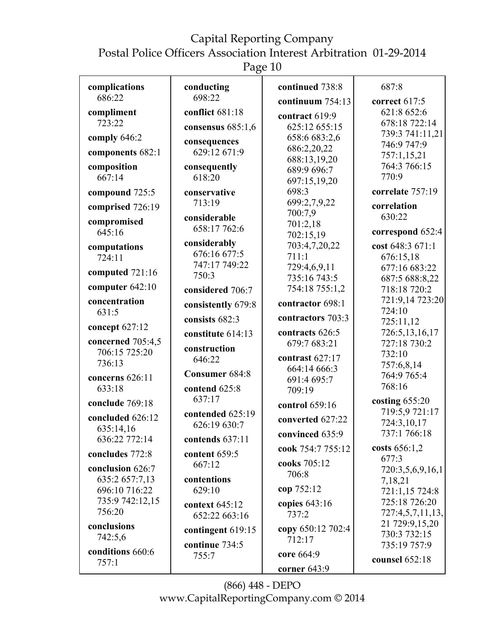Postal Police Officers Association Interest Arbitration 01-29-2014

Page 10

| complications<br>686:22    | conducting<br>698:22             | continued 738:8             | 687:8                        |
|----------------------------|----------------------------------|-----------------------------|------------------------------|
|                            |                                  | continuum 754:13            | correct 617:5                |
| compliment<br>723:22       | conflict 681:18                  | contract 619:9              | 621:8 652:6<br>678:18 722:14 |
|                            | consensus $685:1,6$              | 625:12 655:15               | 739:3 741:11,21              |
| comply 646:2               | consequences                     | 658:6 683:2,6               | 746:9 747:9                  |
| components 682:1           | 629:12 671:9                     | 686:2,20,22                 | 757:1,15,21                  |
| composition                | consequently                     | 688:13,19,20                | 764:3 766:15                 |
| 667:14                     | 618:20                           | 689:9 696:7<br>697:15,19,20 | 770:9                        |
| compound 725:5             | conservative                     | 698:3                       | correlate 757:19             |
|                            | 713:19                           | 699:2,7,9,22                | correlation                  |
| comprised 726:19           | considerable                     | 700:7,9                     | 630:22                       |
| compromised                | 658:17 762:6                     | 701:2,18                    |                              |
| 645:16                     |                                  | 702:15,19                   | correspond 652:4             |
| computations               | considerably                     | 703:4,7,20,22               | cost 648:3 671:1             |
| 724:11                     | 676:16 677:5                     | 711:1                       | 676:15,18                    |
| computed $721:16$          | 747:17 749:22<br>750:3           | 729:4,6,9,11                | 677:16 683:22                |
|                            |                                  | 735:16 743:5                | 687:5 688:8,22               |
| computer 642:10            | considered 706:7                 | 754:18 755:1,2              | 718:18 720:2                 |
| concentration              | consistently 679:8               | contractor 698:1            | 721:9,14 723:20              |
| 631:5                      | consists 682:3                   | contractors 703:3           | 724:10                       |
| concept 627:12             |                                  | contracts 626:5             | 725:11,12<br>726:5,13,16,17  |
| concerned 705:4,5          | constitute 614:13                | 679:7 683:21                | 727:18 730:2                 |
| 706:15 725:20              | construction                     |                             | 732:10                       |
| 736:13                     | 646:22                           | contrast 627:17             | 757:6,8,14                   |
| concerns 626:11            | Consumer 684:8                   | 664:14 666:3                | 764:9 765:4                  |
| 633:18                     | contend 625:8                    | 691:4 695:7<br>709:19       | 768:16                       |
|                            | 637:17                           |                             | costing $655:20$             |
| conclude 769:18            |                                  | control 659:16              | 719:5,9 721:17               |
| concluded 626:12           | contended 625:19<br>626:19 630:7 | converted 627:22            | 724:3,10,17                  |
| 635:14,16<br>636:22 772:14 | contends 637:11                  | convinced 635:9             | 737:1 766:18                 |
| concludes 772:8            | content 659:5                    | cook 754:7 755:12           | costs $656:1,2$              |
| conclusion 626:7           | 667:12                           | cooks 705:12                | 677:3                        |
| 635:2 657:7,13             | contentions                      | 706:8                       | 720:3,5,6,9,16,1             |
| 696:10 716:22              | 629:10                           | cop 752:12                  | 7,18,21<br>721:1,15 724:8    |
| 735:9 742:12,15            |                                  |                             | 725:18 726:20                |
| 756:20                     | context 645:12                   | copies $643:16$<br>737:2    | 727:4,5,7,11,13,             |
| conclusions                | 652:22 663:16                    |                             | 21 729:9,15,20               |
| 742:5,6                    | contingent 619:15                | copy 650:12 702:4           | 730:3 732:15                 |
|                            | continue 734:5                   | 712:17                      | 735:19 757:9                 |
| conditions 660:6           | 755:7                            | core 664:9                  | counsel 652:18               |
| 757:1                      |                                  | corner $643:9$              |                              |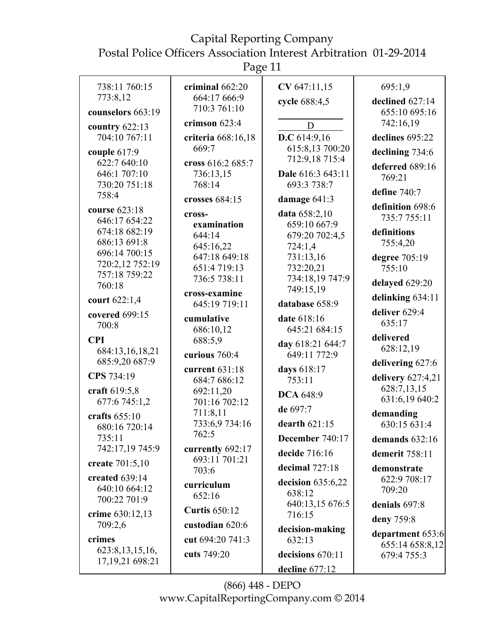Page 11

| 738:11 760:15                 | criminal 662:20      | CV 647:11,15              | 695:1,9             |
|-------------------------------|----------------------|---------------------------|---------------------|
| 773:8,12                      | 664:17 666:9         | cycle 688:4,5             | declined 627:14     |
| counselors 663:19             | 710:3 761:10         |                           | 655:10 695:16       |
| country $622:13$              | crimson 623:4        | D                         | 742:16,19           |
| 704:10 767:11                 | criteria 668:16,18   | D.C $614:9,16$            | declines 695:22     |
| couple 617:9                  | 669:7                | 615:8,13 700:20           | declining 734:6     |
| 622:7 640:10                  | cross 616:2 685:7    | 712:9,18 715:4            | deferred 689:16     |
| 646:1 707:10                  | 736:13,15            | Dale 616:3 643:11         | 769:21              |
| 730:20 751:18                 | 768:14               | 693:3 738:7               | define 740:7        |
| 758:4                         | crosses 684:15       | damage 641:3              | definition 698:6    |
| course 623:18                 | cross-               | data 658:2,10             | 735:7 755:11        |
| 646:17 654:22                 | examination          | 659:10 667:9              |                     |
| 674:18 682:19                 | 644:14               | 679:20 702:4,5            | definitions         |
| 686:13 691:8<br>696:14 700:15 | 645:16,22            | 724:1,4                   | 755:4,20            |
| 720:2,12 752:19               | 647:18 649:18        | 731:13,16                 | degree 705:19       |
| 757:18 759:22                 | 651:4719:13          | 732:20,21                 | 755:10              |
| 760:18                        | 736:5 738:11         | 734:18,19 747:9           | delayed 629:20      |
|                               | cross-examine        | 749:15,19                 | delinking 634:11    |
| court 622:1,4                 | 645:19 719:11        | database 658:9            | deliver 629:4       |
| covered 699:15                | cumulative           | date 618:16               | 635:17              |
| 700:8                         | 686:10,12            | 645:21 684:15             |                     |
| <b>CPI</b>                    | 688:5,9              | day 618:21 644:7          | delivered           |
| 684:13,16,18,21               | curious 760:4        | 649:11 772:9              | 628:12,19           |
| 685:9,20 687:9                | current 631:18       | days 618:17               | delivering 627:6    |
| CPS 734:19                    | 684:7 686:12         | 753:11                    | delivery $627:4,21$ |
| craft 619:5,8                 | 692:11,20            |                           | 628:7,13,15         |
| 677:6 745:1,2                 | 701:16 702:12        | <b>DCA 648:9</b>          | 631:6,19 640:2      |
| crafts $655:10$               | 711:8,11             | de 697:7                  | demanding           |
| 680:16 720:14                 | 733:6,9 734:16       | dearth $621:15$           | 630:15 631:4        |
| 735:11                        | 762:5                | December 740:17           | demands 632:16      |
| 742:17,19 745:9               | currently 692:17     | decide 716:16             | demerit 758:11      |
| create 701:5,10               | 693:11 701:21        | decimal 727:18            | demonstrate         |
| created 639:14                | 703:6                |                           | 622:9 708:17        |
| 640:10 664:12                 | curriculum           | decision 635:6,22         | 709:20              |
| 700:22 701:9                  | 652:16               | 638:12                    |                     |
| crime 630:12,13               | <b>Curtis 650:12</b> | 640:13,15 676:5<br>716:15 | denials 697:8       |
| 709:2,6                       | custodian 620:6      |                           | deny 759:8          |
| crimes                        | cut 694:20 741:3     | decision-making<br>632:13 | department 653:6    |
| 623:8, 13, 15, 16,            |                      |                           | 655:14 658:8,12     |
| 17, 19, 21 698: 21            | cuts 749:20          | decisions 670:11          | 679:4 755:3         |
|                               |                      | decline 677:12            |                     |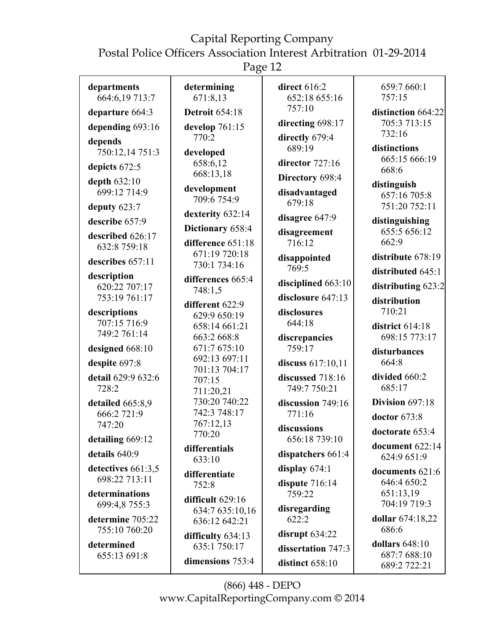Page 12

| departments<br>664:6,19 713:7       | determining<br>671:8,13 | direct 616:2<br>652:18 655:16 | 659:7 660:1<br>757:15            |
|-------------------------------------|-------------------------|-------------------------------|----------------------------------|
| departure 664:3                     | <b>Detroit 654:18</b>   | 757:10                        | distinction 664:22               |
| depending 693:16                    | develop 761:15          | directing 698:17              | 705:3 713:15                     |
|                                     | 770:2                   | directly 679:4                | 732:16                           |
| depends<br>750:12,14 751:3          | developed               | 689:19                        | distinctions                     |
|                                     | 658:6,12                | director 727:16               | 665:15 666:19                    |
| depicts 672:5                       | 668:13,18               | Directory 698:4               | 668:6                            |
| depth 632:10                        | development             |                               | distinguish                      |
| 699:12 714:9                        | 709:6 754:9             | disadvantaged<br>679:18       | 657:16 705:8                     |
| deputy 623:7                        | dexterity 632:14        |                               | 751:20 752:11                    |
| describe 657:9                      | Dictionary 658:4        | disagree 647:9                | distinguishing                   |
| described 626:17                    | difference 651:18       | disagreement<br>716:12        | 655:5 656:12<br>662:9            |
| 632:8 759:18                        | 671:19 720:18           |                               |                                  |
| describes 657:11                    | 730:1 734:16            | disappointed                  | distribute 678:19                |
| description                         | differences 665:4       | 769:5                         | distributed 645:1                |
| 620:22 707:17                       | 748:1,5                 | disciplined 663:10            | distributing 623:2               |
| 753:19 761:17                       | different 622:9         | disclosure 647:13             | distribution                     |
| descriptions                        | 629:9 650:19            | disclosures                   | 710:21                           |
| 707:15 716:9                        | 658:14 661:21           | 644:18                        | district 614:18                  |
| 749:2 761:14                        | 663:2 668:8             | discrepancies                 | 698:15 773:17                    |
| designed 668:10                     | 671:7 675:10            | 759:17                        | disturbances                     |
| despite 697:8                       | 692:13 697:11           | discuss 617:10,11             | 664:8                            |
| detail 629:9 632:6                  | 701:13 704:17           | discussed 718:16              | divided 660:2                    |
| 728:2                               | 707:15<br>711:20,21     | 749:7 750:21                  | 685:17                           |
| detailed 665:8,9                    | 730:20 740:22           | discussion 749:16             | Division 697:18                  |
| 666:2 721:9                         | 742:3 748:17            | 771:16                        | doctor 673:8                     |
| 747:20                              | 767:12,13               | discussions                   |                                  |
| detailing 669:12                    | 770:20                  | 656:18 739:10                 | doctorate 653:4                  |
| details 640:9                       | differentials           | dispatchers $661:4$           | document 622:14                  |
|                                     | 633:10                  |                               | 624:9 651:9                      |
| detectives 661:3,5<br>698:22 713:11 | differentiate           | display $674:1$               | documents 621:6                  |
|                                     | 752:8                   | dispute 716:14                | 646:4 650:2                      |
| determinations<br>699:4,8 755:3     | difficult 629:16        | 759:22                        | 651:13,19<br>704:19 719:3        |
|                                     | 634:7 635:10,16         | disregarding                  |                                  |
| determine 705:22<br>755:10 760:20   | 636:12 642:21           | 622:2                         | dollar 674:18,22<br>686:6        |
|                                     | difficulty $634:13$     | disrupt $634:22$              |                                  |
| determined                          | 635:1 750:17            | dissertation 747:3            | dollars $648:10$<br>687:7 688:10 |
| 655:13 691:8                        | dimensions 753:4        | distinct 658:10               | 689:2 722:21                     |
|                                     |                         |                               |                                  |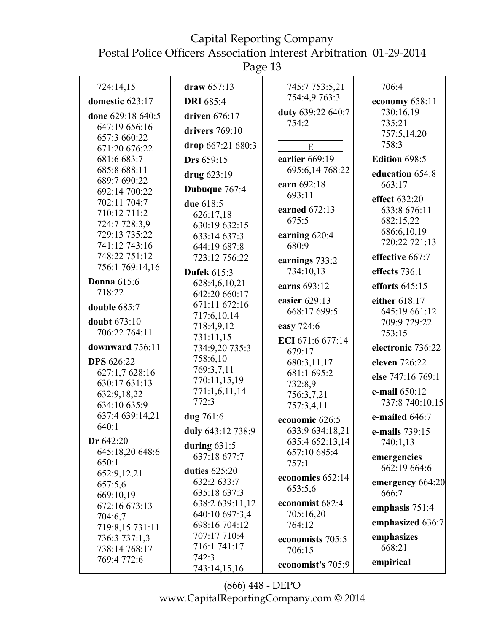Page 13

| 724:14,15          | draw $657:13$      | 745:7 753:5,21                  | 706:4             |
|--------------------|--------------------|---------------------------------|-------------------|
| domestic 623:17    | <b>DRI</b> 685:4   | 754:4,9 763:3                   | economy 658:11    |
| done 629:18 640:5  | driven 676:17      | duty 639:22 640:7               | 730:16,19         |
| 647:19 656:16      |                    | 754:2                           | 735:21            |
| 657:3 660:22       | drivers $769:10$   |                                 | 757:5,14,20       |
| 671:20 676:22      | drop 667:21 680:3  | E                               | 758:3             |
| 681:6 683:7        | Drs 659:15         | earlier 669:19                  | Edition 698:5     |
| 685:8 688:11       |                    | 695:6,14 768:22                 |                   |
| 689:7 690:22       | drug 623:19        |                                 | education 654:8   |
| 692:14 700:22      | Dubuque 767:4      | earn 692:18<br>693:11           | 663:17            |
| 702:11 704:7       | due 618:5          |                                 | effect 632:20     |
| 710:12 711:2       | 626:17,18          | earned 672:13                   | 633:8 676:11      |
| 724:7 728:3,9      | 630:19 632:15      | 675:5                           | 682:15,22         |
| 729:13 735:22      | 633:14 637:3       | earning 620:4                   | 686:6,10,19       |
| 741:12 743:16      | 644:19 687:8       | 680:9                           | 720:22 721:13     |
| 748:22 751:12      |                    |                                 | effective 667:7   |
| 756:1 769:14,16    | 723:12 756:22      | earnings 733:2                  |                   |
|                    | <b>Dufek 615:3</b> | 734:10,13                       | effects 736:1     |
| <b>Donna</b> 615:6 | 628:4,6,10,21      | earns 693:12                    | efforts $645:15$  |
| 718:22             | 642:20 660:17      | easier 629:13                   | either 618:17     |
| double 685:7       | 671:11 672:16      |                                 |                   |
|                    | 717:6,10,14        | 668:17 699:5                    | 645:19 661:12     |
| doubt 673:10       | 718:4,9,12         | easy 724:6                      | 709:9 729:22      |
| 706:22 764:11      | 731:11,15          | ECI 671:6 677:14                | 753:15            |
| downward 756:11    | 734:9,20 735:3     | 679:17                          | electronic 736:22 |
| <b>DPS</b> 626:22  | 758:6,10           | 680:3,11,17                     | eleven 726:22     |
| 627:1,7 628:16     | 769:3,7,11         | 681:1 695:2                     |                   |
| 630:17 631:13      | 770:11,15,19       | 732:8,9                         | else 747:16 769:1 |
| 632:9,18,22        | 771:1,6,11,14      | 756:3,7,21                      | e-mail 650:12     |
| 634:10 635:9       | 772:3              | 757:3,4,11                      | 737:8 740:10,15   |
| 637:4 639:14,21    | dug 761:6          |                                 | e-mailed 646:7    |
| 640:1              |                    | economic 626:5                  |                   |
| Dr 642:20          | duly 643:12 738:9  | 633:9 634:18,21                 | e-mails 739:15    |
| 645:18,20 648:6    | during $631:5$     | 635:4 652:13,14<br>657:10 685:4 | 740:1,13          |
| 650:1              | 637:18 677:7       | 757:1                           | emergencies       |
| 652:9,12,21        | duties $625:20$    |                                 | 662:19 664:6      |
| 657:5,6            | 632:2 633:7        | economics 652:14                | emergency 664:20  |
|                    | 635:18 637:3       | 653:5,6                         | 666:7             |
| 669:10,19          | 638:2 639:11,12    | economist 682:4                 |                   |
| 672:16 673:13      | 640:10 697:3,4     | 705:16,20                       | emphasis $751:4$  |
| 704:6,7            | 698:16 704:12      | 764:12                          | emphasized 636:7  |
| 719:8,15 731:11    | 707:17 710:4       |                                 | emphasizes        |
| 736:3 737:1,3      | 716:1 741:17       | economists 705:5                |                   |
| 738:14 768:17      | 742:3              | 706:15                          | 668:21            |
| 769:4 772:6        |                    | economist's 705:9               | empirical         |
|                    | 743:14,15,16       |                                 |                   |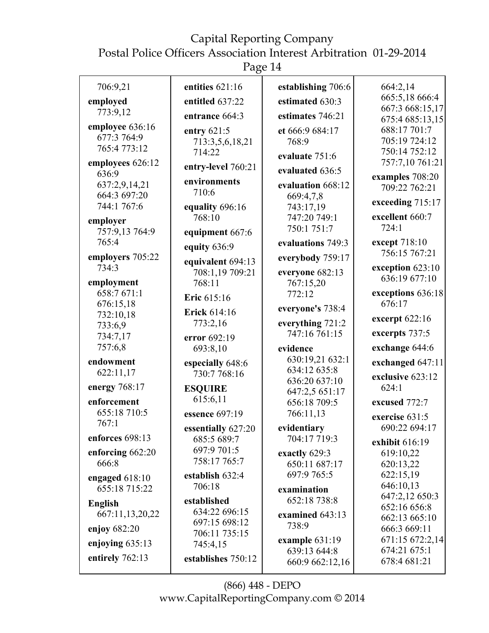Postal Police Officers Association Interest Arbitration 01-29-2014

Page 14

| 664:2,14<br>665:5,18 666:4<br>667:3 668:15,17<br>675:4 685:13,15<br>688:17 701:7<br>705:19 724:12<br>750:14 752:12<br>757:7,10 761:21<br>examples 708:20<br>709:22 762:21<br>exceeding 715:17<br>excellent 660:7<br>except 718:10<br>756:15 767:21<br>exception 623:10<br>636:19 677:10 |
|-----------------------------------------------------------------------------------------------------------------------------------------------------------------------------------------------------------------------------------------------------------------------------------------|
|                                                                                                                                                                                                                                                                                         |
|                                                                                                                                                                                                                                                                                         |
|                                                                                                                                                                                                                                                                                         |
|                                                                                                                                                                                                                                                                                         |
|                                                                                                                                                                                                                                                                                         |
|                                                                                                                                                                                                                                                                                         |
|                                                                                                                                                                                                                                                                                         |
|                                                                                                                                                                                                                                                                                         |
|                                                                                                                                                                                                                                                                                         |
|                                                                                                                                                                                                                                                                                         |
|                                                                                                                                                                                                                                                                                         |
|                                                                                                                                                                                                                                                                                         |
|                                                                                                                                                                                                                                                                                         |
|                                                                                                                                                                                                                                                                                         |
|                                                                                                                                                                                                                                                                                         |
|                                                                                                                                                                                                                                                                                         |
|                                                                                                                                                                                                                                                                                         |
| exceptions 636:18                                                                                                                                                                                                                                                                       |
|                                                                                                                                                                                                                                                                                         |
| excerpt 622:16                                                                                                                                                                                                                                                                          |
| excerpts 737:5                                                                                                                                                                                                                                                                          |
| exchange 644:6                                                                                                                                                                                                                                                                          |
|                                                                                                                                                                                                                                                                                         |
| exchanged 647:11                                                                                                                                                                                                                                                                        |
| exclusive 623:12                                                                                                                                                                                                                                                                        |
|                                                                                                                                                                                                                                                                                         |
| excused 772:7                                                                                                                                                                                                                                                                           |
| exercise 631:5                                                                                                                                                                                                                                                                          |
| 690:22 694:17                                                                                                                                                                                                                                                                           |
| exhibit 616:19                                                                                                                                                                                                                                                                          |
| 619:10,22                                                                                                                                                                                                                                                                               |
| 620:13,22                                                                                                                                                                                                                                                                               |
|                                                                                                                                                                                                                                                                                         |
| 622:15,19                                                                                                                                                                                                                                                                               |
| 646:10,13                                                                                                                                                                                                                                                                               |
| 647:2,12 650:3                                                                                                                                                                                                                                                                          |
| 652:16 656:8                                                                                                                                                                                                                                                                            |
| 662:13 665:10                                                                                                                                                                                                                                                                           |
| 666:3 669:11                                                                                                                                                                                                                                                                            |
| 671:15 672:2,14<br>674:21 675:1                                                                                                                                                                                                                                                         |
|                                                                                                                                                                                                                                                                                         |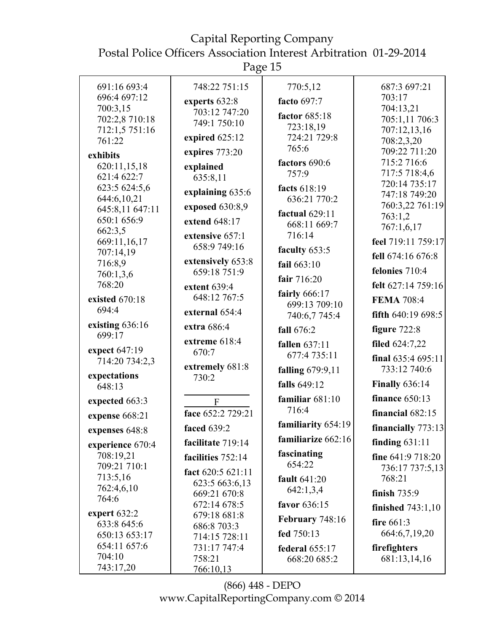Postal Police Officers Association Interest Arbitration 01-29-2014

Page 15

| 748:22 751:15<br>770:5,12<br>691:16 693:4<br>687:3 697:21<br>696:4 697:12<br>703:17<br>facto 697:7<br>experts 632:8<br>700:3,15<br>704:13,21<br>703:12 747:20<br>factor 685:18<br>702:2,8 710:18<br>705:1,11 706:3<br>749:1 750:10<br>723:18,19<br>712:1,5 751:16<br>707:12,13,16<br>expired 625:12<br>724:21 729:8<br>761:22<br>708:2,3,20<br>765:6<br>709:22 711:20<br>expires 773:20<br>exhibits<br>715:2 716:6<br>factors 690:6<br>620:11,15,18<br>explained<br>717:5 718:4,6<br>757:9<br>621:4 622:7<br>635:8,11<br>720:14 735:17<br>623:5 624:5,6<br>facts 618:19<br>explaining 635:6<br>747:18 749:20<br>644:6,10,21<br>636:21 770:2<br>760:3,22 761:19<br>exposed 630:8,9<br>645:8,11 647:11<br>factual 629:11<br>763:1,2<br>650:1 656:9<br>extend 648:17<br>668:11 669:7<br>767:1,6,17<br>662:3,5<br>716:14<br>extensive 657:1<br>669:11,16,17<br>feel 719:11 759:17<br>658:9 749:16<br>faculty 653:5<br>707:14,19<br>fell 674:16 676:8<br>extensively 653:8<br>716:8,9<br>fail 663:10<br>felonies 710:4<br>659:18 751:9<br>760:1,3,6<br>fair 716:20<br>768:20<br>felt 627:14 759:16<br>extent $639:4$<br>fairly 666:17<br>648:12 767:5<br>existed 670:18<br><b>FEMA 708:4</b><br>699:13 709:10<br>694:4<br>external 654:4<br>fifth $640:19698:5$<br>740:6,7 745:4 |
|-----------------------------------------------------------------------------------------------------------------------------------------------------------------------------------------------------------------------------------------------------------------------------------------------------------------------------------------------------------------------------------------------------------------------------------------------------------------------------------------------------------------------------------------------------------------------------------------------------------------------------------------------------------------------------------------------------------------------------------------------------------------------------------------------------------------------------------------------------------------------------------------------------------------------------------------------------------------------------------------------------------------------------------------------------------------------------------------------------------------------------------------------------------------------------------------------------------------------------------------------------------------------------|
|                                                                                                                                                                                                                                                                                                                                                                                                                                                                                                                                                                                                                                                                                                                                                                                                                                                                                                                                                                                                                                                                                                                                                                                                                                                                             |
|                                                                                                                                                                                                                                                                                                                                                                                                                                                                                                                                                                                                                                                                                                                                                                                                                                                                                                                                                                                                                                                                                                                                                                                                                                                                             |
|                                                                                                                                                                                                                                                                                                                                                                                                                                                                                                                                                                                                                                                                                                                                                                                                                                                                                                                                                                                                                                                                                                                                                                                                                                                                             |
|                                                                                                                                                                                                                                                                                                                                                                                                                                                                                                                                                                                                                                                                                                                                                                                                                                                                                                                                                                                                                                                                                                                                                                                                                                                                             |
|                                                                                                                                                                                                                                                                                                                                                                                                                                                                                                                                                                                                                                                                                                                                                                                                                                                                                                                                                                                                                                                                                                                                                                                                                                                                             |
|                                                                                                                                                                                                                                                                                                                                                                                                                                                                                                                                                                                                                                                                                                                                                                                                                                                                                                                                                                                                                                                                                                                                                                                                                                                                             |
|                                                                                                                                                                                                                                                                                                                                                                                                                                                                                                                                                                                                                                                                                                                                                                                                                                                                                                                                                                                                                                                                                                                                                                                                                                                                             |
|                                                                                                                                                                                                                                                                                                                                                                                                                                                                                                                                                                                                                                                                                                                                                                                                                                                                                                                                                                                                                                                                                                                                                                                                                                                                             |
|                                                                                                                                                                                                                                                                                                                                                                                                                                                                                                                                                                                                                                                                                                                                                                                                                                                                                                                                                                                                                                                                                                                                                                                                                                                                             |
|                                                                                                                                                                                                                                                                                                                                                                                                                                                                                                                                                                                                                                                                                                                                                                                                                                                                                                                                                                                                                                                                                                                                                                                                                                                                             |
|                                                                                                                                                                                                                                                                                                                                                                                                                                                                                                                                                                                                                                                                                                                                                                                                                                                                                                                                                                                                                                                                                                                                                                                                                                                                             |
|                                                                                                                                                                                                                                                                                                                                                                                                                                                                                                                                                                                                                                                                                                                                                                                                                                                                                                                                                                                                                                                                                                                                                                                                                                                                             |
|                                                                                                                                                                                                                                                                                                                                                                                                                                                                                                                                                                                                                                                                                                                                                                                                                                                                                                                                                                                                                                                                                                                                                                                                                                                                             |
|                                                                                                                                                                                                                                                                                                                                                                                                                                                                                                                                                                                                                                                                                                                                                                                                                                                                                                                                                                                                                                                                                                                                                                                                                                                                             |
|                                                                                                                                                                                                                                                                                                                                                                                                                                                                                                                                                                                                                                                                                                                                                                                                                                                                                                                                                                                                                                                                                                                                                                                                                                                                             |
|                                                                                                                                                                                                                                                                                                                                                                                                                                                                                                                                                                                                                                                                                                                                                                                                                                                                                                                                                                                                                                                                                                                                                                                                                                                                             |
|                                                                                                                                                                                                                                                                                                                                                                                                                                                                                                                                                                                                                                                                                                                                                                                                                                                                                                                                                                                                                                                                                                                                                                                                                                                                             |
|                                                                                                                                                                                                                                                                                                                                                                                                                                                                                                                                                                                                                                                                                                                                                                                                                                                                                                                                                                                                                                                                                                                                                                                                                                                                             |
|                                                                                                                                                                                                                                                                                                                                                                                                                                                                                                                                                                                                                                                                                                                                                                                                                                                                                                                                                                                                                                                                                                                                                                                                                                                                             |
| existing $636:16$<br>extra 686:4<br>figure $722:8$<br>fall 676:2<br>699:17                                                                                                                                                                                                                                                                                                                                                                                                                                                                                                                                                                                                                                                                                                                                                                                                                                                                                                                                                                                                                                                                                                                                                                                                  |
| extreme 618:4<br>filed 624:7,22<br>fallen 637:11                                                                                                                                                                                                                                                                                                                                                                                                                                                                                                                                                                                                                                                                                                                                                                                                                                                                                                                                                                                                                                                                                                                                                                                                                            |
| expect 647:19<br>670:7<br>677:4 735:11<br>final $635:4695:11$<br>714:20 734:2,3                                                                                                                                                                                                                                                                                                                                                                                                                                                                                                                                                                                                                                                                                                                                                                                                                                                                                                                                                                                                                                                                                                                                                                                             |
| extremely 681:8<br>733:12 740:6<br><b>falling</b> 679:9,11                                                                                                                                                                                                                                                                                                                                                                                                                                                                                                                                                                                                                                                                                                                                                                                                                                                                                                                                                                                                                                                                                                                                                                                                                  |
| expectations<br>730:2<br><b>Finally 636:14</b><br>falls 649:12<br>648:13                                                                                                                                                                                                                                                                                                                                                                                                                                                                                                                                                                                                                                                                                                                                                                                                                                                                                                                                                                                                                                                                                                                                                                                                    |
| finance $650:13$<br>familiar $681:10$<br>expected 663:3<br>${\bf F}$                                                                                                                                                                                                                                                                                                                                                                                                                                                                                                                                                                                                                                                                                                                                                                                                                                                                                                                                                                                                                                                                                                                                                                                                        |
| 716:4<br>face 652:2 729:21<br>financial 682:15<br>expense 668:21                                                                                                                                                                                                                                                                                                                                                                                                                                                                                                                                                                                                                                                                                                                                                                                                                                                                                                                                                                                                                                                                                                                                                                                                            |
| familiarity 654:19<br>financially $773:13$<br>faced 639:2<br>expenses 648:8                                                                                                                                                                                                                                                                                                                                                                                                                                                                                                                                                                                                                                                                                                                                                                                                                                                                                                                                                                                                                                                                                                                                                                                                 |
| familiarize 662:16<br>finding $631:11$<br>facilitate 719:14<br>experience 670:4                                                                                                                                                                                                                                                                                                                                                                                                                                                                                                                                                                                                                                                                                                                                                                                                                                                                                                                                                                                                                                                                                                                                                                                             |
| fascinating<br>708:19,21<br>fine 641:9 718:20<br>facilities 752:14                                                                                                                                                                                                                                                                                                                                                                                                                                                                                                                                                                                                                                                                                                                                                                                                                                                                                                                                                                                                                                                                                                                                                                                                          |
| 654:22<br>709:21 710:1<br>736:17 737:5,13<br>fact 620:5 621:11                                                                                                                                                                                                                                                                                                                                                                                                                                                                                                                                                                                                                                                                                                                                                                                                                                                                                                                                                                                                                                                                                                                                                                                                              |
| 713:5,16<br>fault 641:20<br>768:21<br>623:5 663:6,13                                                                                                                                                                                                                                                                                                                                                                                                                                                                                                                                                                                                                                                                                                                                                                                                                                                                                                                                                                                                                                                                                                                                                                                                                        |
| 762:4,6,10<br>642:1,3,4<br>finish 735:9<br>669:21 670:8                                                                                                                                                                                                                                                                                                                                                                                                                                                                                                                                                                                                                                                                                                                                                                                                                                                                                                                                                                                                                                                                                                                                                                                                                     |
| 764:6<br>672:14 678:5<br>favor 636:15<br>finished $743:1,10$                                                                                                                                                                                                                                                                                                                                                                                                                                                                                                                                                                                                                                                                                                                                                                                                                                                                                                                                                                                                                                                                                                                                                                                                                |
| expert 632:2<br>679:18 681:8<br><b>February 748:16</b><br>fire $661:3$                                                                                                                                                                                                                                                                                                                                                                                                                                                                                                                                                                                                                                                                                                                                                                                                                                                                                                                                                                                                                                                                                                                                                                                                      |
| 633:8 645:6<br>686:8 703:3<br>fed 750:13<br>664:6,7,19,20                                                                                                                                                                                                                                                                                                                                                                                                                                                                                                                                                                                                                                                                                                                                                                                                                                                                                                                                                                                                                                                                                                                                                                                                                   |
| 650:13 653:17<br>714:15 728:11<br>654:11 657:6                                                                                                                                                                                                                                                                                                                                                                                                                                                                                                                                                                                                                                                                                                                                                                                                                                                                                                                                                                                                                                                                                                                                                                                                                              |
| 731:17 747:4<br>firefighters<br>federal $655:17$<br>704:10<br>758:21<br>681:13,14,16                                                                                                                                                                                                                                                                                                                                                                                                                                                                                                                                                                                                                                                                                                                                                                                                                                                                                                                                                                                                                                                                                                                                                                                        |
| 668:20 685:2<br>743:17,20<br>766:10,13                                                                                                                                                                                                                                                                                                                                                                                                                                                                                                                                                                                                                                                                                                                                                                                                                                                                                                                                                                                                                                                                                                                                                                                                                                      |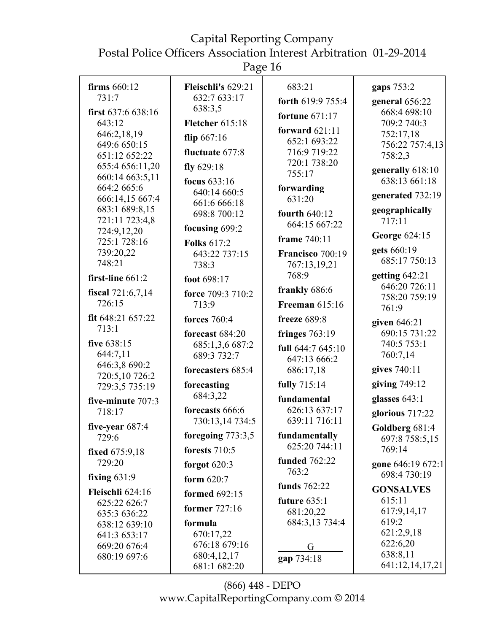Page 16

| firms $660:12$                | Fleischli's 629:21             | 683:21                         | gaps 753:2                        |
|-------------------------------|--------------------------------|--------------------------------|-----------------------------------|
| 731:7                         | 632:7 633:17                   | forth 619:9 755:4              | general 656:22                    |
| first $637:6638:16$           | 638:3,5                        | fortune $671:17$               | 668:4 698:10                      |
| 643:12                        | <b>Fletcher</b> 615:18         | forward $621:11$               | 709:2 740:3                       |
| 646:2,18,19                   | flip $667:16$                  | 652:1 693:22                   | 752:17,18                         |
| 649:6 650:15<br>651:12 652:22 | fluctuate 677:8                | 716:9 719:22                   | 756:22 757:4,13<br>758:2,3        |
| 655:4 656:11,20               | fly $629:18$                   | 720:1 738:20                   |                                   |
| 660:14 663:5,11               | focus 633:16                   | 755:17                         | generally 618:10<br>638:13 661:18 |
| 664:2 665:6                   | 640:14 660:5                   | forwarding                     |                                   |
| 666:14,15 667:4               | 661:6 666:18                   | 631:20                         | generated 732:19                  |
| 683:1 689:8,15                | 698:8 700:12                   | <b>fourth 640:12</b>           | geographically                    |
| 721:11 723:4,8                | focusing 699:2                 | 664:15 667:22                  | 717:11                            |
| 724:9,12,20<br>725:1 728:16   | <b>Folks 617:2</b>             | frame 740:11                   | George 624:15                     |
| 739:20,22                     | 643:22 737:15                  | Francisco 700:19               | gets 660:19                       |
| 748:21                        | 738:3                          | 767:13,19,21                   | 685:17 750:13                     |
| first-line 661:2              | foot 698:17                    | 768:9                          | getting 642:21                    |
| fiscal 721:6,7,14             | force 709:3 710:2              | frankly 686:6                  | 646:20 726:11                     |
| 726:15                        | 713:9                          | <b>Freeman</b> 615:16          | 758:20 759:19                     |
| fit 648:21 657:22             | <b>forces</b> 760:4            | freeze $689:8$                 | 761:9                             |
| 713:1                         |                                |                                | given 646:21                      |
| five 638:15                   | forecast 684:20                | fringes $763:19$               | 690:15 731:22<br>740:5 753:1      |
| 644:7,11                      | 685:1,3,6 687:2<br>689:3 732:7 | full 644:7 645:10              | 760:7,14                          |
| 646:3,8 690:2                 |                                | 647:13 666:2                   |                                   |
| 720:5,10726:2                 | forecasters 685:4              | 686:17,18                      | gives 740:11                      |
| 729:3,5 735:19                | forecasting                    | fully 715:14                   | giving 749:12                     |
| five-minute 707:3             | 684:3,22                       | fundamental                    | glasses 643:1                     |
| 718:17                        | forecasts 666:6                | 626:13 637:17                  | glorious 717:22                   |
| five-year $687:4$             | 730:13,14 734:5                | 639:11 716:11                  | Goldberg 681:4                    |
| 729:6                         | foregoing 773:3,5              | fundamentally<br>625:20 744:11 | 697:8 758:5,15                    |
| fixed 675:9,18                | forests $710:5$                |                                | 769:14                            |
| 729:20                        | forgot $620:3$                 | <b>funded</b> 762:22<br>763:2  | gone 646:19 672:1                 |
| fixing $631:9$                | form $620:7$                   | funds 762:22                   | 698:4 730:19                      |
| Fleischli 624:16              | <b>formed</b> 692:15           |                                | <b>GONSALVES</b>                  |
| 625:22 626:7                  | former 727:16                  | future $635:1$<br>681:20,22    | 615:11<br>617:9,14,17             |
| 635:3 636:22<br>638:12 639:10 | formula                        | 684:3,13 734:4                 | 619:2                             |
| 641:3 653:17                  | 670:17,22                      |                                | 621:2,9,18                        |
| 669:20 676:4                  | 676:18 679:16                  | G                              | 622:6,20                          |
| 680:19 697:6                  | 680:4,12,17                    | gap 734:18                     | 638:8,11                          |
|                               | 681:1 682:20                   |                                | 641:12,14,17,21                   |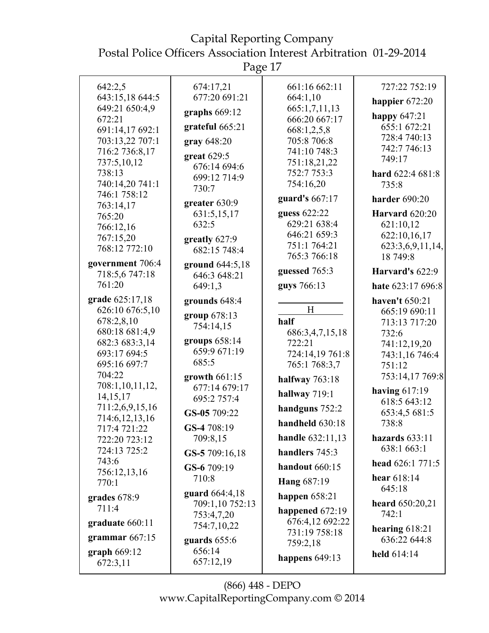Postal Police Officers Association Interest Arbitration 01-29-2014

Page 17

| 642:2,5                           | 674:17,21                       | 661:16 662:11     | 727:22 752:19                   |
|-----------------------------------|---------------------------------|-------------------|---------------------------------|
| 643:15,18 644:5                   | 677:20 691:21                   | 664:1,10          | happier $672:20$                |
| 649:21 650:4,9                    | graphs $669:12$                 | 665:1,7,11,13     |                                 |
| 672:21                            |                                 | 666:20 667:17     | happy $647:21$                  |
| 691:14,17 692:1                   | grateful 665:21                 | 668:1,2,5,8       | 655:1 672:21                    |
| 703:13,22 707:1                   | gray 648:20                     | 705:8 706:8       | 728:4 740:13                    |
| 716:2 736:8,17                    | great $629:5$                   | 741:10 748:3      | 742:7 746:13                    |
| 737:5,10,12                       | 676:14 694:6                    | 751:18,21,22      | 749:17                          |
| 738:13                            | 699:12 714:9                    | 752:7 753:3       | hard 622:4 681:8                |
| 740:14,20 741:1                   | 730:7                           | 754:16,20         | 735:8                           |
| 746:1 758:12                      | greater 630:9                   | guard's 667:17    | <b>harder</b> 690:20            |
| 763:14,17                         | 631:5,15,17                     | guess 622:22      | Harvard 620:20                  |
| 765:20                            | 632:5                           | 629:21 638:4      | 621:10,12                       |
| 766:12,16                         |                                 | 646:21 659:3      | 622:10,16,17                    |
| 767:15,20                         | greatly $627:9$                 | 751:1 764:21      | 623:3,6,9,11,14,                |
| 768:12 772:10                     | 682:15 748:4                    | 765:3 766:18      | 18 749:8                        |
| government 706:4<br>718:5,6747:18 | ground 644:5,18<br>646:3 648:21 | guessed 765:3     | Harvard's $622:9$               |
| 761:20                            | 649:1,3                         | guys 766:13       | hate 623:17 696:8               |
| grade 625:17,18                   | grounds 648:4                   |                   | haven't 650:21                  |
| 626:10 676:5,10                   | group 678:13                    | H                 | 665:19 690:11                   |
| 678:2,8,10                        | 754:14,15                       | half              | 713:13 717:20                   |
| 680:18 681:4,9                    |                                 | 686:3,4,7,15,18   | 732:6                           |
| 682:3 683:3,14                    | groups 658:14                   | 722:21            | 741:12,19,20                    |
| 693:17 694:5                      | 659:9 671:19                    | 724:14,19 761:8   | 743:1,16 746:4                  |
| 695:16 697:7                      | 685:5                           | 765:1 768:3,7     | 751:12                          |
| 704:22                            | growth $661:15$                 | halfway 763:18    | 753:14,17 769:8                 |
| 708:1,10,11,12,<br>14, 15, 17     | 677:14 679:17<br>695:2 757:4    | hallway 719:1     | having $617:19$                 |
| 711:2,6,9,15,16                   |                                 | handguns 752:2    | 618:5 643:12                    |
| 714:6, 12, 13, 16                 | GS-05 709:22                    | handheld 630:18   | 653:4,5 681:5<br>738:8          |
| 717:4 721:22                      | GS-4 708:19                     |                   |                                 |
| 722:20 723:12<br>724:13 725:2     | 709:8,15                        | handle 632:11,13  | hazards $633:11$<br>638:1 663:1 |
| 743:6                             | GS-5 709:16,18                  | handlers 745:3    | head 626:1 771:5                |
| 756:12,13,16                      | GS-6 709:19                     | handout 660:15    |                                 |
| 770:1                             | 710:8                           | Hang 687:19       | hear 618:14<br>645:18           |
| grades 678:9                      | guard 664:4,18                  | happen $658:21$   |                                 |
| 711:4                             | 709:1,10 752:13                 | happened $672:19$ | heard 650:20,21<br>742:1        |
| graduate 660:11                   | 753:4,7,20<br>754:7,10,22       | 676:4,12 692:22   |                                 |
|                                   |                                 | 731:19 758:18     | hearing $618:21$                |
| grammar $667:15$                  | guards $655:6$                  | 759:2,18          | 636:22 644:8                    |
| graph $669:12$<br>672:3,11        | 656:14<br>657:12,19             | happens 649:13    | held $614:14$                   |
|                                   |                                 |                   |                                 |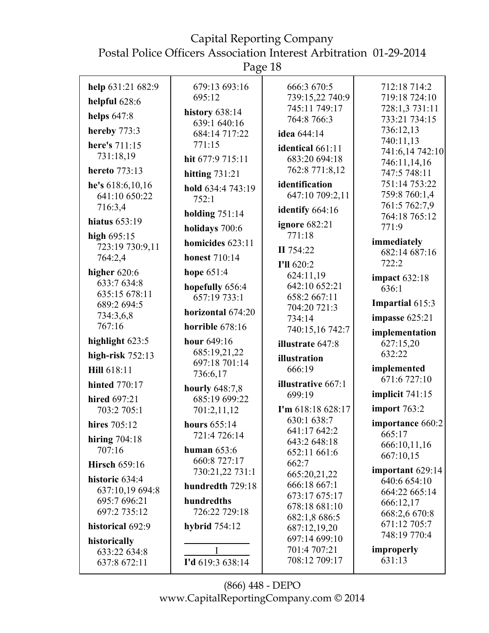Page 18

| help 631:21 682:9<br>helpful 628:6<br>helps $647:8$<br>hereby 773:3<br>here's 711:15<br>731:18,19<br>hereto 773:13<br>he's $618:6,10,16$<br>641:10 650:22<br>716:3,4<br>hiatus $653:19$<br>high $695:15$<br>723:19 730:9,11<br>764:2,4<br>higher $620:6$<br>633:7 634:8<br>635:15 678:11<br>689:2 694:5<br>734:3,6,8<br>767:16<br>highlight 623:5<br>high-risk $752:13$<br>Hill 618:11<br><b>hinted</b> 770:17<br>hired 697:21<br>703:2 705:1<br>hires 705:12<br>hiring $704:18$ | 679:13 693:16<br>695:12<br>history 638:14<br>639:1 640:16<br>684:14 717:22<br>771:15<br>hit 677:9 715:11<br>hitting $731:21$<br>hold 634:4 743:19<br>752:1<br>holding $751:14$<br>holidays 700:6<br>homicides 623:11<br><b>honest</b> 710:14<br>hope $651:4$<br>hopefully 656:4<br>657:19 733:1<br>horizontal 674:20<br>horrible 678:16<br>hour 649:16<br>685:19,21,22<br>697:18 701:14<br>736:6,17<br>hourly 648:7,8<br>685:19 699:22<br>701:2,11,12<br>hours 655:14<br>721:4 726:14 | 666:3 670:5<br>739:15,22 740:9<br>745:11 749:17<br>764:8 766:3<br>idea 644:14<br>identical 661:11<br>683:20 694:18<br>762:8 771:8,12<br>identification<br>647:10 709:2,11<br>identify 664:16<br><b>ignore</b> 682:21<br>771:18<br>II 754:22<br>I'll 620:2<br>624:11,19<br>642:10 652:21<br>658:2 667:11<br>704:20 721:3<br>734:14<br>740:15,16 742:7<br>illustrate 647:8<br>illustration<br>666:19<br><b>illustrative 667:1</b><br>699:19<br>I'm 618:18 628:17<br>630:1 638:7<br>641:17 642:2<br>643:2 648:18 | 712:18 714:2<br>719:18 724:10<br>728:1,3 731:11<br>733:21 734:15<br>736:12,13<br>740:11,13<br>741:6,14 742:10<br>746:11,14,16<br>747:5 748:11<br>751:14 753:22<br>759:8 760:1,4<br>761:5 762:7,9<br>764:18 765:12<br>771:9<br>immediately<br>682:14 687:16<br>722:2<br><b>impact</b> 632:18<br>636:1<br>Impartial 615:3<br>impasse $625:21$<br>implementation<br>627:15,20<br>632:22<br>implemented<br>671:6 727:10<br>implicit 741:15<br>import 763:2<br>importance 660:2<br>665:17 |
|----------------------------------------------------------------------------------------------------------------------------------------------------------------------------------------------------------------------------------------------------------------------------------------------------------------------------------------------------------------------------------------------------------------------------------------------------------------------------------|---------------------------------------------------------------------------------------------------------------------------------------------------------------------------------------------------------------------------------------------------------------------------------------------------------------------------------------------------------------------------------------------------------------------------------------------------------------------------------------|---------------------------------------------------------------------------------------------------------------------------------------------------------------------------------------------------------------------------------------------------------------------------------------------------------------------------------------------------------------------------------------------------------------------------------------------------------------------------------------------------------------|--------------------------------------------------------------------------------------------------------------------------------------------------------------------------------------------------------------------------------------------------------------------------------------------------------------------------------------------------------------------------------------------------------------------------------------------------------------------------------------|
| 707:16<br><b>Hirsch 659:16</b><br>historic 634:4<br>637:10,19 694:8<br>695:7 696:21<br>697:2 735:12<br>historical 692:9<br>historically                                                                                                                                                                                                                                                                                                                                          | human $653:6$<br>660:8 727:17<br>730:21,22 731:1<br>hundredth 729:18<br>hundredths<br>726:22 729:18<br>hybrid $754:12$                                                                                                                                                                                                                                                                                                                                                                | 652:11 661:6<br>662:7<br>665:20,21,22<br>666:18 667:1<br>673:17 675:17<br>678:18 681:10<br>682:1,8 686:5<br>687:12,19,20<br>697:14 699:10                                                                                                                                                                                                                                                                                                                                                                     | 666:10,11,16<br>667:10,15<br>important 629:14<br>640:6 654:10<br>664:22 665:14<br>666:12,17<br>668:2,6 670:8<br>671:12 705:7<br>748:19 770:4                                                                                                                                                                                                                                                                                                                                         |
| 633:22 634:8<br>637:8 672:11                                                                                                                                                                                                                                                                                                                                                                                                                                                     | I<br>I'd 619:3 638:14                                                                                                                                                                                                                                                                                                                                                                                                                                                                 | 701:4 707:21<br>708:12 709:17                                                                                                                                                                                                                                                                                                                                                                                                                                                                                 | improperly<br>631:13                                                                                                                                                                                                                                                                                                                                                                                                                                                                 |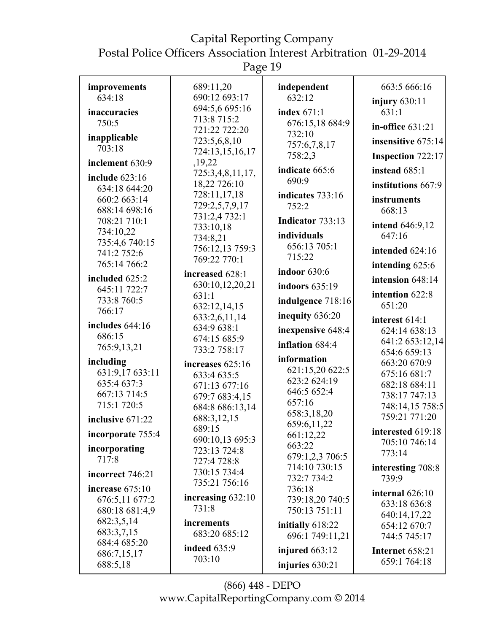Page 19

| improvements              | 689:11,20                    | independent                | 663:5 666:16                     |
|---------------------------|------------------------------|----------------------------|----------------------------------|
| 634:18                    | 690:12 693:17                | 632:12                     | injury $630:11$                  |
| inaccuracies              | 694:5,6 695:16               | index $671:1$              | 631:1                            |
| 750:5                     | 713:8 715:2<br>721:22 722:20 | 676:15,18 684:9            | in-office $631:21$               |
| inapplicable              | 723:5,6,8,10                 | 732:10                     | insensitive 675:14               |
| 703:18                    | 724:13,15,16,17              | 757:6,7,8,17               |                                  |
| inclement 630:9           | ,19,22                       | 758:2,3<br>indicate 665:6  | <b>Inspection 722:17</b>         |
| include 623:16            | 725:3,4,8,11,17,             | 690:9                      | instead 685:1                    |
| 634:18 644:20             | 18,22 726:10                 |                            | institutions 667:9               |
| 660:2 663:14              | 728:11,17,18                 | indicates 733:16           | instruments                      |
| 688:14 698:16             | 729:2,5,7,9,17               | 752:2                      | 668:13                           |
| 708:21 710:1              | 731:2,4 732:1                | Indicator 733:13           |                                  |
| 734:10,22                 | 733:10,18                    | individuals                | <b>intend</b> 646:9,12<br>647:16 |
| 735:4,6 740:15            | 734:8,21                     | 656:13 705:1               |                                  |
| 741:2 752:6               | 756:12,13 759:3              | 715:22                     | intended 624:16                  |
| 765:14 766:2              | 769:22 770:1                 |                            | intending 625:6                  |
| included 625:2            | increased 628:1              | indoor 630:6               | intension 648:14                 |
| 645:11 722:7              | 630:10,12,20,21              | indoors 635:19             |                                  |
| 733:8 760:5               | 631:1                        | indulgence 718:16          | intention 622:8                  |
| 766:17                    | 632:12,14,15                 |                            | 651:20                           |
|                           | 633:2,6,11,14                | inequity 636:20            | interest 614:1                   |
| includes 644:16<br>686:15 | 634:9 638:1                  | inexpensive 648:4          | 624:14 638:13                    |
|                           | 674:15 685:9                 | inflation 684:4            | 641:2 653:12,14                  |
| 765:9,13,21               | 733:2 758:17                 |                            | 654:6 659:13                     |
| including                 | increases 625:16             | information                | 663:20 670:9                     |
| 631:9,17 633:11           | 633:4 635:5                  | 621:15,20 622:5            | 675:16 681:7                     |
| 635:4 637:3               | 671:13 677:16                | 623:2 624:19               | 682:18 684:11                    |
| 667:13 714:5              | 679:7 683:4,15               | 646:5 652:4                | 738:17 747:13                    |
| 715:1 720:5               | 684:8 686:13,14              | 657:16                     | 748:14,15 758:5                  |
| inclusive 671:22          | 688:3,12,15                  | 658:3,18,20<br>659:6,11,22 | 759:21 771:20                    |
| incorporate 755:4         | 689:15                       | 661:12,22                  | interested 619:18                |
|                           | 690:10,13 695:3              | 663:22                     | 705:10 746:14                    |
| incorporating             | 723:13 724:8                 | 679:1,2,3 706:5            | 773:14                           |
| 717:8                     | 727:4 728:8                  | 714:10 730:15              | interesting 708:8                |
| incorrect 746:21          | 730:15 734:4                 | 732:7 734:2                | 739:9                            |
| increase $675:10$         | 735:21 756:16                | 736:18                     |                                  |
| 676:5,11 677:2            | increasing 632:10            | 739:18,20 740:5            | internal 626:10                  |
| 680:18 681:4,9            | 731:8                        | 750:13 751:11              | 633:18 636:8                     |
| 682:3,5,14                | increments                   |                            | 640:14,17,22                     |
| 683:3,7,15                | 683:20 685:12                | initially 618:22           | 654:12 670:7                     |
| 684:4 685:20              |                              | 696:1 749:11,21            | 744:5 745:17                     |
| 686:7,15,17               | <b>indeed</b> 635:9          | injured $663:12$           | Internet 658:21                  |
| 688:5,18                  | 703:10                       | injuries $630:21$          | 659:1 764:18                     |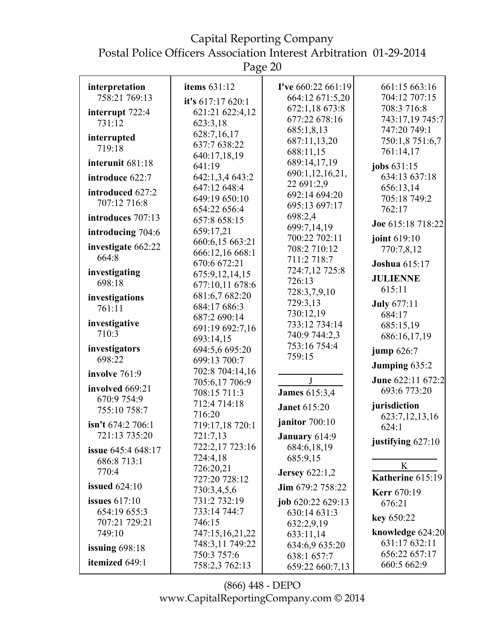Capital Reporting Company Postal Police Officers Association Interest Arbitration 01-29-2014

Page 20

| interpretation            | <b>items</b> 631:12            | <b>I've</b> $660:22661:19$     | 661:15 663:16                     |
|---------------------------|--------------------------------|--------------------------------|-----------------------------------|
| 758:21 769:13             | it's 617:17 620:1              | 664:12 671:5,20                | 704:12 707:15                     |
| interrupt 722:4           | 621:21 622:4,12                | 672:1,18 673:8                 | 708:3 716:8                       |
| 731:12                    | 623:3,18                       | 677:22 678:16                  | 743:17,19 745:7                   |
| interrupted               | 628:7,16,17                    | 685:1,8,13                     | 747:20 749:1                      |
| 719:18                    | 637:7 638:22                   | 687:11,13,20                   | 750:1,8 751:6,7                   |
|                           | 640:17,18,19                   | 688:11,15                      | 761:14,17                         |
| interunit 681:18          | 641:19                         | 689:14,17,19                   | jobs $631:15$                     |
| introduce 622:7           | 642:1,3,4 643:2                | 690:1,12,16,21,                | 634:13 637:18                     |
| introduced 627:2          | 647:12 648:4                   | 22 691:2,9                     | 656:13,14                         |
| 707:12 716:8              | 649:19 650:10                  | 692:14 694:20                  | 705:18 749:2                      |
|                           | 654:22 656:4                   | 695:13 697:17                  | 762:17                            |
| introduces 707:13         | 657:8 658:15                   | 698:2,4                        | Joe 615:18 718:22                 |
| introducing 704:6         | 659:17,21                      | 699:7,14,19<br>700:22 702:11   |                                   |
| investigate 662:22        | 660:6,15 663:21                | 708:2 710:12                   | joint 619:10                      |
| 664:8                     | 666:12,16 668:1                | 711:2 718:7                    | 770:7,8,12                        |
|                           | 670:6 672:21                   | 724:7,12 725:8                 | <b>Joshua</b> 615:17              |
| investigating             | 675:9,12,14,15                 | 726:13                         | <b>JULIENNE</b>                   |
| 698:18                    | 677:10,11 678:6                | 728:3,7,9,10                   | 615:11                            |
| investigations            | 681:6,7 682:20                 | 729:3,13                       |                                   |
| 761:11                    | 684:17 686:3                   | 730:12,19                      | <b>July 677:11</b>                |
| investigative             | 687:2 690:14                   | 733:12 734:14                  | 684:17                            |
| 710:3                     | 691:19 692:7,16                | 740:9 744:2,3                  | 685:15,19                         |
|                           | 693:14,15                      | 753:16 754:4                   | 686:16,17,19                      |
| investigators             | 694:5,6 695:20                 | 759:15                         | jump 626:7                        |
| 698:22                    | 699:13 700:7                   |                                | Jumping 635:2                     |
| involve 761:9             | 702:8 704:14,16                | J                              | June 622:11 672:2                 |
| involved 669:21           | 705:6,17 706:9<br>708:15 711:3 | <b>James</b> 615:3,4           | 693:6 773:20                      |
| 670:9 754:9               | 712:4 714:18                   |                                | jurisdiction                      |
| 755:10 758:7              | 716:20                         | <b>Janet</b> 615:20            | 623:7,12,13,16                    |
| isn't $674:2706:1$        | 719:17,18 720:1                | janitor 700:10                 | 624:1                             |
|                           | 721:7,13                       | January 614:9                  | justifying $627:10$               |
| <b>issue</b> 645:4 648:17 | 722:2,17 723:16                | 684:6,18,19                    |                                   |
| 686:8 713:1               | 724:4,18                       | 685:9,15                       |                                   |
| 770:4                     | 726:20,21                      | <b>Jersey</b> 622:1,2          | K                                 |
| <b>issued</b> 624:10      | 727:20 728:12                  | Jim 679:2 758:22               | Katherine 615:19                  |
|                           | 730:3,4,5,6                    |                                | <b>Kerr</b> 670:19                |
| issues $617:10$           | 731:2 732:19                   | job 620:22 629:13              | 676:21                            |
| 654:19 655:3              | 733:14 744:7                   | 630:14 631:3                   | key 650:22                        |
| 707:21 729:21             | 746:15                         | 632:2,9,19                     |                                   |
| 749:10                    | 747:15,16,21,22                | 633:11,14                      | knowledge 624:20<br>631:17 632:11 |
| issuing $698:18$          | 748:3,11 749:22                | 634:6,9 635:20                 | 656:22 657:17                     |
| itemized 649:1            | 750:3 757:6<br>758:2,3 762:13  | 638:1 657:7<br>659:22 660:7,13 | 660:5 662:9                       |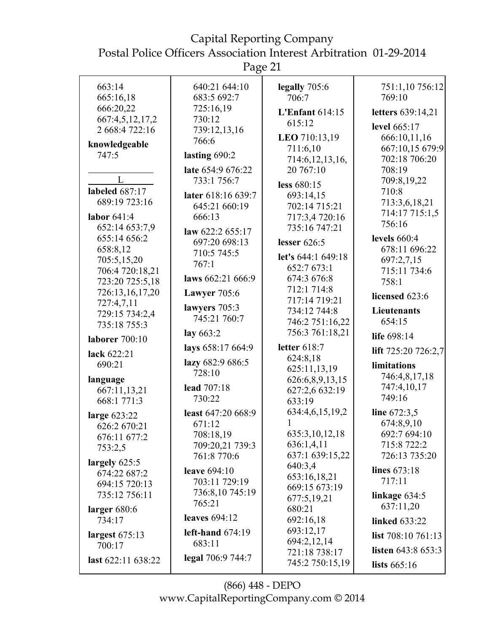| 663:14                   | 640:21 644:10                | legally 705:6            | 751:1,10 756:12            |
|--------------------------|------------------------------|--------------------------|----------------------------|
| 665:16,18                | 683:5 692:7                  | 706:7                    | 769:10                     |
| 666:20,22                | 725:16,19                    | L'Enfant $614:15$        | letters 639:14,21          |
| 667:4,5,12,17,2          | 730:12                       | 615:12                   |                            |
| 2 668:4 722:16           | 739:12,13,16                 |                          | level 665:17               |
| knowledgeable            | 766:6                        | LEO 710:13,19            | 666:10,11,16               |
| 747:5                    | lasting 690:2                | 711:6,10                 | 667:10,15 679:9            |
|                          | late 654:9 676:22            | 714:6, 12, 13, 16,       | 702:18 706:20<br>708:19    |
| L                        |                              | 20 767:10                |                            |
| labeled 687:17           | 733:1 756:7                  | less 680:15              | 709:8,19,22                |
|                          | later 618:16 639:7           | 693:14,15                | 710:8                      |
| 689:19 723:16            | 645:21 660:19                | 702:14 715:21            | 713:3,6,18,21              |
| labor $641:4$            | 666:13                       | 717:3,4 720:16           | 714:17 715:1,5             |
| 652:14 653:7,9           | law 622:2 655:17             | 735:16 747:21            | 756:16                     |
| 655:14 656:2             | 697:20 698:13                | lesser $626:5$           | levels $660:4$             |
| 658:8,12                 | 710:5 745:5                  |                          | 678:11 696:22              |
| 705:5,15,20              | 767:1                        | let's 644:1 649:18       | 697:2,7,15                 |
| 706:4 720:18,21          |                              | 652:7 673:1              | 715:11 734:6               |
| 723:20 725:5,18          | laws 662:21 666:9            | 674:3 676:8              | 758:1                      |
| 726:13,16,17,20          | <b>Lawyer</b> 705:6          | 712:1 714:8              | licensed 623:6             |
| 727:4,7,11               | lawyers $705:3$              | 717:14 719:21            |                            |
| 729:15 734:2,4           | 745:21 760:7                 | 734:12 744:8             | Lieutenants                |
| 735:18 755:3             |                              | 746:2 751:16,22          | 654:15                     |
| <b>laborer</b> 700:10    | lay $663:2$                  | 756:3 761:18,21          | life 698:14                |
| lack 622:21              | lays 658:17 664:9            | letter 618:7<br>624:8,18 | lift 725:20 726:2,7        |
| 690:21                   | lazy 682:9 686:5             | 625:11,13,19             | limitations                |
| language                 | 728:10                       | 626:6,8,9,13,15          | 746:4,8,17,18              |
| 667:11,13,21             | lead 707:18                  | 627:2,6 632:19           | 747:4,10,17                |
| 668:1 771:3              | 730:22                       | 633:19                   | 749:16                     |
|                          | least 647:20 668:9           | 634:4,6,15,19,2          | line 672:3,5               |
| large 623:22             | 671:12                       |                          | 674:8,9,10                 |
| 626:2 670:21             |                              | 635:3,10,12,18           | 692:7 694:10               |
| 676:11 677:2             | 708:18,19<br>709:20,21 739:3 | 636:1,4,11               | 715:8 722:2                |
| 753:2,5                  | 761:8 770:6                  | 637:1 639:15,22          | 726:13 735:20              |
| largely $625:5$          |                              | 640:3,4                  |                            |
| 674:22 687:2             | leave 694:10                 | 653:16,18,21             | lines 673:18               |
| 694:15 720:13            | 703:11 729:19                | 669:15 673:19            | 717:11                     |
| 735:12 756:11            | 736:8,10 745:19              | 677:5,19,21              | linkage $634:5$            |
|                          | 765:21                       | 680:21                   | 637:11,20                  |
| larger $680:6$<br>734:17 | <b>leaves</b> 694:12         | 692:16,18                | <b>linked</b> 633:22       |
|                          |                              | 693:12,17                |                            |
| largest $675:13$         | left-hand $674:19$           | 694:2,12,14              | list $708:10761:13$        |
| 700:17                   | 683:11                       | 721:18 738:17            | <b>listen</b> $643:8653:3$ |
| last 622:11 638:22       | legal 706:9 744:7            | 745:2 750:15,19          | lists $665:16$             |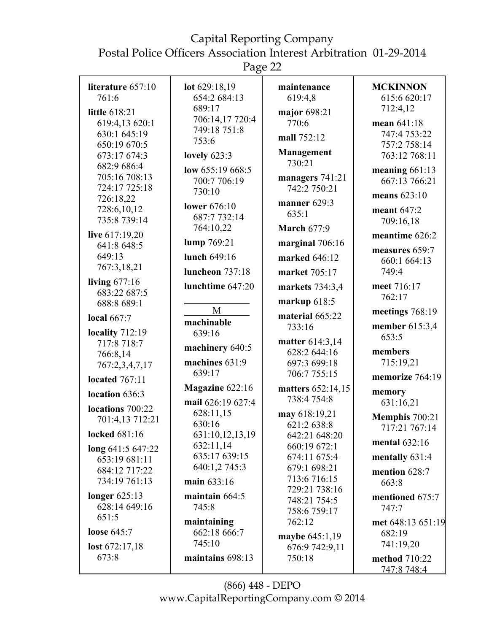Postal Police Officers Association Interest Arbitration 01-29-2014

Page 22

| literature 657:10             | lot 629:18,19                  | maintenance                     | <b>MCKINNON</b>                |
|-------------------------------|--------------------------------|---------------------------------|--------------------------------|
| 761:6                         | 654:2 684:13                   | 619:4,8                         | 615:6 620:17                   |
| little 618:21                 | 689:17                         | major 698:21                    | 712:4,12                       |
| 619:4,13 620:1                | 706:14,17 720:4                | 770:6                           | mean 641:18                    |
| 630:1 645:19                  | 749:18 751:8                   |                                 | 747:4 753:22                   |
| 650:19 670:5                  | 753:6                          | mall 752:12                     | 757:2 758:14                   |
| 673:17 674:3                  | lovely $623:3$                 | <b>Management</b>               | 763:12 768:11                  |
| 682:9 686:4                   | low 655:19 668:5               | 730:21                          | meaning $661:13$               |
| 705:16 708:13                 | 700:7 706:19                   | managers 741:21                 | 667:13 766:21                  |
| 724:17 725:18                 | 730:10                         | 742:2 750:21                    | means 623:10                   |
| 726:18,22                     | lower 676:10                   | manner 629:3                    |                                |
| 728:6,10,12                   | 687:7 732:14                   | 635:1                           | meant 647:2                    |
| 735:8 739:14                  | 764:10,22                      | <b>March 677:9</b>              | 709:16,18                      |
| live 617:19,20<br>641:8 648:5 | lump 769:21                    | marginal 706:16                 | meantime 626:2                 |
| 649:13                        | lunch 649:16                   | marked 646:12                   | measures 659:7<br>660:1 664:13 |
| 767:3,18,21                   | <b>luncheon</b> 737:18         | market 705:17                   | 749:4                          |
| living $677:16$               | lunchtime 647:20               | markets 734:3,4                 | meet 716:17                    |
| 683:22 687:5<br>688:8 689:1   |                                | markup $618:5$                  | 762:17                         |
|                               | M                              | material 665:22                 | meetings 768:19                |
| local $667:7$                 | machinable                     | 733:16                          | member 615:3,4                 |
| locality 712:19               | 639:16                         |                                 | 653:5                          |
| 717:8 718:7                   | machinery 640:5                | matter 614:3,14<br>628:2 644:16 | members                        |
| 766:8,14                      | machines 631:9                 | 697:3 699:18                    | 715:19,21                      |
| 767:2,3,4,7,17                | 639:17                         | 706:7 755:15                    | memorize 764:19                |
| located $767:11$              | Magazine 622:16                | matters 652:14,15               |                                |
| location 636:3                |                                | 738:4754:8                      | memory                         |
| locations 700:22              | mail 626:19 627:4<br>628:11,15 |                                 | 631:16,21                      |
| 701:4,13 712:21               | 630:16                         | may 618:19,21<br>621:2 638:8    | Memphis 700:21                 |
| locked 681:16                 | 631:10,12,13,19                | 642:21 648:20                   | 717:21 767:14                  |
| long $641:5647:22$            | 632:11,14                      | 660:19 672:1                    | mental $632:16$                |
| 653:19 681:11                 | 635:17 639:15                  | 674:11 675:4                    | mentally 631:4                 |
| 684:12 717:22                 | 640:1,2 745:3                  | 679:1 698:21                    | mention 628:7                  |
| 734:19 761:13                 | main 633:16                    | 713:6 716:15                    | 663:8                          |
| longer $625:13$               | maintain 664:5                 | 729:21 738:16                   | mentioned 675:7                |
| 628:14 649:16                 | 745:8                          | 748:21 754:5                    | 747:7                          |
| 651:5                         | maintaining                    | 758:6 759:17<br>762:12          | met 648:13 651:19              |
| <b>loose</b> 645:7            | 662:18 666:7                   |                                 | 682:19                         |
| lost $672:17,18$              | 745:10                         | maybe 645:1,19                  | 741:19,20                      |
| 673:8                         | maintains 698:13               | 676:9 742:9,11<br>750:18        | method 710:22                  |
|                               |                                |                                 | 747:8 748:4                    |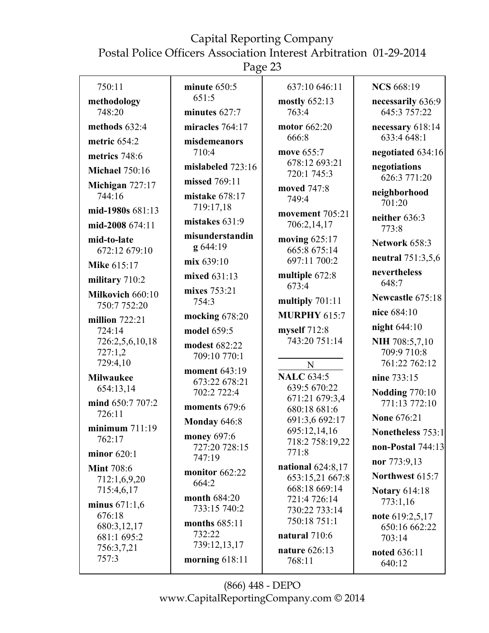Page 23

| 750:11                     | minute $650:5$    | 637:10 646:11                          | <b>NCS</b> 668:19      |
|----------------------------|-------------------|----------------------------------------|------------------------|
| methodology                | 651:5             | mostly 652:13                          | necessarily 636:9      |
| 748:20                     | minutes $627:7$   | 763:4                                  | 645:3 757:22           |
| methods $632:4$            | miracles 764:17   | motor 662:20                           | necessary 618:14       |
| metric 654:2               | misdemeanors      | 666:8                                  | 633:4 648:1            |
| metrics 748:6              | 710:4             | move 655:7                             | negotiated 634:16      |
| <b>Michael 750:16</b>      | mislabeled 723:16 | 678:12 693:21<br>720:1 745:3           | negotiations           |
| Michigan 727:17            | missed 769:11     |                                        | 626:3 771:20           |
| 744:16                     | mistake 678:17    | moved 747:8<br>749:4                   | neighborhood           |
| mid-1980s 681:13           | 719:17,18         | movement 705:21                        | 701:20                 |
| mid-2008 674:11            | mistakes 631:9    | 706:2,14,17                            | neither 636:3<br>773:8 |
| mid-to-late                | misunderstandin   | moving 625:17                          | Network 658:3          |
| 672:12 679:10              | g 644:19          | 665:8 675:14                           |                        |
| <b>Mike 615:17</b>         | mix 639:10        | 697:11 700:2                           | neutral 751:3,5,6      |
| military 710:2             | mixed 631:13      | multiple 672:8                         | nevertheless<br>648:7  |
| Milkovich 660:10           | mixes 753:21      | 673:4                                  |                        |
| 750:7 752:20               | 754:3             | multiply 701:11                        | Newcastle 675:18       |
| million $722:21$           | mocking $678:20$  | <b>MURPHY 615:7</b>                    | nice 684:10            |
| 724:14                     | model 659:5       | myself 712:8                           | night 644:10           |
| 726:2,5,6,10,18            | modest 682:22     | 743:20 751:14                          | NIH 708:5,7,10         |
| 727:1,2                    | 709:10 770:1      |                                        | 709:9 710:8            |
| 729:4,10                   | moment 643:19     | $\mathbf N$                            | 761:22 762:12          |
| <b>Milwaukee</b>           | 673:22 678:21     | <b>NALC</b> 634:5                      | nine 733:15            |
| 654:13,14                  | 702:2 722:4       | 639:5 670:22                           | <b>Nodding 770:10</b>  |
| mind 650:7 707:2           | moments 679:6     | 671:21 679:3,4<br>680:18 681:6         | 771:13 772:10          |
| 726:11                     | Monday 646:8      | 691:3,6 692:17                         | <b>None 676:21</b>     |
| minimum $711:19$           | money 697:6       | 695:12,14,16                           | Nonetheless 753:1      |
| 762:17                     | 727:20 728:15     | 718:2 758:19,22                        | non-Postal $744:13$    |
| minor $620:1$              | 747:19            | 771:8                                  | nor 773:9,13           |
| <b>Mint 708:6</b>          | monitor 662:22    | national $624:8,17$<br>653:15,21 667:8 | Northwest 615:7        |
| 712:1,6,9,20               | 664:2             | 668:18 669:14                          |                        |
| 715:4,6,17                 | month 684:20      | 721:4 726:14                           | <b>Notary 614:18</b>   |
| minus $671:1,6$            | 733:15 740:2      | 730:22 733:14                          | 773:1,16               |
| 676:18                     | months 685:11     | 750:18 751:1                           | note 619:2,5,17        |
| 680:3,12,17<br>681:1 695:2 | 732:22            | natural 710:6                          | 650:16 662:22          |
| 756:3,7,21                 | 739:12,13,17      |                                        | 703:14                 |
| 757:3                      | morning $618:11$  | nature 626:13<br>768:11                | noted 636:11           |
|                            |                   |                                        | 640:12                 |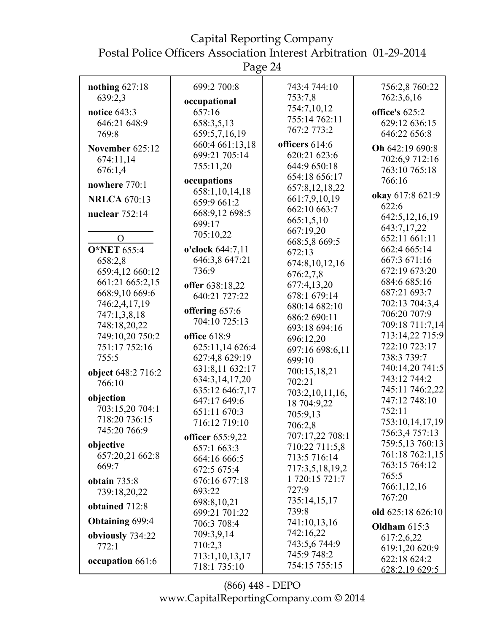| nothing $627:18$<br>639:2,3      | 699:2 700:8<br>occupational      | 743:4 744:10<br>753:7,8  | 756:2,8 760:22<br>762:3,6,16 |
|----------------------------------|----------------------------------|--------------------------|------------------------------|
| notice $643:3$                   | 657:16                           | 754:7,10,12              | office's 625:2               |
| 646:21 648:9                     | 658:3,5,13                       | 755:14 762:11            | 629:12 636:15                |
| 769:8                            | 659:5,7,16,19                    | 767:2 773:2              | 646:22 656:8                 |
| November 625:12                  | 660:4 661:13,18                  | officers 614:6           | Oh 642:19 690:8              |
| 674:11,14                        | 699:21 705:14                    | 620:21 623:6             | 702:6,9 712:16               |
| 676:1,4                          | 755:11,20                        | 644:9 650:18             | 763:10 765:18                |
| nowhere 770:1                    | occupations                      | 654:18 656:17            | 766:16                       |
|                                  | 658:1,10,14,18                   | 657:8,12,18,22           | okay 617:8 621:9             |
| <b>NRLCA 670:13</b>              | 659:9 661:2                      | 661:7,9,10,19            | 622:6                        |
| nuclear 752:14                   | 668:9,12 698:5                   | 662:10 663:7             | 642:5, 12, 16, 19            |
|                                  | 699:17                           | 665:1,5,10               | 643:7,17,22                  |
| $\Omega$                         | 705:10,22                        | 667:19,20                | 652:11 661:11                |
| <b>O*NET 655:4</b>               | o'clock 644:7,11                 | 668:5,8 669:5<br>672:13  | 662:4 665:14                 |
| 658:2,8                          | 646:3,8 647:21                   |                          | 667:3 671:16                 |
| 659:4,12 660:12                  | 736:9                            | 674:8,10,12,16           | 672:19 673:20                |
| 661:21 665:2,15                  |                                  | 676:2,7,8<br>677:4,13,20 | 684:6 685:16                 |
| 668:9,10 669:6                   | offer 638:18,22<br>640:21 727:22 | 678:1 679:14             | 687:21 693:7                 |
| 746:2,4,17,19                    |                                  | 680:14 682:10            | 702:13 704:3,4               |
| 747:1,3,8,18                     | offering 657:6                   | 686:2 690:11             | 706:20 707:9                 |
| 748:18,20,22                     | 704:10 725:13                    | 693:18 694:16            | 709:18 711:7,14              |
| 749:10,20 750:2                  | office 618:9                     | 696:12,20                | 713:14,22 715:9              |
| 751:17 752:16                    | 625:11,14 626:4                  | 697:16 698:6,11          | 722:10 723:17                |
| 755:5                            | 627:4,8 629:19                   | 699:10                   | 738:3 739:7                  |
| object 648:2 716:2               | 631:8,11 632:17                  | 700:15,18,21             | 740:14,20 741:5              |
| 766:10                           | 634:3,14,17,20                   | 702:21                   | 743:12 744:2                 |
|                                  | 635:12 646:7,17                  | 703:2,10,11,16,          | 745:11 746:2,22              |
| objection                        | 647:17 649:6                     | 18 704:9,22              | 747:12 748:10                |
| 703:15,20 704:1<br>718:20 736:15 | 651:11 670:3                     | 705:9,13                 | 752:11                       |
| 745:20 766:9                     | 716:12 719:10                    | 706:2,8                  | 753:10,14,17,19              |
|                                  | officer 655:9,22                 | 707:17,22 708:1          | 756:3,4 757:13               |
| objective                        | 657:1 663:3                      | 710:22 711:5,8           | 759:5,13 760:13              |
| 657:20,21 662:8                  | 664:16 666:5                     | 713:5 716:14             | 761:18 762:1,15              |
| 669:7                            | 672:5 675:4                      | 717:3,5,18,19,2          | 763:15 764:12                |
| obtain $735:8$                   | 676:16 677:18                    | 1 720:15 721:7           | 765:5                        |
| 739:18,20,22                     | 693:22                           | 727:9                    | 766:1,12,16<br>767:20        |
| obtained 712:8                   | 698:8,10,21                      | 735:14,15,17             |                              |
|                                  | 699:21 701:22                    | 739:8                    | old 625:18 626:10            |
| <b>Obtaining 699:4</b>           | 706:3 708:4                      | 741:10,13,16             | Oldham $615:3$               |
| obviously 734:22                 | 709:3,9,14                       | 742:16,22                | 617:2,6,22                   |
| 772:1                            | 710:2,3                          | 743:5,6744:9             | 619:1,20 620:9               |
| occupation 661:6                 | 713:1,10,13,17                   | 745:9 748:2              | 622:18 624:2                 |
|                                  | 718:1 735:10                     | 754:15 755:15            | 628:2,19 629:5               |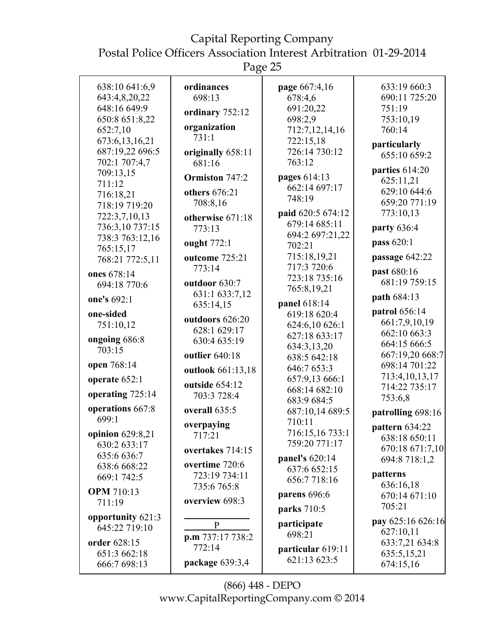Postal Police Officers Association Interest Arbitration 01-29-2014

Page 25

| 638:10 641:6,9    | ordinances        | page 667:4,16     | 633:19 660:3      |
|-------------------|-------------------|-------------------|-------------------|
| 643:4,8,20,22     | 698:13            | 678:4,6           | 690:11 725:20     |
| 648:16 649:9      |                   | 691:20,22         | 751:19            |
| 650:8 651:8,22    | ordinary 752:12   | 698:2,9           | 753:10,19         |
|                   | organization      |                   |                   |
| 652:7,10          | 731:1             | 712:7,12,14,16    | 760:14            |
| 673:6,13,16,21    |                   | 722:15,18         | particularly      |
| 687:19,22 696:5   | originally 658:11 | 726:14 730:12     | 655:10 659:2      |
| 702:1 707:4,7     | 681:16            | 763:12            |                   |
| 709:13,15         | Ormiston 747:2    | pages 614:13      | parties 614:20    |
| 711:12            |                   | 662:14 697:17     | 625:11,21         |
| 716:18,21         | others 676:21     | 748:19            | 629:10 644:6      |
| 718:19 719:20     | 708:8,16          |                   | 659:20 771:19     |
| 722:3,7,10,13     | otherwise 671:18  | paid 620:5 674:12 | 773:10,13         |
| 736:3,10 737:15   | 773:13            | 679:14 685:11     | party 636:4       |
| 738:3 763:12,16   |                   | 694:2 697:21,22   |                   |
| 765:15,17         | ought 772:1       | 702:21            | pass 620:1        |
| 768:21 772:5,11   | outcome 725:21    | 715:18,19,21      | passage 642:22    |
| ones 678:14       | 773:14            | 717:3 720:6       | past 680:16       |
|                   | outdoor 630:7     | 723:18 735:16     | 681:19 759:15     |
| 694:18 770:6      |                   | 765:8,19,21       |                   |
| one's 692:1       | 631:1 633:7,12    | panel 618:14      | path 684:13       |
| one-sided         | 635:14,15         | 619:18 620:4      | patrol 656:14     |
| 751:10,12         | outdoors 626:20   | 624:6,10 626:1    | 661:7,9,10,19     |
|                   | 628:1 629:17      |                   | 662:10 663:3      |
| ongoing 686:8     | 630:4 635:19      | 627:18 633:17     | 664:15 666:5      |
| 703:15            | outlier 640:18    | 634:3,13,20       | 667:19,20 668:7   |
| open 768:14       |                   | 638:5 642:18      | 698:14 701:22     |
|                   | outlook 661:13,18 | 646:7 653:3       | 713:4, 10, 13, 17 |
| operate 652:1     | outside 654:12    | 657:9,13 666:1    | 714:22 735:17     |
| operating 725:14  | 703:3 728:4       | 668:14 682:10     |                   |
|                   |                   | 683:9 684:5       | 753:6,8           |
| operations 667:8  | overall 635:5     | 687:10,14 689:5   | patrolling 698:16 |
| 699:1             | overpaying        | 710:11            | pattern 634:22    |
| opinion 629:8,21  | 717:21            | 716:15,16 733:1   | 638:18 650:11     |
| 630:2 633:17      |                   | 759:20 771:17     | 670:18 671:7,10   |
| 635:6 636:7       | overtakes 714:15  | panel's 620:14    |                   |
| 638:6 668:22      | overtime 720:6    | 637:6 652:15      | 694:8 718:1,2     |
| 669:1 742:5       | 723:19 734:11     | 656:7718:16       | patterns          |
|                   | 735:6 765:8       |                   | 636:16,18         |
| <b>OPM</b> 710:13 |                   | parens 696:6      | 670:14 671:10     |
| 711:19            | overview 698:3    | parks 710:5       | 705:21            |
| opportunity 621:3 |                   |                   | pay 625:16 626:16 |
| 645:22 719:10     | $\mathbf{P}$      | participate       | 627:10,11         |
|                   | p.m 737:17 738:2  | 698:21            |                   |
| order 628:15      | 772:14            | particular 619:11 | 633:7,21 634:8    |
| 651:3 662:18      |                   | 621:13 623:5      | 635:5,15,21       |
| 666:7 698:13      | package 639:3,4   |                   | 674:15,16         |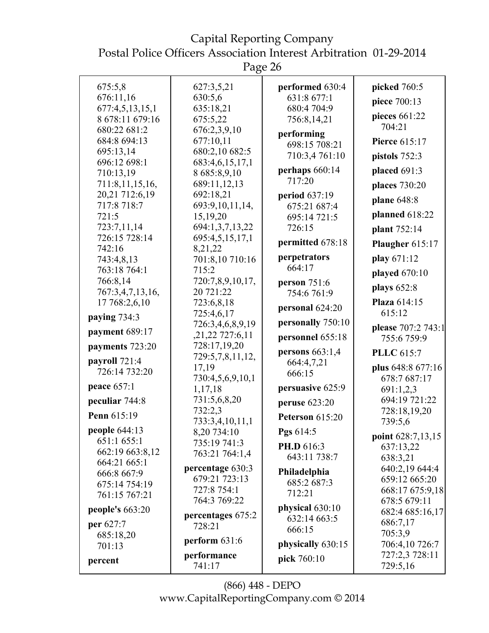Page 26

| 675:5,8                        | 627:3,5,21                          | performed 630:4     | picked 760:5                    |
|--------------------------------|-------------------------------------|---------------------|---------------------------------|
| 676:11,16                      | 630:5,6                             | 631:8 677:1         | piece 700:13                    |
| 677:4,5,13,15,1                | 635:18,21                           | 680:4 704:9         | pieces 661:22                   |
| 8 678:11 679:16                | 675:5,22                            | 756:8,14,21         | 704:21                          |
| 680:22 681:2<br>684:8 694:13   | 676:2,3,9,10<br>677:10,11           | performing          | <b>Pierce 615:17</b>            |
| 695:13,14                      | 680:2,10 682:5                      | 698:15 708:21       |                                 |
| 696:12 698:1                   | 683:4,6,15,17,1                     | 710:3,4761:10       | pistols 752:3                   |
| 710:13,19                      | 8 685:8,9,10                        | perhaps $660:14$    | placed 691:3                    |
| 711:8,11,15,16,                | 689:11,12,13                        | 717:20              | places 730:20                   |
| 20,21 712:6,19                 | 692:18,21                           | period 637:19       | plane 648:8                     |
| 717:8 718:7                    | 693:9,10,11,14,                     | 675:21 687:4        |                                 |
| 721:5                          | 15,19,20                            | 695:14 721:5        | planned 618:22                  |
| 723:7,11,14<br>726:15 728:14   | 694:1,3,7,13,22                     | 726:15              | plant 752:14                    |
| 742:16                         | 695:4,5,15,17,1<br>8,21,22          | permitted 678:18    | Plaugher 615:17                 |
| 743:4,8,13                     | 701:8,10 710:16                     | perpetrators        | play 671:12                     |
| 763:18 764:1                   | 715:2                               | 664:17              | played 670:10                   |
| 766:8,14                       | 720:7,8,9,10,17,                    | <b>person</b> 751:6 |                                 |
| 767:3,4,7,13,16,               | 20 721:22                           | 754:6 761:9         | plays 652:8                     |
| 17 768:2,6,10                  | 723:6,8,18                          | personal 624:20     | Plaza 614:15                    |
| paying $734:3$                 | 725:4,6,17                          | personally 750:10   | 615:12                          |
| payment 689:17                 | 726:3,4,6,8,9,19<br>,21,22 727:6,11 |                     | please 707:2 743:1              |
| payments 723:20                | 728:17,19,20                        | personnel 655:18    | 755:6 759:9                     |
|                                | 729:5,7,8,11,12,                    | persons $663:1,4$   | <b>PLLC</b> 615:7               |
| payroll 721:4<br>726:14 732:20 | 17,19                               | 664:4,7,21          | plus 648:8 677:16               |
|                                | 730:4,5,6,9,10,1                    | 666:15              | 678:7 687:17                    |
| peace 657:1                    | 1,17,18                             | persuasive 625:9    | 691:1,2,3                       |
| peculiar 744:8                 | 731:5,6,8,20                        | peruse 623:20       | 694:19 721:22                   |
| Penn 615:19                    | 732:2,3                             | Peterson 615:20     | 728:18,19,20                    |
| people 644:13                  | 733:3,4,10,11,1<br>8,20 734:10      | Pgs 614:5           | 739:5,6                         |
| 651:1 655:1                    | 735:19 741:3                        |                     | point 628:7,13,15               |
| 662:19 663:8,12                | 763:21 764:1,4                      | PH.D 616:3          | 637:13,22                       |
| 664:21 665:1                   |                                     | 643:11 738:7        | 638:3,21                        |
| 666:8 667:9                    | percentage 630:3<br>679:21 723:13   | Philadelphia        | 640:2,19 644:4<br>659:12 665:20 |
| 675:14 754:19                  | 727:8 754:1                         | 685:2 687:3         | 668:17 675:9,18                 |
| 761:15 767:21                  | 764:3 769:22                        | 712:21              | 678:5 679:11                    |
| people's $663:20$              | percentages 675:2                   | physical 630:10     | 682:4 685:16,17                 |
| per 627:7                      | 728:21                              | 632:14 663:5        | 686:7,17                        |
| 685:18,20                      |                                     | 666:15              | 705:3,9                         |
| 701:13                         | perform $631:6$                     | physically 630:15   | 706:4,10 726:7                  |
| percent                        | performance                         | pick 760:10         | 727:2,3 728:11                  |
|                                | 741:17                              |                     | 729:5,16                        |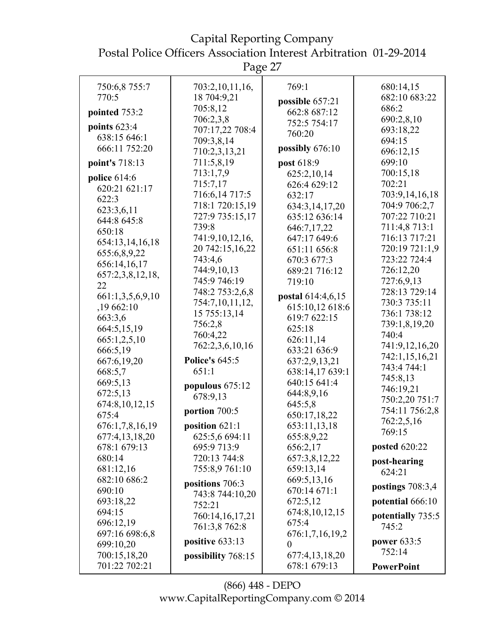Capital Reporting Company Postal Police Officers Association Interest Arbitration 01-29-2014

| 750:6,8 755:7    | 703:2,10,11,16,       | 769:1             | 680:14,15                  |
|------------------|-----------------------|-------------------|----------------------------|
| 770:5            | 18 704:9,21           | possible 657:21   | 682:10 683:22              |
|                  | 705:8,12              | 662:8 687:12      | 686:2                      |
| pointed 753:2    | 706:2,3,8             | 752:5 754:17      | 690:2,8,10                 |
| points $623:4$   | 707:17,22 708:4       |                   | 693:18,22                  |
| 638:15 646:1     | 709:3,8,14            | 760:20            | 694:15                     |
| 666:11 752:20    | 710:2,3,13,21         | possibly 676:10   | 696:12,15                  |
| point's 718:13   | 711:5,8,19            | post 618:9        | 699:10                     |
| police $614:6$   | 713:1,7,9             | 625:2,10,14       | 700:15,18                  |
| 620:21 621:17    | 715:7,17              | 626:4 629:12      | 702:21                     |
| 622:3            | 716:6,14 717:5        | 632:17            | 703:9,14,16,18             |
| 623:3,6,11       | 718:1 720:15,19       | 634:3,14,17,20    | 704:9 706:2,7              |
| 644:8 645:8      | 727:9 735:15,17       | 635:12 636:14     | 707:22 710:21              |
| 650:18           | 739:8                 | 646:7,17,22       | 711:4,8 713:1              |
| 654:13,14,16,18  | 741:9,10,12,16,       | 647:17 649:6      | 716:13 717:21              |
| 655:6,8,9,22     | 20 742:15,16,22       | 651:11 656:8      | 720:19 721:1,9             |
| 656:14,16,17     | 743:4,6               | 670:3 677:3       | 723:22 724:4               |
| 657:2,3,8,12,18, | 744:9,10,13           | 689:21 716:12     | 726:12,20                  |
| 22               | 745:9 746:19          | 719:10            | 727:6,9,13                 |
| 661:1,3,5,6,9,10 | 748:2 753:2,6,8       | postal 614:4,6,15 | 728:13 729:14              |
| ,19662:10        | 754:7,10,11,12,       | 615:10,12 618:6   | 730:3 735:11               |
| 663:3,6          | 15 755:13,14          | 619:7 622:15      | 736:1 738:12               |
| 664:5,15,19      | 756:2,8               | 625:18            | 739:1,8,19,20              |
| 665:1,2,5,10     | 760:4,22              | 626:11,14         | 740:4                      |
| 666:5,19         | 762:2,3,6,10,16       | 633:21 636:9      | 741:9,12,16,20             |
| 667:6,19,20      | <b>Police's 645:5</b> | 637:2,9,13,21     | 742:1,15,16,21             |
| 668:5,7          | 651:1                 | 638:14,17 639:1   | 743:4 744:1                |
| 669:5,13         |                       | 640:15 641:4      | 745:8,13                   |
| 672:5,13         | populous 675:12       | 644:8,9,16        | 746:19,21                  |
| 674:8,10,12,15   | 678:9,13              | 645:5,8           | 750:2,20 751:7             |
| 675:4            | portion 700:5         | 650:17,18,22      | 754:11 756:2,8             |
| 676:1,7,8,16,19  | position $621:1$      | 653:11,13,18      | 762:2,5,16                 |
| 677:4,13,18,20   | 625:5,6 694:11        | 655:8,9,22        | 769:15                     |
| 678:1 679:13     | 695:9 713:9           | 656:2,17          | posted 620:22              |
| 680:14           | 720:13 744:8          | 657:3,8,12,22     |                            |
| 681:12,16        | 755:8,9 761:10        | 659:13,14         | post-hearing<br>624:21     |
| 682:10 686:2     |                       | 669:5,13,16       |                            |
| 690:10           | positions 706:3       | 670:14 671:1      | postings $708:3,4$         |
| 693:18,22        | 743:8 744:10,20       | 672:5,12          | potential 666:10           |
| 694:15           | 752:21                | 674:8, 10, 12, 15 |                            |
| 696:12,19        | 760:14,16,17,21       | 675:4             | potentially 735:5<br>745:2 |
| 697:16 698:6,8   | 761:3,8 762:8         | 676:1,7,16,19,2   |                            |
| 699:10,20        | positive 633:13       | $\theta$          | <b>power</b> 633:5         |
| 700:15,18,20     | possibility 768:15    | 677:4,13,18,20    | 752:14                     |
| 701:22 702:21    |                       | 678:1 679:13      | <b>PowerPoint</b>          |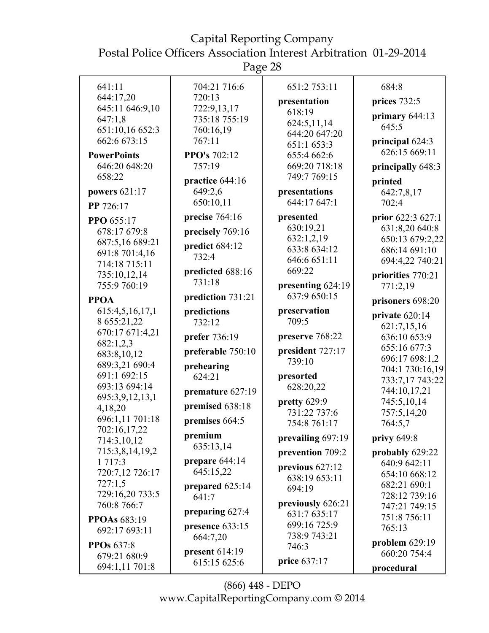Page 28

| 641:11                                        | 704:21 716:6                              | 651:2 753:11                           | 684:8                            |
|-----------------------------------------------|-------------------------------------------|----------------------------------------|----------------------------------|
| 644:17,20                                     | 720:13                                    | presentation                           | prices 732:5                     |
| 645:11 646:9,10<br>647:1,8<br>651:10,16 652:3 | 722:9,13,17<br>735:18 755:19<br>760:16,19 | 618:19<br>624:5,11,14<br>644:20 647:20 | primary $644:13$<br>645:5        |
| 662:6 673:15<br><b>PowerPoints</b>            | 767:11<br><b>PPO's 702:12</b>             | 651:1 653:3<br>655:4 662:6             | principal 624:3<br>626:15 669:11 |
| 646:20 648:20                                 | 757:19                                    | 669:20 718:18                          | principally 648:3                |
| 658:22                                        | practice 644:16                           | 749:7 769:15                           | printed                          |
| powers 621:17                                 | 649:2,6                                   | presentations                          | 642:7,8,17                       |
| PP 726:17                                     | 650:10,11                                 | 644:17 647:1                           | 702:4                            |
| PPO 655:17                                    | precise 764:16                            | presented                              | prior 622:3 627:1                |
| 678:17 679:8                                  | precisely 769:16                          | 630:19,21                              | 631:8,20 640:8                   |
| 687:5,16 689:21                               | predict 684:12                            | 632:1,2,19<br>633:8 634:12             | 650:13 679:2,22<br>686:14 691:10 |
| 691:8 701:4,16                                | 732:4                                     | 646:6 651:11                           | 694:4,22 740:21                  |
| 714:18 715:11<br>735:10,12,14                 | predicted 688:16                          | 669:22                                 | priorities 770:21                |
| 755:9 760:19                                  | 731:18                                    | presenting 624:19                      | 771:2,19                         |
| <b>PPOA</b>                                   | prediction 731:21                         | 637:9 650:15                           | prisoners 698:20                 |
| 615:4,5,16,17,1                               | predictions                               | preservation                           |                                  |
| 8 655:21,22                                   | 732:12                                    | 709:5                                  | private 620:14<br>621:7,15,16    |
| 670:17 671:4,21                               | prefer 736:19                             | preserve 768:22                        | 636:10 653:9                     |
| 682:1,2,3                                     | preferable 750:10                         | president 727:17                       | 655:16 677:3                     |
| 683:8,10,12<br>689:3,21 690:4                 | prehearing                                | 739:10                                 | 696:17 698:1,2                   |
| 691:1 692:15                                  | 624:21                                    | presorted                              | 704:1 730:16,19                  |
| 693:13 694:14                                 | premature 627:19                          | 628:20,22                              | 733:7,17 743:22<br>744:10,17,21  |
| 695:3,9,12,13,1                               |                                           | pretty 629:9                           | 745:5,10,14                      |
| 4,18,20                                       | premised 638:18                           | 731:22 737:6                           | 757:5,14,20                      |
| 696:1,11 701:18                               | premises 664:5                            | 754:8 761:17                           | 764:5,7                          |
| 702:16,17,22<br>714:3,10,12                   | premium                                   | prevailing 697:19                      | privy $649:8$                    |
| 715:3,8,14,19,2                               | 635:13,14                                 | prevention 709:2                       | probably 629:22                  |
| 1 7 1 7 : 3                                   | prepare 644:14                            | previous 627:12                        | 640:9 642:11                     |
| 720:7,12 726:17                               | 645:15,22                                 | 638:19 653:11                          | 654:10 668:12                    |
| 727:1,5                                       | prepared 625:14                           | 694:19                                 | 682:21 690:1                     |
| 729:16,20 733:5<br>760:8 766:7                | 641:7                                     | previously 626:21                      | 728:12 739:16                    |
|                                               | preparing 627:4                           | 631:7 635:17                           | 747:21 749:15<br>751:8 756:11    |
| <b>PPOAs</b> 683:19<br>692:17 693:11          | presence 633:15                           | 699:16 725:9                           | 765:13                           |
|                                               | 664:7,20                                  | 738:9 743:21                           | problem $629:19$                 |
| <b>PPOs</b> 637:8<br>679:21 680:9             | present 614:19                            | 746:3                                  | 660:20 754:4                     |
| 694:1,11 701:8                                | 615:15 625:6                              | price 637:17                           | procedural                       |
|                                               |                                           |                                        |                                  |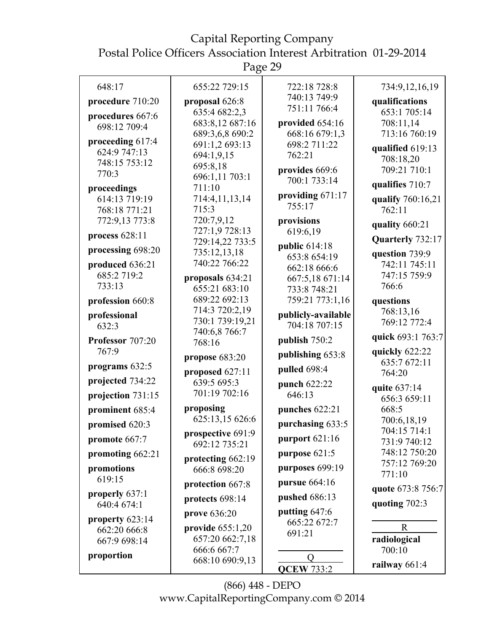Page 29

| 648:17                          | 655:22 729:15                      | 722:18 728:8                        | 734:9,12,16,19               |
|---------------------------------|------------------------------------|-------------------------------------|------------------------------|
| procedure 710:20                | proposal 626:8                     | 740:13 749:9                        | qualifications               |
| procedures 667:6                | 635:4 682:2,3                      | 751:11 766:4                        | 653:1 705:14                 |
| 698:12 709:4                    | 683:8,12 687:16                    | provided 654:16                     | 708:11,14                    |
|                                 | 689:3,6,8 690:2                    | 668:16 679:1,3                      | 713:16 760:19                |
| proceeding 617:4                | 691:1,2 693:13                     | 698:2 711:22                        | qualified 619:13             |
| 624:9 747:13                    | 694:1,9,15                         | 762:21                              | 708:18,20                    |
| 748:15 753:12<br>770:3          | 695:8,18                           | provides 669:6                      | 709:21 710:1                 |
|                                 | 696:1,11 703:1                     | 700:1 733:14                        | qualifies 710:7              |
| proceedings                     | 711:10                             | providing 671:17                    |                              |
| 614:13 719:19                   | 714:4,11,13,14<br>715:3            | 755:17                              | qualify 760:16,21            |
| 768:18 771:21                   | 720:7,9,12                         |                                     | 762:11                       |
| 772:9,13 773:8                  | 727:1,9 728:13                     | provisions<br>619:6,19              | quality 660:21               |
| process $628:11$                | 729:14,22 733:5                    |                                     | Quarterly 732:17             |
| processing 698:20               | 735:12,13,18                       | public 614:18                       | question 739:9               |
| produced 636:21                 | 740:22 766:22                      | 653:8 654:19                        | 742:11 745:11                |
| 685:2719:2                      | proposals 634:21                   | 662:18 666:6<br>667:5,18 671:14     | 747:15 759:9                 |
| 733:13                          | 655:21 683:10                      | 733:8 748:21                        | 766:6                        |
| profession 660:8                | 689:22 692:13                      | 759:21 773:1,16                     | questions                    |
|                                 | 714:3 720:2,19                     |                                     | 768:13,16                    |
| professional<br>632:3           | 730:1 739:19,21                    | publicly-available<br>704:18 707:15 | 769:12 772:4                 |
|                                 | 740:6,8 766:7                      |                                     | quick 693:1 763:7            |
| Professor 707:20<br>767:9       | 768:16                             | publish 750:2                       | quickly 622:22               |
|                                 | propose 683:20                     | publishing 653:8                    | 635:7 672:11                 |
| programs 632:5                  | proposed 627:11                    | pulled 698:4                        | 764:20                       |
| projected 734:22                | 639:5 695:3                        | punch 622:22                        | quite 637:14                 |
| projection 731:15               | 701:19 702:16                      | 646:13                              | 656:3 659:11                 |
| prominent 685:4                 | proposing                          | punches 622:21                      | 668:5                        |
| promised 620:3                  | 625:13,15 626:6                    | purchasing 633:5                    | 700:6,18,19                  |
| promote 667:7                   | prospective 691:9<br>692:12 735:21 | purport 621:16                      | 704:15 714:1<br>731:9 740:12 |
| promoting 662:21                |                                    | purpose $621:5$                     | 748:12 750:20                |
| promotions                      | protecting 662:19                  | purposes 699:19                     | 757:12 769:20                |
| 619:15                          | 666:8 698:20                       |                                     | 771:10                       |
|                                 | protection 667:8                   | <b>pursue</b> 664:16                | quote 673:8 756:7            |
| properly 637:1<br>640:4 674:1   | protects 698:14                    | <b>pushed</b> 686:13                | quoting 702:3                |
|                                 | prove 636:20                       | putting 647:6                       |                              |
| property 623:14<br>662:20 666:8 | provide $655:1,20$                 | 665:22 672:7                        | $\mathbf R$                  |
| 667:9 698:14                    | 657:20 662:7,18                    | 691:21                              | radiological                 |
|                                 | 666:6 667:7                        |                                     | 700:10                       |
| proportion                      | 668:10 690:9,13                    | $\overline{O}$                      | railway $661:4$              |
|                                 |                                    | <b>QCEW 733:2</b>                   |                              |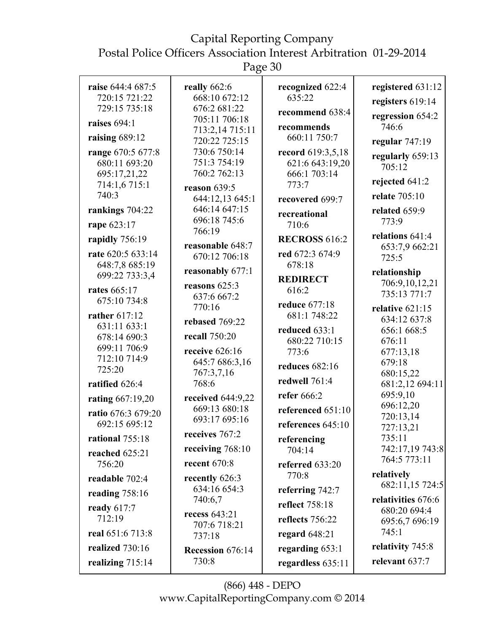Postal Police Officers Association Interest Arbitration 01-29-2014

Page 30

| raise 644:4 687:5     | really $662:6$                    | recognized 622:4      | registered 631:12              |
|-----------------------|-----------------------------------|-----------------------|--------------------------------|
| 720:15 721:22         | 668:10 672:12                     | 635:22                | registers 619:14               |
| 729:15 735:18         | 676:2 681:22<br>705:11 706:18     | recommend 638:4       | regression 654:2               |
| raises $694:1$        | 713:2,14 715:11                   | recommends            | 746:6                          |
| raising 689:12        | 720:22 725:15                     | 660:11 750:7          | regular $747:19$               |
| range 670:5 677:8     | 730:6 750:14                      | record 619:3,5,18     | regularly 659:13               |
| 680:11 693:20         | 751:3 754:19                      | 621:6 643:19,20       | 705:12                         |
| 695:17,21,22          | 760:2 762:13                      | 666:1 703:14          | rejected 641:2                 |
| 714:1,6715:1<br>740:3 | reason $639:5$                    | 773:7                 | relate 705:10                  |
|                       | 644:12,13 645:1                   | recovered 699:7       |                                |
| rankings 704:22       | 646:14 647:15<br>696:18 745:6     | recreational          | related 659:9                  |
| rape 623:17           | 766:19                            | 710:6                 | 773:9                          |
| rapidly 756:19        |                                   | <b>RECROSS 616:2</b>  | relations $641:4$              |
| rate 620:5 633:14     | reasonable 648:7<br>670:12 706:18 | red 672:3 674:9       | 653:7,9 662:21                 |
| 648:7,8 685:19        |                                   | 678:18                | 725:5                          |
| 699:22 733:3,4        | reasonably 677:1                  | <b>REDIRECT</b>       | relationship                   |
| <b>rates</b> 665:17   | reasons $625:3$                   | 616:2                 | 706:9,10,12,21<br>735:13 771:7 |
| 675:10 734:8          | 637:6 667:2                       | reduce 677:18         |                                |
| rather 617:12         | 770:16                            | 681:1 748:22          | relative 621:15                |
| 631:11 633:1          | rebased 769:22                    | reduced 633:1         | 634:12 637:8<br>656:1 668:5    |
| 678:14 690:3          | recall 750:20                     | 680:22 710:15         | 676:11                         |
| 699:11 706:9          | receive 626:16                    | 773:6                 | 677:13,18                      |
| 712:10 714:9          | 645:7 686:3,16                    | <b>reduces</b> 682:16 | 679:18                         |
| 725:20                | 767:3,7,16                        |                       | 680:15,22                      |
| ratified 626:4        | 768:6                             | redwell 761:4         | 681:2,12 694:11                |
| rating 667:19,20      | received 644:9,22                 | refer 666:2           | 695:9,10                       |
| ratio 676:3 679:20    | 669:13 680:18                     | referenced 651:10     | 696:12,20<br>720:13,14         |
| 692:15 695:12         | 693:17 695:16                     | references 645:10     | 727:13,21                      |
| rational 755:18       | receives 767:2                    | referencing           | 735:11                         |
| reached 625:21        | receiving $768:10$                | 704:14                | 742:17,19 743:8                |
| 756:20                | recent $670:8$                    | referred 633:20       | 764:5 773:11                   |
| readable 702:4        | recently 626:3                    | 770:8                 | relatively                     |
|                       | 634:16 654:3                      | referring 742:7       | 682:11,15 724:5                |
| reading $758:16$      | 740:6,7                           | reflect 758:18        | relativities 676:6             |
| ready 617:7<br>712:19 | recess 643:21                     |                       | 680:20 694:4                   |
|                       | 707:6 718:21                      | reflects 756:22       | 695:6,7 696:19                 |
| real 651:6 713:8      | 737:18                            | regard $648:21$       | 745:1                          |
| realized 730:16       | Recession 676:14                  | regarding $653:1$     | relativity 745:8               |
| realizing 715:14      | 730:8                             | regardless 635:11     | relevant 637:7                 |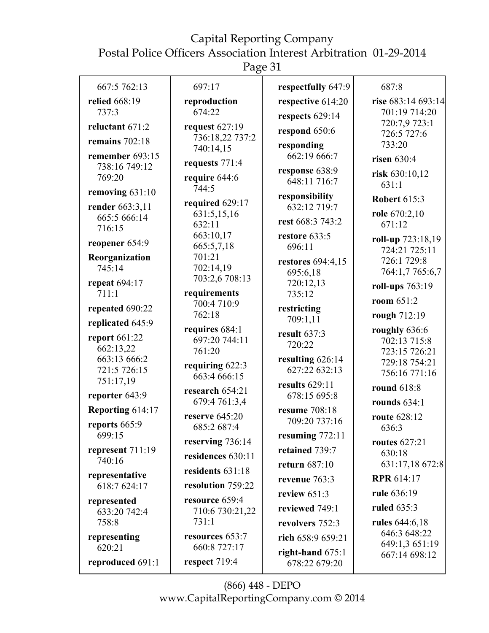Page 31

| 667:5 762:13                    | 697:17                          | respectfully 647:9                   | 687:8                               |
|---------------------------------|---------------------------------|--------------------------------------|-------------------------------------|
| relied 668:19<br>737:3          | reproduction<br>674:22          | respective 614:20<br>respects 629:14 | rise 683:14 693:14<br>701:19 714:20 |
| reluctant 671:2                 | request 627:19                  | respond 650:6                        | 720:7,9 723:1<br>726:5 727:6        |
| remains $702:18$                | 736:18,22 737:2<br>740:14,15    | responding                           | 733:20                              |
| remember 693:15                 | requests 771:4                  | 662:19 666:7                         | risen $630:4$                       |
| 738:16 749:12<br>769:20         | require 644:6                   | response 638:9                       | risk 630:10,12                      |
| removing 631:10                 | 744:5                           | 648:11 716:7                         | 631:1                               |
|                                 | required 629:17                 | responsibility<br>632:12 719:7       | <b>Robert 615:3</b>                 |
| render 663:3,11<br>665:5 666:14 | 631:5,15,16                     |                                      | role 670:2,10                       |
| 716:15                          | 632:11                          | rest 668:3 743:2                     | 671:12                              |
| reopener 654:9                  | 663:10,17<br>665:5,7,18         | restore 633:5<br>696:11              | roll-up 723:18,19                   |
| Reorganization                  | 701:21                          | <b>restores</b> 694:4,15             | 724:21 725:11<br>726:1 729:8        |
| 745:14                          | 702:14,19                       | 695:6,18                             | 764:1,7 765:6,7                     |
| <b>repeat</b> 694:17            | 703:2,6 708:13                  | 720:12,13                            | roll-ups 763:19                     |
| 711:1                           | requirements                    | 735:12                               | room 651:2                          |
| repeated 690:22                 | 700:4 710:9<br>762:18           | restricting                          | rough 712:19                        |
| replicated 645:9                | requires 684:1                  | 709:1,11                             | roughly 636:6                       |
| report 661:22                   | 697:20 744:11                   | result $637:3$<br>720:22             | 702:13 715:8                        |
| 662:13,22                       | 761:20                          |                                      | 723:15 726:21                       |
| 663:13 666:2<br>721:5 726:15    | requiring 622:3                 | resulting $626:14$<br>627:22 632:13  | 729:18 754:21                       |
| 751:17,19                       | 663:4 666:15                    | results $629:11$                     | 756:16 771:16                       |
| reporter 643:9                  | research 654:21                 | 678:15 695:8                         | round 618:8                         |
| Reporting 614:17                | 679:4 761:3,4                   | resume 708:18                        | rounds $634:1$                      |
| reports 665:9                   | reserve $645:20$<br>685:2 687:4 | 709:20 737:16                        | route 628:12<br>636:3               |
| 699:15                          |                                 | resuming $772:11$                    |                                     |
| represent 711:19                | reserving 736:14                | retained 739:7                       | <b>routes</b> 627:21<br>630:18      |
| 740:16                          | residences 630:11               | return 687:10                        | 631:17,18 672:8                     |
| representative                  | residents 631:18                | revenue 763:3                        | <b>RPR 614:17</b>                   |
| 618:7 624:17                    | resolution 759:22               | review $651:3$                       | rule 636:19                         |
| represented                     | resource 659:4                  | reviewed 749:1                       | <b>ruled</b> 635:3                  |
| 633:20 742:4<br>758:8           | 710:6 730:21,22<br>731:1        | revolvers 752:3                      | rules 644:6,18                      |
| representing                    | resources 653:7                 | rich 658:9 659:21                    | 646:3 648:22                        |
| 620:21                          | 660:8 727:17                    | right-hand $675:1$                   | 649:1,3 651:19                      |
| reproduced 691:1                | respect 719:4                   | 678:22 679:20                        | 667:14 698:12                       |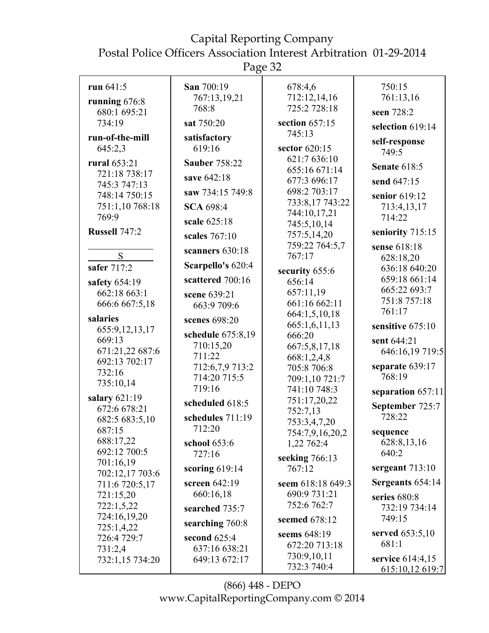Page 32

| run $641:5$                | San 700:19           | 678:4,6                        | 750:15                         |
|----------------------------|----------------------|--------------------------------|--------------------------------|
| running $676:8$            | 767:13,19,21         | 712:12,14,16                   | 761:13,16                      |
| 680:1 695:21               | 768:8                | 725:2 728:18                   | seen 728:2                     |
| 734:19                     | sat 750:20           | section $657:15$               | selection 619:14               |
| run-of-the-mill            | satisfactory         | 745:13                         |                                |
| 645:2,3                    | 619:16               | sector 620:15                  | self-response<br>749:5         |
| rural 653:21               | <b>Sauber 758:22</b> | 621:7 636:10                   |                                |
| 721:18 738:17              |                      | 655:16 671:14                  | <b>Senate 618:5</b>            |
| 745:3 747:13               | save 642:18          | 677:3 696:17                   | send 647:15                    |
| 748:14 750:15              | saw 734:15 749:8     | 698:2 703:17                   | senior 619:12                  |
| 751:1,10 768:18            | <b>SCA 698:4</b>     | 733:8,17 743:22                | 713:4,13,17                    |
| 769:9                      | scale 625:18         | 744:10,17,21                   | 714:22                         |
| Russell 747:2              |                      | 745:5,10,14                    | seniority 715:15               |
|                            | scales 767:10        | 757:5,14,20                    |                                |
| S                          | scanners $630:18$    | 759:22 764:5,7<br>767:17       | sense 618:18                   |
| safer $717:2$              | Scarpello's 620:4    |                                | 628:18,20                      |
|                            |                      | security 655:6                 | 636:18 640:20<br>659:18 661:14 |
| safety 654:19              | scattered 700:16     | 656:14                         | 665:22 693:7                   |
| 662:18 663:1               | scene 639:21         | 657:11,19                      | 751:8 757:18                   |
| 666:6 667:5,18             | 663:9 709:6          | 661:16 662:11                  | 761:17                         |
| salaries                   | scenes 698:20        | 664:1,5,10,18<br>665:1,6,11,13 |                                |
| 655:9,12,13,17             | schedule 675:8,19    | 666:20                         | sensitive 675:10               |
| 669:13                     | 710:15,20            | 667:5,8,17,18                  | sent 644:21                    |
| 671:21,22 687:6            | 711:22               | 668:1,2,4,8                    | 646:16,19 719:5                |
| 692:13 702:17              | 712:6,7,9 713:2      | 705:8 706:8                    | separate 639:17                |
| 732:16                     | 714:20 715:5         | 709:1,10 721:7                 | 768:19                         |
| 735:10,14                  | 719:16               | 741:10 748:3                   | separation 657:11              |
| salary $621:19$            | scheduled 618:5      | 751:17,20,22                   | September 725:7                |
| 672:6 678:21               | schedules 711:19     | 752:7,13                       | 728:22                         |
| 682:5 683:5,10             | 712:20               | 753:3,4,7,20                   |                                |
| 687:15<br>688:17,22        |                      | 754:7,9,16,20,2                | sequence                       |
| 692:12 700:5               | school 653:6         | 1,22 762:4                     | 628:8,13,16<br>640:2           |
| 701:16,19                  | 727:16               | seeking 766:13                 |                                |
| 702:12,17 703:6            | scoring $619:14$     | 767:12                         | sergeant $713:10$              |
| 711:6 720:5,17             | screen $642:19$      | seem 618:18 649:3              | Sergeants 654:14               |
| 721:15,20                  | 660:16,18            | 690:9 731:21                   | series 680:8                   |
| 722:1,5,22                 | searched 735:7       | 752:6 762:7                    | 732:19 734:14                  |
| 724:16,19,20<br>725:1,4,22 | searching 760:8      | seemed 678:12                  | 749:15                         |
| 726:4 729:7                | second $625:4$       | seems 648:19                   | served $653:5,10$              |
| 731:2,4                    | 637:16 638:21        | 672:20 713:18                  | 681:1                          |
| 732:1,15 734:20            | 649:13 672:17        | 730:9,10,11                    | service 614:4,15               |
|                            |                      | 732:3 740:4                    | 615:10,12 619:7                |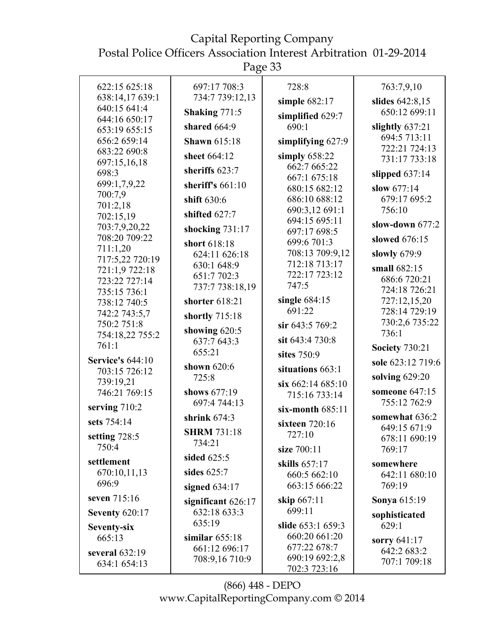Postal Police Officers Association Interest Arbitration 01-29-2014

Page 33

| 622:15 625:18                    | 697:17 708:3                       | 728:8                          | 763:7,9,10                        |
|----------------------------------|------------------------------------|--------------------------------|-----------------------------------|
| 638:14,17 639:1                  | 734:7 739:12,13                    |                                | slides 642:8,15                   |
| 640:15 641:4                     | Shaking 771:5                      | simple 682:17                  | 650:12 699:11                     |
| 644:16 650:17                    | shared $664:9$                     | simplified 629:7<br>690:1      |                                   |
| 653:19 655:15                    |                                    |                                | slightly $637:21$<br>694:5 713:11 |
| 656:2 659:14                     | <b>Shawn 615:18</b>                | simplifying $627:9$            | 722:21 724:13                     |
| 683:22 690:8<br>697:15,16,18     | sheet 664:12                       | simply $658:22$                | 731:17 733:18                     |
| 698:3                            | sheriffs 623:7                     | 662:7 665:22                   | slipped $637:14$                  |
| 699:1,7,9,22                     | sheriff's $661:10$                 | 667:1 675:18<br>680:15 682:12  | slow 677:14                       |
| 700:7,9                          | shift 630:6                        | 686:10 688:12                  | 679:17 695:2                      |
| 701:2,18                         |                                    | 690:3,12 691:1                 | 756:10                            |
| 702:15,19                        | shifted 627:7                      | 694:15 695:11                  | slow-down 677:2                   |
| 703:7,9,20,22<br>708:20 709:22   | shocking $731:17$                  | 697:17 698:5                   |                                   |
| 711:1,20                         | short 618:18                       | 699:6 701:3                    | slowed 676:15                     |
| 717:5,22 720:19                  | 624:11 626:18                      | 708:13 709:9,12                | slowly $679:9$                    |
| 721:1,9 722:18                   | 630:1 648:9                        | 712:18 713:17<br>722:17 723:12 | small 682:15                      |
| 723:22 727:14                    | 651:7 702:3<br>737:7 738:18,19     | 747:5                          | 686:6 720:21                      |
| 735:15 736:1                     |                                    | single $684:15$                | 724:18 726:21                     |
| 738:12 740:5                     | shorter 618:21                     | 691:22                         | 727:12,15,20<br>728:14 729:19     |
| 742:2 743:5,7<br>750:2 751:8     | shortly 715:18                     | sir 643:5 769:2                | 730:2,6 735:22                    |
| 754:18,22 755:2                  | showing $620:5$                    |                                | 736:1                             |
| 761:1                            | 637:7 643:3                        | sit 643:4 730:8                | <b>Society 730:21</b>             |
| <b>Service's 644:10</b>          | 655:21                             | sites 750:9                    | sole 623:12 719:6                 |
| 703:15 726:12                    | shown 620:6                        | situations 663:1               |                                   |
| 739:19,21                        | 725:8                              | $\sin 662:14685:10$            | solving 629:20                    |
| 746:21 769:15                    | shows 677:19                       | 715:16 733:14                  | someone 647:15                    |
| serving 710:2                    | 697:4 744:13                       | six-month $685:11$             | 755:12 762:9                      |
| sets 754:14                      | shrink $674:3$                     | sixteen 720:16                 | somewhat 636:2                    |
| setting $728:5$                  | <b>SHRM 731:18</b>                 | 727:10                         | 649:15 671:9<br>678:11 690:19     |
| 750:4                            | 734:21                             | size 700:11                    | 769:17                            |
| settlement                       | sided 625:5                        | skills 657:17                  | somewhere                         |
| 670:10,11,13                     | sides $625:7$                      | 660:5 662:10                   | 642:11 680:10                     |
| 696:9                            | signed $634:17$                    | 663:15 666:22                  | 769:19                            |
| seven 715:16                     |                                    | skip 667:11                    | Sonya 615:19                      |
| <b>Seventy 620:17</b>            | significant 626:17<br>632:18 633:3 | 699:11                         |                                   |
|                                  | 635:19                             | slide 653:1 659:3              | sophisticated<br>629:1            |
| Seventy-six<br>665:13            | similar $655:18$                   | 660:20 661:20                  |                                   |
|                                  | 661:12 696:17                      | 677:22 678:7                   | sorry $641:17$<br>642:2 683:2     |
| several $632:19$<br>634:1 654:13 | 708:9,16 710:9                     | 690:19 692:2,8                 | 707:1 709:18                      |
|                                  |                                    | 702:3 723:16                   |                                   |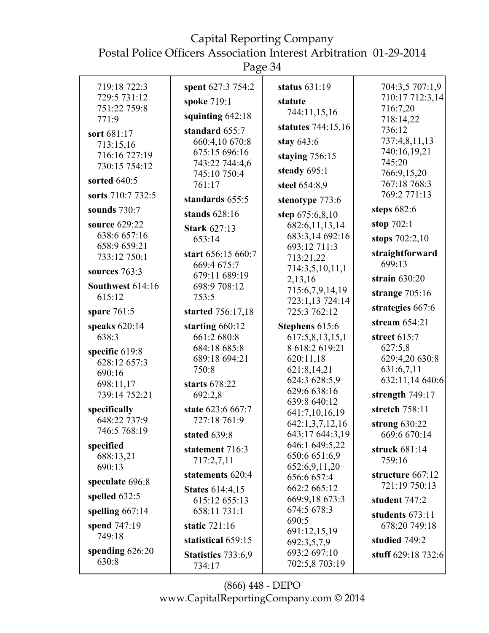Postal Police Officers Association Interest Arbitration 01-29-2014

| 719:18 722:3               | spent 627:3 754:2                       | status $631:19$               | 704:3,5 707:1,9                  |
|----------------------------|-----------------------------------------|-------------------------------|----------------------------------|
| 729:5 731:12               | spoke 719:1                             | statute                       | 710:17 712:3,14                  |
| 751:22 759:8<br>771:9      | squinting $642:18$                      | 744:11,15,16                  | 716:7,20                         |
|                            | standard 655:7                          | statutes 744:15,16            | 718:14,22<br>736:12              |
| sort 681:17                | 660:4,10 670:8                          | stay 643:6                    | 737:4,8,11,13                    |
| 713:15,16<br>716:16 727:19 | 675:15 696:16                           |                               | 740:16,19,21                     |
| 730:15 754:12              | 743:22 744:4,6                          | staying $756:15$              | 745:20                           |
|                            | 745:10 750:4                            | steady 695:1                  | 766:9,15,20                      |
| sorted 640:5               | 761:17                                  | steel 654:8,9                 | 767:18 768:3                     |
| sorts 710:7 732:5          | standards 655:5                         | stenotype 773:6               | 769:2 771:13                     |
| sounds 730:7               | stands $628:16$                         | step 675:6,8,10               | steps $682:6$                    |
| source 629:22              | <b>Stark 627:13</b>                     | 682:6,11,13,14                | stop $702:1$                     |
| 638:6 657:16               | 653:14                                  | 683:3,14 692:16               | stops 702:2,10                   |
| 658:9 659:21               | start 656:15 660:7                      | 693:12 711:3                  | straightforward                  |
| 733:12 750:1               | 669:4 675:7                             | 713:21,22                     | 699:13                           |
| sources $763:3$            | 679:11 689:19                           | 714:3,5,10,11,1<br>2,13,16    | strain $630:20$                  |
| Southwest 614:16           | 698:9 708:12                            | 715:6,7,9,14,19               |                                  |
| 615:12                     | 753:5                                   | 723:1,13 724:14               | strange $705:16$                 |
| spare $761:5$              | started 756:17,18                       | 725:3 762:12                  | strategies 667:6                 |
| speaks $620:14$            | starting $660:12$                       | Stephens 615:6                | stream $654:21$                  |
| 638:3                      | 661:2 680:8                             | 617:5,8,13,15,1               | street 615:7                     |
| specific 619:8             | 684:18 685:8                            | 8 618:2 619:21                | 627:5,8                          |
| 628:12 657:3               | 689:18 694:21                           | 620:11,18                     | 629:4,20 630:8                   |
| 690:16                     | 750:8                                   | 621:8,14,21                   | 631:6,7,11                       |
| 698:11,17                  | starts 678:22                           | 624:3 628:5,9<br>629:6 638:16 | 632:11,14 640:6                  |
| 739:14 752:21              | 692:2,8                                 | 639:8 640:12                  | strength 749:17                  |
| specifically               | state 623:6 667:7                       | 641:7,10,16,19                | stretch 758:11                   |
| 648:22 737:9               | 727:18 761:9                            | 642:1,3,7,12,16               | strong $630:22$                  |
| 746:5 768:19               | stated 639:8                            | 643:17 644:3,19               | 669:6 670:14                     |
| specified                  | statement 716:3                         | 646:1 649:5,22                | struck 681:14                    |
| 688:13,21                  | 717:2,7,11                              | 650:6 651:6,9                 | 759:16                           |
| 690:13                     | statements 620:4                        | 652:6,9,11,20                 | structure 667:12                 |
| speculate 696:8            |                                         | 656:6 657:4<br>662:2 665:12   | 721:19 750:13                    |
| spelled $632:5$            | <b>States 614:4,15</b><br>615:12 655:13 | 669:9,18 673:3                | student $747:2$                  |
| spelling $667:14$          | 658:11 731:1                            | 674:5 678:3                   |                                  |
|                            | static 721:16                           | 690:5                         | students 673:11<br>678:20 749:18 |
| spend 747:19<br>749:18     |                                         | 691:12,15,19                  |                                  |
|                            | statistical 659:15                      | 692:3,5,7,9                   | studied 749:2                    |
| spending $626:20$<br>630:8 | <b>Statistics</b> 733:6,9               | 693:2 697:10                  | stuff 629:18 732:6               |
|                            | 734:17                                  | 702:5,8 703:19                |                                  |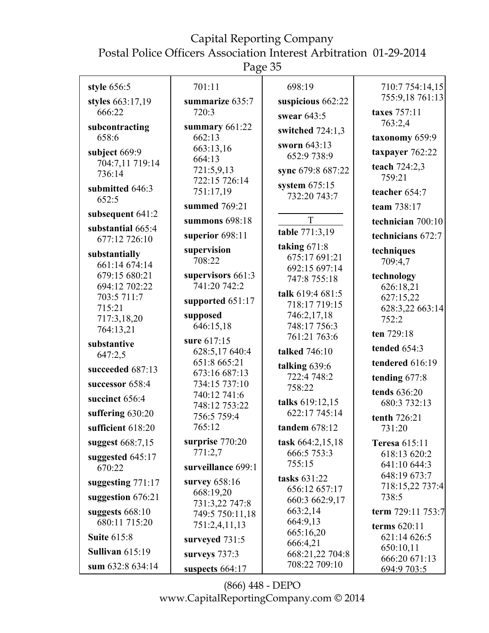Page 35

| style 656:5                        | 701:11                            | 698:19                            | 710:7 754:14,15              |
|------------------------------------|-----------------------------------|-----------------------------------|------------------------------|
| styles 663:17,19                   | summarize 635:7                   | suspicious 662:22                 | 755:9,18 761:13              |
| 666:22                             | 720:3                             | swear $643:5$                     | taxes 757:11                 |
| subcontracting                     | summary 661:22                    | switched $724:1,3$                | 763:2,4                      |
| 658:6                              | 662:13                            | sworn 643:13                      | taxonomy 659:9               |
| subject 669:9                      | 663:13,16<br>664:13               | 652:9 738:9                       | taxpayer 762:22              |
| 704:7,11 719:14<br>736:14          | 721:5,9,13<br>722:15 726:14       | sync 679:8 687:22                 | teach $724:2,3$<br>759:21    |
| submitted 646:3<br>652:5           | 751:17,19                         | system $675:15$<br>732:20 743:7   | teacher 654:7                |
| subsequent 641:2                   | summed 769:21                     |                                   | team 738:17                  |
|                                    | summons 698:18                    | T                                 | technician 700:10            |
| substantial 665:4<br>677:12 726:10 | superior 698:11                   | table 771:3,19                    | technicians 672:7            |
| substantially<br>661:14 674:14     | supervision<br>708:22             | taking $671:8$<br>675:17 691:21   | techniques<br>709:4,7        |
| 679:15 680:21                      | supervisors 661:3                 | 692:15 697:14<br>747:8 755:18     | technology                   |
| 694:12 702:22                      | 741:20 742:2                      |                                   | 626:18,21                    |
| 703:5 711:7                        | supported 651:17                  | talk 619:4 681:5<br>718:17 719:15 | 627:15,22                    |
| 715:21<br>717:3,18,20              | supposed                          | 746:2,17,18                       | 628:3,22 663:14<br>752:2     |
| 764:13,21                          | 646:15,18                         | 748:17 756:3                      |                              |
| substantive                        | sure 617:15                       | 761:21 763:6                      | ten 729:18                   |
| 647:2,5                            | 628:5,17 640:4                    | talked 746:10                     | tended 654:3                 |
| succeeded 687:13                   | 651:8 665:21                      | talking 639:6                     | tendered 616:19              |
| successor 658:4                    | 673:16 687:13<br>734:15 737:10    | 722:4 748:2                       | tending 677:8                |
|                                    | 740:12 741:6                      | 758:22                            | tends 636:20                 |
| succinct 656:4                     | 748:12 753:22                     | talks 619:12,15                   | 680:3 732:13                 |
| suffering $630:20$                 | 756:5 759:4                       | 622:17 745:14                     | tenth 726:21                 |
| sufficient 618:20                  | 765:12                            | tandem $678:12$                   | 731:20                       |
| suggest 668:7,15                   | surprise 770:20                   | task 664:2,15,18                  | <b>Teresa 615:11</b>         |
| suggested 645:17                   | 771:2,7                           | 666:5 753:3                       | 618:13 620:2                 |
| 670:22                             | surveillance 699:1                | 755:15                            | 641:10 644:3<br>648:19 673:7 |
| suggesting $771:17$                | survey 658:16                     | tasks 631:22                      | 718:15,22 737:4              |
| suggestion 676:21                  | 668:19,20                         | 656:12 657:17<br>660:3 662:9,17   | 738:5                        |
| suggests $668:10$                  | 731:3,22 747:8<br>749:5 750:11,18 | 663:2,14                          | term 729:11 753:7            |
| 680:11 715:20                      | 751:2,4,11,13                     | 664:9,13                          | terms 620:11                 |
| <b>Suite 615:8</b>                 | surveyed 731:5                    | 665:16,20                         | 621:14 626:5                 |
| Sullivan $615:19$                  |                                   | 666:4,21<br>668:21,22 704:8       | 650:10,11                    |
| sum 632:8 634:14                   | surveys 737:3                     | 708:22 709:10                     | 666:20 671:13                |
|                                    | suspects 664:17                   |                                   | 694:9 703:5                  |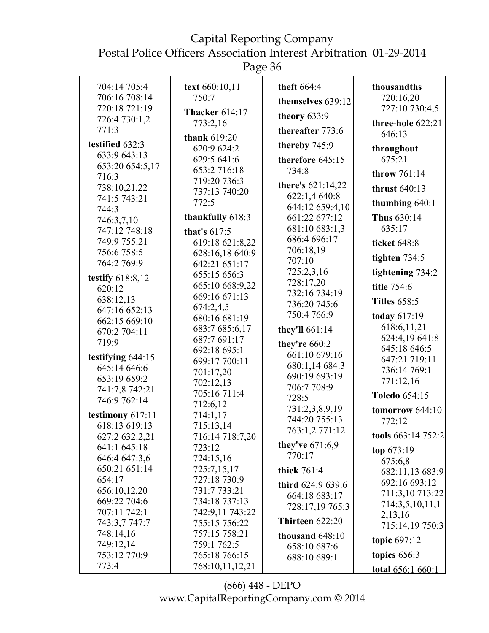Page 36

| 704:14 705:4<br>706:16 708:14<br>720:18 721:19<br>726:4 730:1,2<br>771:3                                                            | text 660:10,11<br>750:7<br><b>Thacker 614:17</b><br>773:2,16<br>thank 619:20                                               | theft 664:4<br>themselves 639:12<br>theory 633:9<br>thereafter 773:6                                                                   | thousandths<br>720:16,20<br>727:10 730:4,5<br>three-hole 622:21<br>646:13                                    |
|-------------------------------------------------------------------------------------------------------------------------------------|----------------------------------------------------------------------------------------------------------------------------|----------------------------------------------------------------------------------------------------------------------------------------|--------------------------------------------------------------------------------------------------------------|
| testified 632:3<br>633:9 643:13<br>653:20 654:5,17<br>716:3<br>738:10,21,22<br>741:5 743:21<br>744:3<br>746:3,7,10<br>747:12 748:18 | 620:9 624:2<br>629:5 641:6<br>653:2 716:18<br>719:20 736:3<br>737:13 740:20<br>772:5<br>thankfully 618:3<br>that's $617:5$ | thereby 745:9<br>therefore 645:15<br>734:8<br>there's 621:14,22<br>622:1,4 640:8<br>644:12 659:4,10<br>661:22 677:12<br>681:10 683:1,3 | throughout<br>675:21<br>throw 761:14<br>thrust 640:13<br>thumbing $640:1$<br>Thus 630:14<br>635:17           |
| 749:9 755:21<br>756:6 758:5<br>764:2 769:9<br>testify 618:8,12<br>620:12<br>638:12,13                                               | 619:18 621:8,22<br>628:16,18 640:9<br>642:21 651:17<br>655:15 656:3<br>665:10 668:9,22<br>669:16 671:13<br>674:2,4,5       | 686:4 696:17<br>706:18,19<br>707:10<br>725:2,3,16<br>728:17,20<br>732:16 734:19<br>736:20 745:6                                        | ticket 648:8<br>tighten $734:5$<br>tightening 734:2<br>title 754:6<br><b>Titles 658:5</b>                    |
| 647:16 652:13<br>662:15 669:10<br>670:2 704:11<br>719:9<br>testifying 644:15<br>645:14 646:6                                        | 680:16 681:19<br>683:7 685:6,17<br>687:7 691:17<br>692:18 695:1<br>699:17 700:11<br>701:17,20                              | 750:4766:9<br>they'll 661:14<br>they're 660:2<br>661:10 679:16<br>680:1,14 684:3<br>690:19 693:19                                      | today 617:19<br>618:6,11,21<br>624:4,19 641:8<br>645:18 646:5<br>647:21 719:11<br>736:14 769:1               |
| 653:19 659:2<br>741:7,8 742:21<br>746:9 762:14<br>testimony 617:11<br>618:13 619:13<br>627:2 632:2,21                               | 702:12,13<br>705:16 711:4<br>712:6,12<br>714:1,17<br>715:13,14<br>716:14 718:7,20                                          | 706:7 708:9<br>728:5<br>731:2,3,8,9,19<br>744:20 755:13<br>763:1,2 771:12<br>they've $671:6.9$                                         | 771:12,16<br>Toledo 654:15<br>tomorrow $644:10$<br>772:12<br>tools 663:14 752:2                              |
| 641:1 645:18<br>646:4 647:3,6<br>650:21 651:14<br>654:17<br>656:10,12,20<br>669:22 704:6<br>707:11 742:1<br>743:3,7 747:7           | 723:12<br>724:15,16<br>725:7,15,17<br>727:18 730:9<br>731:7 733:21<br>734:18 737:13<br>742:9,11 743:22<br>755:15 756:22    | 770:17<br>thick 761:4<br>third 624:9 639:6<br>664:18 683:17<br>728:17,19 765:3<br>Thirteen 622:20                                      | top $673:19$<br>675:6,8<br>682:11,13 683:9<br>692:16 693:12<br>711:3,10 713:22<br>714:3,5,10,11,1<br>2,13,16 |
| 748:14,16<br>749:12,14<br>753:12 770:9<br>773:4                                                                                     | 757:15 758:21<br>759:1 762:5<br>765:18 766:15<br>768:10,11,12,21                                                           | thousand $648:10$<br>658:10 687:6<br>688:10 689:1                                                                                      | 715:14,19 750:3<br>topic $697:12$<br>topics $656:3$<br><u>total 656:1 660:1</u>                              |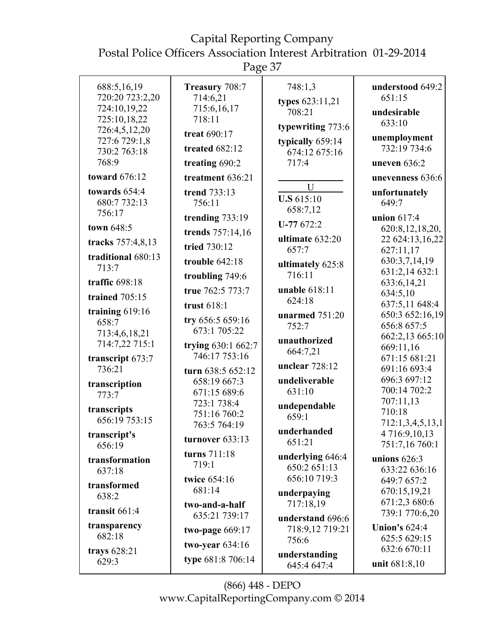| 688:5,16,19<br>720:20 723:2,20<br>724:10,19,22<br>725:10,18,22<br>726:4,5,12,20<br>727:6 729:1,8<br>730:2 763:18<br>768:9<br><b>toward</b> 676:12 | Treasury 708:7<br>714:6,21<br>715:6,16,17<br>718:11<br>treat 690:17<br>treated 682:12<br>treating 690:2<br>treatment 636:21 | 748:1,3<br>types 623:11,21<br>708:21<br>typewriting $773:6$<br>typically 659:14<br>674:12 675:16<br>717:4 | understood 649:2<br>651:15<br>undesirable<br>633:10<br>unemployment<br>732:19 734:6<br>uneven 636:2<br>unevenness 636:6 |
|---------------------------------------------------------------------------------------------------------------------------------------------------|-----------------------------------------------------------------------------------------------------------------------------|-----------------------------------------------------------------------------------------------------------|-------------------------------------------------------------------------------------------------------------------------|
| towards 654:4<br>680:7 732:13<br>756:17                                                                                                           | trend 733:13<br>756:11<br>trending $733:19$                                                                                 | $\mathbf{U}$<br><b>U.S</b> 615:10<br>658:7,12<br>$U-77672:2$                                              | unfortunately<br>649:7<br>union $617:4$                                                                                 |
| town 648:5<br>tracks 757:4,8,13<br>traditional 680:13<br>713:7                                                                                    | trends 757:14,16<br>tried 730:12<br>trouble $642:18$<br>troubling 749:6                                                     | ultimate 632:20<br>657:7<br>ultimately 625:8<br>716:11                                                    | 620:8,12,18,20,<br>22 624:13,16,22<br>627:11,17<br>630:3,7,14,19<br>631:2,14 632:1                                      |
| traffic 698:18<br><b>trained</b> 705:15<br>training 619:16<br>658:7<br>713:4,6,18,21                                                              | true 762:5 773:7<br>trust 618:1<br>try 656:5 659:16<br>673:1 705:22                                                         | unable 618:11<br>624:18<br>unarmed $751:20$<br>752:7                                                      | 633:6,14,21<br>634:5,10<br>637:5,11 648:4<br>650:3 652:16,19<br>656:8 657:5<br>662:2,13 665:10                          |
| 714:7,22 715:1<br>transcript 673:7<br>736:21<br>transcription                                                                                     | trying 630:1 662:7<br>746:17 753:16<br>turn 638:5 652:12<br>658:19 667:3<br>671:15 689:6                                    | unauthorized<br>664:7,21<br>unclear 728:12<br>undeliverable<br>631:10                                     | 669:11,16<br>671:15 681:21<br>691:16 693:4<br>696:3 697:12<br>700:14 702:2                                              |
| 773:7<br>transcripts<br>656:19 753:15<br>transcript's<br>656:19                                                                                   | 723:1 738:4<br>751:16 760:2<br>763:5 764:19<br>turnover $633:13$                                                            | undependable<br>659:1<br>underhanded<br>651:21                                                            | 707:11,13<br>710:18<br>712:1,3,4,5,13,1<br>4 716:9,10,13<br>751:7,16 760:1                                              |
| transformation<br>637:18<br>transformed<br>638:2                                                                                                  | turns 711:18<br>719:1<br>twice 654:16<br>681:14                                                                             | underlying 646:4<br>650:2 651:13<br>656:10 719:3<br>underpaying                                           | unions $626:3$<br>633:22 636:16<br>649:7 657:2<br>670:15,19,21                                                          |
| transit $661:4$<br>transparency<br>682:18<br>trays 628:21                                                                                         | two-and-a-half<br>635:21 739:17<br>two-page $669:17$<br>two-year $634:16$                                                   | 717:18,19<br>understand 696:6<br>718:9,12 719:21<br>756:6<br>understanding                                | 671:2,3 680:6<br>739:1 770:6,20<br><b>Union's 624:4</b><br>625:5 629:15<br>632:6 670:11                                 |
| 629:3                                                                                                                                             | type 681:8 706:14                                                                                                           | 645:4 647:4                                                                                               | unit 681:8,10                                                                                                           |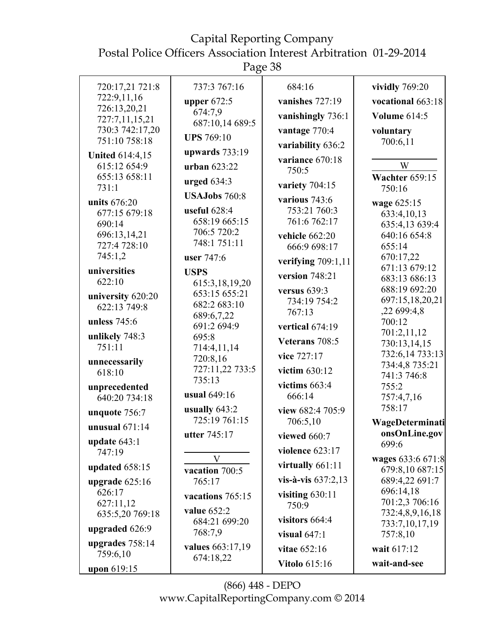Page 38

| 720:17,21 721:8<br>737:3 767:16<br>684:16<br>vividly 769:20<br>722:9,11,16<br>upper $672:5$<br>vanishes 727:19<br>vocational 663:18<br>726:13,20,21<br>674:7,9<br>vanishingly 736:1<br><b>Volume 614:5</b><br>727:7,11,15,21<br>687:10,14 689:5<br>730:3 742:17,20<br>vantage 770:4<br>voluntary<br><b>UPS</b> 769:10<br>751:10 758:18<br>700:6,11<br>variability 636:2<br>upwards $733:19$<br><b>United 614:4,15</b><br>variance 670:18<br>615:12 654:9<br>W<br>urban 623:22<br>750:5<br>655:13 658:11<br><b>Wachter 659:15</b><br>urged $634:3$<br>variety 704:15<br>731:1<br>750:16<br><b>USAJobs</b> 760:8<br>various $743:6$<br>units 676:20<br>wage 625:15<br>useful $628:4$<br>753:21 760:3<br>677:15 679:18<br>633:4,10,13<br>658:19 665:15<br>761:6 762:17<br>690:14<br>635:4,13 639:4<br>706:5 720:2<br>696:13,14,21<br>640:16 654:8<br>vehicle 662:20<br>748:1 751:11<br>727:4 728:10<br>655:14<br>666:9 698:17<br>745:1,2<br>670:17,22<br>user 747:6<br>verifying $709:1,11$<br>671:13 679:12<br>universities<br><b>USPS</b><br>version $748:21$<br>683:13 686:13<br>622:10<br>615:3,18,19,20<br>688:19 692:20<br>versus $639:3$<br>653:15 655:21<br>university 620:20<br>697:15,18,20,21<br>734:19 754:2<br>682:2 683:10<br>622:13 749:8<br>,22699:4,8<br>767:13<br>689:6,7,22<br>unless $745:6$<br>700:12<br>691:2 694:9<br>vertical 674:19<br>701:2,11,12<br>unlikely 748:3<br>695:8<br>Veterans 708:5<br>730:13,14,15<br>751:11<br>714:4,11,14<br>732:6,14 733:13<br>vice 727:17<br>720:8,16<br>unnecessarily<br>734:4,8 735:21<br>727:11,22 733:5<br>victim 630:12<br>618:10<br>741:3 746:8<br>735:13<br>victims $663:4$<br>755:2<br>unprecedented<br>usual 649:16<br>666:14<br>640:20 734:18<br>757:4,7,16<br>758:17<br>usually $643:2$<br>view 682:4 705:9<br>unquote 756:7<br>725:19 761:15<br>706:5,10<br>WageDeterminati<br>unusual $671:14$<br>onsOnLine.gov<br>utter 745:17<br>viewed $660:7$<br>update $643:1$<br>699:6<br>violence $623:17$<br>747:19<br>V<br>wages 633:6 671:8<br>virtually 661:11<br>updated 658:15<br>679:8,10 687:15<br>vacation 700:5<br>vis-à-vis $637:2,13$<br>689:4,22 691:7<br>765:17<br>upgrade $625:16$<br>696:14,18<br>626:17<br>visiting $630:11$<br>vacations 765:15<br>701:2,3 706:16<br>627:11,12<br>750:9<br>value 652:2<br>732:4,8,9,16,18<br>635:5,20 769:18<br>visitors $664:4$<br>684:21 699:20<br>733:7,10,17,19<br>upgraded 626:9<br>768:7,9<br>757:8,10<br>visual $647:1$<br>upgrades 758:14<br>values 663:17,19<br>wait 617:12<br>vitae 652:16<br>759:6,10<br>674:18,22<br><b>Vitolo</b> 615:16<br>wait-and-see<br>upon 619:15 |  |  |
|---------------------------------------------------------------------------------------------------------------------------------------------------------------------------------------------------------------------------------------------------------------------------------------------------------------------------------------------------------------------------------------------------------------------------------------------------------------------------------------------------------------------------------------------------------------------------------------------------------------------------------------------------------------------------------------------------------------------------------------------------------------------------------------------------------------------------------------------------------------------------------------------------------------------------------------------------------------------------------------------------------------------------------------------------------------------------------------------------------------------------------------------------------------------------------------------------------------------------------------------------------------------------------------------------------------------------------------------------------------------------------------------------------------------------------------------------------------------------------------------------------------------------------------------------------------------------------------------------------------------------------------------------------------------------------------------------------------------------------------------------------------------------------------------------------------------------------------------------------------------------------------------------------------------------------------------------------------------------------------------------------------------------------------------------------------------------------------------------------------------------------------------------------------------------------------------------------------------------------------------------------------------------------------------------------------------------------------------------------------------------------------------------------------------------------------------------------------------------------------------------------------------------------------------------------------------------------------------------|--|--|
|                                                                                                                                                                                                                                                                                                                                                                                                                                                                                                                                                                                                                                                                                                                                                                                                                                                                                                                                                                                                                                                                                                                                                                                                                                                                                                                                                                                                                                                                                                                                                                                                                                                                                                                                                                                                                                                                                                                                                                                                                                                                                                                                                                                                                                                                                                                                                                                                                                                                                                                                                                                                   |  |  |
|                                                                                                                                                                                                                                                                                                                                                                                                                                                                                                                                                                                                                                                                                                                                                                                                                                                                                                                                                                                                                                                                                                                                                                                                                                                                                                                                                                                                                                                                                                                                                                                                                                                                                                                                                                                                                                                                                                                                                                                                                                                                                                                                                                                                                                                                                                                                                                                                                                                                                                                                                                                                   |  |  |
|                                                                                                                                                                                                                                                                                                                                                                                                                                                                                                                                                                                                                                                                                                                                                                                                                                                                                                                                                                                                                                                                                                                                                                                                                                                                                                                                                                                                                                                                                                                                                                                                                                                                                                                                                                                                                                                                                                                                                                                                                                                                                                                                                                                                                                                                                                                                                                                                                                                                                                                                                                                                   |  |  |
|                                                                                                                                                                                                                                                                                                                                                                                                                                                                                                                                                                                                                                                                                                                                                                                                                                                                                                                                                                                                                                                                                                                                                                                                                                                                                                                                                                                                                                                                                                                                                                                                                                                                                                                                                                                                                                                                                                                                                                                                                                                                                                                                                                                                                                                                                                                                                                                                                                                                                                                                                                                                   |  |  |
|                                                                                                                                                                                                                                                                                                                                                                                                                                                                                                                                                                                                                                                                                                                                                                                                                                                                                                                                                                                                                                                                                                                                                                                                                                                                                                                                                                                                                                                                                                                                                                                                                                                                                                                                                                                                                                                                                                                                                                                                                                                                                                                                                                                                                                                                                                                                                                                                                                                                                                                                                                                                   |  |  |
|                                                                                                                                                                                                                                                                                                                                                                                                                                                                                                                                                                                                                                                                                                                                                                                                                                                                                                                                                                                                                                                                                                                                                                                                                                                                                                                                                                                                                                                                                                                                                                                                                                                                                                                                                                                                                                                                                                                                                                                                                                                                                                                                                                                                                                                                                                                                                                                                                                                                                                                                                                                                   |  |  |
|                                                                                                                                                                                                                                                                                                                                                                                                                                                                                                                                                                                                                                                                                                                                                                                                                                                                                                                                                                                                                                                                                                                                                                                                                                                                                                                                                                                                                                                                                                                                                                                                                                                                                                                                                                                                                                                                                                                                                                                                                                                                                                                                                                                                                                                                                                                                                                                                                                                                                                                                                                                                   |  |  |
|                                                                                                                                                                                                                                                                                                                                                                                                                                                                                                                                                                                                                                                                                                                                                                                                                                                                                                                                                                                                                                                                                                                                                                                                                                                                                                                                                                                                                                                                                                                                                                                                                                                                                                                                                                                                                                                                                                                                                                                                                                                                                                                                                                                                                                                                                                                                                                                                                                                                                                                                                                                                   |  |  |
|                                                                                                                                                                                                                                                                                                                                                                                                                                                                                                                                                                                                                                                                                                                                                                                                                                                                                                                                                                                                                                                                                                                                                                                                                                                                                                                                                                                                                                                                                                                                                                                                                                                                                                                                                                                                                                                                                                                                                                                                                                                                                                                                                                                                                                                                                                                                                                                                                                                                                                                                                                                                   |  |  |
|                                                                                                                                                                                                                                                                                                                                                                                                                                                                                                                                                                                                                                                                                                                                                                                                                                                                                                                                                                                                                                                                                                                                                                                                                                                                                                                                                                                                                                                                                                                                                                                                                                                                                                                                                                                                                                                                                                                                                                                                                                                                                                                                                                                                                                                                                                                                                                                                                                                                                                                                                                                                   |  |  |
|                                                                                                                                                                                                                                                                                                                                                                                                                                                                                                                                                                                                                                                                                                                                                                                                                                                                                                                                                                                                                                                                                                                                                                                                                                                                                                                                                                                                                                                                                                                                                                                                                                                                                                                                                                                                                                                                                                                                                                                                                                                                                                                                                                                                                                                                                                                                                                                                                                                                                                                                                                                                   |  |  |
|                                                                                                                                                                                                                                                                                                                                                                                                                                                                                                                                                                                                                                                                                                                                                                                                                                                                                                                                                                                                                                                                                                                                                                                                                                                                                                                                                                                                                                                                                                                                                                                                                                                                                                                                                                                                                                                                                                                                                                                                                                                                                                                                                                                                                                                                                                                                                                                                                                                                                                                                                                                                   |  |  |
|                                                                                                                                                                                                                                                                                                                                                                                                                                                                                                                                                                                                                                                                                                                                                                                                                                                                                                                                                                                                                                                                                                                                                                                                                                                                                                                                                                                                                                                                                                                                                                                                                                                                                                                                                                                                                                                                                                                                                                                                                                                                                                                                                                                                                                                                                                                                                                                                                                                                                                                                                                                                   |  |  |
|                                                                                                                                                                                                                                                                                                                                                                                                                                                                                                                                                                                                                                                                                                                                                                                                                                                                                                                                                                                                                                                                                                                                                                                                                                                                                                                                                                                                                                                                                                                                                                                                                                                                                                                                                                                                                                                                                                                                                                                                                                                                                                                                                                                                                                                                                                                                                                                                                                                                                                                                                                                                   |  |  |
|                                                                                                                                                                                                                                                                                                                                                                                                                                                                                                                                                                                                                                                                                                                                                                                                                                                                                                                                                                                                                                                                                                                                                                                                                                                                                                                                                                                                                                                                                                                                                                                                                                                                                                                                                                                                                                                                                                                                                                                                                                                                                                                                                                                                                                                                                                                                                                                                                                                                                                                                                                                                   |  |  |
|                                                                                                                                                                                                                                                                                                                                                                                                                                                                                                                                                                                                                                                                                                                                                                                                                                                                                                                                                                                                                                                                                                                                                                                                                                                                                                                                                                                                                                                                                                                                                                                                                                                                                                                                                                                                                                                                                                                                                                                                                                                                                                                                                                                                                                                                                                                                                                                                                                                                                                                                                                                                   |  |  |
|                                                                                                                                                                                                                                                                                                                                                                                                                                                                                                                                                                                                                                                                                                                                                                                                                                                                                                                                                                                                                                                                                                                                                                                                                                                                                                                                                                                                                                                                                                                                                                                                                                                                                                                                                                                                                                                                                                                                                                                                                                                                                                                                                                                                                                                                                                                                                                                                                                                                                                                                                                                                   |  |  |
|                                                                                                                                                                                                                                                                                                                                                                                                                                                                                                                                                                                                                                                                                                                                                                                                                                                                                                                                                                                                                                                                                                                                                                                                                                                                                                                                                                                                                                                                                                                                                                                                                                                                                                                                                                                                                                                                                                                                                                                                                                                                                                                                                                                                                                                                                                                                                                                                                                                                                                                                                                                                   |  |  |
|                                                                                                                                                                                                                                                                                                                                                                                                                                                                                                                                                                                                                                                                                                                                                                                                                                                                                                                                                                                                                                                                                                                                                                                                                                                                                                                                                                                                                                                                                                                                                                                                                                                                                                                                                                                                                                                                                                                                                                                                                                                                                                                                                                                                                                                                                                                                                                                                                                                                                                                                                                                                   |  |  |
|                                                                                                                                                                                                                                                                                                                                                                                                                                                                                                                                                                                                                                                                                                                                                                                                                                                                                                                                                                                                                                                                                                                                                                                                                                                                                                                                                                                                                                                                                                                                                                                                                                                                                                                                                                                                                                                                                                                                                                                                                                                                                                                                                                                                                                                                                                                                                                                                                                                                                                                                                                                                   |  |  |
|                                                                                                                                                                                                                                                                                                                                                                                                                                                                                                                                                                                                                                                                                                                                                                                                                                                                                                                                                                                                                                                                                                                                                                                                                                                                                                                                                                                                                                                                                                                                                                                                                                                                                                                                                                                                                                                                                                                                                                                                                                                                                                                                                                                                                                                                                                                                                                                                                                                                                                                                                                                                   |  |  |
|                                                                                                                                                                                                                                                                                                                                                                                                                                                                                                                                                                                                                                                                                                                                                                                                                                                                                                                                                                                                                                                                                                                                                                                                                                                                                                                                                                                                                                                                                                                                                                                                                                                                                                                                                                                                                                                                                                                                                                                                                                                                                                                                                                                                                                                                                                                                                                                                                                                                                                                                                                                                   |  |  |
|                                                                                                                                                                                                                                                                                                                                                                                                                                                                                                                                                                                                                                                                                                                                                                                                                                                                                                                                                                                                                                                                                                                                                                                                                                                                                                                                                                                                                                                                                                                                                                                                                                                                                                                                                                                                                                                                                                                                                                                                                                                                                                                                                                                                                                                                                                                                                                                                                                                                                                                                                                                                   |  |  |
|                                                                                                                                                                                                                                                                                                                                                                                                                                                                                                                                                                                                                                                                                                                                                                                                                                                                                                                                                                                                                                                                                                                                                                                                                                                                                                                                                                                                                                                                                                                                                                                                                                                                                                                                                                                                                                                                                                                                                                                                                                                                                                                                                                                                                                                                                                                                                                                                                                                                                                                                                                                                   |  |  |
|                                                                                                                                                                                                                                                                                                                                                                                                                                                                                                                                                                                                                                                                                                                                                                                                                                                                                                                                                                                                                                                                                                                                                                                                                                                                                                                                                                                                                                                                                                                                                                                                                                                                                                                                                                                                                                                                                                                                                                                                                                                                                                                                                                                                                                                                                                                                                                                                                                                                                                                                                                                                   |  |  |
|                                                                                                                                                                                                                                                                                                                                                                                                                                                                                                                                                                                                                                                                                                                                                                                                                                                                                                                                                                                                                                                                                                                                                                                                                                                                                                                                                                                                                                                                                                                                                                                                                                                                                                                                                                                                                                                                                                                                                                                                                                                                                                                                                                                                                                                                                                                                                                                                                                                                                                                                                                                                   |  |  |
|                                                                                                                                                                                                                                                                                                                                                                                                                                                                                                                                                                                                                                                                                                                                                                                                                                                                                                                                                                                                                                                                                                                                                                                                                                                                                                                                                                                                                                                                                                                                                                                                                                                                                                                                                                                                                                                                                                                                                                                                                                                                                                                                                                                                                                                                                                                                                                                                                                                                                                                                                                                                   |  |  |
|                                                                                                                                                                                                                                                                                                                                                                                                                                                                                                                                                                                                                                                                                                                                                                                                                                                                                                                                                                                                                                                                                                                                                                                                                                                                                                                                                                                                                                                                                                                                                                                                                                                                                                                                                                                                                                                                                                                                                                                                                                                                                                                                                                                                                                                                                                                                                                                                                                                                                                                                                                                                   |  |  |
|                                                                                                                                                                                                                                                                                                                                                                                                                                                                                                                                                                                                                                                                                                                                                                                                                                                                                                                                                                                                                                                                                                                                                                                                                                                                                                                                                                                                                                                                                                                                                                                                                                                                                                                                                                                                                                                                                                                                                                                                                                                                                                                                                                                                                                                                                                                                                                                                                                                                                                                                                                                                   |  |  |
|                                                                                                                                                                                                                                                                                                                                                                                                                                                                                                                                                                                                                                                                                                                                                                                                                                                                                                                                                                                                                                                                                                                                                                                                                                                                                                                                                                                                                                                                                                                                                                                                                                                                                                                                                                                                                                                                                                                                                                                                                                                                                                                                                                                                                                                                                                                                                                                                                                                                                                                                                                                                   |  |  |
|                                                                                                                                                                                                                                                                                                                                                                                                                                                                                                                                                                                                                                                                                                                                                                                                                                                                                                                                                                                                                                                                                                                                                                                                                                                                                                                                                                                                                                                                                                                                                                                                                                                                                                                                                                                                                                                                                                                                                                                                                                                                                                                                                                                                                                                                                                                                                                                                                                                                                                                                                                                                   |  |  |
|                                                                                                                                                                                                                                                                                                                                                                                                                                                                                                                                                                                                                                                                                                                                                                                                                                                                                                                                                                                                                                                                                                                                                                                                                                                                                                                                                                                                                                                                                                                                                                                                                                                                                                                                                                                                                                                                                                                                                                                                                                                                                                                                                                                                                                                                                                                                                                                                                                                                                                                                                                                                   |  |  |
|                                                                                                                                                                                                                                                                                                                                                                                                                                                                                                                                                                                                                                                                                                                                                                                                                                                                                                                                                                                                                                                                                                                                                                                                                                                                                                                                                                                                                                                                                                                                                                                                                                                                                                                                                                                                                                                                                                                                                                                                                                                                                                                                                                                                                                                                                                                                                                                                                                                                                                                                                                                                   |  |  |
|                                                                                                                                                                                                                                                                                                                                                                                                                                                                                                                                                                                                                                                                                                                                                                                                                                                                                                                                                                                                                                                                                                                                                                                                                                                                                                                                                                                                                                                                                                                                                                                                                                                                                                                                                                                                                                                                                                                                                                                                                                                                                                                                                                                                                                                                                                                                                                                                                                                                                                                                                                                                   |  |  |
|                                                                                                                                                                                                                                                                                                                                                                                                                                                                                                                                                                                                                                                                                                                                                                                                                                                                                                                                                                                                                                                                                                                                                                                                                                                                                                                                                                                                                                                                                                                                                                                                                                                                                                                                                                                                                                                                                                                                                                                                                                                                                                                                                                                                                                                                                                                                                                                                                                                                                                                                                                                                   |  |  |
|                                                                                                                                                                                                                                                                                                                                                                                                                                                                                                                                                                                                                                                                                                                                                                                                                                                                                                                                                                                                                                                                                                                                                                                                                                                                                                                                                                                                                                                                                                                                                                                                                                                                                                                                                                                                                                                                                                                                                                                                                                                                                                                                                                                                                                                                                                                                                                                                                                                                                                                                                                                                   |  |  |
|                                                                                                                                                                                                                                                                                                                                                                                                                                                                                                                                                                                                                                                                                                                                                                                                                                                                                                                                                                                                                                                                                                                                                                                                                                                                                                                                                                                                                                                                                                                                                                                                                                                                                                                                                                                                                                                                                                                                                                                                                                                                                                                                                                                                                                                                                                                                                                                                                                                                                                                                                                                                   |  |  |
|                                                                                                                                                                                                                                                                                                                                                                                                                                                                                                                                                                                                                                                                                                                                                                                                                                                                                                                                                                                                                                                                                                                                                                                                                                                                                                                                                                                                                                                                                                                                                                                                                                                                                                                                                                                                                                                                                                                                                                                                                                                                                                                                                                                                                                                                                                                                                                                                                                                                                                                                                                                                   |  |  |
|                                                                                                                                                                                                                                                                                                                                                                                                                                                                                                                                                                                                                                                                                                                                                                                                                                                                                                                                                                                                                                                                                                                                                                                                                                                                                                                                                                                                                                                                                                                                                                                                                                                                                                                                                                                                                                                                                                                                                                                                                                                                                                                                                                                                                                                                                                                                                                                                                                                                                                                                                                                                   |  |  |
|                                                                                                                                                                                                                                                                                                                                                                                                                                                                                                                                                                                                                                                                                                                                                                                                                                                                                                                                                                                                                                                                                                                                                                                                                                                                                                                                                                                                                                                                                                                                                                                                                                                                                                                                                                                                                                                                                                                                                                                                                                                                                                                                                                                                                                                                                                                                                                                                                                                                                                                                                                                                   |  |  |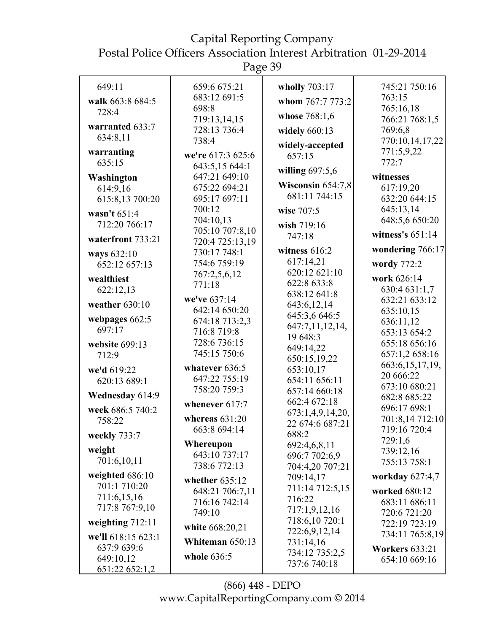| 649:11                        | 659:6 675:21                    | wholly 703:17                  | 745:21 750:16               |
|-------------------------------|---------------------------------|--------------------------------|-----------------------------|
| walk 663:8 684:5              | 683:12 691:5                    | whom 767:7 773:2               | 763:15                      |
| 728:4                         | 698:8<br>719:13,14,15           | whose 768:1,6                  | 765:16,18<br>766:21 768:1,5 |
| warranted 633:7               | 728:13 736:4                    | widely 660:13                  | 769:6,8                     |
| 634:8,11                      | 738:4                           |                                | 770:10,14,17,22             |
| warranting                    | we're 617:3 625:6               | widely-accepted<br>657:15      | 771:5,9,22                  |
| 635:15                        | 643:5,15 644:1                  |                                | 772:7                       |
| Washington                    | 647:21 649:10                   | willing $697:5,6$              | witnesses                   |
| 614:9,16                      | 675:22 694:21                   | Wisconsin 654:7,8              | 617:19,20                   |
| 615:8,13 700:20               | 695:17 697:11                   | 681:11 744:15                  | 632:20 644:15               |
| wasn't 651:4                  | 700:12                          | wise 707:5                     | 645:13,14                   |
| 712:20 766:17                 | 704:10,13                       | wish 719:16                    | 648:5,6 650:20              |
| waterfront 733:21             | 705:10 707:8,10                 | 747:18                         | witness's $651:14$          |
| ways 632:10                   | 720:4 725:13,19<br>730:17 748:1 | witness $616:2$                | wondering 766:17            |
| 652:12 657:13                 | 754:6 759:19                    | 617:14,21                      | wordy 772:2                 |
|                               | 767:2,5,6,12                    | 620:12 621:10                  | work 626:14                 |
| wealthiest<br>622:12,13       | 771:18                          | 622:8 633:8                    | 630:4 631:1,7               |
|                               | we've 637:14                    | 638:12 641:8                   | 632:21 633:12               |
| weather $630:10$              | 642:14 650:20                   | 643:6,12,14                    | 635:10,15                   |
| webpages 662:5                | 674:18 713:2,3                  | 645:3,6 646:5                  | 636:11,12                   |
| 697:17                        | 716:8 719:8                     | 647:7,11,12,14,                | 653:13 654:2                |
| website 699:13                | 728:6 736:15                    | 19 648:3                       | 655:18 656:16               |
| 712:9                         | 745:15 750:6                    | 649:14,22<br>650:15,19,22      | 657:1,2 658:16              |
| we'd 619:22                   | whatever 636:5                  | 653:10,17                      | 663:6, 15, 17, 19,          |
| 620:13 689:1                  | 647:22 755:19                   | 654:11 656:11                  | 20 666:22                   |
|                               | 758:20 759:3                    | 657:14 660:18                  | 673:10 680:21               |
| Wednesday 614:9               | whenever 617:7                  | 662:4 672:18                   | 682:8 685:22                |
| week 686:5 740:2              |                                 | 673:1,4,9,14,20,               | 696:17 698:1                |
| 758:22                        | whereas $631:20$                | 22 674:6 687:21                | 701:8,14 712:10             |
| weekly 733:7                  | 663:8 694:14                    | 688:2                          | 719:16 720:4                |
| weight                        | Whereupon                       | 692:4,6,8,11                   | 729:1,6                     |
| 701:6,10,11                   | 643:10 737:17                   | 696:7 702:6,9                  | 739:12,16<br>755:13 758:1   |
|                               | 738:6 772:13                    | 704:4,20 707:21                |                             |
| weighted 686:10               | whether $635:12$                | 709:14,17                      | workday 627:4,7             |
| 701:1 710:20                  | 648:21 706:7,11                 | 711:14 712:5,15                | worked 680:12               |
| 711:6,15,16<br>717:8 767:9,10 | 716:16 742:14                   | 716:22                         | 683:11 686:11               |
|                               | 749:10                          | 717:1,9,12,16                  | 720:6 721:20                |
| weighting $712:11$            | white 668:20,21                 | 718:6,10720:1<br>722:6,9,12,14 | 722:19 723:19               |
| we'll 618:15 623:1            | Whiteman 650:13                 | 731:14,16                      | 734:11 765:8,19             |
| 637:9 639:6<br>649:10,12      | whole 636:5                     | 734:12 735:2,5                 | <b>Workers 633:21</b>       |
| 651:22 652:1,2                |                                 | 737:6 740:18                   | 654:10 669:16               |
|                               |                                 |                                |                             |